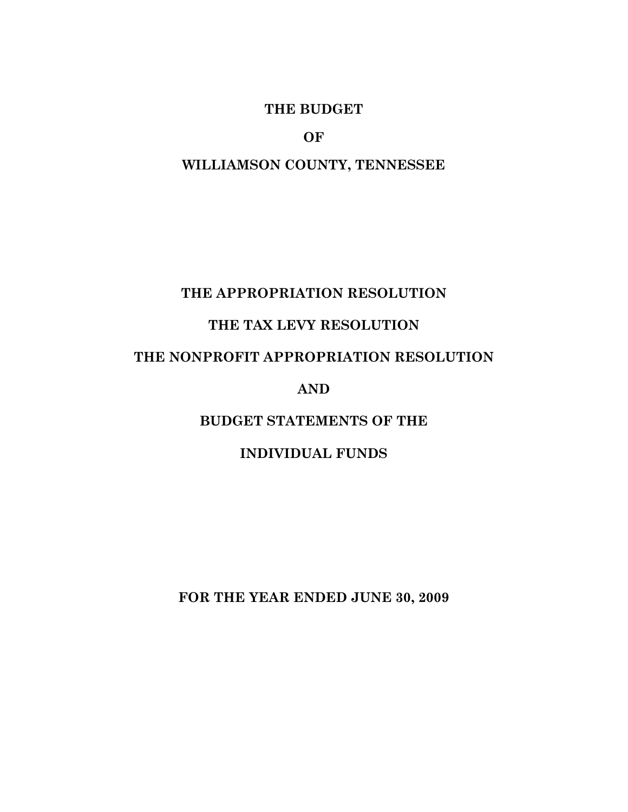#### **THE BUDGET**

**OF** 

### **WILLIAMSON COUNTY, TENNESSEE**

### **THE APPROPRIATION RESOLUTION**

## **THE TAX LEVY RESOLUTION**

## **THE NONPROFIT APPROPRIATION RESOLUTION**

#### **AND**

## **BUDGET STATEMENTS OF THE**

#### **INDIVIDUAL FUNDS**

**FOR THE YEAR ENDED JUNE 30, 2009**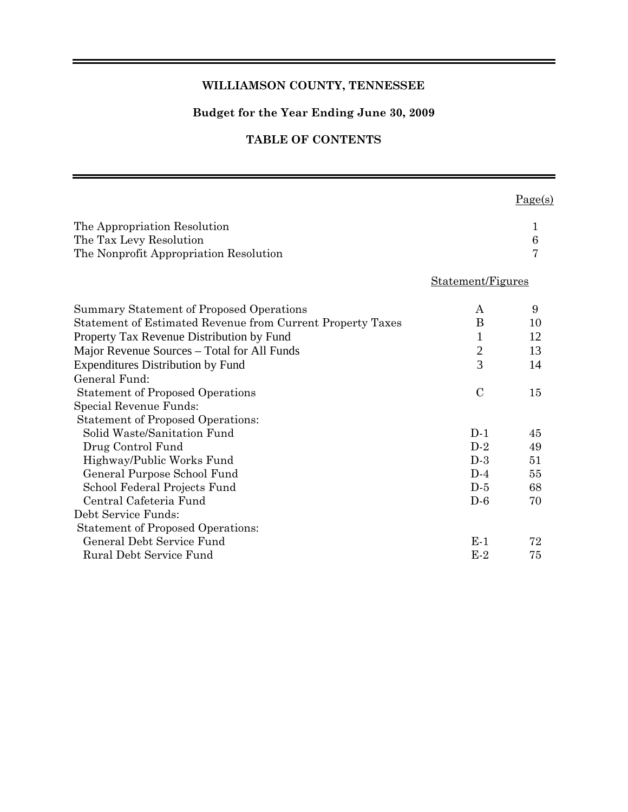#### **WILLIAMSON COUNTY, TENNESSEE**

#### **Budget for the Year Ending June 30, 2009**

#### **TABLE OF CONTENTS**

 $Page(s)$ 

| The Appropriation Resolution<br>The Tax Levy Resolution<br>The Nonprofit Appropriation Resolution |                   | 1<br>6<br>7 |
|---------------------------------------------------------------------------------------------------|-------------------|-------------|
|                                                                                                   | Statement/Figures |             |
| Summary Statement of Proposed Operations                                                          | A                 | 9           |
| Statement of Estimated Revenue from Current Property Taxes                                        | B                 | 10          |
| Property Tax Revenue Distribution by Fund                                                         | $\mathbf{1}$      | 12          |
| Major Revenue Sources – Total for All Funds                                                       | $\mathbf{2}$      | 13          |
| <b>Expenditures Distribution by Fund</b>                                                          | $\overline{3}$    | 14          |
| General Fund:                                                                                     |                   |             |
| <b>Statement of Proposed Operations</b>                                                           | $\mathcal{C}$     | 15          |
| Special Revenue Funds:                                                                            |                   |             |
| <b>Statement of Proposed Operations:</b>                                                          |                   |             |
| Solid Waste/Sanitation Fund                                                                       | $D-1$             | 45          |
| Drug Control Fund                                                                                 | $D-2$             | 49          |
| Highway/Public Works Fund                                                                         | $D-3$             | 51          |
| General Purpose School Fund                                                                       | $D-4$             | 55          |
| School Federal Projects Fund                                                                      | $D-5$             | 68          |
| Central Cafeteria Fund                                                                            | $D-6$             | 70          |
| Debt Service Funds:                                                                               |                   |             |
| <b>Statement of Proposed Operations:</b>                                                          |                   |             |
| General Debt Service Fund                                                                         | E-1               | 72          |
| Rural Debt Service Fund                                                                           | $E-2$             | 75          |
|                                                                                                   |                   |             |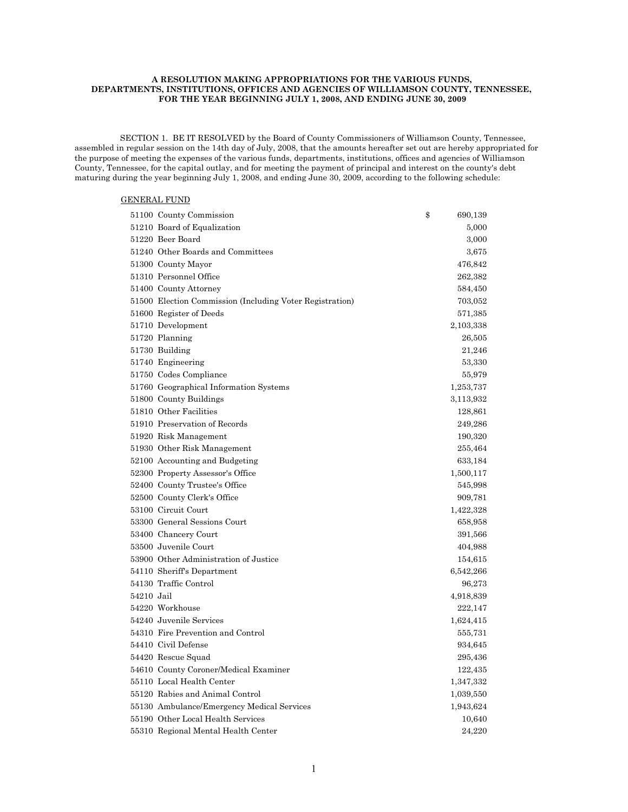#### **A RESOLUTION MAKING APPROPRIATIONS FOR THE VARIOUS FUNDS, DEPARTMENTS, INSTITUTIONS, OFFICES AND AGENCIES OF WILLIAMSON COUNTY, TENNESSEE, FOR THE YEAR BEGINNING JULY 1, 2008, AND ENDING JUNE 30, 2009**

 SECTION 1. BE IT RESOLVED by the Board of County Commissioners of Williamson County, Tennessee, assembled in regular session on the 14th day of July, 2008, that the amounts hereafter set out are hereby appropriated for the purpose of meeting the expenses of the various funds, departments, institutions, offices and agencies of Williamson County, Tennessee, for the capital outlay, and for meeting the payment of principal and interest on the county's debt maturing during the year beginning July 1, 2008, and ending June 30, 2009, according to the following schedule:

#### GENERAL FUND

|            | 51100 County Commission                                  | \$<br>690,139 |
|------------|----------------------------------------------------------|---------------|
|            | 51210 Board of Equalization                              | 5,000         |
|            | 51220 Beer Board                                         | 3,000         |
|            | 51240 Other Boards and Committees                        | 3,675         |
|            | 51300 County Mayor                                       | 476,842       |
|            | 51310 Personnel Office                                   | 262,382       |
|            | 51400 County Attorney                                    | 584,450       |
|            | 51500 Election Commission (Including Voter Registration) | 703,052       |
|            | 51600 Register of Deeds                                  | 571,385       |
|            | 51710 Development                                        | 2,103,338     |
|            | 51720 Planning                                           | 26,505        |
|            | 51730 Building                                           | 21,246        |
|            | 51740 Engineering                                        | 53,330        |
|            | 51750 Codes Compliance                                   | 55,979        |
|            | 51760 Geographical Information Systems                   | 1,253,737     |
|            | 51800 County Buildings                                   | 3,113,932     |
|            | 51810 Other Facilities                                   | 128,861       |
|            | 51910 Preservation of Records                            | 249,286       |
|            | 51920 Risk Management                                    | 190,320       |
|            | 51930 Other Risk Management                              | 255,464       |
|            | 52100 Accounting and Budgeting                           | 633,184       |
|            | 52300 Property Assessor's Office                         | 1,500,117     |
|            | 52400 County Trustee's Office                            | 545,998       |
|            | 52500 County Clerk's Office                              | 909,781       |
|            | 53100 Circuit Court                                      | 1,422,328     |
|            | 53300 General Sessions Court                             | 658,958       |
|            | 53400 Chancery Court                                     | 391,566       |
|            | 53500 Juvenile Court                                     | 404,988       |
|            | 53900 Other Administration of Justice                    | 154,615       |
|            | 54110 Sheriff's Department                               | 6,542,266     |
|            | 54130 Traffic Control                                    | 96,273        |
| 54210 Jail |                                                          | 4,918,839     |
|            | 54220 Workhouse                                          | 222,147       |
|            | 54240 Juvenile Services                                  | 1,624,415     |
|            | 54310 Fire Prevention and Control                        | 555,731       |
|            | 54410 Civil Defense                                      | 934,645       |
|            | 54420 Rescue Squad                                       | 295,436       |
|            | 54610 County Coroner/Medical Examiner                    | 122,435       |
|            | 55110 Local Health Center                                | 1,347,332     |
|            | 55120 Rabies and Animal Control                          | 1,039,550     |
|            | 55130 Ambulance/Emergency Medical Services               | 1,943,624     |
|            | 55190 Other Local Health Services                        | 10,640        |
|            | 55310 Regional Mental Health Center                      | 24,220        |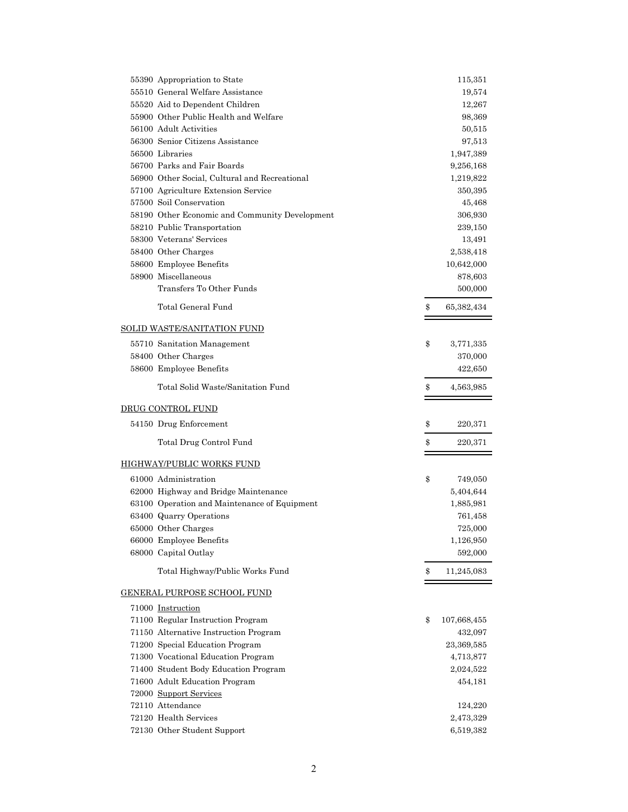| 55390 Appropriation to State                   | 115,351           |
|------------------------------------------------|-------------------|
| 55510 General Welfare Assistance               | 19,574            |
| 55520 Aid to Dependent Children                | 12,267            |
| 55900 Other Public Health and Welfare          | 98,369            |
| 56100 Adult Activities                         | 50,515            |
| 56300 Senior Citizens Assistance               | 97,513            |
| 56500 Libraries                                | 1,947,389         |
| 56700 Parks and Fair Boards                    | 9,256,168         |
| 56900 Other Social, Cultural and Recreational  | 1,219,822         |
| 57100 Agriculture Extension Service            | 350,395           |
| 57500 Soil Conservation                        | 45,468            |
| 58190 Other Economic and Community Development | 306,930           |
| 58210 Public Transportation                    | 239,150           |
| 58300 Veterans' Services                       | 13,491            |
| 58400 Other Charges                            | 2,538,418         |
| 58600 Employee Benefits                        | 10,642,000        |
| 58900 Miscellaneous                            | 878,603           |
| Transfers To Other Funds                       | 500,000           |
|                                                |                   |
| Total General Fund                             | \$<br>65,382,434  |
| <u>SOLID WASTE/SANITATION FUND</u>             |                   |
| 55710 Sanitation Management                    | \$<br>3,771,335   |
| 58400 Other Charges                            | 370,000           |
| 58600 Employee Benefits                        | 422,650           |
| Total Solid Waste/Sanitation Fund              | \$<br>4,563,985   |
| DRUG CONTROL FUND                              |                   |
| 54150 Drug Enforcement                         | \$<br>220,371     |
|                                                |                   |
| Total Drug Control Fund                        | \$<br>220,371     |
| HIGHWAY/PUBLIC WORKS FUND                      |                   |
| 61000 Administration                           | \$<br>749,050     |
| 62000 Highway and Bridge Maintenance           | 5,404,644         |
| 63100 Operation and Maintenance of Equipment   | 1,885,981         |
| 63400 Quarry Operations                        | 761,458           |
| 65000 Other Charges                            | 725,000           |
| 66000 Employee Benefits                        | 1,126,950         |
| 68000 Capital Outlay                           | 592,000           |
| Total Highway/Public Works Fund                | \$<br>11,245,083  |
| <u>GENERAL PURPOSE SCHOOL FUND</u>             |                   |
| 71000 Instruction                              |                   |
| 71100 Regular Instruction Program              | \$<br>107,668,455 |
| 71150 Alternative Instruction Program          | 432,097           |
| 71200 Special Education Program                | 23,369,585        |
| 71300 Vocational Education Program             | 4,713,877         |
| 71400 Student Body Education Program           | 2,024,522         |
| 71600 Adult Education Program                  | 454,181           |
| 72000 Support Services                         |                   |
| 72110 Attendance                               | 124,220           |
| 72120 Health Services                          | 2,473,329         |
| 72130 Other Student Support                    | 6,519,382         |
|                                                |                   |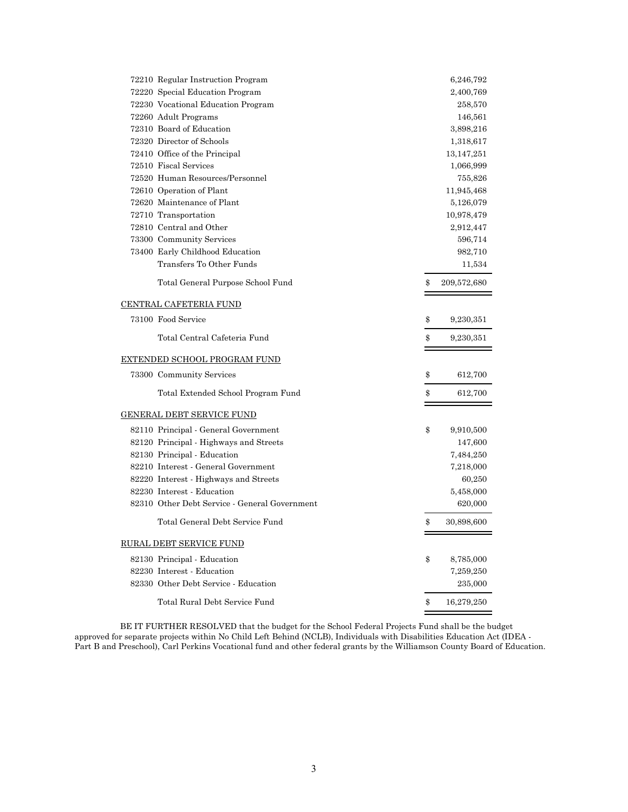| 72210 Regular Instruction Program             | 6,246,792         |
|-----------------------------------------------|-------------------|
| 72220 Special Education Program               | 2,400,769         |
| 72230 Vocational Education Program            | 258,570           |
| 72260 Adult Programs                          | 146,561           |
| 72310 Board of Education                      | 3,898,216         |
| 72320 Director of Schools                     | 1,318,617         |
| 72410 Office of the Principal                 | 13,147,251        |
| 72510 Fiscal Services                         | 1,066,999         |
| 72520 Human Resources/Personnel               | 755,826           |
| 72610 Operation of Plant                      | 11,945,468        |
| 72620 Maintenance of Plant                    | 5,126,079         |
| 72710 Transportation                          | 10,978,479        |
| 72810 Central and Other                       | 2,912,447         |
| 73300 Community Services                      | 596,714           |
| 73400 Early Childhood Education               | 982,710           |
| Transfers To Other Funds                      | 11,534            |
| Total General Purpose School Fund             | \$<br>209,572,680 |
| <u>CENTRAL CAFETERIA FUND</u>                 |                   |
| 73100 Food Service                            | \$<br>9,230,351   |
| Total Central Cafeteria Fund                  | \$<br>9,230,351   |
| <u>EXTENDED SCHOOL PROGRAM FUND</u>           |                   |
| 73300 Community Services                      | \$<br>612,700     |
| Total Extended School Program Fund            | \$<br>612,700     |
| GENERAL DEBT SERVICE FUND                     |                   |
| 82110 Principal - General Government          | \$<br>9,910,500   |
| 82120 Principal - Highways and Streets        | 147,600           |
| 82130 Principal - Education                   | 7,484,250         |
| 82210 Interest - General Government           | 7,218,000         |
| 82220 Interest - Highways and Streets         | 60,250            |
| 82230 Interest - Education                    | 5,458,000         |
| 82310 Other Debt Service - General Government | 620,000           |
| Total General Debt Service Fund               | \$<br>30,898,600  |
| <u>RURAL DEBT SERVICE FUND</u>                |                   |
| 82130 Principal - Education                   | \$<br>8,785,000   |
| 82230 Interest - Education                    | 7,259,250         |
| 82330 Other Debt Service - Education          | 235,000           |
| Total Rural Debt Service Fund                 | \$<br>16,279,250  |

 BE IT FURTHER RESOLVED that the budget for the School Federal Projects Fund shall be the budget approved for separate projects within No Child Left Behind (NCLB), Individuals with Disabilities Education Act (IDEA - Part B and Preschool), Carl Perkins Vocational fund and other federal grants by the Williamson County Board of Education.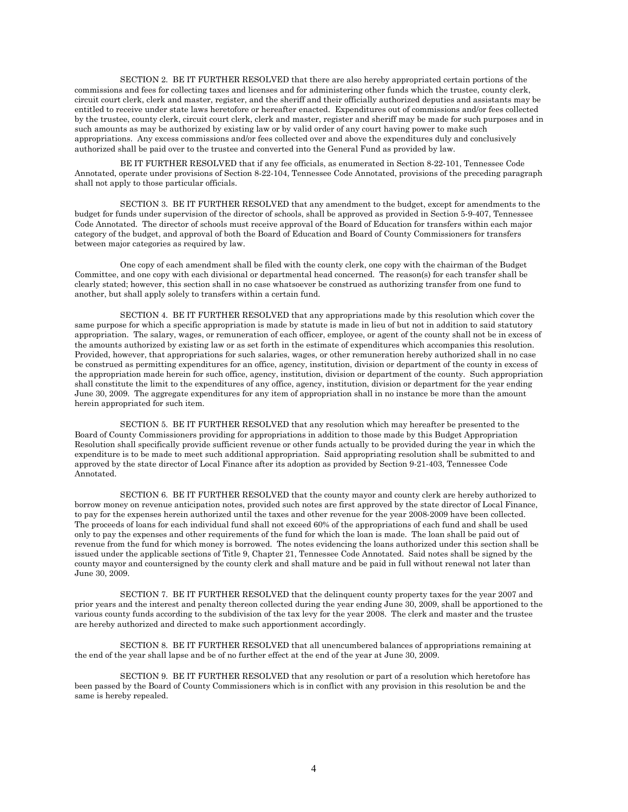SECTION 2. BE IT FURTHER RESOLVED that there are also hereby appropriated certain portions of the commissions and fees for collecting taxes and licenses and for administering other funds which the trustee, county clerk, circuit court clerk, clerk and master, register, and the sheriff and their officially authorized deputies and assistants may be entitled to receive under state laws heretofore or hereafter enacted. Expenditures out of commissions and/or fees collected by the trustee, county clerk, circuit court clerk, clerk and master, register and sheriff may be made for such purposes and in such amounts as may be authorized by existing law or by valid order of any court having power to make such appropriations. Any excess commissions and/or fees collected over and above the expenditures duly and conclusively authorized shall be paid over to the trustee and converted into the General Fund as provided by law.

 BE IT FURTHER RESOLVED that if any fee officials, as enumerated in Section 8-22-101, Tennessee Code Annotated, operate under provisions of Section 8-22-104, Tennessee Code Annotated, provisions of the preceding paragraph shall not apply to those particular officials.

 SECTION 3. BE IT FURTHER RESOLVED that any amendment to the budget, except for amendments to the budget for funds under supervision of the director of schools, shall be approved as provided in Section 5-9-407, Tennessee Code Annotated. The director of schools must receive approval of the Board of Education for transfers within each major category of the budget, and approval of both the Board of Education and Board of County Commissioners for transfers between major categories as required by law.

 One copy of each amendment shall be filed with the county clerk, one copy with the chairman of the Budget Committee, and one copy with each divisional or departmental head concerned. The reason(s) for each transfer shall be clearly stated; however, this section shall in no case whatsoever be construed as authorizing transfer from one fund to another, but shall apply solely to transfers within a certain fund.

 SECTION 4. BE IT FURTHER RESOLVED that any appropriations made by this resolution which cover the same purpose for which a specific appropriation is made by statute is made in lieu of but not in addition to said statutory appropriation. The salary, wages, or remuneration of each officer, employee, or agent of the county shall not be in excess of the amounts authorized by existing law or as set forth in the estimate of expenditures which accompanies this resolution. Provided, however, that appropriations for such salaries, wages, or other remuneration hereby authorized shall in no case be construed as permitting expenditures for an office, agency, institution, division or department of the county in excess of the appropriation made herein for such office, agency, institution, division or department of the county. Such appropriation shall constitute the limit to the expenditures of any office, agency, institution, division or department for the year ending June 30, 2009. The aggregate expenditures for any item of appropriation shall in no instance be more than the amount herein appropriated for such item.

 SECTION 5. BE IT FURTHER RESOLVED that any resolution which may hereafter be presented to the Board of County Commissioners providing for appropriations in addition to those made by this Budget Appropriation Resolution shall specifically provide sufficient revenue or other funds actually to be provided during the year in which the expenditure is to be made to meet such additional appropriation. Said appropriating resolution shall be submitted to and approved by the state director of Local Finance after its adoption as provided by Section 9-21-403, Tennessee Code Annotated.

 SECTION 6. BE IT FURTHER RESOLVED that the county mayor and county clerk are hereby authorized to borrow money on revenue anticipation notes, provided such notes are first approved by the state director of Local Finance, to pay for the expenses herein authorized until the taxes and other revenue for the year 2008-2009 have been collected. The proceeds of loans for each individual fund shall not exceed 60% of the appropriations of each fund and shall be used only to pay the expenses and other requirements of the fund for which the loan is made. The loan shall be paid out of revenue from the fund for which money is borrowed. The notes evidencing the loans authorized under this section shall be issued under the applicable sections of Title 9, Chapter 21, Tennessee Code Annotated. Said notes shall be signed by the county mayor and countersigned by the county clerk and shall mature and be paid in full without renewal not later than June 30, 2009.

 SECTION 7. BE IT FURTHER RESOLVED that the delinquent county property taxes for the year 2007 and prior years and the interest and penalty thereon collected during the year ending June 30, 2009, shall be apportioned to the various county funds according to the subdivision of the tax levy for the year 2008. The clerk and master and the trustee are hereby authorized and directed to make such apportionment accordingly.

 SECTION 8. BE IT FURTHER RESOLVED that all unencumbered balances of appropriations remaining at the end of the year shall lapse and be of no further effect at the end of the year at June 30, 2009.

 SECTION 9. BE IT FURTHER RESOLVED that any resolution or part of a resolution which heretofore has been passed by the Board of County Commissioners which is in conflict with any provision in this resolution be and the same is hereby repealed.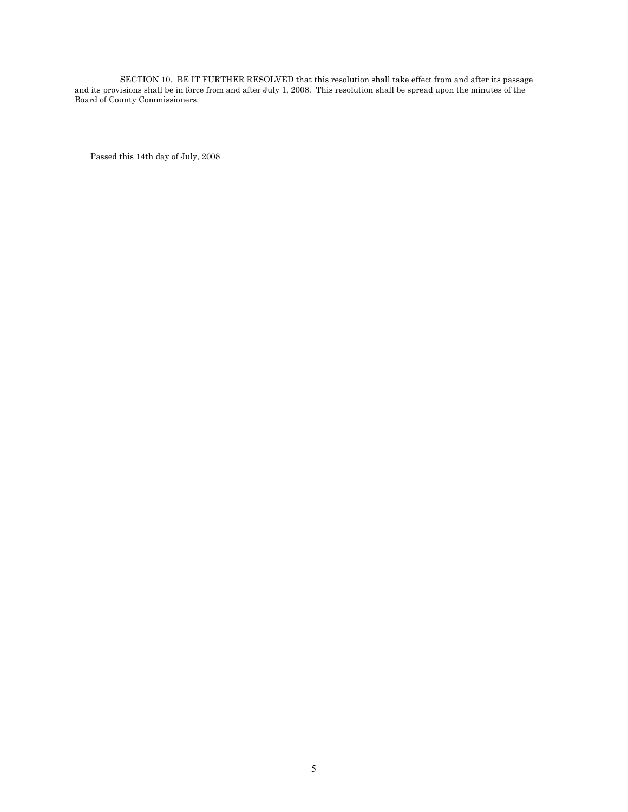SECTION 10. BE IT FURTHER RESOLVED that this resolution shall take effect from and after its passage and its provisions shall be in force from and after July 1, 2008. This resolution shall be spread upon the minutes of the Board of County Commissioners.

Passed this 14th day of July, 2008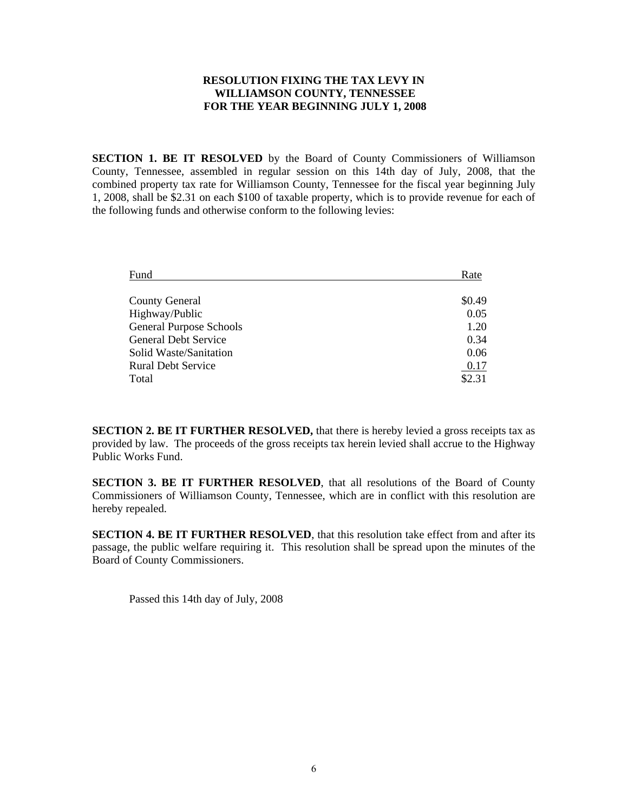#### **RESOLUTION FIXING THE TAX LEVY IN WILLIAMSON COUNTY, TENNESSEE FOR THE YEAR BEGINNING JULY 1, 2008**

**SECTION 1. BE IT RESOLVED** by the Board of County Commissioners of Williamson County, Tennessee, assembled in regular session on this 14th day of July, 2008, that the combined property tax rate for Williamson County, Tennessee for the fiscal year beginning July 1, 2008, shall be \$2.31 on each \$100 of taxable property, which is to provide revenue for each of the following funds and otherwise conform to the following levies:

| Fund                           | Rate   |
|--------------------------------|--------|
|                                |        |
| <b>County General</b>          | \$0.49 |
| Highway/Public                 | 0.05   |
| <b>General Purpose Schools</b> | 1.20   |
| <b>General Debt Service</b>    | 0.34   |
| Solid Waste/Sanitation         | 0.06   |
| <b>Rural Debt Service</b>      | 0.17   |
| Total                          | \$2.31 |

**SECTION 2. BE IT FURTHER RESOLVED,** that there is hereby levied a gross receipts tax as provided by law. The proceeds of the gross receipts tax herein levied shall accrue to the Highway Public Works Fund.

**SECTION 3. BE IT FURTHER RESOLVED**, that all resolutions of the Board of County Commissioners of Williamson County, Tennessee, which are in conflict with this resolution are hereby repealed.

**SECTION 4. BE IT FURTHER RESOLVED**, that this resolution take effect from and after its passage, the public welfare requiring it. This resolution shall be spread upon the minutes of the Board of County Commissioners.

Passed this 14th day of July, 2008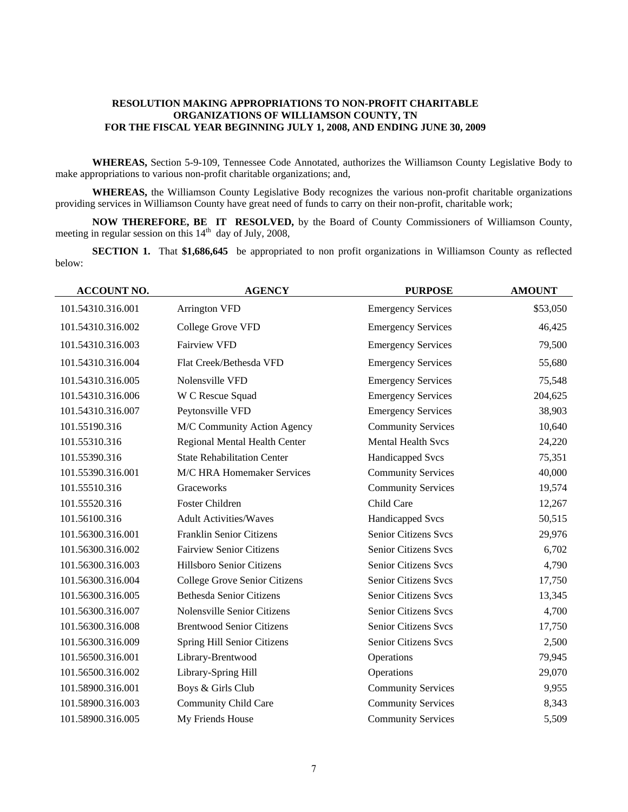#### **RESOLUTION MAKING APPROPRIATIONS TO NON-PROFIT CHARITABLE ORGANIZATIONS OF WILLIAMSON COUNTY, TN FOR THE FISCAL YEAR BEGINNING JULY 1, 2008, AND ENDING JUNE 30, 2009**

**WHEREAS,** Section 5-9-109, Tennessee Code Annotated, authorizes the Williamson County Legislative Body to make appropriations to various non-profit charitable organizations; and,

**WHEREAS,** the Williamson County Legislative Body recognizes the various non-profit charitable organizations providing services in Williamson County have great need of funds to carry on their non-profit, charitable work;

**NOW THEREFORE, BE IT RESOLVED,** by the Board of County Commissioners of Williamson County, meeting in regular session on this  $14<sup>th</sup>$  day of July, 2008,

**SECTION 1.** That **\$1,686,645** be appropriated to non profit organizations in Williamson County as reflected below:

| <b>ACCOUNT NO.</b> | <b>AGENCY</b>                      | <b>PURPOSE</b>              | <b>AMOUNT</b> |
|--------------------|------------------------------------|-----------------------------|---------------|
| 101.54310.316.001  | <b>Arrington VFD</b>               | <b>Emergency Services</b>   | \$53,050      |
| 101.54310.316.002  | College Grove VFD                  | <b>Emergency Services</b>   | 46,425        |
| 101.54310.316.003  | <b>Fairview VFD</b>                | <b>Emergency Services</b>   | 79,500        |
| 101.54310.316.004  | Flat Creek/Bethesda VFD            | <b>Emergency Services</b>   | 55,680        |
| 101.54310.316.005  | Nolensville VFD                    | <b>Emergency Services</b>   | 75,548        |
| 101.54310.316.006  | W C Rescue Squad                   | <b>Emergency Services</b>   | 204,625       |
| 101.54310.316.007  | Peytonsville VFD                   | <b>Emergency Services</b>   | 38,903        |
| 101.55190.316      | M/C Community Action Agency        | <b>Community Services</b>   | 10,640        |
| 101.55310.316      | Regional Mental Health Center      | <b>Mental Health Svcs</b>   | 24,220        |
| 101.55390.316      | <b>State Rehabilitation Center</b> | <b>Handicapped Svcs</b>     | 75,351        |
| 101.55390.316.001  | M/C HRA Homemaker Services         | <b>Community Services</b>   | 40,000        |
| 101.55510.316      | Graceworks                         | <b>Community Services</b>   | 19,574        |
| 101.55520.316      | <b>Foster Children</b>             | Child Care                  | 12,267        |
| 101.56100.316      | <b>Adult Activities/Waves</b>      | <b>Handicapped Svcs</b>     | 50,515        |
| 101.56300.316.001  | Franklin Senior Citizens           | Senior Citizens Svcs        | 29,976        |
| 101.56300.316.002  | <b>Fairview Senior Citizens</b>    | Senior Citizens Svcs        | 6,702         |
| 101.56300.316.003  | Hillsboro Senior Citizens          | <b>Senior Citizens Svcs</b> | 4,790         |
| 101.56300.316.004  | College Grove Senior Citizens      | <b>Senior Citizens Svcs</b> | 17,750        |
| 101.56300.316.005  | <b>Bethesda Senior Citizens</b>    | Senior Citizens Svcs        | 13,345        |
| 101.56300.316.007  | Nolensville Senior Citizens        | Senior Citizens Svcs        | 4,700         |
| 101.56300.316.008  | <b>Brentwood Senior Citizens</b>   | Senior Citizens Svcs        | 17,750        |
| 101.56300.316.009  | Spring Hill Senior Citizens        | Senior Citizens Svcs        | 2,500         |
| 101.56500.316.001  | Library-Brentwood                  | Operations                  | 79,945        |
| 101.56500.316.002  | Library-Spring Hill                | Operations                  | 29,070        |
| 101.58900.316.001  | Boys & Girls Club                  | <b>Community Services</b>   | 9,955         |
| 101.58900.316.003  | <b>Community Child Care</b>        | <b>Community Services</b>   | 8,343         |
| 101.58900.316.005  | My Friends House                   | <b>Community Services</b>   | 5,509         |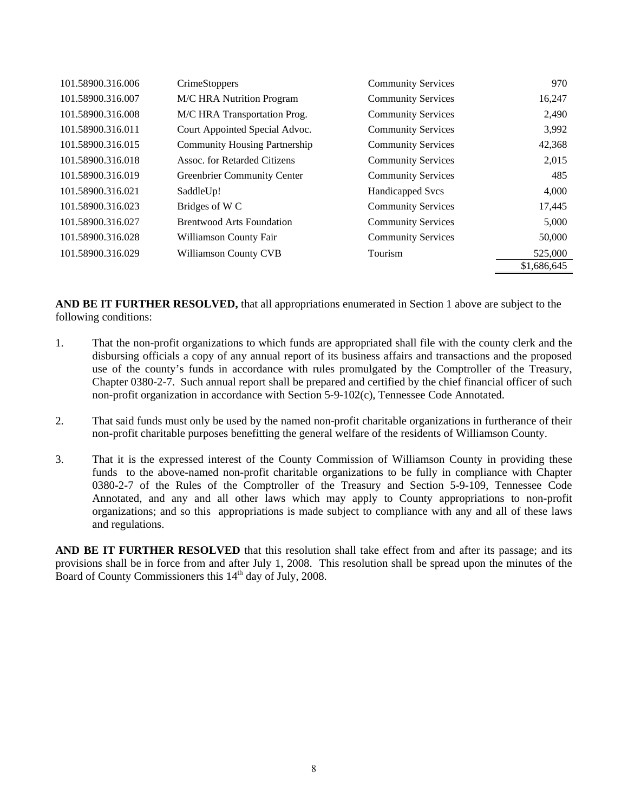| 101.58900.316.006 | <b>CrimeStoppers</b>                 | <b>Community Services</b> | 970         |
|-------------------|--------------------------------------|---------------------------|-------------|
| 101.58900.316.007 | M/C HRA Nutrition Program            | <b>Community Services</b> | 16,247      |
| 101.58900.316.008 | M/C HRA Transportation Prog.         | <b>Community Services</b> | 2,490       |
| 101.58900.316.011 | Court Appointed Special Advoc.       | <b>Community Services</b> | 3,992       |
| 101.58900.316.015 | <b>Community Housing Partnership</b> | <b>Community Services</b> | 42,368      |
| 101.58900.316.018 | Assoc. for Retarded Citizens         | <b>Community Services</b> | 2,015       |
| 101.58900.316.019 | <b>Greenbrier Community Center</b>   | <b>Community Services</b> | 485         |
| 101.58900.316.021 | SaddleUp!                            | <b>Handicapped Svcs</b>   | 4,000       |
| 101.58900.316.023 | Bridges of W <sub>C</sub>            | <b>Community Services</b> | 17,445      |
| 101.58900.316.027 | <b>Brentwood Arts Foundation</b>     | <b>Community Services</b> | 5,000       |
| 101.58900.316.028 | Williamson County Fair               | <b>Community Services</b> | 50,000      |
| 101.58900.316.029 | <b>Williamson County CVB</b>         | Tourism                   | 525,000     |
|                   |                                      |                           | \$1,686,645 |

**AND BE IT FURTHER RESOLVED,** that all appropriations enumerated in Section 1 above are subject to the following conditions:

- 1. That the non-profit organizations to which funds are appropriated shall file with the county clerk and the disbursing officials a copy of any annual report of its business affairs and transactions and the proposed use of the county's funds in accordance with rules promulgated by the Comptroller of the Treasury, Chapter 0380-2-7. Such annual report shall be prepared and certified by the chief financial officer of such non-profit organization in accordance with Section 5-9-102(c), Tennessee Code Annotated.
- 2. That said funds must only be used by the named non-profit charitable organizations in furtherance of their non-profit charitable purposes benefitting the general welfare of the residents of Williamson County.
- 3. That it is the expressed interest of the County Commission of Williamson County in providing these funds to the above-named non-profit charitable organizations to be fully in compliance with Chapter 0380-2-7 of the Rules of the Comptroller of the Treasury and Section 5-9-109, Tennessee Code Annotated, and any and all other laws which may apply to County appropriations to non-profit organizations; and so this appropriations is made subject to compliance with any and all of these laws and regulations.

**AND BE IT FURTHER RESOLVED** that this resolution shall take effect from and after its passage; and its provisions shall be in force from and after July 1, 2008. This resolution shall be spread upon the minutes of the Board of County Commissioners this  $14<sup>th</sup>$  day of July, 2008.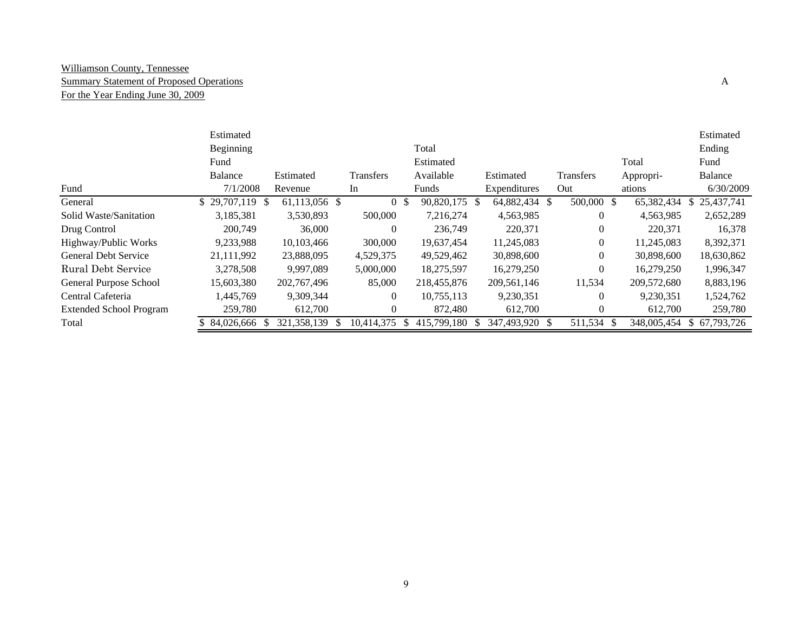#### Williamson County, Tennessee Summary Statement of Proposed Operations A For the Year Ending June 30, 2009

|                                | Estimated         |               |                  |                              |                                |                |             | Estimated        |
|--------------------------------|-------------------|---------------|------------------|------------------------------|--------------------------------|----------------|-------------|------------------|
|                                | Beginning         |               |                  | Total                        |                                |                |             | Ending           |
|                                | Fund              |               |                  | Estimated                    |                                |                | Total       | Fund             |
|                                | Balance           | Estimated     | <b>Transfers</b> | Available                    | Estimated                      | Transfers      | Appropri-   | Balance          |
| Fund                           | 7/1/2008          | Revenue       | In               | Funds                        | Expenditures                   | Out            | ations      | 6/30/2009        |
| General                        | $$29,707,119$ \\$ | 61,113,056 \$ | $\Omega$         | <sup>\$</sup><br>90,820,175  | 64,882,434 \$<br><sup>\$</sup> | 500,000 \$     | 65,382,434  | 25,437,741<br>S. |
| Solid Waste/Sanitation         | 3,185,381         | 3,530,893     | 500,000          | 7.216.274                    | 4,563,985                      | $\Omega$       | 4.563.985   | 2,652,289        |
| Drug Control                   | 200,749           | 36,000        | $\Omega$         | 236,749                      | 220,371                        | $\Omega$       | 220,371     | 16,378           |
| Highway/Public Works           | 9,233,988         | 10,103,466    | 300,000          | 19,637,454                   | 11,245,083                     | $\overline{0}$ | 11,245,083  | 8,392,371        |
| <b>General Debt Service</b>    | 21,111,992        | 23,888,095    | 4,529,375        | 49,529,462                   | 30,898,600                     | $\Omega$       | 30.898,600  | 18,630,862       |
| Rural Debt Service             | 3,278,508         | 9.997.089     | 5,000,000        | 18,275,597                   | 16,279,250                     | $\theta$       | 16,279,250  | 1,996,347        |
| General Purpose School         | 15,603,380        | 202,767,496   | 85,000           | 218,455,876                  | 209,561,146                    | 11,534         | 209,572,680 | 8,883,196        |
| Central Cafeteria              | 1,445,769         | 9,309,344     | $\Omega$         | 10,755,113                   | 9,230,351                      | $\Omega$       | 9,230,351   | 1,524,762        |
| <b>Extended School Program</b> | 259,780           | 612,700       | $\Omega$         | 872,480                      | 612,700                        | $\Omega$       | 612,700     | 259,780          |
| Total                          | 84,026,666        | 321, 358, 139 | 10,414,375       | 415,799,180<br><sup>\$</sup> | 347,493,920                    | 511,534        | 348,005,454 | 67,793,726       |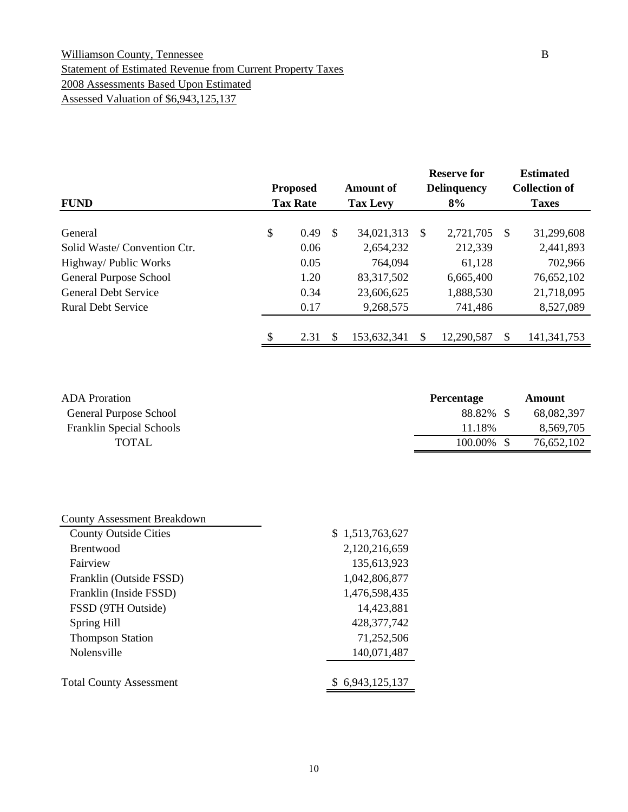#### Williamson County, Tennessee B Statement of Estimated Revenue from Current Property Taxes 2008 Assessments Based Upon Estimated Assessed Valuation of \$6,943,125,137

|                             | <b>Proposed</b> |               | <b>Amount of</b> | <b>Reserve for</b><br><b>Delinquency</b> |   | <b>Estimated</b><br><b>Collection of</b> |
|-----------------------------|-----------------|---------------|------------------|------------------------------------------|---|------------------------------------------|
| <b>FUND</b>                 | <b>Tax Rate</b> |               | <b>Tax Levy</b>  | 8%                                       |   | <b>Taxes</b>                             |
| General                     | \$<br>0.49      | <sup>\$</sup> | 34,021,313       | \$<br>2,721,705                          | S | 31,299,608                               |
| Solid Waste/Convention Ctr. | 0.06            |               | 2,654,232        | 212,339                                  |   | 2,441,893                                |
| Highway/ Public Works       | 0.05            |               | 764,094          | 61,128                                   |   | 702,966                                  |
| General Purpose School      | 1.20            |               | 83, 317, 502     | 6,665,400                                |   | 76,652,102                               |
| <b>General Debt Service</b> | 0.34            |               | 23,606,625       | 1,888,530                                |   | 21,718,095                               |
| <b>Rural Debt Service</b>   | 0.17            |               | 9,268,575        | 741,486                                  |   | 8,527,089                                |
|                             | \$<br>2.31      | \$.           | 153,632,341      | \$<br>12,290,587                         | S | 141, 341, 753                            |

| <b>ADA</b> Proration            | <b>Percentage</b> | Amount     |  |
|---------------------------------|-------------------|------------|--|
| General Purpose School          | 88.82% \$         | 68,082,397 |  |
| <b>Franklin Special Schools</b> | 11.18%            | 8,569,705  |  |
| TOTAL                           | $100.00\%$ \$     | 76,652,102 |  |

| <b>County Assessment Breakdown</b> |                 |
|------------------------------------|-----------------|
| <b>County Outside Cities</b>       | \$1,513,763,627 |
| <b>Brentwood</b>                   | 2,120,216,659   |
| Fairview                           | 135,613,923     |
| Franklin (Outside FSSD)            | 1,042,806,877   |
| Franklin (Inside FSSD)             | 1,476,598,435   |
| FSSD (9TH Outside)                 | 14,423,881      |
| Spring Hill                        | 428, 377, 742   |
| <b>Thompson Station</b>            | 71,252,506      |
| Nolensville                        | 140,071,487     |
| <b>Total County Assessment</b>     | \$6,943,125,137 |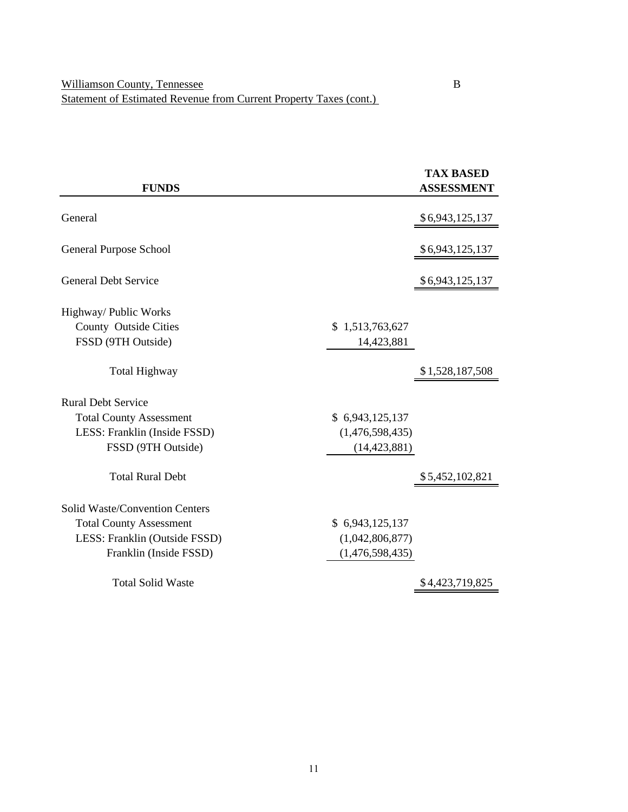|                                |                 | <b>TAX BASED</b>  |
|--------------------------------|-----------------|-------------------|
| <b>FUNDS</b>                   |                 | <b>ASSESSMENT</b> |
| General                        |                 | \$6,943,125,137   |
| <b>General Purpose School</b>  |                 | \$6,943,125,137   |
| <b>General Debt Service</b>    |                 | \$6,943,125,137   |
| Highway/ Public Works          |                 |                   |
| County Outside Cities          | \$1,513,763,627 |                   |
| FSSD (9TH Outside)             | 14,423,881      |                   |
| <b>Total Highway</b>           |                 | \$1,528,187,508   |
| <b>Rural Debt Service</b>      |                 |                   |
| <b>Total County Assessment</b> | \$6,943,125,137 |                   |
| LESS: Franklin (Inside FSSD)   | (1,476,598,435) |                   |
| FSSD (9TH Outside)             | (14, 423, 881)  |                   |
| <b>Total Rural Debt</b>        |                 | \$5,452,102,821   |
| Solid Waste/Convention Centers |                 |                   |
| <b>Total County Assessment</b> | \$6,943,125,137 |                   |
| LESS: Franklin (Outside FSSD)  | (1,042,806,877) |                   |
| Franklin (Inside FSSD)         | (1,476,598,435) |                   |
| <b>Total Solid Waste</b>       |                 | \$4,423,719,825   |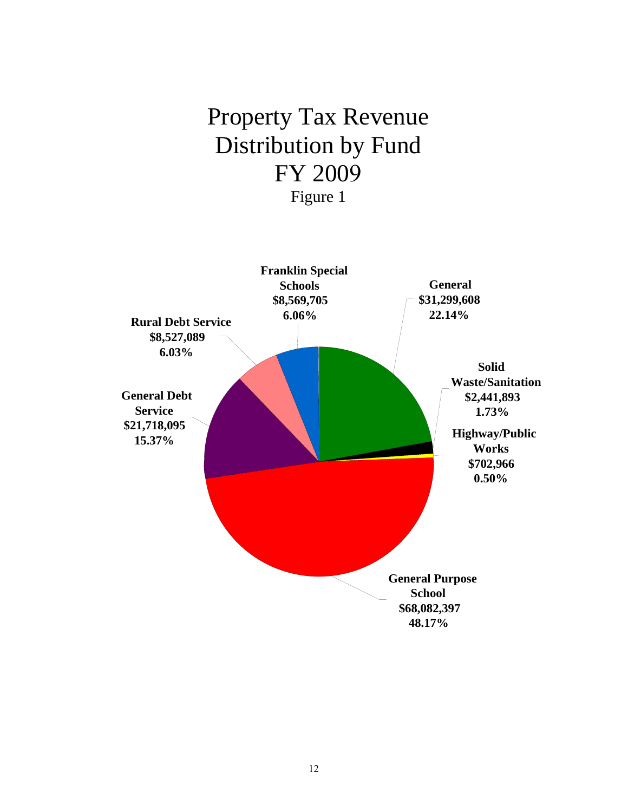# Property Tax Revenue Distribution by Fund FY 2009 Figure 1

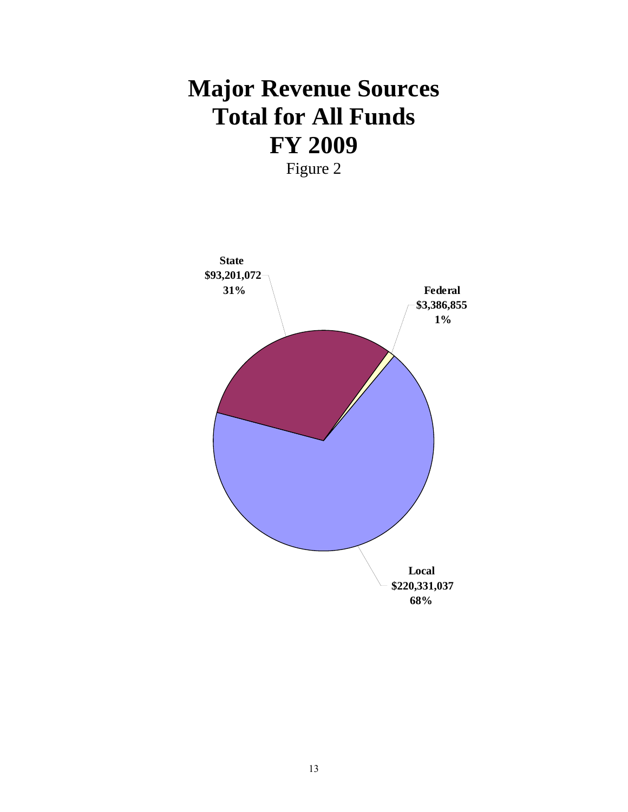# **Major Revenue Sources Total for All Funds FY 2009**

Figure 2

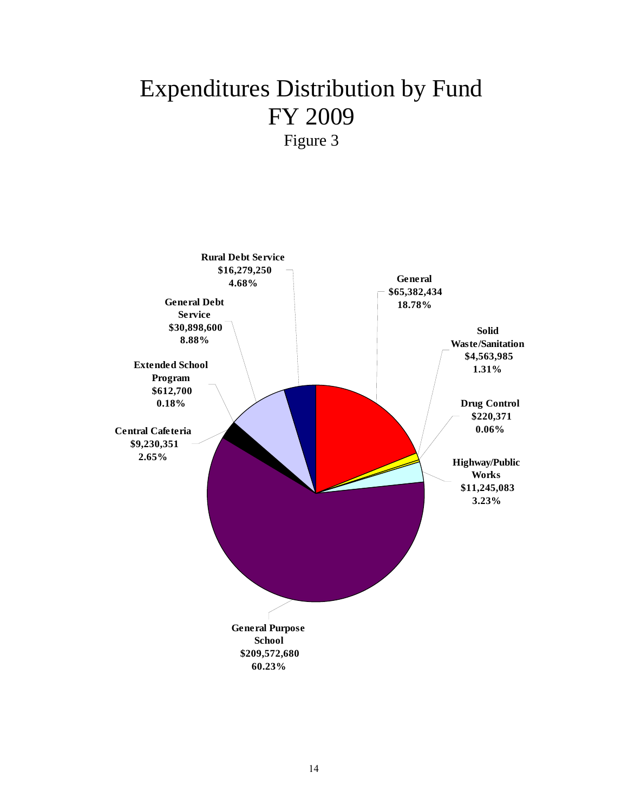## Expenditures Distribution by Fund FY 2009 Figure 3

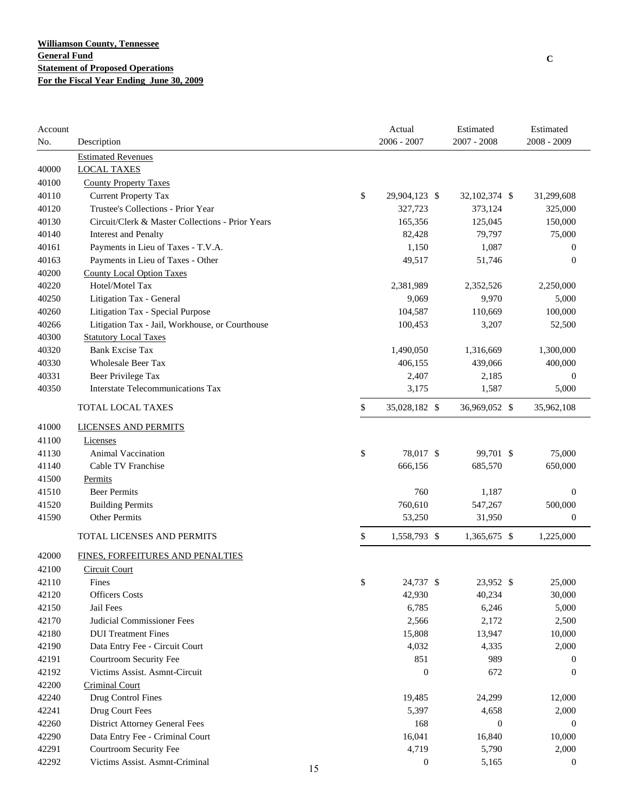| Account<br>No. | Description                                      | Actual<br>$2006 - 2007$ | Estimated<br>$2007 - 2008$ | Estimated<br>$2008 - 2009$ |
|----------------|--------------------------------------------------|-------------------------|----------------------------|----------------------------|
|                | <b>Estimated Revenues</b>                        |                         |                            |                            |
| 40000          | <b>LOCAL TAXES</b>                               |                         |                            |                            |
| 40100          | <b>County Property Taxes</b>                     |                         |                            |                            |
| 40110          | <b>Current Property Tax</b>                      | \$<br>29,904,123 \$     | 32,102,374 \$              | 31,299,608                 |
| 40120          | Trustee's Collections - Prior Year               | 327,723                 | 373,124                    | 325,000                    |
| 40130          | Circuit/Clerk & Master Collections - Prior Years | 165,356                 | 125,045                    | 150,000                    |
| 40140          | <b>Interest and Penalty</b>                      | 82,428                  | 79,797                     | 75,000                     |
| 40161          | Payments in Lieu of Taxes - T.V.A.               | 1,150                   | 1,087                      | $\mathbf{0}$               |
| 40163          | Payments in Lieu of Taxes - Other                | 49,517                  | 51,746                     | $\mathbf{0}$               |
| 40200          | <b>County Local Option Taxes</b>                 |                         |                            |                            |
| 40220          | Hotel/Motel Tax                                  | 2,381,989               | 2,352,526                  | 2,250,000                  |
| 40250          | Litigation Tax - General                         | 9,069                   | 9,970                      | 5,000                      |
| 40260          | Litigation Tax - Special Purpose                 | 104,587                 | 110,669                    | 100,000                    |
| 40266          | Litigation Tax - Jail, Workhouse, or Courthouse  | 100,453                 | 3,207                      | 52,500                     |
| 40300          | <b>Statutory Local Taxes</b>                     |                         |                            |                            |
| 40320          | <b>Bank Excise Tax</b>                           | 1,490,050               | 1,316,669                  | 1,300,000                  |
| 40330          | <b>Wholesale Beer Tax</b>                        | 406,155                 | 439,066                    | 400,000                    |
| 40331          | <b>Beer Privilege Tax</b>                        | 2,407                   | 2,185                      | $\boldsymbol{0}$           |
| 40350          | <b>Interstate Telecommunications Tax</b>         | 3,175                   | 1,587                      | 5,000                      |
|                | TOTAL LOCAL TAXES                                | \$<br>35,028,182 \$     | 36,969,052 \$              | 35,962,108                 |
| 41000          | <b>LICENSES AND PERMITS</b>                      |                         |                            |                            |
| 41100          | Licenses                                         |                         |                            |                            |
| 41130          | <b>Animal Vaccination</b>                        | \$<br>78,017 \$         | 99,701 \$                  | 75,000                     |
| 41140          | Cable TV Franchise                               | 666,156                 | 685,570                    | 650,000                    |
| 41500          | Permits                                          |                         |                            |                            |
| 41510          | <b>Beer Permits</b>                              | 760                     | 1,187                      | $\boldsymbol{0}$           |
| 41520          | <b>Building Permits</b>                          | 760,610                 | 547,267                    | 500,000                    |
| 41590          | Other Permits                                    | 53,250                  | 31,950                     | $\mathbf{0}$               |
|                | TOTAL LICENSES AND PERMITS                       | \$<br>1,558,793 \$      | 1,365,675 \$               | 1,225,000                  |
| 42000          | FINES, FORFEITURES AND PENALTIES                 |                         |                            |                            |
| 42100          | <b>Circuit Court</b>                             |                         |                            |                            |
| 42110          | Fines                                            | \$<br>24,737 \$         | 23,952 \$                  | 25,000                     |
| 42120          | <b>Officers Costs</b>                            | 42,930                  | 40,234                     | 30,000                     |
| 42150          | Jail Fees                                        | 6,785                   | 6,246                      | 5,000                      |
| 42170          | <b>Judicial Commissioner Fees</b>                | 2,566                   | 2,172                      | 2,500                      |
| 42180          | <b>DUI</b> Treatment Fines                       | 15,808                  | 13,947                     | 10,000                     |
| 42190          | Data Entry Fee - Circuit Court                   | 4,032                   | 4,335                      | 2,000                      |
| 42191          | Courtroom Security Fee                           | 851                     | 989                        | 0                          |
| 42192          | Victims Assist. Asmnt-Circuit                    | $\boldsymbol{0}$        | 672                        | $\mathbf{0}$               |
| 42200          | <b>Criminal Court</b>                            |                         |                            |                            |
| 42240          | Drug Control Fines                               | 19,485                  | 24,299                     | 12,000                     |
| 42241          | Drug Court Fees                                  | 5,397                   | 4,658                      | 2,000                      |
| 42260          | <b>District Attorney General Fees</b>            | 168                     | $\boldsymbol{0}$           | $\mathbf{0}$               |
| 42290          | Data Entry Fee - Criminal Court                  | 16,041                  | 16,840                     | 10,000                     |
| 42291          | Courtroom Security Fee                           | 4,719                   | 5,790                      | 2,000                      |
| 42292          | Victims Assist. Asmnt-Criminal                   | $\boldsymbol{0}$        | 5,165                      | $\boldsymbol{0}$           |

**C**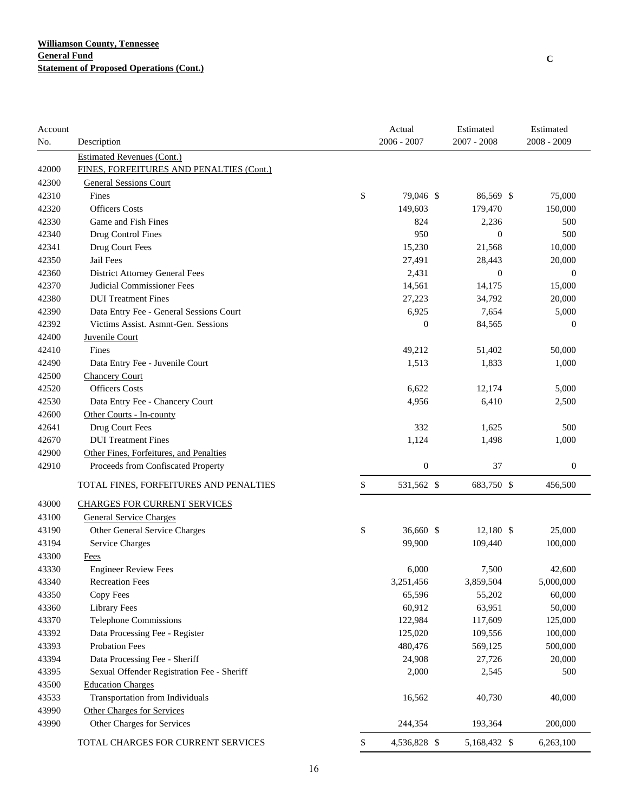| Account |                                            | Actual             | Estimated        | Estimated        |
|---------|--------------------------------------------|--------------------|------------------|------------------|
| No.     | Description                                | $2006 - 2007$      | $2007 - 2008$    | 2008 - 2009      |
|         | <b>Estimated Revenues (Cont.)</b>          |                    |                  |                  |
| 42000   | FINES, FORFEITURES AND PENALTIES (Cont.)   |                    |                  |                  |
| 42300   | <b>General Sessions Court</b>              |                    |                  |                  |
| 42310   | Fines                                      | \$<br>79,046 \$    | 86,569 \$        | 75,000           |
| 42320   | <b>Officers Costs</b>                      | 149,603            | 179,470          | 150,000          |
| 42330   | Game and Fish Fines                        | 824                | 2,236            | 500              |
| 42340   | Drug Control Fines                         | 950                | $\boldsymbol{0}$ | 500              |
| 42341   | Drug Court Fees                            | 15,230             | 21,568           | 10,000           |
| 42350   | Jail Fees                                  | 27,491             | 28,443           | 20,000           |
| 42360   | <b>District Attorney General Fees</b>      | 2,431              | $\boldsymbol{0}$ | $\boldsymbol{0}$ |
| 42370   | Judicial Commissioner Fees                 | 14,561             | 14,175           | 15,000           |
| 42380   | <b>DUI</b> Treatment Fines                 | 27,223             | 34,792           | 20,000           |
| 42390   | Data Entry Fee - General Sessions Court    | 6,925              | 7,654            | 5,000            |
| 42392   | Victims Assist. Asmnt-Gen. Sessions        | $\overline{0}$     | 84,565           | $\mathbf{0}$     |
| 42400   | Juvenile Court                             |                    |                  |                  |
| 42410   | Fines                                      | 49,212             | 51,402           | 50,000           |
| 42490   | Data Entry Fee - Juvenile Court            | 1,513              | 1,833            | 1,000            |
| 42500   | <b>Chancery Court</b>                      |                    |                  |                  |
| 42520   | <b>Officers</b> Costs                      | 6,622              | 12,174           | 5,000            |
| 42530   | Data Entry Fee - Chancery Court            | 4,956              | 6,410            | 2,500            |
| 42600   | Other Courts - In-county                   |                    |                  |                  |
| 42641   | Drug Court Fees                            | 332                | 1,625            | 500              |
| 42670   | <b>DUI</b> Treatment Fines                 | 1,124              | 1,498            | 1,000            |
| 42900   | Other Fines, Forfeitures, and Penalties    |                    |                  |                  |
| 42910   | Proceeds from Confiscated Property         | $\boldsymbol{0}$   | 37               | $\boldsymbol{0}$ |
|         | TOTAL FINES, FORFEITURES AND PENALTIES     | \$<br>531,562 \$   | 683,750 \$       | 456,500          |
| 43000   | <b>CHARGES FOR CURRENT SERVICES</b>        |                    |                  |                  |
| 43100   | <b>General Service Charges</b>             |                    |                  |                  |
| 43190   | Other General Service Charges              | \$<br>36,660 \$    | 12,180 \$        | 25,000           |
| 43194   | Service Charges                            | 99,900             | 109,440          | 100,000          |
| 43300   | Fees                                       |                    |                  |                  |
| 43330   | <b>Engineer Review Fees</b>                | 6,000              | 7,500            | 42,600           |
| 43340   | <b>Recreation Fees</b>                     | 3,251,456          | 3,859,504        | 5,000,000        |
| 43350   | Copy Fees                                  | 65,596             | 55,202           | 60,000           |
| 43360   | <b>Library Fees</b>                        | 60,912             | 63,951           | 50,000           |
| 43370   | Telephone Commissions                      | 122,984            | 117,609          | 125,000          |
| 43392   | Data Processing Fee - Register             | 125,020            | 109,556          | 100,000          |
| 43393   | <b>Probation Fees</b>                      | 480,476            | 569,125          | 500,000          |
| 43394   | Data Processing Fee - Sheriff              | 24,908             | 27,726           | 20,000           |
| 43395   | Sexual Offender Registration Fee - Sheriff | 2,000              | 2,545            | 500              |
| 43500   | <b>Education Charges</b>                   |                    |                  |                  |
| 43533   | Transportation from Individuals            | 16,562             | 40,730           | 40,000           |
| 43990   | Other Charges for Services                 |                    |                  |                  |
| 43990   | Other Charges for Services                 | 244,354            | 193,364          | 200,000          |
|         | TOTAL CHARGES FOR CURRENT SERVICES         | \$<br>4,536,828 \$ | 5,168,432 \$     | 6,263,100        |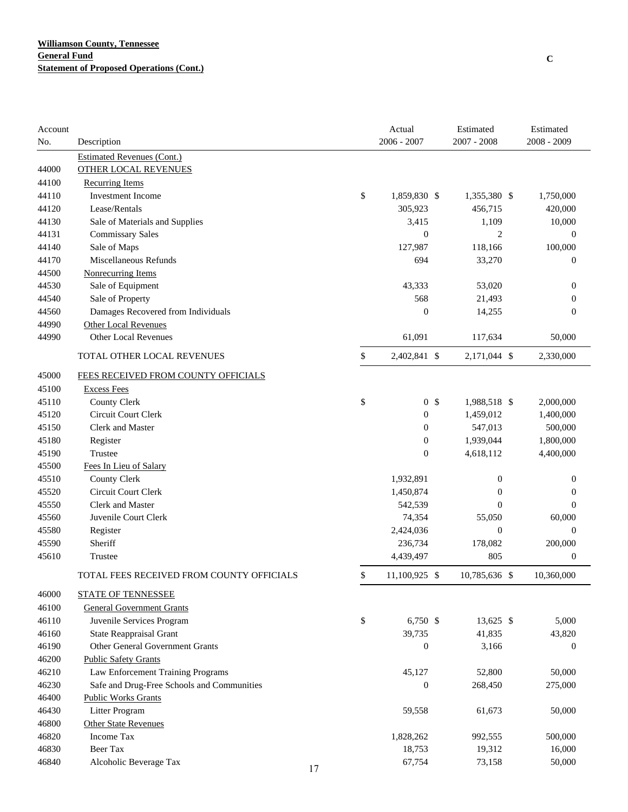| Account |                                            |    | Actual               | Estimated        | Estimated        |
|---------|--------------------------------------------|----|----------------------|------------------|------------------|
| No.     | Description                                |    | $2006 - 2007$        | $2007 - 2008$    | 2008 - 2009      |
|         | <b>Estimated Revenues (Cont.)</b>          |    |                      |                  |                  |
| 44000   | <b>OTHER LOCAL REVENUES</b>                |    |                      |                  |                  |
| 44100   | <b>Recurring Items</b>                     |    |                      |                  |                  |
| 44110   | <b>Investment Income</b>                   |    | \$<br>1,859,830 \$   | 1,355,380 \$     | 1,750,000        |
| 44120   | Lease/Rentals                              |    | 305,923              | 456,715          | 420,000          |
| 44130   | Sale of Materials and Supplies             |    | 3,415                | 1,109            | 10,000           |
| 44131   | <b>Commissary Sales</b>                    |    | $\boldsymbol{0}$     | $\overline{2}$   | $\boldsymbol{0}$ |
| 44140   | Sale of Maps                               |    | 127,987              | 118,166          | 100,000          |
| 44170   | Miscellaneous Refunds                      |    | 694                  | 33,270           | $\boldsymbol{0}$ |
| 44500   | <b>Nonrecurring Items</b>                  |    |                      |                  |                  |
| 44530   | Sale of Equipment                          |    | 43,333               | 53,020           | $\boldsymbol{0}$ |
| 44540   | Sale of Property                           |    | 568                  | 21,493           | $\boldsymbol{0}$ |
| 44560   | Damages Recovered from Individuals         |    | $\boldsymbol{0}$     | 14,255           | $\overline{0}$   |
| 44990   | <b>Other Local Revenues</b>                |    |                      |                  |                  |
| 44990   | <b>Other Local Revenues</b>                |    | 61,091               | 117,634          | 50,000           |
|         | TOTAL OTHER LOCAL REVENUES                 |    | \$<br>2,402,841 \$   | 2,171,044 \$     | 2,330,000        |
| 45000   | FEES RECEIVED FROM COUNTY OFFICIALS        |    |                      |                  |                  |
| 45100   | <b>Excess Fees</b>                         |    |                      |                  |                  |
| 45110   | <b>County Clerk</b>                        |    | \$<br>0 <sup>5</sup> | 1,988,518 \$     | 2,000,000        |
| 45120   | Circuit Court Clerk                        |    | $\mathbf{0}$         | 1,459,012        | 1,400,000        |
| 45150   | <b>Clerk and Master</b>                    |    | $\mathbf{0}$         | 547,013          | 500,000          |
| 45180   | Register                                   |    | $\boldsymbol{0}$     | 1,939,044        | 1,800,000        |
| 45190   | Trustee                                    |    | $\boldsymbol{0}$     | 4,618,112        | 4,400,000        |
| 45500   | Fees In Lieu of Salary                     |    |                      |                  |                  |
| 45510   | <b>County Clerk</b>                        |    | 1,932,891            | $\boldsymbol{0}$ | $\boldsymbol{0}$ |
| 45520   | Circuit Court Clerk                        |    | 1,450,874            | $\boldsymbol{0}$ | $\boldsymbol{0}$ |
| 45550   | <b>Clerk and Master</b>                    |    | 542,539              | $\overline{0}$   | $\mathbf{0}$     |
| 45560   | Juvenile Court Clerk                       |    | 74,354               | 55,050           | 60,000           |
| 45580   | Register                                   |    | 2,424,036            | $\mathbf{0}$     | $\boldsymbol{0}$ |
| 45590   | Sheriff                                    |    | 236,734              | 178,082          | 200,000          |
| 45610   | Trustee                                    |    | 4,439,497            | 805              | $\boldsymbol{0}$ |
|         | TOTAL FEES RECEIVED FROM COUNTY OFFICIALS  |    | \$<br>11,100,925 \$  | 10,785,636 \$    | 10,360,000       |
| 46000   | <b>STATE OF TENNESSEE</b>                  |    |                      |                  |                  |
| 46100   | <b>General Government Grants</b>           |    |                      |                  |                  |
| 46110   | Juvenile Services Program                  |    | \$<br>6,750 \$       | 13,625 \$        | 5,000            |
| 46160   | <b>State Reappraisal Grant</b>             |    | 39,735               | 41,835           | 43,820           |
| 46190   | Other General Government Grants            |    | $\boldsymbol{0}$     | 3,166            | $\boldsymbol{0}$ |
| 46200   | <b>Public Safety Grants</b>                |    |                      |                  |                  |
| 46210   | Law Enforcement Training Programs          |    | 45,127               | 52,800           | 50,000           |
| 46230   | Safe and Drug-Free Schools and Communities |    | $\boldsymbol{0}$     | 268,450          | 275,000          |
| 46400   | <b>Public Works Grants</b>                 |    |                      |                  |                  |
| 46430   | Litter Program                             |    | 59,558               | 61,673           | 50,000           |
| 46800   | <b>Other State Revenues</b>                |    |                      |                  |                  |
| 46820   | Income Tax                                 |    | 1,828,262            | 992,555          | 500,000          |
| 46830   | Beer Tax                                   |    | 18,753               | 19,312           | 16,000           |
| 46840   | Alcoholic Beverage Tax                     | 17 | 67,754               | 73,158           | 50,000           |
|         |                                            |    |                      |                  |                  |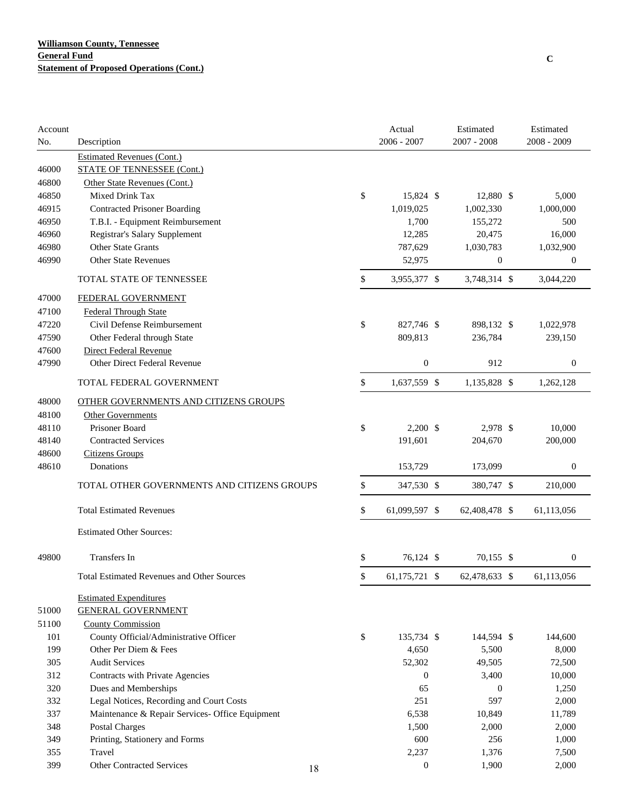| Account |                                                   |    | Actual              | Estimated        | Estimated   |                  |
|---------|---------------------------------------------------|----|---------------------|------------------|-------------|------------------|
| No.     | Description                                       |    | 2006 - 2007         | 2007 - 2008      | 2008 - 2009 |                  |
|         | <b>Estimated Revenues (Cont.)</b>                 |    |                     |                  |             |                  |
| 46000   | <b>STATE OF TENNESSEE (Cont.)</b>                 |    |                     |                  |             |                  |
| 46800   | Other State Revenues (Cont.)                      |    |                     |                  |             |                  |
| 46850   | Mixed Drink Tax                                   |    | \$<br>15,824 \$     | 12,880 \$        |             | 5,000            |
| 46915   | <b>Contracted Prisoner Boarding</b>               |    | 1,019,025           | 1,002,330        |             | 1,000,000        |
| 46950   | T.B.I. - Equipment Reimbursement                  |    | 1,700               | 155,272          |             | 500              |
| 46960   | Registrar's Salary Supplement                     |    | 12,285              | 20,475           |             | 16,000           |
| 46980   | Other State Grants                                |    | 787,629             | 1,030,783        |             | 1,032,900        |
| 46990   | <b>Other State Revenues</b>                       |    | 52,975              | $\boldsymbol{0}$ |             | $\boldsymbol{0}$ |
|         | TOTAL STATE OF TENNESSEE                          |    | \$<br>3,955,377 \$  | 3,748,314 \$     |             | 3,044,220        |
| 47000   | FEDERAL GOVERNMENT                                |    |                     |                  |             |                  |
| 47100   | <b>Federal Through State</b>                      |    |                     |                  |             |                  |
| 47220   | Civil Defense Reimbursement                       |    | \$<br>827,746 \$    | 898,132 \$       |             | 1,022,978        |
| 47590   | Other Federal through State                       |    | 809,813             | 236,784          |             | 239,150          |
| 47600   | <b>Direct Federal Revenue</b>                     |    |                     |                  |             |                  |
| 47990   | Other Direct Federal Revenue                      |    | $\boldsymbol{0}$    | 912              |             | $\boldsymbol{0}$ |
|         | TOTAL FEDERAL GOVERNMENT                          |    | \$<br>1,637,559 \$  | 1,135,828 \$     |             | 1,262,128        |
| 48000   | OTHER GOVERNMENTS AND CITIZENS GROUPS             |    |                     |                  |             |                  |
| 48100   | <b>Other Governments</b>                          |    |                     |                  |             |                  |
| 48110   | Prisoner Board                                    |    | \$<br>$2,200$ \$    | 2,978 \$         |             | 10,000           |
| 48140   | <b>Contracted Services</b>                        |    | 191,601             | 204,670          |             | 200,000          |
| 48600   | <b>Citizens Groups</b>                            |    |                     |                  |             |                  |
| 48610   | Donations                                         |    | 153,729             | 173,099          |             | $\boldsymbol{0}$ |
|         | TOTAL OTHER GOVERNMENTS AND CITIZENS GROUPS       |    | \$<br>347,530 \$    | 380,747 \$       |             | 210,000          |
|         | <b>Total Estimated Revenues</b>                   |    | \$<br>61,099,597 \$ | 62,408,478 \$    |             | 61,113,056       |
|         | <b>Estimated Other Sources:</b>                   |    |                     |                  |             |                  |
| 49800   | Transfers In                                      |    | \$<br>76,124 \$     | 70,155 \$        |             | $\boldsymbol{0}$ |
|         | <b>Total Estimated Revenues and Other Sources</b> |    | \$<br>61,175,721 \$ | 62,478,633 \$    |             | 61,113,056       |
|         | <b>Estimated Expenditures</b>                     |    |                     |                  |             |                  |
| 51000   | <b>GENERAL GOVERNMENT</b>                         |    |                     |                  |             |                  |
| 51100   | <b>County Commission</b>                          |    |                     |                  |             |                  |
| 101     | County Official/Administrative Officer            |    | \$<br>135,734 \$    | 144,594 \$       |             | 144,600          |
| 199     | Other Per Diem & Fees                             |    | 4,650               | 5,500            |             | 8,000            |
| 305     | <b>Audit Services</b>                             |    | 52,302              | 49,505           |             | 72,500           |
| 312     | Contracts with Private Agencies                   |    | $\mathbf{0}$        | 3,400            |             | 10,000           |
| 320     | Dues and Memberships                              |    | 65                  | $\mathbf{0}$     |             | 1,250            |
| 332     | Legal Notices, Recording and Court Costs          |    | 251                 | 597              |             | 2,000            |
| 337     | Maintenance & Repair Services- Office Equipment   |    | 6,538               | 10,849           |             | 11,789           |
| 348     | <b>Postal Charges</b>                             |    | 1,500               | 2,000            |             | 2,000            |
| 349     | Printing, Stationery and Forms                    |    | 600                 | 256              |             | 1,000            |
| 355     | Travel                                            |    | 2,237               | 1,376            |             | 7,500            |
| 399     | <b>Other Contracted Services</b>                  |    | $\boldsymbol{0}$    | 1,900            |             | 2,000            |
|         |                                                   | 18 |                     |                  |             |                  |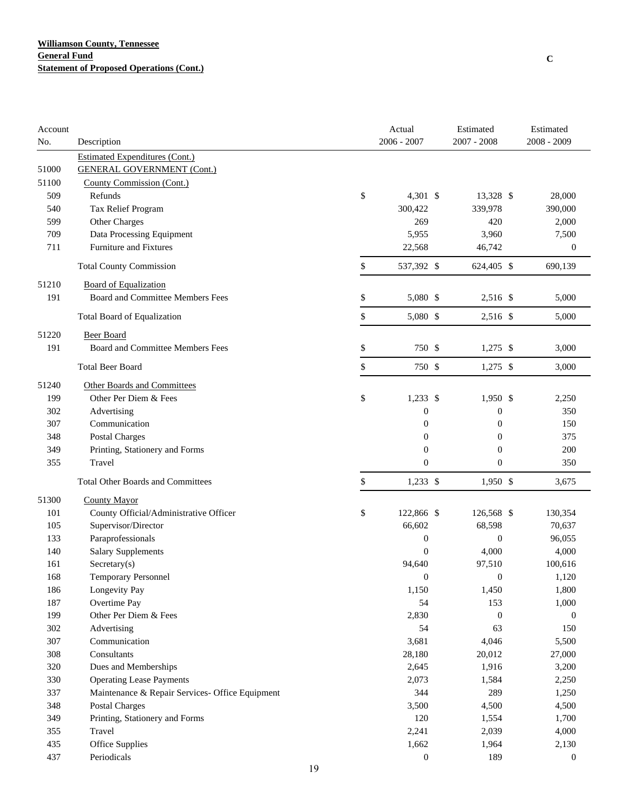| Account |                                                 | Actual           | Estimated        | Estimated        |
|---------|-------------------------------------------------|------------------|------------------|------------------|
| No.     | Description                                     | 2006 - 2007      | $2007 - 2008$    | 2008 - 2009      |
|         | <b>Estimated Expenditures (Cont.)</b>           |                  |                  |                  |
| 51000   | <b>GENERAL GOVERNMENT (Cont.)</b>               |                  |                  |                  |
| 51100   | County Commission (Cont.)                       |                  |                  |                  |
| 509     | Refunds                                         | \$<br>4,301 \$   | 13,328 \$        | 28,000           |
| 540     | Tax Relief Program                              | 300,422          | 339,978          | 390,000          |
| 599     | Other Charges                                   | 269              | 420              | 2,000            |
| 709     | Data Processing Equipment                       | 5,955            | 3,960            | 7,500            |
| 711     | <b>Furniture and Fixtures</b>                   | 22,568           | 46,742           | $\boldsymbol{0}$ |
|         | <b>Total County Commission</b>                  | \$<br>537,392 \$ | 624,405 \$       | 690,139          |
| 51210   | <b>Board of Equalization</b>                    |                  |                  |                  |
| 191     | Board and Committee Members Fees                | \$<br>5,080 \$   | 2,516 \$         | 5,000            |
|         | Total Board of Equalization                     | \$<br>5,080 \$   | 2,516 \$         | 5,000            |
| 51220   | <b>Beer Board</b>                               |                  |                  |                  |
| 191     | Board and Committee Members Fees                | \$<br>750 \$     | $1,275$ \$       | 3,000            |
|         | <b>Total Beer Board</b>                         | \$<br>750 \$     | $1,275$ \$       | 3,000            |
| 51240   | Other Boards and Committees                     |                  |                  |                  |
| 199     | Other Per Diem & Fees                           | \$<br>$1,233$ \$ | $1,950$ \$       | 2,250            |
| 302     | Advertising                                     | $\boldsymbol{0}$ | $\boldsymbol{0}$ | 350              |
| 307     | Communication                                   | $\boldsymbol{0}$ | $\boldsymbol{0}$ | 150              |
| 348     | <b>Postal Charges</b>                           | $\boldsymbol{0}$ | $\boldsymbol{0}$ | 375              |
| 349     | Printing, Stationery and Forms                  | $\boldsymbol{0}$ | $\boldsymbol{0}$ | 200              |
| 355     | Travel                                          | $\theta$         | $\boldsymbol{0}$ | 350              |
|         | <b>Total Other Boards and Committees</b>        | \$<br>$1,233$ \$ | $1,950$ \$       | 3,675            |
| 51300   | <b>County Mayor</b>                             |                  |                  |                  |
| 101     | County Official/Administrative Officer          | \$<br>122,866 \$ | 126,568 \$       | 130,354          |
| 105     | Supervisor/Director                             | 66,602           | 68,598           | 70,637           |
| 133     | Paraprofessionals                               | $\boldsymbol{0}$ | $\boldsymbol{0}$ | 96,055           |
| 140     | <b>Salary Supplements</b>                       | $\overline{0}$   | 4,000            | 4,000            |
| 161     | Sercetary(s)                                    | 94,640           | 97,510           | 100,616          |
| 168     | <b>Temporary Personnel</b>                      | $\boldsymbol{0}$ | $\boldsymbol{0}$ | 1,120            |
| 186     | Longevity Pay                                   | 1,150            | 1,450            | 1,800            |
| 187     | Overtime Pay                                    | 54               | 153              | 1,000            |
| 199     | Other Per Diem & Fees                           | 2,830            | $\boldsymbol{0}$ | $\boldsymbol{0}$ |
| 302     | Advertising                                     | 54               | 63               | 150              |
| 307     | Communication                                   | 3,681            | 4,046            | 5,500            |
| 308     | Consultants                                     | 28,180           | 20,012           | 27,000           |
| 320     | Dues and Memberships                            | 2,645            | 1,916            | 3,200            |
| 330     | <b>Operating Lease Payments</b>                 | 2,073            | 1,584            | 2,250            |
| 337     | Maintenance & Repair Services- Office Equipment | 344              | 289              | 1,250            |
| 348     | Postal Charges                                  | 3,500            | 4,500            | 4,500            |
| 349     | Printing, Stationery and Forms                  | 120              | 1,554            | 1,700            |
| 355     | Travel                                          | 2,241            | 2,039            | 4,000            |
| 435     | Office Supplies                                 | 1,662            | 1,964            | 2,130            |
| 437     | Periodicals                                     | $\boldsymbol{0}$ | 189              | $\boldsymbol{0}$ |
|         |                                                 |                  |                  |                  |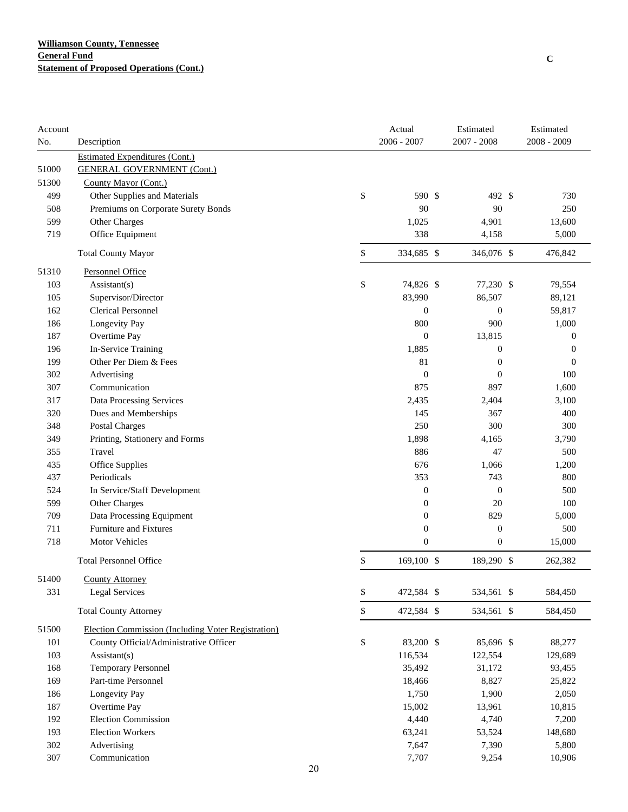| Account      |                                                            |    | Actual                               | Estimated                            | Estimated        |
|--------------|------------------------------------------------------------|----|--------------------------------------|--------------------------------------|------------------|
| No.          | Description                                                |    | $2006 - 2007$                        | $2007 - 2008$                        | $2008 - 2009$    |
|              | <b>Estimated Expenditures (Cont.)</b>                      |    |                                      |                                      |                  |
| 51000        | <b>GENERAL GOVERNMENT (Cont.)</b>                          |    |                                      |                                      |                  |
| 51300        | County Mayor (Cont.)                                       |    |                                      |                                      |                  |
| 499          | Other Supplies and Materials                               | \$ | 590 \$                               | 492 \$                               | 730              |
| 508          | Premiums on Corporate Surety Bonds                         |    | 90                                   | 90                                   | 250              |
| 599          | Other Charges                                              |    | 1,025                                | 4,901                                | 13,600           |
| 719          | Office Equipment                                           |    | 338                                  | 4,158                                | 5,000            |
|              | <b>Total County Mayor</b>                                  | \$ | 334,685 \$                           | 346,076 \$                           | 476,842          |
| 51310        | <b>Personnel Office</b>                                    |    |                                      |                                      |                  |
| 103          | Assistant(s)                                               | \$ | 74,826 \$                            | 77,230 \$                            | 79,554           |
| 105          | Supervisor/Director                                        |    | 83,990                               | 86,507                               | 89,121           |
| 162          | <b>Clerical Personnel</b>                                  |    | $\boldsymbol{0}$                     | $\boldsymbol{0}$                     | 59,817           |
| 186          | Longevity Pay                                              |    | 800                                  | 900                                  | 1,000            |
| 187          | Overtime Pay                                               |    | $\mathbf{0}$                         | 13,815                               | $\boldsymbol{0}$ |
| 196          | In-Service Training                                        |    | 1,885                                | $\boldsymbol{0}$                     | $\boldsymbol{0}$ |
| 199          | Other Per Diem & Fees                                      |    | 81                                   | $\boldsymbol{0}$                     | $\mathbf{0}$     |
| 302          | Advertising                                                |    | $\boldsymbol{0}$                     | $\boldsymbol{0}$                     | 100              |
| 307          | Communication                                              |    | 875                                  | 897                                  | 1,600            |
| 317          | Data Processing Services                                   |    | 2,435                                | 2,404                                | 3,100            |
| 320          | Dues and Memberships                                       |    | 145                                  | 367                                  | 400              |
| 348          | Postal Charges                                             |    | 250                                  | 300                                  | 300              |
| 349          | Printing, Stationery and Forms                             |    | 1,898                                | 4,165                                | 3,790            |
| 355          | Travel                                                     |    | 886                                  | 47                                   | 500              |
| 435          | Office Supplies                                            |    | 676                                  | 1,066                                | 1,200            |
| 437          | Periodicals                                                |    | 353                                  | 743                                  | 800              |
| 524          | In Service/Staff Development                               |    | $\boldsymbol{0}$                     | $\boldsymbol{0}$                     | 500              |
| 599          | Other Charges                                              |    | $\boldsymbol{0}$                     | 20<br>829                            | 100              |
| 709          | Data Processing Equipment<br><b>Furniture and Fixtures</b> |    | $\boldsymbol{0}$                     |                                      | 5,000            |
| 711<br>718   | Motor Vehicles                                             |    | $\boldsymbol{0}$<br>$\boldsymbol{0}$ | $\boldsymbol{0}$<br>$\boldsymbol{0}$ | 500<br>15,000    |
|              |                                                            |    | 169,100 \$                           | 189,290 \$                           |                  |
|              | <b>Total Personnel Office</b>                              | \$ |                                      |                                      | 262,382          |
| 51400<br>331 | <b>County Attorney</b><br><b>Legal Services</b>            | \$ | 472,584 \$                           | 534,561 \$                           | 584,450          |
|              | <b>Total County Attorney</b>                               | \$ | 472,584 \$                           | 534,561 \$                           | 584,450          |
| 51500        | Election Commission (Including Voter Registration)         |    |                                      |                                      |                  |
| 101          | County Official/Administrative Officer                     | \$ | 83,200 \$                            | 85,696 \$                            | 88,277           |
| 103          | $\text{Assistant}(s)$                                      |    | 116,534                              | 122,554                              | 129,689          |
| 168          | <b>Temporary Personnel</b>                                 |    | 35,492                               | 31,172                               | 93,455           |
| 169          | Part-time Personnel                                        |    | 18,466                               | 8,827                                | 25,822           |
| 186          | Longevity Pay                                              |    | 1,750                                | 1,900                                | 2,050            |
| 187          | Overtime Pay                                               |    | 15,002                               | 13,961                               | 10,815           |
| 192          | <b>Election Commission</b>                                 |    | 4,440                                | 4,740                                | 7,200            |
| 193          | <b>Election Workers</b>                                    |    | 63,241                               | 53,524                               | 148,680          |
| 302          | Advertising                                                |    | 7,647                                | 7,390                                | 5,800            |
| 307          | Communication                                              |    | 7,707                                | 9,254                                | 10,906           |
|              |                                                            | 20 |                                      |                                      |                  |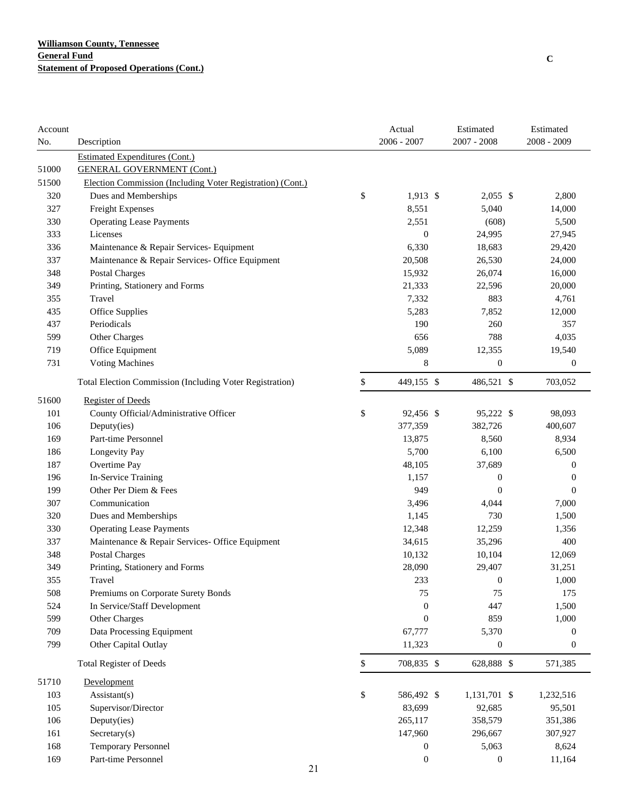| Account |                                                                 |              | Actual           | Estimated        | Estimated        |
|---------|-----------------------------------------------------------------|--------------|------------------|------------------|------------------|
| No.     | Description                                                     |              | $2006 - 2007$    | 2007 - 2008      | 2008 - 2009      |
|         | <b>Estimated Expenditures (Cont.)</b>                           |              |                  |                  |                  |
| 51000   | <b>GENERAL GOVERNMENT (Cont.)</b>                               |              |                  |                  |                  |
| 51500   | Election Commission (Including Voter Registration) (Cont.)      |              |                  |                  |                  |
| 320     | Dues and Memberships                                            | \$           | $1,913$ \$       | $2,055$ \$       | 2,800            |
| 327     | Freight Expenses                                                |              | 8,551            | 5,040            | 14,000           |
| 330     | <b>Operating Lease Payments</b>                                 |              | 2,551            | (608)            | 5,500            |
| 333     | Licenses                                                        |              | $\boldsymbol{0}$ | 24,995           | 27,945           |
| 336     | Maintenance & Repair Services- Equipment                        |              | 6,330            | 18,683           | 29,420           |
| 337     | Maintenance & Repair Services- Office Equipment                 |              | 20,508           | 26,530           | 24,000           |
| 348     | Postal Charges                                                  |              | 15,932           | 26,074           | 16,000           |
| 349     | Printing, Stationery and Forms                                  |              | 21,333           | 22,596           | 20,000           |
| 355     | Travel                                                          |              | 7,332            | 883              | 4,761            |
| 435     | Office Supplies                                                 |              | 5,283            | 7,852            | 12,000           |
| 437     | Periodicals                                                     |              | 190              | 260              | 357              |
| 599     | Other Charges                                                   |              | 656              | 788              | 4,035            |
| 719     | Office Equipment                                                |              | 5,089            | 12,355           | 19,540           |
| 731     | <b>Voting Machines</b>                                          |              | 8                | $\boldsymbol{0}$ | $\boldsymbol{0}$ |
|         | <b>Total Election Commission (Including Voter Registration)</b> | \$           | 449,155 \$       | 486,521 \$       | 703,052          |
| 51600   | <b>Register of Deeds</b>                                        |              |                  |                  |                  |
| 101     | County Official/Administrative Officer                          | \$           | 92,456 \$        | 95,222 \$        | 98,093           |
| 106     | Deputy(ies)                                                     |              | 377,359          | 382,726          | 400,607          |
| 169     | Part-time Personnel                                             |              | 13,875           | 8,560            | 8,934            |
| 186     | Longevity Pay                                                   |              | 5,700            | 6,100            | 6,500            |
| 187     | Overtime Pay                                                    |              | 48,105           | 37,689           | $\boldsymbol{0}$ |
| 196     | In-Service Training                                             |              | 1,157            | $\boldsymbol{0}$ | $\boldsymbol{0}$ |
| 199     | Other Per Diem & Fees                                           |              | 949              | $\boldsymbol{0}$ | $\boldsymbol{0}$ |
| 307     | Communication                                                   |              | 3,496            | 4,044            | 7,000            |
| 320     | Dues and Memberships                                            |              | 1,145            | 730              | 1,500            |
| 330     | <b>Operating Lease Payments</b>                                 |              | 12,348           | 12,259           | 1,356            |
| 337     | Maintenance & Repair Services- Office Equipment                 |              | 34,615           | 35,296           | 400              |
| 348     | <b>Postal Charges</b>                                           |              | 10,132           | 10,104           | 12,069           |
| 349     | Printing, Stationery and Forms                                  |              | 28,090           | 29,407           | 31,251           |
| 355     | Travel                                                          |              | 233              | $\theta$         | 1,000            |
| 508     | Premiums on Corporate Surety Bonds                              |              | 75               | 75               | 175              |
| 524     | In Service/Staff Development                                    |              | $\boldsymbol{0}$ | 447              | 1,500            |
| 599     | Other Charges                                                   |              | $\overline{0}$   | 859              | 1,000            |
| 709     | Data Processing Equipment                                       |              | 67,777           | 5,370            | $\boldsymbol{0}$ |
| 799     | Other Capital Outlay                                            |              | 11,323           | $\boldsymbol{0}$ | $\boldsymbol{0}$ |
|         | <b>Total Register of Deeds</b>                                  | $\mathbb{S}$ | 708,835 \$       | 628,888 \$       | 571,385          |
| 51710   | Development                                                     |              |                  |                  |                  |
| 103     | Assistant(s)                                                    | \$           | 586,492 \$       | 1,131,701 \$     | 1,232,516        |
| 105     | Supervisor/Director                                             |              | 83,699           | 92,685           | 95,501           |
| 106     | Deputy(ies)                                                     |              | 265,117          | 358,579          | 351,386          |
| 161     | Secretary(s)                                                    |              | 147,960          | 296,667          | 307,927          |
| 168     | Temporary Personnel                                             |              | $\boldsymbol{0}$ | 5,063            | 8,624            |
| 169     | Part-time Personnel                                             |              | $\boldsymbol{0}$ | $\boldsymbol{0}$ | 11,164           |
|         | 21                                                              |              |                  |                  |                  |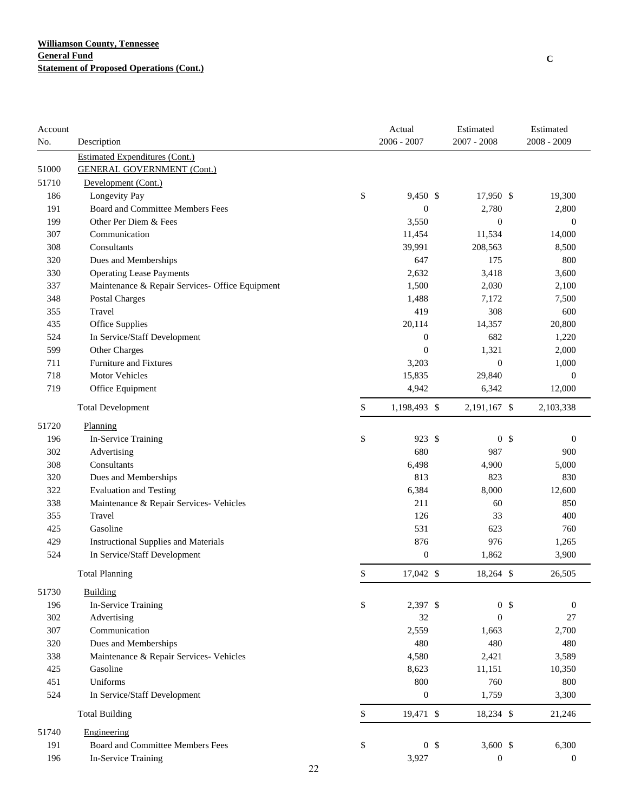| Account |                                                 |    | Actual           | Estimated        | Estimated        |
|---------|-------------------------------------------------|----|------------------|------------------|------------------|
| No.     | Description                                     |    | $2006 - 2007$    | 2007 - 2008      | 2008 - 2009      |
|         | <b>Estimated Expenditures (Cont.)</b>           |    |                  |                  |                  |
| 51000   | <b>GENERAL GOVERNMENT (Cont.)</b>               |    |                  |                  |                  |
| 51710   | Development (Cont.)                             |    |                  |                  |                  |
| 186     | Longevity Pay                                   | \$ | 9,450 \$         | 17,950 \$        | 19,300           |
| 191     | Board and Committee Members Fees                |    | $\mathbf{0}$     | 2,780            | 2,800            |
| 199     | Other Per Diem & Fees                           |    | 3,550            | $\boldsymbol{0}$ | $\boldsymbol{0}$ |
| 307     | Communication                                   |    | 11,454           | 11,534           | 14,000           |
| 308     | Consultants                                     |    | 39,991           | 208,563          | 8,500            |
| 320     | Dues and Memberships                            |    | 647              | 175              | 800              |
| 330     | <b>Operating Lease Payments</b>                 |    | 2,632            | 3,418            | 3,600            |
| 337     | Maintenance & Repair Services- Office Equipment |    | 1,500            | 2,030            | 2,100            |
| 348     | <b>Postal Charges</b>                           |    | 1,488            | 7,172            | 7,500            |
| 355     | Travel                                          |    | 419              | 308              | 600              |
| 435     | Office Supplies                                 |    | 20,114           | 14,357           | 20,800           |
| 524     | In Service/Staff Development                    |    | $\boldsymbol{0}$ | 682              | 1,220            |
| 599     | Other Charges                                   |    | $\mathbf{0}$     | 1,321            | 2,000            |
| 711     | Furniture and Fixtures                          |    | 3,203            | $\boldsymbol{0}$ | 1,000            |
| 718     | Motor Vehicles                                  |    | 15,835           | 29,840           | $\boldsymbol{0}$ |
| 719     | Office Equipment                                |    | 4,942            | 6,342            | 12,000           |
|         | <b>Total Development</b>                        | \$ | 1,198,493 \$     | 2,191,167 \$     | 2,103,338        |
| 51720   | Planning                                        |    |                  |                  |                  |
| 196     | In-Service Training                             | \$ | 923 \$           | 0 <sup>5</sup>   | $\boldsymbol{0}$ |
| 302     | Advertising                                     |    | 680              | 987              | 900              |
| 308     | Consultants                                     |    | 6,498            | 4,900            | 5,000            |
| 320     | Dues and Memberships                            |    | 813              | 823              | 830              |
| 322     | <b>Evaluation and Testing</b>                   |    | 6,384            | 8,000            | 12,600           |
| 338     | Maintenance & Repair Services- Vehicles         |    | 211              | 60               | 850              |
| 355     | Travel                                          |    | 126              | 33               | 400              |
| 425     | Gasoline                                        |    | 531              | 623              | 760              |
| 429     | <b>Instructional Supplies and Materials</b>     |    | 876              | 976              | 1,265            |
| 524     | In Service/Staff Development                    |    | $\boldsymbol{0}$ | 1,862            | 3,900            |
|         | <b>Total Planning</b>                           | \$ | 17,042 \$        | 18,264 \$        | 26,505           |
| 51730   | <b>Building</b>                                 |    |                  |                  |                  |
| 196     | In-Service Training                             | \$ | 2,397 \$         | 0 <sup>5</sup>   | $\boldsymbol{0}$ |
| 302     | Advertising                                     |    | 32               | $\mathbf{0}$     | 27               |
| 307     | Communication                                   |    | 2,559            | 1,663            | 2,700            |
| 320     | Dues and Memberships                            |    | 480              | 480              | 480              |
| 338     | Maintenance & Repair Services- Vehicles         |    | 4,580            | 2,421            | 3,589            |
| 425     | Gasoline                                        |    | 8,623            | 11,151           | 10,350           |
| 451     | Uniforms                                        |    | 800              | 760              | 800              |
| 524     | In Service/Staff Development                    |    | $\boldsymbol{0}$ | 1,759            | 3,300            |
|         | <b>Total Building</b>                           | \$ | 19,471 \$        | 18,234 \$        | 21,246           |
| 51740   | Engineering                                     |    |                  |                  |                  |
| 191     | Board and Committee Members Fees                | \$ | 0 <sup>5</sup>   | $3,600$ \$       | 6,300            |
| 196     | In-Service Training                             |    | 3,927            | $\boldsymbol{0}$ | $\boldsymbol{0}$ |
|         |                                                 | 22 |                  |                  |                  |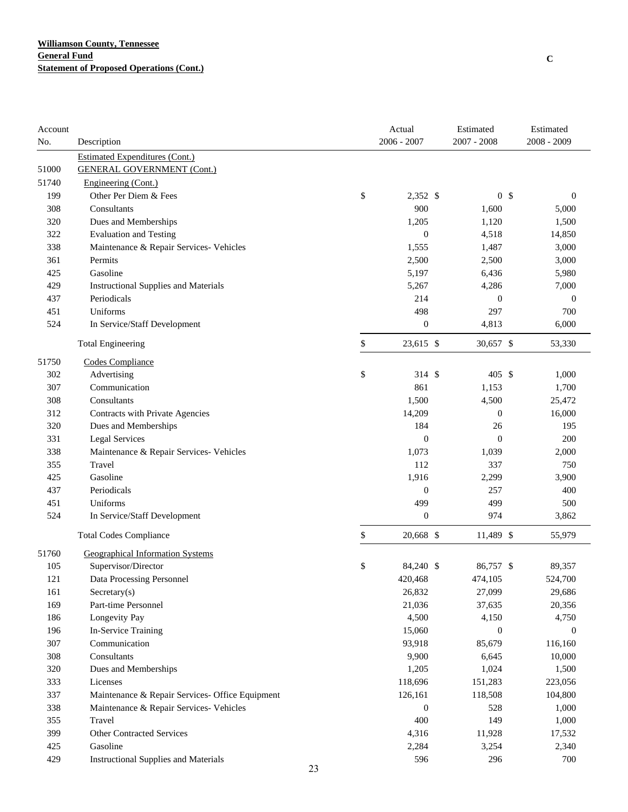| Account |                                                 |    | Actual           | Estimated        | Estimated                      |
|---------|-------------------------------------------------|----|------------------|------------------|--------------------------------|
| No.     | Description                                     |    | 2006 - 2007      | 2007 - 2008      | $2008 - 2009$                  |
|         | <b>Estimated Expenditures (Cont.)</b>           |    |                  |                  |                                |
| 51000   | <b>GENERAL GOVERNMENT (Cont.)</b>               |    |                  |                  |                                |
| 51740   | Engineering (Cont.)                             |    |                  |                  |                                |
| 199     | Other Per Diem & Fees                           | \$ | 2,352 \$         |                  | 0 <sup>5</sup><br>$\mathbf{0}$ |
| 308     | Consultants                                     |    | 900              | 1,600            | 5,000                          |
| 320     | Dues and Memberships                            |    | 1,205            | 1,120            | 1,500                          |
| 322     | <b>Evaluation and Testing</b>                   |    | $\boldsymbol{0}$ | 4,518            | 14,850                         |
| 338     | Maintenance & Repair Services- Vehicles         |    | 1,555            | 1,487            | 3,000                          |
| 361     | Permits                                         |    | 2,500            | 2,500            | 3,000                          |
| 425     | Gasoline                                        |    | 5,197            | 6,436            | 5,980                          |
| 429     | <b>Instructional Supplies and Materials</b>     |    | 5,267            | 4,286            | 7,000                          |
| 437     | Periodicals                                     |    | 214              | $\boldsymbol{0}$ | $\mathbf{0}$                   |
| 451     | Uniforms                                        |    | 498              | 297              | 700                            |
| 524     | In Service/Staff Development                    |    | $\boldsymbol{0}$ | 4,813            | 6,000                          |
|         | <b>Total Engineering</b>                        | \$ | 23,615 \$        | 30,657 \$        | 53,330                         |
| 51750   | Codes Compliance                                |    |                  |                  |                                |
| 302     | Advertising                                     | \$ | 314 \$           | 405S             | 1,000                          |
| 307     | Communication                                   |    | 861              | 1,153            | 1,700                          |
| 308     | Consultants                                     |    | 1,500            | 4,500            | 25,472                         |
| 312     | Contracts with Private Agencies                 |    | 14,209           | $\boldsymbol{0}$ | 16,000                         |
| 320     | Dues and Memberships                            |    | 184              | 26               | 195                            |
| 331     | <b>Legal Services</b>                           |    | $\boldsymbol{0}$ | $\mathbf{0}$     | 200                            |
| 338     | Maintenance & Repair Services- Vehicles         |    | 1,073            | 1,039            | 2,000                          |
| 355     | Travel                                          |    | 112              | 337              | 750                            |
| 425     | Gasoline                                        |    | 1,916            | 2,299            | 3,900                          |
| 437     | Periodicals                                     |    | $\boldsymbol{0}$ | 257              | 400                            |
| 451     | Uniforms                                        |    | 499              | 499              | 500                            |
| 524     | In Service/Staff Development                    |    | $\boldsymbol{0}$ | 974              | 3,862                          |
|         | <b>Total Codes Compliance</b>                   | \$ | 20,668 \$        | 11,489 \$        | 55,979                         |
| 51760   | <b>Geographical Information Systems</b>         |    |                  |                  |                                |
| 105     | Supervisor/Director                             | \$ | 84,240 \$        | 86,757 \$        | 89,357                         |
| 121     | Data Processing Personnel                       |    | 420,468          | 474,105          | 524,700                        |
| 161     | $S \necc(s)$                                    |    | 26,832           | 27,099           | 29,686                         |
| 169     | Part-time Personnel                             |    | 21,036           | 37,635           | 20,356                         |
| 186     | Longevity Pay                                   |    | 4,500            | 4,150            | 4,750                          |
| 196     | In-Service Training                             |    | 15,060           | $\boldsymbol{0}$ | 0                              |
| 307     | Communication                                   |    | 93,918           | 85,679           | 116,160                        |
| 308     | Consultants                                     |    | 9,900            | 6,645            | 10,000                         |
| 320     | Dues and Memberships                            |    | 1,205            | 1,024            | 1,500                          |
| 333     | Licenses                                        |    | 118,696          | 151,283          | 223,056                        |
| 337     | Maintenance & Repair Services- Office Equipment |    | 126,161          | 118,508          | 104,800                        |
| 338     | Maintenance & Repair Services- Vehicles         |    | $\boldsymbol{0}$ | 528              | 1,000                          |
| 355     | Travel                                          |    | 400              | 149              | 1,000                          |
| 399     | <b>Other Contracted Services</b>                |    | 4,316            | 11,928           | 17,532                         |
| 425     | Gasoline                                        |    | 2,284            | 3,254            | 2,340                          |
| 429     | <b>Instructional Supplies and Materials</b>     |    | 596              | 296              | 700                            |
|         |                                                 | 23 |                  |                  |                                |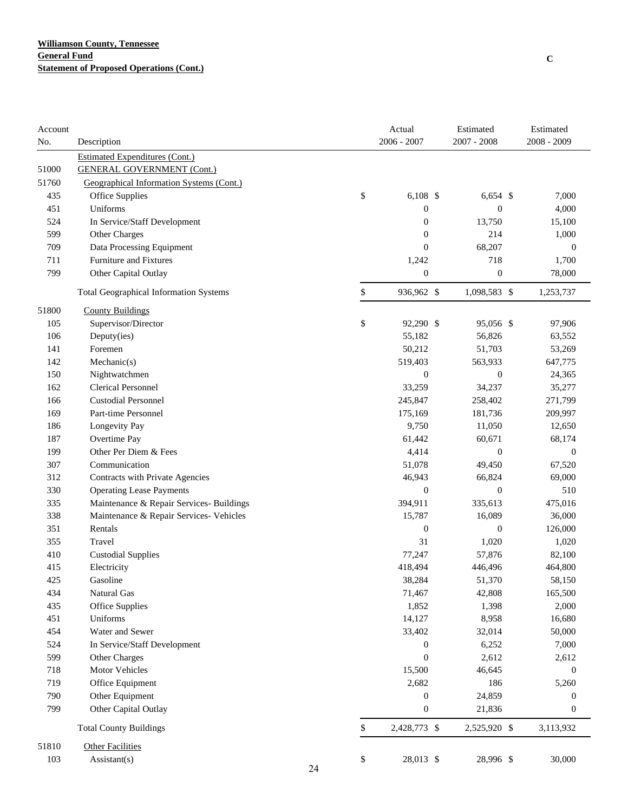| Account |                                               |    | Actual             | Estimated        | Estimated        |
|---------|-----------------------------------------------|----|--------------------|------------------|------------------|
| No.     | Description                                   |    | $2006 - 2007$      | 2007 - 2008      | $2008 - 2009$    |
|         | <b>Estimated Expenditures (Cont.)</b>         |    |                    |                  |                  |
| 51000   | <b>GENERAL GOVERNMENT (Cont.)</b>             |    |                    |                  |                  |
| 51760   | Geographical Information Systems (Cont.)      |    |                    |                  |                  |
| 435     | Office Supplies                               |    | \$<br>$6,108$ \$   | $6,654$ \$       | 7,000            |
| 451     | Uniforms                                      |    | $\boldsymbol{0}$   | $\boldsymbol{0}$ | 4,000            |
| 524     | In Service/Staff Development                  |    | $\boldsymbol{0}$   | 13,750           | 15,100           |
| 599     | Other Charges                                 |    | $\boldsymbol{0}$   | 214              | 1,000            |
| 709     | Data Processing Equipment                     |    | $\boldsymbol{0}$   | 68,207           | $\boldsymbol{0}$ |
| 711     | Furniture and Fixtures                        |    | 1,242              | 718              | 1,700            |
| 799     | Other Capital Outlay                          |    | $\boldsymbol{0}$   | 0                | 78,000           |
|         | <b>Total Geographical Information Systems</b> |    | \$<br>936,962 \$   | 1,098,583 \$     | 1,253,737        |
| 51800   | <b>County Buildings</b>                       |    |                    |                  |                  |
| 105     | Supervisor/Director                           |    | \$<br>92,290 \$    | 95,056 \$        | 97,906           |
| 106     | Deputy(ies)                                   |    | 55,182             | 56,826           | 63,552           |
| 141     | Foremen                                       |    | 50,212             | 51,703           | 53,269           |
| 142     | Mechanic(s)                                   |    | 519,403            | 563,933          | 647,775          |
| 150     | Nightwatchmen                                 |    | $\boldsymbol{0}$   | $\boldsymbol{0}$ | 24,365           |
| 162     | <b>Clerical Personnel</b>                     |    | 33,259             | 34,237           | 35,277           |
| 166     | <b>Custodial Personnel</b>                    |    | 245,847            | 258,402          | 271,799          |
| 169     | Part-time Personnel                           |    | 175,169            | 181,736          | 209,997          |
| 186     | Longevity Pay                                 |    | 9,750              | 11,050           | 12,650           |
| 187     | Overtime Pay                                  |    | 61,442             | 60,671           | 68,174           |
| 199     | Other Per Diem & Fees                         |    | 4,414              | $\boldsymbol{0}$ | $\boldsymbol{0}$ |
| 307     | Communication                                 |    | 51,078             | 49,450           | 67,520           |
| 312     | Contracts with Private Agencies               |    | 46,943             | 66,824           | 69,000           |
| 330     | <b>Operating Lease Payments</b>               |    | $\boldsymbol{0}$   | $\boldsymbol{0}$ | 510              |
| 335     | Maintenance & Repair Services- Buildings      |    | 394,911            | 335,613          | 475,016          |
| 338     | Maintenance & Repair Services- Vehicles       |    | 15,787             | 16,089           | 36,000           |
| 351     | Rentals                                       |    | $\boldsymbol{0}$   | $\boldsymbol{0}$ | 126,000          |
| 355     | Travel                                        |    | 31                 | 1,020            | 1,020            |
| 410     | <b>Custodial Supplies</b>                     |    | 77,247             | 57,876           | 82,100           |
| 415     | Electricity                                   |    | 418,494            | 446,496          | 464,800          |
| 425     | Gasoline                                      |    | 38,284             | 51,370           | 58,150           |
| 434     | Natural Gas                                   |    | 71,467             | 42,808           | 165,500          |
| 435     | Office Supplies                               |    | 1,852              | 1,398            | 2,000            |
| 451     | Uniforms                                      |    | 14,127             | 8,958            | 16,680           |
| 454     | Water and Sewer                               |    | 33,402             | 32,014           | 50,000           |
| 524     | In Service/Staff Development                  |    | $\boldsymbol{0}$   | 6,252            | 7,000            |
| 599     | Other Charges                                 |    | $\boldsymbol{0}$   | 2,612            | 2,612            |
| 718     | Motor Vehicles                                |    | 15,500             | 46,645           | $\boldsymbol{0}$ |
| 719     | Office Equipment                              |    | 2,682              | 186              | 5,260            |
| 790     | Other Equipment                               |    | $\boldsymbol{0}$   | 24,859           | $\boldsymbol{0}$ |
| 799     | Other Capital Outlay                          |    | $\boldsymbol{0}$   | 21,836           | $\boldsymbol{0}$ |
|         | <b>Total County Buildings</b>                 |    | \$<br>2,428,773 \$ | 2,525,920 \$     | 3,113,932        |
| 51810   | <b>Other Facilities</b>                       |    |                    |                  |                  |
| 103     | Assistant(s)                                  | 24 | \$<br>28,013 \$    | 28,996 \$        | 30,000           |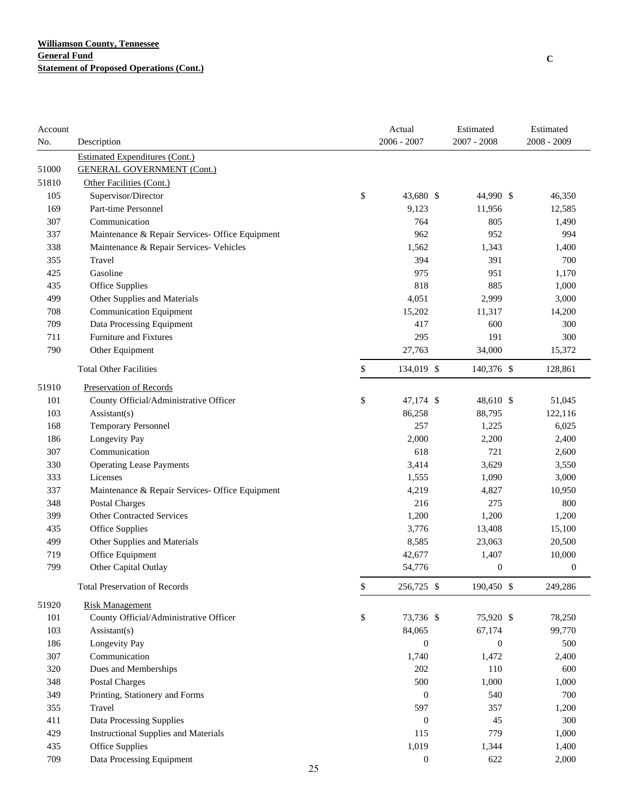| Account |                                                 |    | Actual           | Estimated        | Estimated        |
|---------|-------------------------------------------------|----|------------------|------------------|------------------|
| No.     | Description                                     |    | 2006 - 2007      | 2007 - 2008      | 2008 - 2009      |
|         | <b>Estimated Expenditures (Cont.)</b>           |    |                  |                  |                  |
| 51000   | <b>GENERAL GOVERNMENT (Cont.)</b>               |    |                  |                  |                  |
| 51810   | Other Facilities (Cont.)                        |    |                  |                  |                  |
| 105     | Supervisor/Director                             |    | \$<br>43,680 \$  | 44,990 \$        | 46,350           |
| 169     | Part-time Personnel                             |    | 9,123            | 11,956           | 12,585           |
| 307     | Communication                                   |    | 764              | 805              | 1,490            |
| 337     | Maintenance & Repair Services- Office Equipment |    | 962              | 952              | 994              |
| 338     | Maintenance & Repair Services- Vehicles         |    | 1,562            | 1,343            | 1,400            |
| 355     | Travel                                          |    | 394              | 391              | 700              |
| 425     | Gasoline                                        |    | 975              | 951              | 1,170            |
| 435     | Office Supplies                                 |    | 818              | 885              | 1,000            |
| 499     | Other Supplies and Materials                    |    | 4,051            | 2,999            | 3,000            |
| 708     | <b>Communication Equipment</b>                  |    | 15,202           | 11,317           | 14,200           |
| 709     | Data Processing Equipment                       |    | 417              | 600              | 300              |
| 711     | Furniture and Fixtures                          |    | 295              | 191              | 300              |
| 790     | Other Equipment                                 |    | 27,763           | 34,000           | 15,372           |
|         | <b>Total Other Facilities</b>                   |    | \$<br>134,019 \$ | 140,376 \$       | 128,861          |
| 51910   | Preservation of Records                         |    |                  |                  |                  |
| 101     | County Official/Administrative Officer          |    | \$<br>47,174 \$  | 48,610 \$        | 51,045           |
| 103     | Assistant(s)                                    |    | 86,258           | 88,795           | 122,116          |
| 168     | Temporary Personnel                             |    | 257              | 1,225            | 6,025            |
| 186     | Longevity Pay                                   |    | 2,000            | 2,200            | 2,400            |
| 307     | Communication                                   |    | 618              | 721              | 2,600            |
| 330     | <b>Operating Lease Payments</b>                 |    | 3,414            | 3,629            | 3,550            |
| 333     | Licenses                                        |    | 1,555            | 1,090            | 3,000            |
| 337     | Maintenance & Repair Services- Office Equipment |    | 4,219            | 4,827            | 10,950           |
| 348     | <b>Postal Charges</b>                           |    | 216              | 275              | 800              |
| 399     | <b>Other Contracted Services</b>                |    | 1,200            | 1,200            | 1,200            |
| 435     | Office Supplies                                 |    | 3,776            | 13,408           | 15,100           |
| 499     | Other Supplies and Materials                    |    | 8,585            | 23,063           | 20,500           |
| 719     | Office Equipment                                |    | 42,677           | 1,407            | 10,000           |
| 799     | Other Capital Outlay                            |    | 54,776           | $\boldsymbol{0}$ | $\boldsymbol{0}$ |
|         | <b>Total Preservation of Records</b>            |    | \$<br>256,725 \$ | 190,450 \$       | 249,286          |
| 51920   | <b>Risk Management</b>                          |    |                  |                  |                  |
| 101     | County Official/Administrative Officer          |    | \$<br>73,736 \$  | 75,920 \$        | 78,250           |
| 103     | Assistant(s)                                    |    | 84,065           | 67,174           | 99,770           |
| 186     | Longevity Pay                                   |    | $\boldsymbol{0}$ | $\boldsymbol{0}$ | 500              |
| 307     | Communication                                   |    | 1,740            | 1,472            | 2,400            |
| 320     | Dues and Memberships                            |    | 202              | 110              | 600              |
| 348     | <b>Postal Charges</b>                           |    | 500              | 1,000            | 1,000            |
| 349     | Printing, Stationery and Forms                  |    | $\boldsymbol{0}$ | 540              | 700              |
| 355     | Travel                                          |    | 597              | 357              | 1,200            |
| 411     | Data Processing Supplies                        |    | $\boldsymbol{0}$ | 45               | 300              |
| 429     | <b>Instructional Supplies and Materials</b>     |    | 115              | 779              | 1,000            |
| 435     | Office Supplies                                 |    | 1,019            | 1,344            | 1,400            |
| 709     | Data Processing Equipment                       |    | $\boldsymbol{0}$ | 622              | 2,000            |
|         |                                                 | 25 |                  |                  |                  |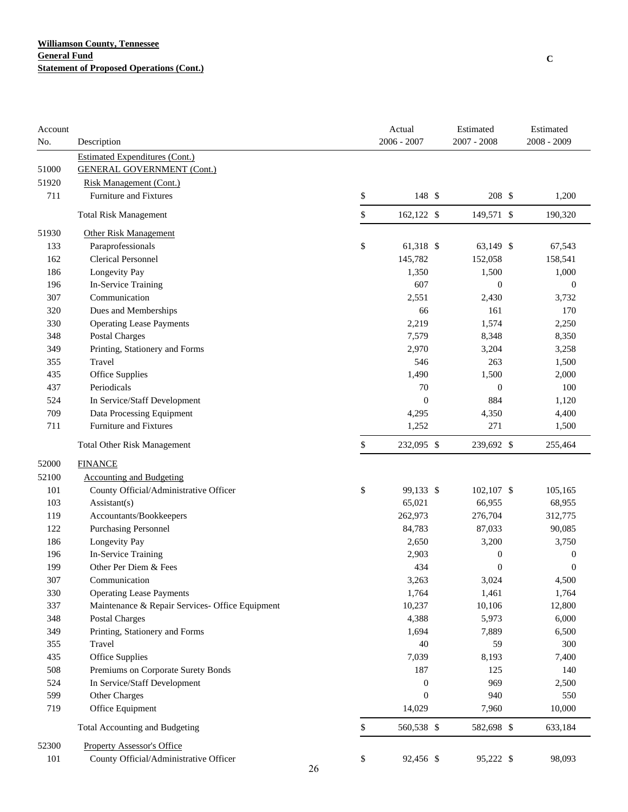| Account<br>No. | Description                                     |          | Actual<br>2006 - 2007 | Estimated<br>2007 - 2008 | Estimated<br>$2008 - 2009$ |
|----------------|-------------------------------------------------|----------|-----------------------|--------------------------|----------------------------|
|                | <b>Estimated Expenditures (Cont.)</b>           |          |                       |                          |                            |
| 51000          | <b>GENERAL GOVERNMENT (Cont.)</b>               |          |                       |                          |                            |
| 51920          | <b>Risk Management (Cont.)</b>                  |          |                       |                          |                            |
| 711            | Furniture and Fixtures                          | \$       | 148 \$                | 208 \$                   | 1,200                      |
|                | <b>Total Risk Management</b>                    | \$       | 162,122 \$            | 149,571 \$               | 190,320                    |
| 51930          | <b>Other Risk Management</b>                    |          |                       |                          |                            |
| 133            | Paraprofessionals                               | \$       | 61,318 \$             | 63,149 \$                | 67,543                     |
| 162            | <b>Clerical Personnel</b>                       |          | 145,782               | 152,058                  | 158,541                    |
| 186            | Longevity Pay                                   |          | 1,350                 | 1,500                    | 1,000                      |
| 196            | In-Service Training                             |          | 607                   | $\boldsymbol{0}$         | $\mathbf{0}$               |
| 307            | Communication                                   |          | 2,551                 | 2,430                    | 3,732                      |
| 320            | Dues and Memberships                            |          | 66                    | 161                      | 170                        |
| 330            | <b>Operating Lease Payments</b>                 |          | 2,219                 | 1,574                    | 2,250                      |
| 348            | <b>Postal Charges</b>                           |          | 7,579                 | 8,348                    | 8,350                      |
| 349            | Printing, Stationery and Forms                  |          | 2,970                 | 3,204                    | 3,258                      |
| 355            | Travel                                          |          | 546                   | 263                      | 1,500                      |
| 435            | Office Supplies                                 |          | 1,490                 | 1,500                    | 2,000                      |
| 437            | Periodicals                                     |          | 70                    | $\boldsymbol{0}$         | 100                        |
| 524            | In Service/Staff Development                    |          | $\boldsymbol{0}$      | 884                      | 1,120                      |
| 709            | Data Processing Equipment                       |          | 4,295                 | 4,350                    | 4,400                      |
| 711            | <b>Furniture and Fixtures</b>                   |          | 1,252                 | 271                      | 1,500                      |
|                | <b>Total Other Risk Management</b>              | \$       | 232,095 \$            | 239,692 \$               | 255,464                    |
| 52000          | <b>FINANCE</b>                                  |          |                       |                          |                            |
| 52100          | <b>Accounting and Budgeting</b>                 |          |                       |                          |                            |
| 101            | County Official/Administrative Officer          | \$       | 99,133 \$             | 102,107 \$               | 105,165                    |
| 103            | $\text{Assistant}(s)$                           |          | 65,021                | 66,955                   | 68,955                     |
| 119            | Accountants/Bookkeepers                         |          | 262,973               | 276,704                  | 312,775                    |
| 122            | <b>Purchasing Personnel</b>                     |          | 84,783                | 87,033                   | 90,085                     |
| 186            | Longevity Pay                                   |          | 2,650                 | 3,200                    | 3,750                      |
| 196            | In-Service Training                             |          | 2,903                 | $\boldsymbol{0}$         | $\boldsymbol{0}$           |
| 199            | Other Per Diem & Fees                           |          | 434                   | $\boldsymbol{0}$         | $\mathbf{0}$               |
| 307            | Communication                                   |          | 3,263                 | 3,024                    | 4,500                      |
| 330            | <b>Operating Lease Payments</b>                 |          | 1,764                 | 1,461                    | 1,764                      |
| 337            | Maintenance & Repair Services- Office Equipment |          | 10,237                | 10,106                   | 12,800                     |
| 348            | Postal Charges                                  |          | 4,388                 | 5,973                    | 6,000                      |
| 349            | Printing, Stationery and Forms                  |          | 1,694                 | 7,889                    | 6,500                      |
| 355            | Travel                                          |          | 40                    | 59                       | 300                        |
| 435            | Office Supplies                                 |          | 7,039                 | 8,193                    | 7,400                      |
| 508            | Premiums on Corporate Surety Bonds              |          | 187                   | 125                      | 140                        |
| 524            | In Service/Staff Development                    |          | $\boldsymbol{0}$      | 969                      | 2,500                      |
| 599            | Other Charges                                   |          | $\boldsymbol{0}$      | 940                      | 550                        |
| 719            | Office Equipment                                |          | 14,029                | 7,960                    | 10,000                     |
|                | <b>Total Accounting and Budgeting</b>           | \$       | 560,538 \$            | 582,698 \$               | 633,184                    |
| 52300          | <b>Property Assessor's Office</b>               |          |                       |                          |                            |
| 101            | County Official/Administrative Officer          | \$<br>26 | 92,456 \$             | 95,222 \$                | 98,093                     |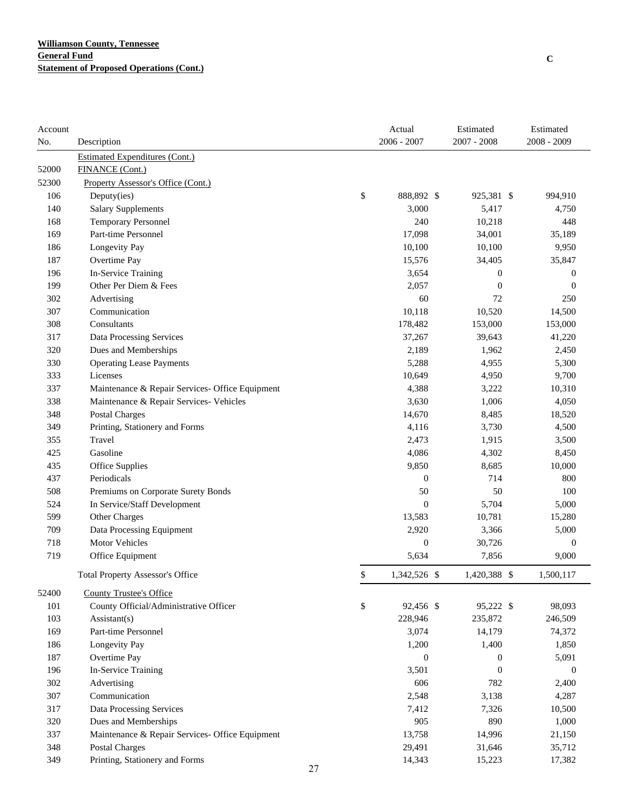| Account |                                                 | Actual             | Estimated        | Estimated        |
|---------|-------------------------------------------------|--------------------|------------------|------------------|
| No.     | Description                                     | $2006 - 2007$      | $2007 - 2008$    | 2008 - 2009      |
|         | <b>Estimated Expenditures (Cont.)</b>           |                    |                  |                  |
| 52000   | FINANCE (Cont.)                                 |                    |                  |                  |
| 52300   | <b>Property Assessor's Office (Cont.)</b>       |                    |                  |                  |
| 106     | Deputy(ies)                                     | \$<br>888,892 \$   | 925,381 \$       | 994,910          |
| 140     | <b>Salary Supplements</b>                       | 3,000              | 5,417            | 4,750            |
| 168     | Temporary Personnel                             | 240                | 10,218           | 448              |
| 169     | Part-time Personnel                             | 17,098             | 34,001           | 35,189           |
| 186     | Longevity Pay                                   | 10,100             | 10,100           | 9,950            |
| 187     | Overtime Pay                                    | 15,576             | 34,405           | 35,847           |
| 196     | In-Service Training                             | 3,654              | $\boldsymbol{0}$ | $\boldsymbol{0}$ |
| 199     | Other Per Diem & Fees                           | 2,057              | $\overline{0}$   | $\overline{0}$   |
| 302     | Advertising                                     | 60                 | 72               | 250              |
| 307     | Communication                                   | 10,118             | 10,520           | 14,500           |
| 308     | Consultants                                     | 178,482            | 153,000          | 153,000          |
| 317     | Data Processing Services                        | 37,267             | 39,643           | 41,220           |
| 320     | Dues and Memberships                            | 2,189              | 1,962            | 2,450            |
| 330     | <b>Operating Lease Payments</b>                 | 5,288              | 4,955            | 5,300            |
| 333     | Licenses                                        | 10,649             | 4,950            | 9,700            |
| 337     | Maintenance & Repair Services- Office Equipment | 4,388              | 3,222            | 10,310           |
| 338     | Maintenance & Repair Services- Vehicles         | 3,630              | 1,006            | 4,050            |
| 348     | Postal Charges                                  | 14,670             | 8,485            | 18,520           |
| 349     | Printing, Stationery and Forms                  | 4,116              | 3,730            | 4,500            |
| 355     | Travel                                          | 2,473              | 1,915            | 3,500            |
| 425     | Gasoline                                        | 4,086              | 4,302            | 8,450            |
| 435     | Office Supplies                                 | 9,850              | 8,685            | 10,000           |
| 437     | Periodicals                                     | $\boldsymbol{0}$   | 714              | 800              |
| 508     | Premiums on Corporate Surety Bonds              | 50                 | 50               | 100              |
| 524     | In Service/Staff Development                    | $\boldsymbol{0}$   | 5,704            | 5,000            |
| 599     | Other Charges                                   | 13,583             | 10,781           | 15,280           |
| 709     | Data Processing Equipment                       | 2,920              | 3,366            | 5,000            |
| 718     | <b>Motor Vehicles</b>                           | $\boldsymbol{0}$   | 30,726           | $\boldsymbol{0}$ |
| 719     | Office Equipment                                | 5,634              | 7,856            | 9,000            |
|         | <b>Total Property Assessor's Office</b>         | \$<br>1,342,526 \$ | 1,420,388 \$     | 1,500,117        |
| 52400   | <b>County Trustee's Office</b>                  |                    |                  |                  |
| 101     | County Official/Administrative Officer          | \$<br>92,456 \$    | 95,222 \$        | 98,093           |
| 103     | Assistant(s)                                    | 228,946            | 235,872          | 246,509          |
| 169     | Part-time Personnel                             | 3,074              | 14,179           | 74,372           |
| 186     | Longevity Pay                                   | 1,200              | 1,400            | 1,850            |
| 187     | Overtime Pay                                    | $\boldsymbol{0}$   | $\boldsymbol{0}$ | 5,091            |
| 196     | In-Service Training                             | 3,501              | $\boldsymbol{0}$ | $\boldsymbol{0}$ |
| 302     | Advertising                                     | 606                | 782              | 2,400            |
| 307     | Communication                                   | 2,548              | 3,138            | 4,287            |
| 317     | <b>Data Processing Services</b>                 | 7,412              | 7,326            | 10,500           |
| 320     | Dues and Memberships                            | 905                | 890              | 1,000            |
| 337     | Maintenance & Repair Services- Office Equipment | 13,758             | 14,996           | 21,150           |
| 348     | <b>Postal Charges</b>                           | 29,491             | 31,646           | 35,712           |
| 349     | Printing, Stationery and Forms                  | 14,343             | 15,223           | 17,382           |

**C**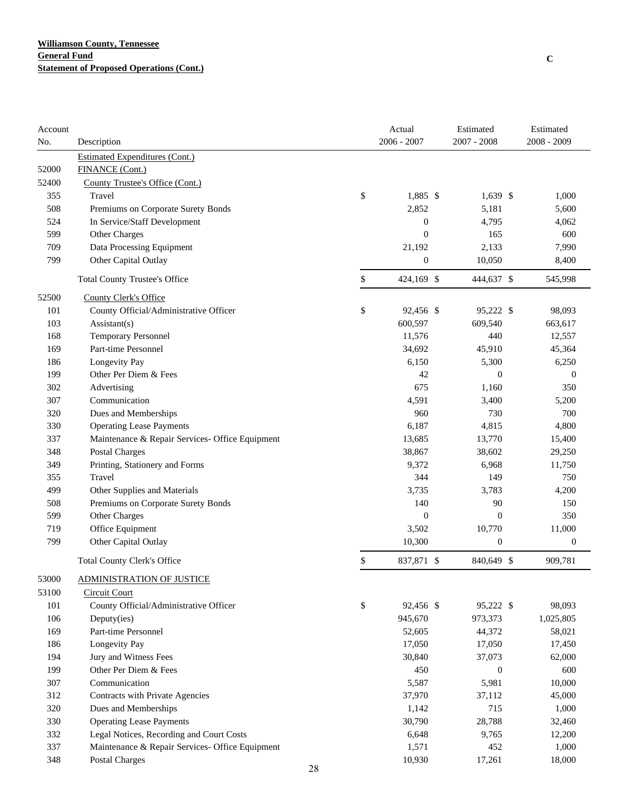| Account |                                                 |    | Actual           | Estimated        | Estimated        |
|---------|-------------------------------------------------|----|------------------|------------------|------------------|
| No.     | Description                                     |    | $2006 - 2007$    | $2007 - 2008$    | 2008 - 2009      |
|         | <b>Estimated Expenditures (Cont.)</b>           |    |                  |                  |                  |
| 52000   | FINANCE (Cont.)                                 |    |                  |                  |                  |
| 52400   | County Trustee's Office (Cont.)                 |    |                  |                  |                  |
| 355     | Travel                                          | \$ | 1,885 \$         | $1,639$ \$       | 1,000            |
| 508     | Premiums on Corporate Surety Bonds              |    | 2,852            | 5,181            | 5,600            |
| 524     | In Service/Staff Development                    |    | $\boldsymbol{0}$ | 4,795            | 4,062            |
| 599     | Other Charges                                   |    | $\boldsymbol{0}$ | 165              | 600              |
| 709     | Data Processing Equipment                       |    | 21,192           | 2,133            | 7,990            |
| 799     | Other Capital Outlay                            |    | $\boldsymbol{0}$ | 10,050           | 8,400            |
|         | <b>Total County Trustee's Office</b>            | \$ | 424,169 \$       | 444,637 \$       | 545,998          |
| 52500   | County Clerk's Office                           |    |                  |                  |                  |
| 101     | County Official/Administrative Officer          | \$ | 92,456 \$        | 95,222 \$        | 98,093           |
| 103     | Assistant(s)                                    |    | 600,597          | 609,540          | 663,617          |
| 168     | Temporary Personnel                             |    | 11,576           | 440              | 12,557           |
| 169     | Part-time Personnel                             |    | 34,692           | 45,910           | 45,364           |
| 186     | Longevity Pay                                   |    | 6,150            | 5,300            | 6,250            |
| 199     | Other Per Diem & Fees                           |    | 42               | $\boldsymbol{0}$ | $\boldsymbol{0}$ |
| 302     | Advertising                                     |    | 675              | 1,160            | 350              |
| 307     | Communication                                   |    | 4,591            | 3,400            | 5,200            |
| 320     | Dues and Memberships                            |    | 960              | 730              | 700              |
| 330     | <b>Operating Lease Payments</b>                 |    | 6,187            | 4,815            | 4,800            |
| 337     | Maintenance & Repair Services- Office Equipment |    | 13,685           | 13,770           | 15,400           |
| 348     | <b>Postal Charges</b>                           |    | 38,867           | 38,602           | 29,250           |
| 349     | Printing, Stationery and Forms                  |    | 9,372            | 6,968            | 11,750           |
| 355     | Travel                                          |    | 344              | 149              | 750              |
| 499     | Other Supplies and Materials                    |    | 3,735            | 3,783            | 4,200            |
| 508     | Premiums on Corporate Surety Bonds              |    | 140              | 90               | 150              |
| 599     | Other Charges                                   |    | $\boldsymbol{0}$ | $\boldsymbol{0}$ | 350              |
| 719     | Office Equipment                                |    | 3,502            | 10,770           | 11,000           |
| 799     | Other Capital Outlay                            |    | 10,300           | $\boldsymbol{0}$ | $\boldsymbol{0}$ |
|         | <b>Total County Clerk's Office</b>              | \$ | 837,871 \$       | 840,649 \$       | 909,781          |
| 53000   | <b>ADMINISTRATION OF JUSTICE</b>                |    |                  |                  |                  |
| 53100   | <b>Circuit Court</b>                            |    |                  |                  |                  |
| 101     | County Official/Administrative Officer          | \$ | 92,456 \$        | 95,222 \$        | 98,093           |
| 106     | Deputy(ies)                                     |    | 945,670          | 973,373          | 1,025,805        |
| 169     | Part-time Personnel                             |    | 52,605           | 44,372           | 58,021           |
| 186     | Longevity Pay                                   |    | 17,050           | 17,050           | 17,450           |
| 194     | Jury and Witness Fees                           |    | 30,840           | 37,073           | 62,000           |
| 199     | Other Per Diem & Fees                           |    | 450              | $\boldsymbol{0}$ | 600              |
| 307     | Communication                                   |    | 5,587            | 5,981            | 10,000           |
| 312     | Contracts with Private Agencies                 |    | 37,970           | 37,112           | 45,000           |
| 320     | Dues and Memberships                            |    | 1,142            | 715              | 1,000            |
| 330     | <b>Operating Lease Payments</b>                 |    | 30,790           | 28,788           | 32,460           |
| 332     | Legal Notices, Recording and Court Costs        |    | 6,648            | 9,765            | 12,200           |
| 337     | Maintenance & Repair Services- Office Equipment |    | 1,571            | 452              | 1,000            |
| 348     | Postal Charges                                  |    | 10,930           | 17,261           | 18,000           |
|         |                                                 | 28 |                  |                  |                  |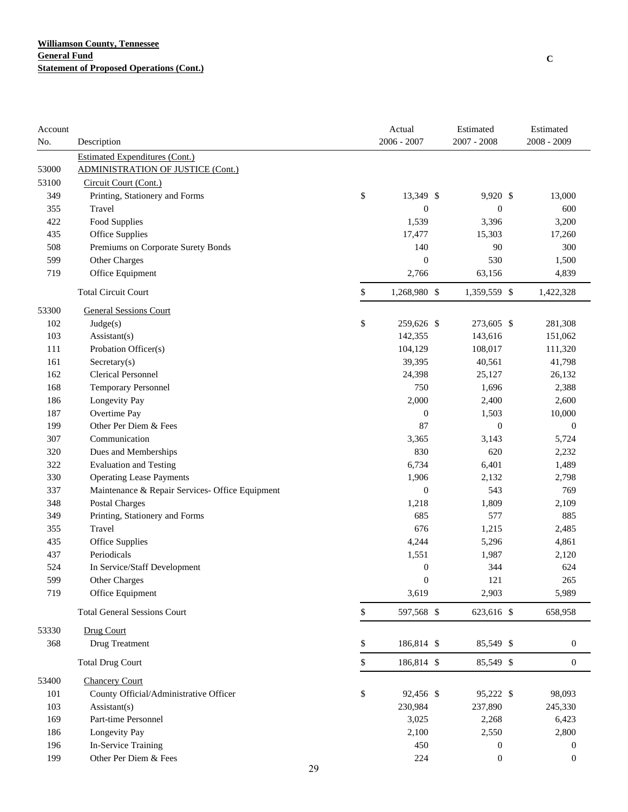| $2006 - 2007$<br>Description<br><b>Estimated Expenditures (Cont.)</b><br>53000<br><b>ADMINISTRATION OF JUSTICE (Cont.)</b><br>53100<br>Circuit Court (Cont.)<br>\$<br>13,349 \$<br>349<br>Printing, Stationery and Forms<br>9,920 \$<br>13,000<br>$\boldsymbol{0}$<br>355<br>Travel<br>$\boldsymbol{0}$<br>600<br>422<br>Food Supplies<br>1,539<br>3,396<br>3,200<br>435<br>Office Supplies<br>17,477<br>15,303<br>17,260<br>508<br>Premiums on Corporate Surety Bonds<br>140<br>90<br>300<br>599<br>$\boldsymbol{0}$<br>530<br>Other Charges<br>1,500<br>719<br>Office Equipment<br>2,766<br>63,156<br>4,839<br>\$<br><b>Total Circuit Court</b><br>1,268,980 \$<br>1,359,559 \$<br>1,422,328<br><b>General Sessions Court</b><br>53300<br>\$<br>102<br>259,626 \$<br>273,605 \$<br>281,308<br>Judge(s)<br>103<br>143,616<br>Assistant(s)<br>142,355<br>151,062<br>111<br>Probation Officer(s)<br>104,129<br>108,017<br>111,320<br>161<br>Sercetary(s)<br>39,395<br>40,561<br>41,798<br><b>Clerical Personnel</b><br>162<br>24,398<br>25,127<br>26,132<br>750<br>168<br><b>Temporary Personnel</b><br>1,696<br>2,388<br>Longevity Pay<br>186<br>2,000<br>2,400<br>2,600<br>Overtime Pay<br>187<br>$\boldsymbol{0}$<br>1,503<br>10,000<br>Other Per Diem & Fees<br>199<br>87<br>$\mathbf{0}$<br>$\mathbf{0}$<br>307<br>Communication<br>3,365<br>3,143<br>5,724<br>830<br>320<br>Dues and Memberships<br>620<br>2,232<br><b>Evaluation and Testing</b><br>322<br>6,734<br>6,401<br>1,489<br><b>Operating Lease Payments</b><br>1,906<br>330<br>2,132<br>2,798<br>$\boldsymbol{0}$<br>543<br>337<br>Maintenance & Repair Services- Office Equipment<br>769<br>348<br><b>Postal Charges</b><br>1,218<br>1,809<br>2,109<br>685<br>349<br>Printing, Stationery and Forms<br>577<br>885<br>676<br>355<br>Travel<br>1,215<br>2,485<br>435<br>Office Supplies<br>4,244<br>5,296<br>4,861<br>437<br>Periodicals<br>1,551<br>1,987<br>2,120<br>524<br>344<br>624<br>In Service/Staff Development<br>$\boldsymbol{0}$<br>599<br><b>Other Charges</b><br>$\boldsymbol{0}$<br>121<br>265<br>719<br>3,619<br>2,903<br>5,989<br>Office Equipment<br><b>Total General Sessions Court</b><br>\$<br>597,568 \$<br>623,616 \$<br>658,958<br>53330<br>Drug Court<br>368<br>Drug Treatment<br>\$<br>186,814 \$<br>85,549 \$<br>$\boldsymbol{0}$<br>\$<br>186,814 \$<br><b>Total Drug Court</b><br>85,549 \$<br>$\boldsymbol{0}$<br><b>Chancery Court</b><br>\$<br>County Official/Administrative Officer<br>95,222 \$<br>101<br>92,456 \$<br>98,093<br>230,984<br>237,890<br>103<br>Assistant(s)<br>245,330<br>Part-time Personnel<br>3,025<br>169<br>2,268<br>6,423<br>Longevity Pay<br>2,100<br>186<br>2,550<br>2,800<br>In-Service Training<br>196<br>450<br>0<br>$\boldsymbol{0}$<br>Other Per Diem & Fees<br>199<br>224<br>$\boldsymbol{0}$<br>$\boldsymbol{0}$<br>29 | Account |  | Actual | Estimated     | Estimated     |
|--------------------------------------------------------------------------------------------------------------------------------------------------------------------------------------------------------------------------------------------------------------------------------------------------------------------------------------------------------------------------------------------------------------------------------------------------------------------------------------------------------------------------------------------------------------------------------------------------------------------------------------------------------------------------------------------------------------------------------------------------------------------------------------------------------------------------------------------------------------------------------------------------------------------------------------------------------------------------------------------------------------------------------------------------------------------------------------------------------------------------------------------------------------------------------------------------------------------------------------------------------------------------------------------------------------------------------------------------------------------------------------------------------------------------------------------------------------------------------------------------------------------------------------------------------------------------------------------------------------------------------------------------------------------------------------------------------------------------------------------------------------------------------------------------------------------------------------------------------------------------------------------------------------------------------------------------------------------------------------------------------------------------------------------------------------------------------------------------------------------------------------------------------------------------------------------------------------------------------------------------------------------------------------------------------------------------------------------------------------------------------------------------------------------------------------------------------------------------------------------------------------------------------------------------------------------------------------------------------------------------------------------------------------------------------------------------------------------------------------------------------------------------------------------------------------------------------------------------------|---------|--|--------|---------------|---------------|
|                                                                                                                                                                                                                                                                                                                                                                                                                                                                                                                                                                                                                                                                                                                                                                                                                                                                                                                                                                                                                                                                                                                                                                                                                                                                                                                                                                                                                                                                                                                                                                                                                                                                                                                                                                                                                                                                                                                                                                                                                                                                                                                                                                                                                                                                                                                                                                                                                                                                                                                                                                                                                                                                                                                                                                                                                                                        | No.     |  |        | $2007 - 2008$ | $2008 - 2009$ |
|                                                                                                                                                                                                                                                                                                                                                                                                                                                                                                                                                                                                                                                                                                                                                                                                                                                                                                                                                                                                                                                                                                                                                                                                                                                                                                                                                                                                                                                                                                                                                                                                                                                                                                                                                                                                                                                                                                                                                                                                                                                                                                                                                                                                                                                                                                                                                                                                                                                                                                                                                                                                                                                                                                                                                                                                                                                        |         |  |        |               |               |
|                                                                                                                                                                                                                                                                                                                                                                                                                                                                                                                                                                                                                                                                                                                                                                                                                                                                                                                                                                                                                                                                                                                                                                                                                                                                                                                                                                                                                                                                                                                                                                                                                                                                                                                                                                                                                                                                                                                                                                                                                                                                                                                                                                                                                                                                                                                                                                                                                                                                                                                                                                                                                                                                                                                                                                                                                                                        |         |  |        |               |               |
|                                                                                                                                                                                                                                                                                                                                                                                                                                                                                                                                                                                                                                                                                                                                                                                                                                                                                                                                                                                                                                                                                                                                                                                                                                                                                                                                                                                                                                                                                                                                                                                                                                                                                                                                                                                                                                                                                                                                                                                                                                                                                                                                                                                                                                                                                                                                                                                                                                                                                                                                                                                                                                                                                                                                                                                                                                                        |         |  |        |               |               |
|                                                                                                                                                                                                                                                                                                                                                                                                                                                                                                                                                                                                                                                                                                                                                                                                                                                                                                                                                                                                                                                                                                                                                                                                                                                                                                                                                                                                                                                                                                                                                                                                                                                                                                                                                                                                                                                                                                                                                                                                                                                                                                                                                                                                                                                                                                                                                                                                                                                                                                                                                                                                                                                                                                                                                                                                                                                        |         |  |        |               |               |
|                                                                                                                                                                                                                                                                                                                                                                                                                                                                                                                                                                                                                                                                                                                                                                                                                                                                                                                                                                                                                                                                                                                                                                                                                                                                                                                                                                                                                                                                                                                                                                                                                                                                                                                                                                                                                                                                                                                                                                                                                                                                                                                                                                                                                                                                                                                                                                                                                                                                                                                                                                                                                                                                                                                                                                                                                                                        |         |  |        |               |               |
|                                                                                                                                                                                                                                                                                                                                                                                                                                                                                                                                                                                                                                                                                                                                                                                                                                                                                                                                                                                                                                                                                                                                                                                                                                                                                                                                                                                                                                                                                                                                                                                                                                                                                                                                                                                                                                                                                                                                                                                                                                                                                                                                                                                                                                                                                                                                                                                                                                                                                                                                                                                                                                                                                                                                                                                                                                                        |         |  |        |               |               |
|                                                                                                                                                                                                                                                                                                                                                                                                                                                                                                                                                                                                                                                                                                                                                                                                                                                                                                                                                                                                                                                                                                                                                                                                                                                                                                                                                                                                                                                                                                                                                                                                                                                                                                                                                                                                                                                                                                                                                                                                                                                                                                                                                                                                                                                                                                                                                                                                                                                                                                                                                                                                                                                                                                                                                                                                                                                        |         |  |        |               |               |
|                                                                                                                                                                                                                                                                                                                                                                                                                                                                                                                                                                                                                                                                                                                                                                                                                                                                                                                                                                                                                                                                                                                                                                                                                                                                                                                                                                                                                                                                                                                                                                                                                                                                                                                                                                                                                                                                                                                                                                                                                                                                                                                                                                                                                                                                                                                                                                                                                                                                                                                                                                                                                                                                                                                                                                                                                                                        |         |  |        |               |               |
|                                                                                                                                                                                                                                                                                                                                                                                                                                                                                                                                                                                                                                                                                                                                                                                                                                                                                                                                                                                                                                                                                                                                                                                                                                                                                                                                                                                                                                                                                                                                                                                                                                                                                                                                                                                                                                                                                                                                                                                                                                                                                                                                                                                                                                                                                                                                                                                                                                                                                                                                                                                                                                                                                                                                                                                                                                                        |         |  |        |               |               |
|                                                                                                                                                                                                                                                                                                                                                                                                                                                                                                                                                                                                                                                                                                                                                                                                                                                                                                                                                                                                                                                                                                                                                                                                                                                                                                                                                                                                                                                                                                                                                                                                                                                                                                                                                                                                                                                                                                                                                                                                                                                                                                                                                                                                                                                                                                                                                                                                                                                                                                                                                                                                                                                                                                                                                                                                                                                        |         |  |        |               |               |
|                                                                                                                                                                                                                                                                                                                                                                                                                                                                                                                                                                                                                                                                                                                                                                                                                                                                                                                                                                                                                                                                                                                                                                                                                                                                                                                                                                                                                                                                                                                                                                                                                                                                                                                                                                                                                                                                                                                                                                                                                                                                                                                                                                                                                                                                                                                                                                                                                                                                                                                                                                                                                                                                                                                                                                                                                                                        |         |  |        |               |               |
|                                                                                                                                                                                                                                                                                                                                                                                                                                                                                                                                                                                                                                                                                                                                                                                                                                                                                                                                                                                                                                                                                                                                                                                                                                                                                                                                                                                                                                                                                                                                                                                                                                                                                                                                                                                                                                                                                                                                                                                                                                                                                                                                                                                                                                                                                                                                                                                                                                                                                                                                                                                                                                                                                                                                                                                                                                                        |         |  |        |               |               |
|                                                                                                                                                                                                                                                                                                                                                                                                                                                                                                                                                                                                                                                                                                                                                                                                                                                                                                                                                                                                                                                                                                                                                                                                                                                                                                                                                                                                                                                                                                                                                                                                                                                                                                                                                                                                                                                                                                                                                                                                                                                                                                                                                                                                                                                                                                                                                                                                                                                                                                                                                                                                                                                                                                                                                                                                                                                        |         |  |        |               |               |
|                                                                                                                                                                                                                                                                                                                                                                                                                                                                                                                                                                                                                                                                                                                                                                                                                                                                                                                                                                                                                                                                                                                                                                                                                                                                                                                                                                                                                                                                                                                                                                                                                                                                                                                                                                                                                                                                                                                                                                                                                                                                                                                                                                                                                                                                                                                                                                                                                                                                                                                                                                                                                                                                                                                                                                                                                                                        |         |  |        |               |               |
|                                                                                                                                                                                                                                                                                                                                                                                                                                                                                                                                                                                                                                                                                                                                                                                                                                                                                                                                                                                                                                                                                                                                                                                                                                                                                                                                                                                                                                                                                                                                                                                                                                                                                                                                                                                                                                                                                                                                                                                                                                                                                                                                                                                                                                                                                                                                                                                                                                                                                                                                                                                                                                                                                                                                                                                                                                                        |         |  |        |               |               |
|                                                                                                                                                                                                                                                                                                                                                                                                                                                                                                                                                                                                                                                                                                                                                                                                                                                                                                                                                                                                                                                                                                                                                                                                                                                                                                                                                                                                                                                                                                                                                                                                                                                                                                                                                                                                                                                                                                                                                                                                                                                                                                                                                                                                                                                                                                                                                                                                                                                                                                                                                                                                                                                                                                                                                                                                                                                        |         |  |        |               |               |
|                                                                                                                                                                                                                                                                                                                                                                                                                                                                                                                                                                                                                                                                                                                                                                                                                                                                                                                                                                                                                                                                                                                                                                                                                                                                                                                                                                                                                                                                                                                                                                                                                                                                                                                                                                                                                                                                                                                                                                                                                                                                                                                                                                                                                                                                                                                                                                                                                                                                                                                                                                                                                                                                                                                                                                                                                                                        |         |  |        |               |               |
|                                                                                                                                                                                                                                                                                                                                                                                                                                                                                                                                                                                                                                                                                                                                                                                                                                                                                                                                                                                                                                                                                                                                                                                                                                                                                                                                                                                                                                                                                                                                                                                                                                                                                                                                                                                                                                                                                                                                                                                                                                                                                                                                                                                                                                                                                                                                                                                                                                                                                                                                                                                                                                                                                                                                                                                                                                                        |         |  |        |               |               |
|                                                                                                                                                                                                                                                                                                                                                                                                                                                                                                                                                                                                                                                                                                                                                                                                                                                                                                                                                                                                                                                                                                                                                                                                                                                                                                                                                                                                                                                                                                                                                                                                                                                                                                                                                                                                                                                                                                                                                                                                                                                                                                                                                                                                                                                                                                                                                                                                                                                                                                                                                                                                                                                                                                                                                                                                                                                        |         |  |        |               |               |
|                                                                                                                                                                                                                                                                                                                                                                                                                                                                                                                                                                                                                                                                                                                                                                                                                                                                                                                                                                                                                                                                                                                                                                                                                                                                                                                                                                                                                                                                                                                                                                                                                                                                                                                                                                                                                                                                                                                                                                                                                                                                                                                                                                                                                                                                                                                                                                                                                                                                                                                                                                                                                                                                                                                                                                                                                                                        |         |  |        |               |               |
|                                                                                                                                                                                                                                                                                                                                                                                                                                                                                                                                                                                                                                                                                                                                                                                                                                                                                                                                                                                                                                                                                                                                                                                                                                                                                                                                                                                                                                                                                                                                                                                                                                                                                                                                                                                                                                                                                                                                                                                                                                                                                                                                                                                                                                                                                                                                                                                                                                                                                                                                                                                                                                                                                                                                                                                                                                                        |         |  |        |               |               |
|                                                                                                                                                                                                                                                                                                                                                                                                                                                                                                                                                                                                                                                                                                                                                                                                                                                                                                                                                                                                                                                                                                                                                                                                                                                                                                                                                                                                                                                                                                                                                                                                                                                                                                                                                                                                                                                                                                                                                                                                                                                                                                                                                                                                                                                                                                                                                                                                                                                                                                                                                                                                                                                                                                                                                                                                                                                        |         |  |        |               |               |
|                                                                                                                                                                                                                                                                                                                                                                                                                                                                                                                                                                                                                                                                                                                                                                                                                                                                                                                                                                                                                                                                                                                                                                                                                                                                                                                                                                                                                                                                                                                                                                                                                                                                                                                                                                                                                                                                                                                                                                                                                                                                                                                                                                                                                                                                                                                                                                                                                                                                                                                                                                                                                                                                                                                                                                                                                                                        |         |  |        |               |               |
|                                                                                                                                                                                                                                                                                                                                                                                                                                                                                                                                                                                                                                                                                                                                                                                                                                                                                                                                                                                                                                                                                                                                                                                                                                                                                                                                                                                                                                                                                                                                                                                                                                                                                                                                                                                                                                                                                                                                                                                                                                                                                                                                                                                                                                                                                                                                                                                                                                                                                                                                                                                                                                                                                                                                                                                                                                                        |         |  |        |               |               |
|                                                                                                                                                                                                                                                                                                                                                                                                                                                                                                                                                                                                                                                                                                                                                                                                                                                                                                                                                                                                                                                                                                                                                                                                                                                                                                                                                                                                                                                                                                                                                                                                                                                                                                                                                                                                                                                                                                                                                                                                                                                                                                                                                                                                                                                                                                                                                                                                                                                                                                                                                                                                                                                                                                                                                                                                                                                        |         |  |        |               |               |
|                                                                                                                                                                                                                                                                                                                                                                                                                                                                                                                                                                                                                                                                                                                                                                                                                                                                                                                                                                                                                                                                                                                                                                                                                                                                                                                                                                                                                                                                                                                                                                                                                                                                                                                                                                                                                                                                                                                                                                                                                                                                                                                                                                                                                                                                                                                                                                                                                                                                                                                                                                                                                                                                                                                                                                                                                                                        |         |  |        |               |               |
|                                                                                                                                                                                                                                                                                                                                                                                                                                                                                                                                                                                                                                                                                                                                                                                                                                                                                                                                                                                                                                                                                                                                                                                                                                                                                                                                                                                                                                                                                                                                                                                                                                                                                                                                                                                                                                                                                                                                                                                                                                                                                                                                                                                                                                                                                                                                                                                                                                                                                                                                                                                                                                                                                                                                                                                                                                                        |         |  |        |               |               |
|                                                                                                                                                                                                                                                                                                                                                                                                                                                                                                                                                                                                                                                                                                                                                                                                                                                                                                                                                                                                                                                                                                                                                                                                                                                                                                                                                                                                                                                                                                                                                                                                                                                                                                                                                                                                                                                                                                                                                                                                                                                                                                                                                                                                                                                                                                                                                                                                                                                                                                                                                                                                                                                                                                                                                                                                                                                        |         |  |        |               |               |
|                                                                                                                                                                                                                                                                                                                                                                                                                                                                                                                                                                                                                                                                                                                                                                                                                                                                                                                                                                                                                                                                                                                                                                                                                                                                                                                                                                                                                                                                                                                                                                                                                                                                                                                                                                                                                                                                                                                                                                                                                                                                                                                                                                                                                                                                                                                                                                                                                                                                                                                                                                                                                                                                                                                                                                                                                                                        |         |  |        |               |               |
|                                                                                                                                                                                                                                                                                                                                                                                                                                                                                                                                                                                                                                                                                                                                                                                                                                                                                                                                                                                                                                                                                                                                                                                                                                                                                                                                                                                                                                                                                                                                                                                                                                                                                                                                                                                                                                                                                                                                                                                                                                                                                                                                                                                                                                                                                                                                                                                                                                                                                                                                                                                                                                                                                                                                                                                                                                                        |         |  |        |               |               |
|                                                                                                                                                                                                                                                                                                                                                                                                                                                                                                                                                                                                                                                                                                                                                                                                                                                                                                                                                                                                                                                                                                                                                                                                                                                                                                                                                                                                                                                                                                                                                                                                                                                                                                                                                                                                                                                                                                                                                                                                                                                                                                                                                                                                                                                                                                                                                                                                                                                                                                                                                                                                                                                                                                                                                                                                                                                        |         |  |        |               |               |
|                                                                                                                                                                                                                                                                                                                                                                                                                                                                                                                                                                                                                                                                                                                                                                                                                                                                                                                                                                                                                                                                                                                                                                                                                                                                                                                                                                                                                                                                                                                                                                                                                                                                                                                                                                                                                                                                                                                                                                                                                                                                                                                                                                                                                                                                                                                                                                                                                                                                                                                                                                                                                                                                                                                                                                                                                                                        |         |  |        |               |               |
|                                                                                                                                                                                                                                                                                                                                                                                                                                                                                                                                                                                                                                                                                                                                                                                                                                                                                                                                                                                                                                                                                                                                                                                                                                                                                                                                                                                                                                                                                                                                                                                                                                                                                                                                                                                                                                                                                                                                                                                                                                                                                                                                                                                                                                                                                                                                                                                                                                                                                                                                                                                                                                                                                                                                                                                                                                                        |         |  |        |               |               |
|                                                                                                                                                                                                                                                                                                                                                                                                                                                                                                                                                                                                                                                                                                                                                                                                                                                                                                                                                                                                                                                                                                                                                                                                                                                                                                                                                                                                                                                                                                                                                                                                                                                                                                                                                                                                                                                                                                                                                                                                                                                                                                                                                                                                                                                                                                                                                                                                                                                                                                                                                                                                                                                                                                                                                                                                                                                        |         |  |        |               |               |
|                                                                                                                                                                                                                                                                                                                                                                                                                                                                                                                                                                                                                                                                                                                                                                                                                                                                                                                                                                                                                                                                                                                                                                                                                                                                                                                                                                                                                                                                                                                                                                                                                                                                                                                                                                                                                                                                                                                                                                                                                                                                                                                                                                                                                                                                                                                                                                                                                                                                                                                                                                                                                                                                                                                                                                                                                                                        |         |  |        |               |               |
|                                                                                                                                                                                                                                                                                                                                                                                                                                                                                                                                                                                                                                                                                                                                                                                                                                                                                                                                                                                                                                                                                                                                                                                                                                                                                                                                                                                                                                                                                                                                                                                                                                                                                                                                                                                                                                                                                                                                                                                                                                                                                                                                                                                                                                                                                                                                                                                                                                                                                                                                                                                                                                                                                                                                                                                                                                                        |         |  |        |               |               |
|                                                                                                                                                                                                                                                                                                                                                                                                                                                                                                                                                                                                                                                                                                                                                                                                                                                                                                                                                                                                                                                                                                                                                                                                                                                                                                                                                                                                                                                                                                                                                                                                                                                                                                                                                                                                                                                                                                                                                                                                                                                                                                                                                                                                                                                                                                                                                                                                                                                                                                                                                                                                                                                                                                                                                                                                                                                        |         |  |        |               |               |
|                                                                                                                                                                                                                                                                                                                                                                                                                                                                                                                                                                                                                                                                                                                                                                                                                                                                                                                                                                                                                                                                                                                                                                                                                                                                                                                                                                                                                                                                                                                                                                                                                                                                                                                                                                                                                                                                                                                                                                                                                                                                                                                                                                                                                                                                                                                                                                                                                                                                                                                                                                                                                                                                                                                                                                                                                                                        |         |  |        |               |               |
|                                                                                                                                                                                                                                                                                                                                                                                                                                                                                                                                                                                                                                                                                                                                                                                                                                                                                                                                                                                                                                                                                                                                                                                                                                                                                                                                                                                                                                                                                                                                                                                                                                                                                                                                                                                                                                                                                                                                                                                                                                                                                                                                                                                                                                                                                                                                                                                                                                                                                                                                                                                                                                                                                                                                                                                                                                                        | 53400   |  |        |               |               |
|                                                                                                                                                                                                                                                                                                                                                                                                                                                                                                                                                                                                                                                                                                                                                                                                                                                                                                                                                                                                                                                                                                                                                                                                                                                                                                                                                                                                                                                                                                                                                                                                                                                                                                                                                                                                                                                                                                                                                                                                                                                                                                                                                                                                                                                                                                                                                                                                                                                                                                                                                                                                                                                                                                                                                                                                                                                        |         |  |        |               |               |
|                                                                                                                                                                                                                                                                                                                                                                                                                                                                                                                                                                                                                                                                                                                                                                                                                                                                                                                                                                                                                                                                                                                                                                                                                                                                                                                                                                                                                                                                                                                                                                                                                                                                                                                                                                                                                                                                                                                                                                                                                                                                                                                                                                                                                                                                                                                                                                                                                                                                                                                                                                                                                                                                                                                                                                                                                                                        |         |  |        |               |               |
|                                                                                                                                                                                                                                                                                                                                                                                                                                                                                                                                                                                                                                                                                                                                                                                                                                                                                                                                                                                                                                                                                                                                                                                                                                                                                                                                                                                                                                                                                                                                                                                                                                                                                                                                                                                                                                                                                                                                                                                                                                                                                                                                                                                                                                                                                                                                                                                                                                                                                                                                                                                                                                                                                                                                                                                                                                                        |         |  |        |               |               |
|                                                                                                                                                                                                                                                                                                                                                                                                                                                                                                                                                                                                                                                                                                                                                                                                                                                                                                                                                                                                                                                                                                                                                                                                                                                                                                                                                                                                                                                                                                                                                                                                                                                                                                                                                                                                                                                                                                                                                                                                                                                                                                                                                                                                                                                                                                                                                                                                                                                                                                                                                                                                                                                                                                                                                                                                                                                        |         |  |        |               |               |
|                                                                                                                                                                                                                                                                                                                                                                                                                                                                                                                                                                                                                                                                                                                                                                                                                                                                                                                                                                                                                                                                                                                                                                                                                                                                                                                                                                                                                                                                                                                                                                                                                                                                                                                                                                                                                                                                                                                                                                                                                                                                                                                                                                                                                                                                                                                                                                                                                                                                                                                                                                                                                                                                                                                                                                                                                                                        |         |  |        |               |               |
|                                                                                                                                                                                                                                                                                                                                                                                                                                                                                                                                                                                                                                                                                                                                                                                                                                                                                                                                                                                                                                                                                                                                                                                                                                                                                                                                                                                                                                                                                                                                                                                                                                                                                                                                                                                                                                                                                                                                                                                                                                                                                                                                                                                                                                                                                                                                                                                                                                                                                                                                                                                                                                                                                                                                                                                                                                                        |         |  |        |               |               |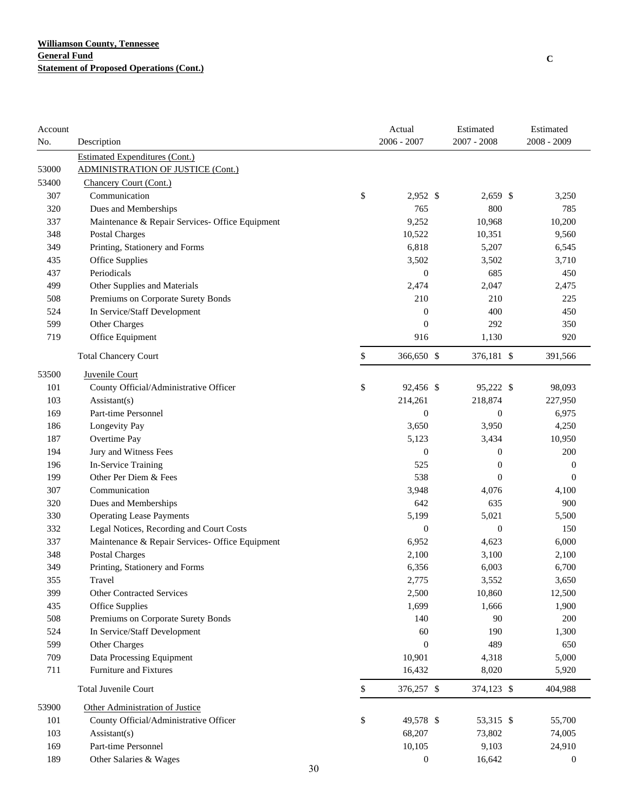| Account |                                                 |    | Actual           | Estimated        | Estimated        |
|---------|-------------------------------------------------|----|------------------|------------------|------------------|
| No.     | Description                                     |    | 2006 - 2007      | $2007 - 2008$    | $2008 - 2009$    |
|         | <b>Estimated Expenditures (Cont.)</b>           |    |                  |                  |                  |
| 53000   | <b>ADMINISTRATION OF JUSTICE (Cont.)</b>        |    |                  |                  |                  |
| 53400   | Chancery Court (Cont.)                          |    |                  |                  |                  |
| 307     | Communication                                   | \$ | 2,952 \$         | 2,659 \$         | 3,250            |
| 320     | Dues and Memberships                            |    | 765              | 800              | 785              |
| 337     | Maintenance & Repair Services- Office Equipment |    | 9,252            | 10,968           | 10,200           |
| 348     | <b>Postal Charges</b>                           |    | 10,522           | 10,351           | 9,560            |
| 349     | Printing, Stationery and Forms                  |    | 6,818            | 5,207            | 6,545            |
| 435     | Office Supplies                                 |    | 3,502            | 3,502            | 3,710            |
| 437     | Periodicals                                     |    | $\boldsymbol{0}$ | 685              | 450              |
| 499     | Other Supplies and Materials                    |    | 2,474            | 2,047            | 2,475            |
| 508     | Premiums on Corporate Surety Bonds              |    | 210              | 210              | 225              |
| 524     | In Service/Staff Development                    |    | $\boldsymbol{0}$ | 400              | 450              |
| 599     | Other Charges                                   |    | $\overline{0}$   | 292              | 350              |
| 719     | Office Equipment                                |    | 916              | 1,130            | 920              |
|         | <b>Total Chancery Court</b>                     | \$ | 366,650 \$       | 376,181 \$       | 391,566          |
| 53500   | Juvenile Court                                  |    |                  |                  |                  |
| 101     | County Official/Administrative Officer          | \$ | 92,456 \$        | 95,222 \$        | 98,093           |
| 103     | $\text{Assistant}(s)$                           |    | 214,261          | 218,874          | 227,950          |
| 169     | Part-time Personnel                             |    | $\overline{0}$   | $\boldsymbol{0}$ | 6,975            |
| 186     | Longevity Pay                                   |    | 3,650            | 3,950            | 4,250            |
| 187     | Overtime Pay                                    |    | 5,123            | 3,434            | 10,950           |
| 194     | Jury and Witness Fees                           |    | $\overline{0}$   | $\boldsymbol{0}$ | 200              |
| 196     | In-Service Training                             |    | 525              | $\boldsymbol{0}$ | $\boldsymbol{0}$ |
| 199     | Other Per Diem & Fees                           |    | 538              | $\boldsymbol{0}$ | $\mathbf{0}$     |
| 307     | Communication                                   |    | 3,948            | 4,076            | 4,100            |
| 320     | Dues and Memberships                            |    | 642              | 635              | 900              |
| 330     | <b>Operating Lease Payments</b>                 |    | 5,199            | 5,021            | 5,500            |
| 332     | Legal Notices, Recording and Court Costs        |    | $\boldsymbol{0}$ | $\boldsymbol{0}$ | 150              |
| 337     | Maintenance & Repair Services- Office Equipment |    | 6,952            | 4,623            | 6,000            |
| 348     | <b>Postal Charges</b>                           |    | 2,100            | 3,100            | 2,100            |
| 349     | Printing, Stationery and Forms                  |    | 6,356            | 6,003            | 6,700            |
| 355     | Travel                                          |    | 2,775            | 3,552            | 3,650            |
| 399     | <b>Other Contracted Services</b>                |    | 2,500            | 10,860           | 12,500           |
| 435     | Office Supplies                                 |    | 1,699            | 1,666            | 1,900            |
| 508     | Premiums on Corporate Surety Bonds              |    | 140              | 90               | 200              |
| 524     | In Service/Staff Development                    |    | 60               | 190              | 1,300            |
| 599     | Other Charges                                   |    | $\boldsymbol{0}$ | 489              | 650              |
| 709     | Data Processing Equipment                       |    | 10,901           | 4,318            | 5,000            |
| 711     | Furniture and Fixtures                          |    | 16,432           | 8,020            | 5,920            |
|         | Total Juvenile Court                            | \$ | 376,257 \$       | 374,123 \$       | 404,988          |
| 53900   | Other Administration of Justice                 |    |                  |                  |                  |
| 101     | County Official/Administrative Officer          | \$ | 49,578 \$        | 53,315 \$        | 55,700           |
| 103     | Assistant(s)                                    |    | 68,207           | 73,802           | 74,005           |
| 169     | Part-time Personnel                             |    | 10,105           | 9,103            | 24,910           |
| 189     | Other Salaries & Wages                          |    | $\boldsymbol{0}$ | 16,642           | $\boldsymbol{0}$ |
|         |                                                 | 30 |                  |                  |                  |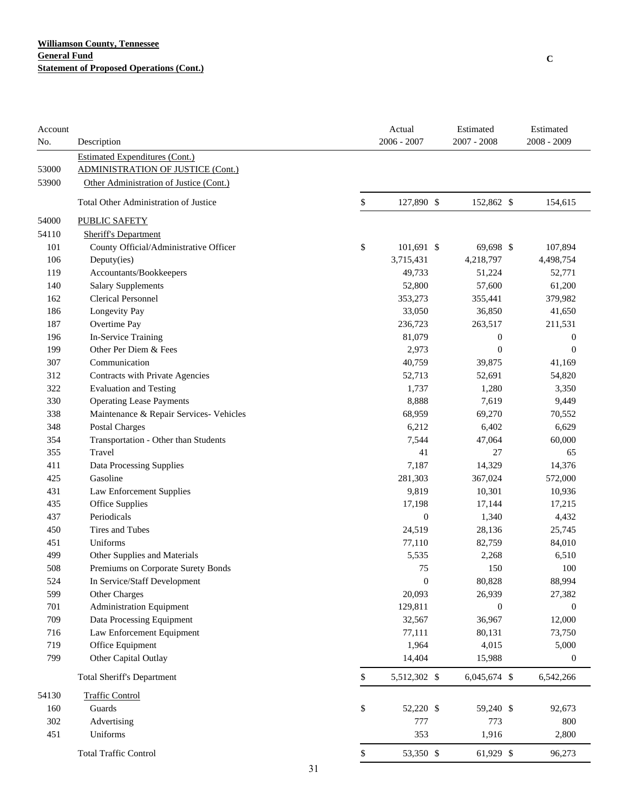| Account<br>No. | Description                              |    | Actual<br>$2006 - 2007$ | Estimated<br>$2007 - 2008$ | Estimated<br>2008 - 2009 |
|----------------|------------------------------------------|----|-------------------------|----------------------------|--------------------------|
|                | <b>Estimated Expenditures (Cont.)</b>    |    |                         |                            |                          |
| 53000          | <b>ADMINISTRATION OF JUSTICE (Cont.)</b> |    |                         |                            |                          |
| 53900          | Other Administration of Justice (Cont.)  |    |                         |                            |                          |
|                | Total Other Administration of Justice    | \$ | 127,890 \$              | 152,862 \$                 | 154,615                  |
| 54000          | <b>PUBLIC SAFETY</b>                     |    |                         |                            |                          |
| 54110          | <b>Sheriff's Department</b>              |    |                         |                            |                          |
| 101            | County Official/Administrative Officer   | \$ | 101,691 \$              | 69,698 \$                  | 107,894                  |
| 106            | Deputy(ies)                              |    | 3,715,431               | 4,218,797                  | 4,498,754                |
| 119            | Accountants/Bookkeepers                  |    | 49,733                  | 51,224                     | 52,771                   |
| 140            | <b>Salary Supplements</b>                |    | 52,800                  | 57,600                     | 61,200                   |
| 162            | <b>Clerical Personnel</b>                |    | 353,273                 | 355,441                    | 379,982                  |
| 186            | Longevity Pay                            |    | 33,050                  | 36,850                     | 41,650                   |
| 187            | Overtime Pay                             |    | 236,723                 | 263,517                    | 211,531                  |
| 196            | In-Service Training                      |    | 81,079                  | $\boldsymbol{0}$           | $\boldsymbol{0}$         |
| 199            | Other Per Diem & Fees                    |    | 2,973                   | $\boldsymbol{0}$           | $\boldsymbol{0}$         |
| 307            | Communication                            |    | 40,759                  | 39,875                     | 41,169                   |
| 312            | Contracts with Private Agencies          |    | 52,713                  | 52,691                     | 54,820                   |
| 322            | <b>Evaluation and Testing</b>            |    | 1,737                   | 1,280                      | 3,350                    |
| 330            | <b>Operating Lease Payments</b>          |    | 8,888                   | 7,619                      | 9,449                    |
| 338            | Maintenance & Repair Services- Vehicles  |    | 68,959                  | 69,270                     | 70,552                   |
| 348            | <b>Postal Charges</b>                    |    | 6,212                   | 6,402                      | 6,629                    |
| 354            | Transportation - Other than Students     |    | 7,544                   | 47,064                     | 60,000                   |
| 355            | Travel                                   |    | 41                      | 27                         | 65                       |
| 411            | Data Processing Supplies                 |    | 7,187                   | 14,329                     | 14,376                   |
| 425            | Gasoline                                 |    | 281,303                 | 367,024                    | 572,000                  |
| 431            | <b>Law Enforcement Supplies</b>          |    | 9,819                   | 10,301                     | 10,936                   |
| 435            | Office Supplies                          |    | 17,198                  | 17,144                     | 17,215                   |
| 437            | Periodicals                              |    | $\boldsymbol{0}$        | 1,340                      | 4,432                    |
| 450            | Tires and Tubes                          |    | 24,519                  | 28,136                     | 25,745                   |
| 451            | Uniforms                                 |    | 77,110                  | 82,759                     | 84,010                   |
| 499            | Other Supplies and Materials             |    | 5,535                   | 2,268                      | 6,510                    |
| 508            | Premiums on Corporate Surety Bonds       |    | 75                      | 150                        | 100                      |
| 524            | In Service/Staff Development             |    | $\Omega$                | 80,828                     | 88,994                   |
| 599            | Other Charges                            |    | 20,093                  | 26,939                     | 27,382                   |
| 701            | <b>Administration Equipment</b>          |    | 129,811                 | $\boldsymbol{0}$           | $\boldsymbol{0}$         |
| 709            | Data Processing Equipment                |    | 32,567                  | 36,967                     | 12,000                   |
| 716            | Law Enforcement Equipment                |    | 77,111                  | 80,131                     | 73,750                   |
| 719            | Office Equipment                         |    | 1,964                   | 4,015                      | 5,000                    |
| 799            | Other Capital Outlay                     |    | 14,404                  | 15,988                     | $\boldsymbol{0}$         |
|                | <b>Total Sheriff's Department</b>        | \$ | 5,512,302 \$            | 6,045,674 \$               | 6,542,266                |
| 54130          | <b>Traffic Control</b>                   |    |                         |                            |                          |
| 160            | Guards                                   | \$ | 52,220 \$               | 59,240 \$                  | 92,673                   |
| 302            | Advertising                              |    | 777                     | 773                        | 800                      |
| 451            | Uniforms                                 |    | 353                     | 1,916                      | 2,800                    |
|                | <b>Total Traffic Control</b>             | \$ | 53,350 \$               | 61,929 \$                  | 96,273                   |
|                |                                          | 31 |                         |                            |                          |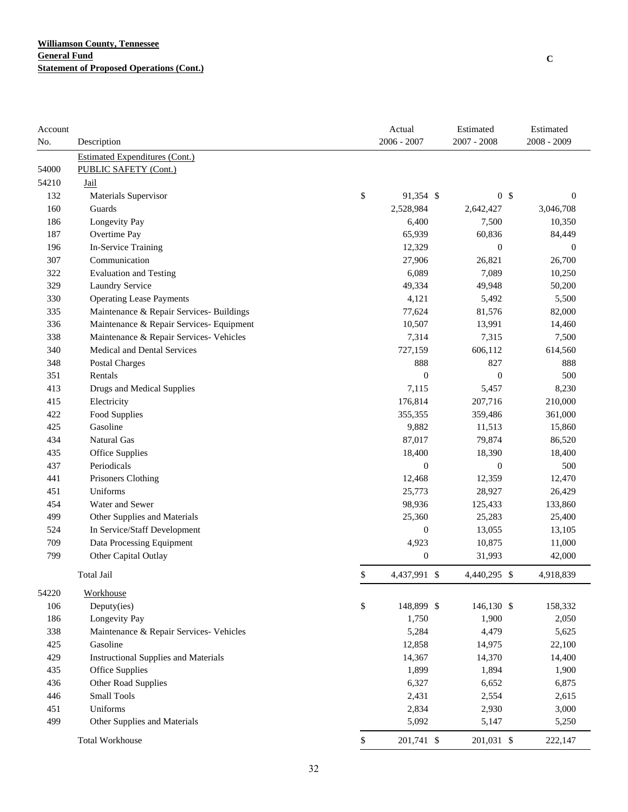| Account |                                             | Actual             | Estimated    |                  | Estimated        |
|---------|---------------------------------------------|--------------------|--------------|------------------|------------------|
| No.     | Description                                 | $2006 - 2007$      | 2007 - 2008  |                  | 2008 - 2009      |
|         | <b>Estimated Expenditures (Cont.)</b>       |                    |              |                  |                  |
| 54000   | <b>PUBLIC SAFETY (Cont.)</b>                |                    |              |                  |                  |
| 54210   | Jail                                        |                    |              |                  |                  |
| 132     | Materials Supervisor                        | \$<br>91,354 \$    |              | 0 <sup>5</sup>   | $\boldsymbol{0}$ |
| 160     | Guards                                      | 2,528,984          | 2,642,427    |                  | 3,046,708        |
| 186     | Longevity Pay                               | 6,400              | 7,500        |                  | 10,350           |
| 187     | Overtime Pay                                | 65,939             | 60,836       |                  | 84,449           |
| 196     | In-Service Training                         | 12,329             |              | $\boldsymbol{0}$ | $\boldsymbol{0}$ |
| 307     | Communication                               | 27,906             | 26,821       |                  | 26,700           |
| 322     | <b>Evaluation and Testing</b>               | 6,089              | 7,089        |                  | 10,250           |
| 329     | <b>Laundry Service</b>                      | 49,334             | 49,948       |                  | 50,200           |
| 330     | <b>Operating Lease Payments</b>             | 4,121              | 5,492        |                  | 5,500            |
| 335     | Maintenance & Repair Services- Buildings    | 77,624             | 81,576       |                  | 82,000           |
| 336     | Maintenance & Repair Services- Equipment    | 10,507             | 13,991       |                  | 14,460           |
| 338     | Maintenance & Repair Services- Vehicles     | 7,314              | 7,315        |                  | 7,500            |
| 340     | Medical and Dental Services                 | 727,159            | 606,112      |                  | 614,560          |
| 348     | Postal Charges                              | 888                | 827          |                  | 888              |
| 351     | Rentals                                     | $\boldsymbol{0}$   |              | $\boldsymbol{0}$ | 500              |
| 413     | Drugs and Medical Supplies                  | 7,115              | 5,457        |                  | 8,230            |
| 415     | Electricity                                 | 176,814            | 207,716      |                  | 210,000          |
| 422     | <b>Food Supplies</b>                        | 355,355            | 359,486      |                  | 361,000          |
| 425     | Gasoline                                    | 9,882              | 11,513       |                  | 15,860           |
| 434     | Natural Gas                                 | 87,017             | 79,874       |                  | 86,520           |
| 435     | <b>Office Supplies</b>                      | 18,400             | 18,390       |                  | 18,400           |
| 437     | Periodicals                                 | $\boldsymbol{0}$   |              | $\boldsymbol{0}$ | 500              |
| 441     | Prisoners Clothing                          | 12,468             | 12,359       |                  | 12,470           |
| 451     | Uniforms                                    | 25,773             | 28,927       |                  | 26,429           |
| 454     | Water and Sewer                             | 98,936             | 125,433      |                  | 133,860          |
| 499     | Other Supplies and Materials                | 25,360             | 25,283       |                  | 25,400           |
| 524     | In Service/Staff Development                | $\boldsymbol{0}$   | 13,055       |                  | 13,105           |
| 709     | Data Processing Equipment                   | 4,923              | 10,875       |                  | 11,000           |
| 799     | Other Capital Outlay                        | $\boldsymbol{0}$   | 31,993       |                  | 42,000           |
|         | Total Jail                                  | \$<br>4,437,991 \$ | 4,440,295 \$ |                  | 4,918,839        |
| 54220   | Workhouse                                   |                    |              |                  |                  |
| 106     | Deputy(ies)                                 | \$<br>148,899 \$   | 146,130 \$   |                  | 158,332          |
| 186     | Longevity Pay                               | 1,750              | 1,900        |                  | 2,050            |
| 338     | Maintenance & Repair Services- Vehicles     | 5,284              | 4,479        |                  | 5,625            |
| 425     | Gasoline                                    | 12,858             | 14,975       |                  | 22,100           |
| 429     | <b>Instructional Supplies and Materials</b> | 14,367             | 14,370       |                  | 14,400           |
| 435     | <b>Office Supplies</b>                      | 1,899              | 1,894        |                  | 1,900            |
| 436     | Other Road Supplies                         | 6,327              | 6,652        |                  | 6,875            |
| 446     | Small Tools                                 | 2,431              | 2,554        |                  | 2,615            |
| 451     | Uniforms                                    | 2,834              | 2,930        |                  | 3,000            |
| 499     | Other Supplies and Materials                | 5,092              | 5,147        |                  | 5,250            |
|         | <b>Total Workhouse</b>                      | \$<br>201,741 \$   | 201,031 \$   |                  | 222,147          |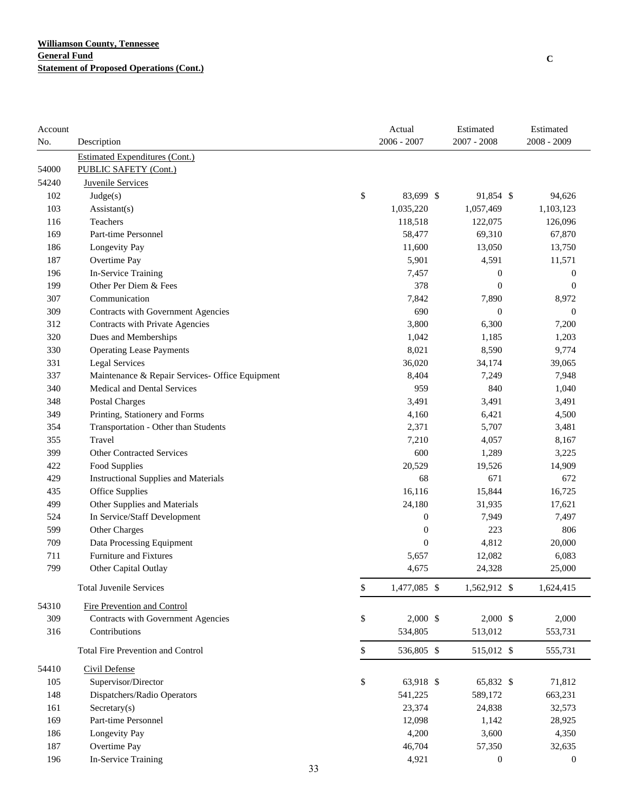| Account |                                                 |    | Actual             | Estimated        | Estimated        |
|---------|-------------------------------------------------|----|--------------------|------------------|------------------|
| No.     | Description                                     |    | $2006 - 2007$      | $2007 - 2008$    | 2008 - 2009      |
|         | <b>Estimated Expenditures (Cont.)</b>           |    |                    |                  |                  |
| 54000   | PUBLIC SAFETY (Cont.)                           |    |                    |                  |                  |
| 54240   | <b>Juvenile Services</b>                        |    |                    |                  |                  |
| 102     | Judge(s)                                        |    | \$<br>83,699 \$    | 91,854 \$        | 94,626           |
| 103     | Assistant(s)                                    |    | 1,035,220          | 1,057,469        | 1,103,123        |
| 116     | Teachers                                        |    | 118,518            | 122,075          | 126,096          |
| 169     | Part-time Personnel                             |    | 58,477             | 69,310           | 67,870           |
| 186     | Longevity Pay                                   |    | 11,600             | 13,050           | 13,750           |
| 187     | Overtime Pay                                    |    | 5,901              | 4,591            | 11,571           |
| 196     | In-Service Training                             |    | 7,457              | 0                | $\boldsymbol{0}$ |
| 199     | Other Per Diem & Fees                           |    | 378                | $\mathbf{0}$     | $\boldsymbol{0}$ |
| 307     | Communication                                   |    | 7,842              | 7,890            | 8,972            |
| 309     | Contracts with Government Agencies              |    | 690                | $\boldsymbol{0}$ | $\boldsymbol{0}$ |
| 312     | Contracts with Private Agencies                 |    | 3,800              | 6,300            | 7,200            |
| 320     | Dues and Memberships                            |    | 1,042              | 1,185            | 1,203            |
| 330     | <b>Operating Lease Payments</b>                 |    | 8,021              | 8,590            | 9,774            |
| 331     | <b>Legal Services</b>                           |    | 36,020             | 34,174           | 39,065           |
| 337     | Maintenance & Repair Services- Office Equipment |    | 8,404              | 7,249            | 7,948            |
| 340     | Medical and Dental Services                     |    | 959                | 840              | 1,040            |
| 348     | <b>Postal Charges</b>                           |    | 3,491              | 3,491            | 3,491            |
| 349     | Printing, Stationery and Forms                  |    | 4,160              | 6,421            | 4,500            |
| 354     | Transportation - Other than Students            |    | 2,371              | 5,707            | 3,481            |
| 355     | Travel                                          |    | 7,210              | 4,057            | 8,167            |
| 399     | <b>Other Contracted Services</b>                |    | 600                | 1,289            | 3,225            |
| 422     | Food Supplies                                   |    | 20,529             | 19,526           | 14,909           |
| 429     | <b>Instructional Supplies and Materials</b>     |    | 68                 | 671              | 672              |
| 435     | Office Supplies                                 |    | 16,116             | 15,844           | 16,725           |
| 499     | Other Supplies and Materials                    |    | 24,180             | 31,935           | 17,621           |
| 524     | In Service/Staff Development                    |    | $\boldsymbol{0}$   | 7,949            | 7,497            |
| 599     | Other Charges                                   |    | $\boldsymbol{0}$   | 223              | 806              |
| 709     | Data Processing Equipment                       |    | $\boldsymbol{0}$   | 4,812            | 20,000           |
| 711     | Furniture and Fixtures                          |    | 5,657              | 12,082           | 6,083            |
| 799     | Other Capital Outlay                            |    | 4,675              | 24,328           | 25,000           |
|         | <b>Total Juvenile Services</b>                  |    | \$<br>1,477,085 \$ | 1,562,912 \$     | 1,624,415        |
| 54310   | Fire Prevention and Control                     |    |                    |                  |                  |
| 309     | Contracts with Government Agencies              |    | \$<br>$2,000$ \$   | $2,000$ \$       | 2,000            |
| 316     | Contributions                                   |    | 534,805            | 513,012          | 553,731          |
|         | <b>Total Fire Prevention and Control</b>        |    | \$<br>536,805 \$   | 515,012 \$       | 555,731          |
| 54410   | Civil Defense                                   |    |                    |                  |                  |
| 105     | Supervisor/Director                             |    | \$<br>63,918 \$    | 65,832 \$        | 71,812           |
| 148     | Dispatchers/Radio Operators                     |    | 541,225            | 589,172          | 663,231          |
| 161     | $S \text{eccetary}(s)$                          |    | 23,374             | 24,838           | 32,573           |
| 169     | Part-time Personnel                             |    | 12,098             | 1,142            | 28,925           |
| 186     | Longevity Pay                                   |    | 4,200              | 3,600            | 4,350            |
| 187     | Overtime Pay                                    |    | 46,704             | 57,350           | 32,635           |
| 196     | In-Service Training                             |    | 4,921              | 0                | $\boldsymbol{0}$ |
|         |                                                 | 33 |                    |                  |                  |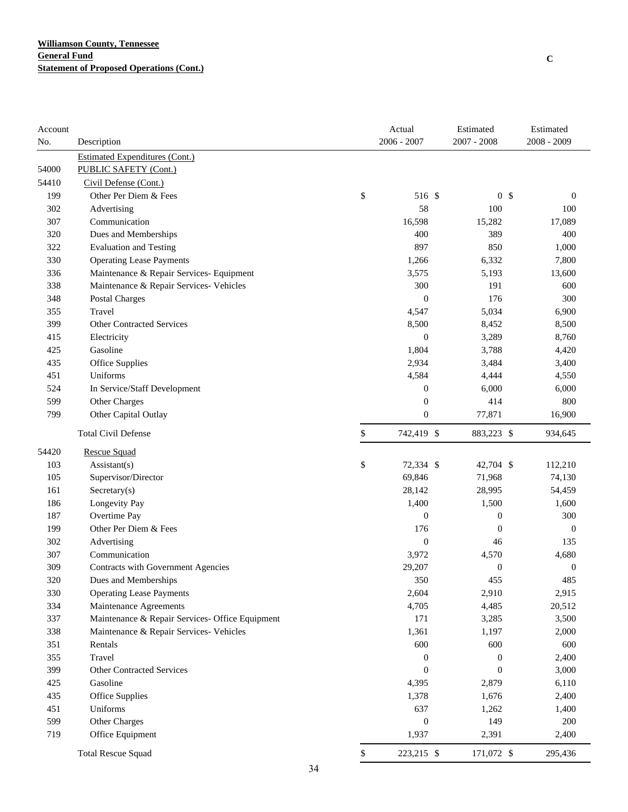| Account |                                                 | Actual           | Estimated        | Estimated        |
|---------|-------------------------------------------------|------------------|------------------|------------------|
| No.     | Description                                     | $2006 - 2007$    | $2007 - 2008$    | 2008 - 2009      |
|         | <b>Estimated Expenditures (Cont.)</b>           |                  |                  |                  |
| 54000   | PUBLIC SAFETY (Cont.)                           |                  |                  |                  |
| 54410   | Civil Defense (Cont.)                           |                  |                  |                  |
| 199     | Other Per Diem & Fees                           | \$<br>516 \$     | 0 <sup>5</sup>   | $\mathbf{0}$     |
| 302     | Advertising                                     | 58               | 100              | 100              |
| 307     | Communication                                   | 16,598           | 15,282           | 17,089           |
| 320     | Dues and Memberships                            | 400              | 389              | 400              |
| 322     | <b>Evaluation and Testing</b>                   | 897              | 850              | 1,000            |
| 330     | <b>Operating Lease Payments</b>                 | 1,266            | 6,332            | 7,800            |
| 336     | Maintenance & Repair Services- Equipment        | 3,575            | 5,193            | 13,600           |
| 338     | Maintenance & Repair Services- Vehicles         | 300              | 191              | 600              |
| 348     | <b>Postal Charges</b>                           | $\boldsymbol{0}$ | 176              | 300              |
| 355     | Travel                                          | 4,547            | 5,034            | 6,900            |
| 399     | <b>Other Contracted Services</b>                | 8,500            | 8,452            | 8,500            |
| 415     | Electricity                                     | $\boldsymbol{0}$ | 3,289            | 8,760            |
| 425     | Gasoline                                        | 1,804            | 3,788            | 4,420            |
| 435     | Office Supplies                                 | 2,934            | 3,484            | 3,400            |
| 451     | Uniforms                                        | 4,584            | 4,444            | 4,550            |
| 524     | In Service/Staff Development                    | $\boldsymbol{0}$ | 6,000            | 6,000            |
| 599     | Other Charges                                   | $\boldsymbol{0}$ | 414              | 800              |
| 799     | Other Capital Outlay                            | $\boldsymbol{0}$ | 77,871           | 16,900           |
|         | <b>Total Civil Defense</b>                      | \$<br>742,419 \$ | 883,223 \$       | 934,645          |
| 54420   | <b>Rescue Squad</b>                             |                  |                  |                  |
| 103     | $\text{Assistant}(s)$                           | \$<br>72,334 \$  | 42,704 \$        | 112,210          |
| 105     | Supervisor/Director                             | 69,846           | 71,968           | 74,130           |
| 161     | Sercetary(s)                                    | 28,142           | 28,995           | 54,459           |
| 186     | Longevity Pay                                   | 1,400            | 1,500            | 1,600            |
| 187     | Overtime Pay                                    | $\boldsymbol{0}$ | $\boldsymbol{0}$ | 300              |
| 199     | Other Per Diem & Fees                           | 176              | $\boldsymbol{0}$ | $\boldsymbol{0}$ |
| 302     | Advertising                                     | $\boldsymbol{0}$ | 46               | 135              |
| 307     | Communication                                   | 3,972            | 4,570            | 4,680            |
| 309     | Contracts with Government Agencies              | 29,207           | $\boldsymbol{0}$ | $\boldsymbol{0}$ |
| 320     | Dues and Memberships                            | 350              | 455              | 485              |
| 330     | <b>Operating Lease Payments</b>                 | 2,604            | 2,910            | 2,915            |
| 334     | Maintenance Agreements                          | 4,705            | 4,485            | 20,512           |
| 337     | Maintenance & Repair Services- Office Equipment | 171              | 3,285            | 3,500            |
| 338     | Maintenance & Repair Services- Vehicles         | 1,361            | 1,197            | 2,000            |
| 351     | Rentals                                         | 600              | 600              | 600              |
| 355     | Travel                                          | $\boldsymbol{0}$ | $\boldsymbol{0}$ | 2,400            |
| 399     | <b>Other Contracted Services</b>                | $\boldsymbol{0}$ | $\boldsymbol{0}$ | 3,000            |
| 425     | Gasoline                                        | 4,395            | 2,879            | 6,110            |
| 435     | <b>Office Supplies</b>                          | 1,378            | 1,676            | 2,400            |
| 451     | Uniforms                                        | 637              | 1,262            | 1,400            |
| 599     | Other Charges                                   | $\boldsymbol{0}$ | 149              | 200              |
| 719     | Office Equipment                                | 1,937            | 2,391            | 2,400            |
|         | <b>Total Rescue Squad</b>                       | \$<br>223,215 \$ | 171,072 \$       | 295,436          |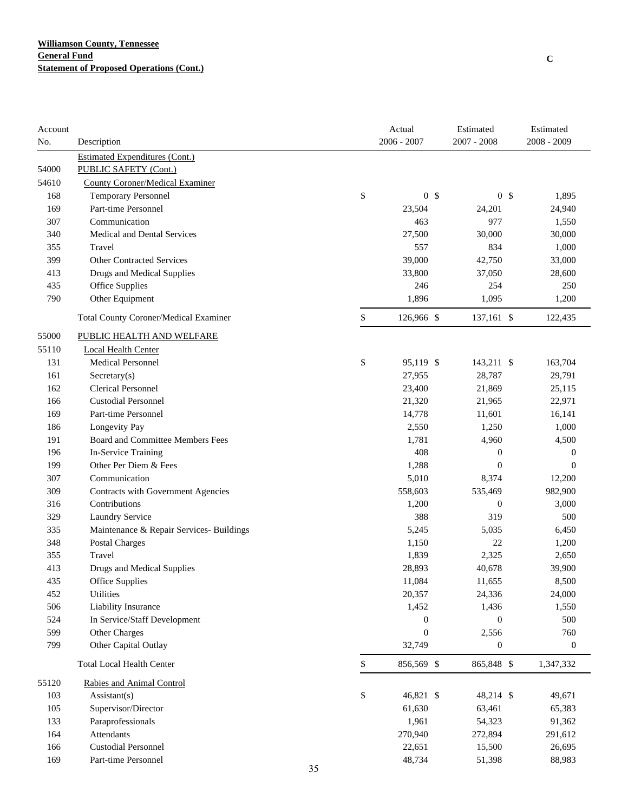| Account |                                              |    |              | Actual           | Estimated        | Estimated        |
|---------|----------------------------------------------|----|--------------|------------------|------------------|------------------|
| No.     | Description                                  |    |              | $2006 - 2007$    | 2007 - 2008      | 2008 - 2009      |
|         | <b>Estimated Expenditures (Cont.)</b>        |    |              |                  |                  |                  |
| 54000   | PUBLIC SAFETY (Cont.)                        |    |              |                  |                  |                  |
| 54610   | <b>County Coroner/Medical Examiner</b>       |    |              |                  |                  |                  |
| 168     | <b>Temporary Personnel</b>                   |    | \$           | 0 <sup>5</sup>   | 0 <sup>5</sup>   | 1,895            |
| 169     | Part-time Personnel                          |    |              | 23,504           | 24,201           | 24,940           |
| 307     | Communication                                |    |              | 463              | 977              | 1,550            |
| 340     | Medical and Dental Services                  |    |              | 27,500           | 30,000           | 30,000           |
| 355     | Travel                                       |    |              | 557              | 834              | 1,000            |
| 399     | <b>Other Contracted Services</b>             |    |              | 39,000           | 42,750           | 33,000           |
| 413     | Drugs and Medical Supplies                   |    |              | 33,800           | 37,050           | 28,600           |
| 435     | <b>Office Supplies</b>                       |    |              | 246              | 254              | 250              |
| 790     | Other Equipment                              |    |              | 1,896            | 1,095            | 1,200            |
|         | <b>Total County Coroner/Medical Examiner</b> |    | \$           | 126,966 \$       | 137,161 \$       | 122,435          |
| 55000   | PUBLIC HEALTH AND WELFARE                    |    |              |                  |                  |                  |
| 55110   | Local Health Center                          |    |              |                  |                  |                  |
| 131     | Medical Personnel                            |    | \$           | 95,119 \$        | 143,211 \$       | 163,704          |
| 161     | Sercetary(s)                                 |    |              | 27,955           | 28,787           | 29,791           |
| 162     | <b>Clerical Personnel</b>                    |    |              | 23,400           | 21,869           | 25,115           |
| 166     | <b>Custodial Personnel</b>                   |    |              | 21,320           | 21,965           | 22,971           |
| 169     | Part-time Personnel                          |    |              | 14,778           | 11,601           | 16,141           |
| 186     | Longevity Pay                                |    |              | 2,550            | 1,250            | 1,000            |
| 191     | Board and Committee Members Fees             |    |              | 1,781            | 4,960            | 4,500            |
| 196     | In-Service Training                          |    |              | 408              | $\boldsymbol{0}$ | 0                |
| 199     | Other Per Diem & Fees                        |    |              | 1,288            | $\boldsymbol{0}$ | $\theta$         |
| 307     | Communication                                |    |              | 5,010            | 8,374            | 12,200           |
| 309     | Contracts with Government Agencies           |    |              | 558,603          | 535,469          | 982,900          |
| 316     | Contributions                                |    |              | 1,200            | $\boldsymbol{0}$ | 3,000            |
| 329     | Laundry Service                              |    |              | 388              | 319              | 500              |
| 335     | Maintenance & Repair Services- Buildings     |    |              | 5,245            | 5,035            | 6,450            |
| 348     | Postal Charges                               |    |              | 1,150            | 22               | 1,200            |
| 355     | Travel                                       |    |              | 1,839            | 2,325            | 2,650            |
| 413     | Drugs and Medical Supplies                   |    |              | 28,893           | 40,678           | 39,900           |
| 435     | Office Supplies                              |    |              | 11,084           | 11,655           | 8,500            |
| 452     | Utilities                                    |    |              | 20,357           | 24,336           | 24,000           |
| 506     | Liability Insurance                          |    |              | 1,452            | 1,436            | 1,550            |
| 524     | In Service/Staff Development                 |    |              | $\boldsymbol{0}$ | $\boldsymbol{0}$ | 500              |
| 599     | Other Charges                                |    |              | $\boldsymbol{0}$ | 2,556            | 760              |
| 799     | Other Capital Outlay                         |    |              | 32,749           | $\boldsymbol{0}$ | $\boldsymbol{0}$ |
|         | <b>Total Local Health Center</b>             |    | $\mathbb{S}$ | 856,569 \$       | 865,848 \$       | 1,347,332        |
| 55120   | Rabies and Animal Control                    |    |              |                  |                  |                  |
| 103     | Assistant(s)                                 |    | \$           | 46,821 \$        | 48,214 \$        | 49,671           |
| 105     | Supervisor/Director                          |    |              | 61,630           | 63,461           | 65,383           |
| 133     | Paraprofessionals                            |    |              | 1,961            | 54,323           | 91,362           |
| 164     | Attendants                                   |    |              | 270,940          | 272,894          | 291,612          |
| 166     | <b>Custodial Personnel</b>                   |    |              | 22,651           | 15,500           | 26,695           |
| 169     | Part-time Personnel                          |    |              | 48,734           | 51,398           | 88,983           |
|         |                                              | 35 |              |                  |                  |                  |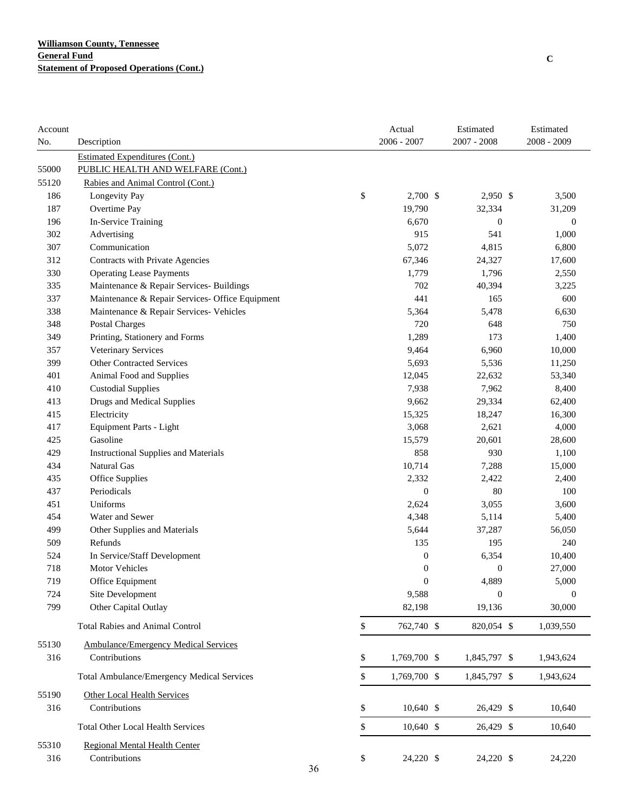| Account |                                                 |    | Actual           | Estimated        | Estimated        |
|---------|-------------------------------------------------|----|------------------|------------------|------------------|
| No.     | Description                                     |    | $2006 - 2007$    | $2007 - 2008$    | $2008 - 2009$    |
|         | <b>Estimated Expenditures (Cont.)</b>           |    |                  |                  |                  |
| 55000   | PUBLIC HEALTH AND WELFARE (Cont.)               |    |                  |                  |                  |
| 55120   | Rabies and Animal Control (Cont.)               |    |                  |                  |                  |
| 186     | Longevity Pay                                   | \$ | 2,700 \$         | 2,950 \$         | 3,500            |
| 187     | Overtime Pay                                    |    | 19,790           | 32,334           | 31,209           |
| 196     | In-Service Training                             |    | 6,670            | $\boldsymbol{0}$ | $\boldsymbol{0}$ |
| 302     | Advertising                                     |    | 915              | 541              | 1,000            |
| 307     | Communication                                   |    | 5,072            | 4,815            | 6,800            |
| 312     | Contracts with Private Agencies                 |    | 67,346           | 24,327           | 17,600           |
| 330     | <b>Operating Lease Payments</b>                 |    | 1,779            | 1,796            | 2,550            |
| 335     | Maintenance & Repair Services- Buildings        |    | 702              | 40,394           | 3,225            |
| 337     | Maintenance & Repair Services- Office Equipment |    | 441              | 165              | 600              |
| 338     | Maintenance & Repair Services- Vehicles         |    | 5,364            | 5,478            | 6,630            |
| 348     | <b>Postal Charges</b>                           |    | 720              | 648              | 750              |
| 349     | Printing, Stationery and Forms                  |    | 1,289            | 173              | 1,400            |
| 357     | Veterinary Services                             |    | 9,464            | 6,960            | 10,000           |
| 399     | <b>Other Contracted Services</b>                |    | 5,693            | 5,536            | 11,250           |
| 401     | Animal Food and Supplies                        |    | 12,045           | 22,632           | 53,340           |
| 410     | <b>Custodial Supplies</b>                       |    | 7,938            | 7,962            | 8,400            |
| 413     | <b>Drugs and Medical Supplies</b>               |    | 9,662            | 29,334           | 62,400           |
| 415     | Electricity                                     |    | 15,325           | 18,247           | 16,300           |
| 417     | Equipment Parts - Light                         |    | 3,068            | 2,621            | 4,000            |
| 425     | Gasoline                                        |    | 15,579           | 20,601           | 28,600           |
| 429     | <b>Instructional Supplies and Materials</b>     |    | 858              | 930              | 1,100            |
| 434     | <b>Natural Gas</b>                              |    | 10,714           | 7,288            | 15,000           |
| 435     | Office Supplies                                 |    | 2,332            | 2,422            | 2,400            |
| 437     | Periodicals                                     |    | $\boldsymbol{0}$ | 80               | 100              |
| 451     | Uniforms                                        |    | 2,624            | 3,055            | 3,600            |
| 454     | Water and Sewer                                 |    | 4,348            | 5,114            | 5,400            |
| 499     | Other Supplies and Materials                    |    | 5,644            | 37,287           | 56,050           |
| 509     | Refunds                                         |    | 135              | 195              | 240              |
| 524     | In Service/Staff Development                    |    | $\boldsymbol{0}$ | 6,354            | 10,400           |
| 718     | <b>Motor Vehicles</b>                           |    | $\boldsymbol{0}$ | $\boldsymbol{0}$ | 27,000           |
| 719     | Office Equipment                                |    | $\mathbf{0}$     | 4,889            | 5,000            |
| 724     | Site Development                                |    | 9,588            | $\boldsymbol{0}$ | $\mathbf{0}$     |
| 799     | Other Capital Outlay                            |    | 82,198           | 19,136           | 30,000           |
|         | <b>Total Rabies and Animal Control</b>          | \$ | 762,740 \$       | 820,054 \$       | 1,039,550        |
| 55130   | <b>Ambulance/Emergency Medical Services</b>     |    |                  |                  |                  |
| 316     | Contributions                                   | \$ | 1,769,700 \$     | 1,845,797 \$     | 1,943,624        |
|         | Total Ambulance/Emergency Medical Services      | \$ | 1,769,700 \$     | 1,845,797 \$     | 1,943,624        |
|         |                                                 |    |                  |                  |                  |
| 55190   | Other Local Health Services                     |    |                  |                  |                  |
| 316     | Contributions                                   | \$ | $10,640$ \$      | 26,429 \$        | 10,640           |
|         | <b>Total Other Local Health Services</b>        | \$ | $10,640$ \$      | 26,429 \$        | 10,640           |
| 55310   | <b>Regional Mental Health Center</b>            |    |                  |                  |                  |
| 316     | Contributions                                   | \$ | 24,220 \$        | 24,220 \$        | 24,220           |
|         |                                                 | 36 |                  |                  |                  |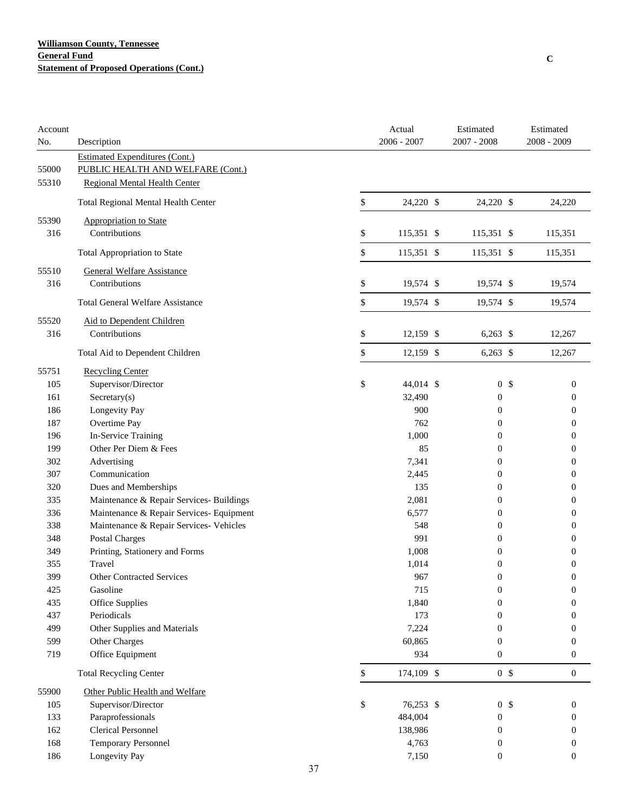## **Williamson County, Tennessee General Fund Statement of Proposed Operations (Cont.)**

| Account<br>No. | Description                                                                |               | Actual<br>$2006 - 2007$ | Estimated<br>2007 - 2008 |                | Estimated<br>2008 - 2009 |
|----------------|----------------------------------------------------------------------------|---------------|-------------------------|--------------------------|----------------|--------------------------|
| 55000          | <b>Estimated Expenditures (Cont.)</b><br>PUBLIC HEALTH AND WELFARE (Cont.) |               |                         |                          |                |                          |
| 55310          | <b>Regional Mental Health Center</b>                                       |               |                         |                          |                |                          |
|                | Total Regional Mental Health Center                                        | \$            | 24,220 \$               | 24,220 \$                |                | 24,220                   |
| 55390          | Appropriation to State                                                     |               |                         |                          |                |                          |
| 316            | Contributions                                                              | \$            | 115,351 \$              | 115,351 \$               |                | 115,351                  |
|                | <b>Total Appropriation to State</b>                                        | \$            | 115,351 \$              | 115,351 \$               |                | 115,351                  |
| 55510          | <b>General Welfare Assistance</b>                                          |               |                         |                          |                |                          |
| 316            | Contributions                                                              | \$            | 19,574 \$               | 19,574 \$                |                | 19,574                   |
|                | <b>Total General Welfare Assistance</b>                                    | \$            | 19,574 \$               | 19,574 \$                |                | 19,574                   |
| 55520          | Aid to Dependent Children                                                  |               |                         |                          |                |                          |
| 316            | Contributions                                                              | \$            | $12,159$ \$             | $6,263$ \$               |                | 12,267                   |
|                | Total Aid to Dependent Children                                            | \$            | 12,159 \$               | $6,263$ \$               |                | 12,267                   |
| 55751          | <b>Recycling Center</b>                                                    |               |                         |                          |                |                          |
| 105            | Supervisor/Director                                                        | \$            | 44,014 \$               |                          | 0 <sup>5</sup> | $\boldsymbol{0}$         |
| 161            | Sercetary(s)                                                               |               | 32,490                  | 0                        |                | 0                        |
| 186            | Longevity Pay                                                              |               | 900                     | $\boldsymbol{0}$         |                | $\boldsymbol{0}$         |
| 187            | Overtime Pay                                                               |               | 762                     | $\boldsymbol{0}$         |                | $\boldsymbol{0}$         |
| 196            | In-Service Training                                                        |               | 1,000                   | $\boldsymbol{0}$         |                | 0                        |
| 199            | Other Per Diem & Fees                                                      |               | 85                      | 0                        |                | 0                        |
| 302            | Advertising                                                                |               | 7,341                   | 0                        |                | 0                        |
| 307            | Communication                                                              |               | 2,445                   | 0                        |                | 0                        |
| 320            | Dues and Memberships                                                       |               | 135                     | 0                        |                | 0                        |
| 335            | Maintenance & Repair Services- Buildings                                   |               | 2,081                   | 0                        |                | 0                        |
| 336            | Maintenance & Repair Services- Equipment                                   |               | 6,577                   | $\boldsymbol{0}$         |                | 0                        |
| 338            | Maintenance & Repair Services- Vehicles                                    |               | 548                     | 0                        |                | 0                        |
| 348            | Postal Charges                                                             |               | 991                     | $\boldsymbol{0}$         |                | 0                        |
| 349            | Printing, Stationery and Forms                                             |               | 1,008                   | $\boldsymbol{0}$         |                | $\boldsymbol{0}$         |
| 355            | Travel                                                                     |               | 1,014                   | $\boldsymbol{0}$         |                | 0                        |
| 399            | <b>Other Contracted Services</b>                                           |               | 967                     | $\boldsymbol{0}$         |                | $\boldsymbol{0}$         |
| 425            | Gasoline                                                                   |               | 715                     | $\boldsymbol{0}$         |                | $\boldsymbol{0}$         |
| 435            | <b>Office Supplies</b>                                                     |               | 1,840                   | 0                        |                | 0                        |
| 437            | Periodicals                                                                |               | 173                     | 0                        |                | 0                        |
| 499            | Other Supplies and Materials                                               |               | 7,224                   | 0                        |                | 0                        |
| 599            | Other Charges                                                              |               | 60,865                  | $\boldsymbol{0}$         |                | 0                        |
| 719            | Office Equipment                                                           |               | 934                     | $\boldsymbol{0}$         |                | $\boldsymbol{0}$         |
|                | <b>Total Recycling Center</b>                                              | $\mathsf{\$}$ | 174,109 \$              |                          | 0 <sup>5</sup> | $\boldsymbol{0}$         |
| 55900          | Other Public Health and Welfare                                            |               |                         |                          |                |                          |
| 105            | Supervisor/Director                                                        | \$            | 76,253 \$               |                          | 0 <sup>5</sup> | $\boldsymbol{0}$         |
| 133            | Paraprofessionals                                                          |               | 484,004                 | 0                        |                | $\boldsymbol{0}$         |
| 162            | <b>Clerical Personnel</b>                                                  |               | 138,986                 | $\boldsymbol{0}$         |                | $\boldsymbol{0}$         |
| 168            | Temporary Personnel                                                        |               | 4,763                   | $\boldsymbol{0}$         |                | $\boldsymbol{0}$         |
| 186            | Longevity Pay                                                              |               | 7,150                   | $\boldsymbol{0}$         |                | $\boldsymbol{0}$         |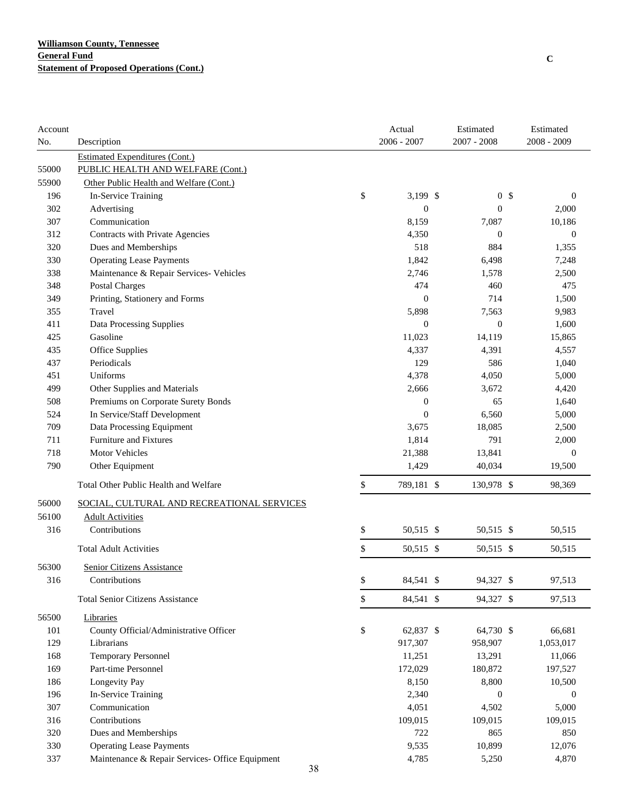| Account |                                                 | Actual           | Estimated        | Estimated        |
|---------|-------------------------------------------------|------------------|------------------|------------------|
| No.     | Description                                     | $2006 - 2007$    | 2007 - 2008      | 2008 - 2009      |
|         | Estimated Expenditures (Cont.)                  |                  |                  |                  |
| 55000   | PUBLIC HEALTH AND WELFARE (Cont.)               |                  |                  |                  |
| 55900   | Other Public Health and Welfare (Cont.)         |                  |                  |                  |
| 196     | In-Service Training                             | \$<br>$3,199$ \$ | 0 <sup>5</sup>   | $\mathbf{0}$     |
| 302     | Advertising                                     | $\boldsymbol{0}$ | $\boldsymbol{0}$ | 2,000            |
| 307     | Communication                                   | 8,159            | 7,087            | 10,186           |
| 312     | Contracts with Private Agencies                 | 4,350            | $\boldsymbol{0}$ | $\mathbf{0}$     |
| 320     | Dues and Memberships                            | 518              | 884              | 1,355            |
| 330     | <b>Operating Lease Payments</b>                 | 1,842            | 6,498            | 7,248            |
| 338     | Maintenance & Repair Services- Vehicles         | 2,746            | 1,578            | 2,500            |
| 348     | <b>Postal Charges</b>                           | 474              | 460              | 475              |
| 349     | Printing, Stationery and Forms                  | $\overline{0}$   | 714              | 1,500            |
| 355     | Travel                                          | 5,898            | 7,563            | 9,983            |
| 411     | Data Processing Supplies                        | $\boldsymbol{0}$ | $\boldsymbol{0}$ | 1,600            |
| 425     | Gasoline                                        | 11,023           | 14,119           | 15,865           |
| 435     | Office Supplies                                 | 4,337            | 4,391            | 4,557            |
| 437     | Periodicals                                     | 129              | 586              | 1,040            |
| 451     | Uniforms                                        | 4,378            | 4,050            | 5,000            |
| 499     | Other Supplies and Materials                    | 2,666            | 3,672            | 4,420            |
| 508     | Premiums on Corporate Surety Bonds              | $\boldsymbol{0}$ | 65               | 1,640            |
| 524     | In Service/Staff Development                    | $\boldsymbol{0}$ | 6,560            | 5,000            |
| 709     | Data Processing Equipment                       | 3,675            | 18,085           | 2,500            |
| 711     | <b>Furniture and Fixtures</b>                   | 1,814            | 791              | 2,000            |
| 718     | Motor Vehicles                                  | 21,388           | 13,841           | $\boldsymbol{0}$ |
| 790     | Other Equipment                                 | 1,429            | 40,034           | 19,500           |
|         | Total Other Public Health and Welfare           | \$<br>789,181 \$ | 130,978 \$       | 98,369           |
| 56000   | SOCIAL, CULTURAL AND RECREATIONAL SERVICES      |                  |                  |                  |
| 56100   | <b>Adult Activities</b>                         |                  |                  |                  |
| 316     | Contributions                                   | \$<br>50,515 \$  | 50,515 \$        | 50,515           |
|         | <b>Total Adult Activities</b>                   | \$<br>50,515 \$  | 50,515 \$        | 50,515           |
| 56300   | <b>Senior Citizens Assistance</b>               |                  |                  |                  |
| 316     | Contributions                                   | \$<br>84,541 \$  | 94,327 \$        | 97,513           |
|         | <b>Total Senior Citizens Assistance</b>         | \$<br>84,541 \$  | 94,327 \$        | 97,513           |
| 56500   | Libraries                                       |                  |                  |                  |
| 101     | County Official/Administrative Officer          | \$<br>62,837 \$  | 64,730 \$        | 66,681           |
| 129     | Librarians                                      | 917,307          | 958,907          | 1,053,017        |
| 168     | Temporary Personnel                             | 11,251           | 13,291           | 11,066           |
| 169     | Part-time Personnel                             | 172,029          | 180,872          | 197,527          |
| 186     | Longevity Pay                                   | 8,150            | 8,800            | 10,500           |
| 196     | In-Service Training                             | 2,340            | $\boldsymbol{0}$ | $\boldsymbol{0}$ |
| 307     | Communication                                   | 4,051            | 4,502            | 5,000            |
| 316     | Contributions                                   | 109,015          | 109,015          | 109,015          |
| 320     | Dues and Memberships                            | 722              | 865              | 850              |
| 330     | <b>Operating Lease Payments</b>                 | 9,535            | 10,899           | 12,076           |
| 337     | Maintenance & Repair Services- Office Equipment | 4,785            | 5,250            | 4,870            |
|         | 38                                              |                  |                  |                  |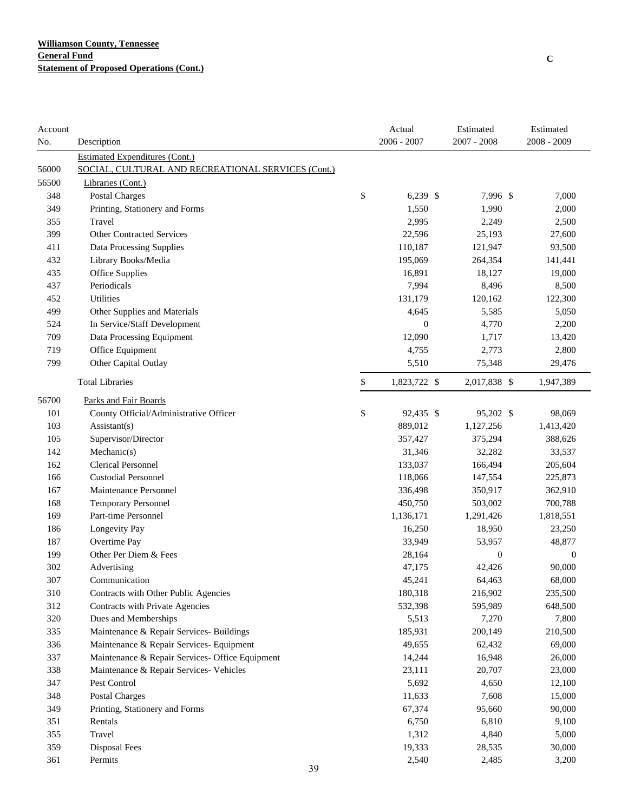| Account |                                                    | Actual             | Estimated        | Estimated        |
|---------|----------------------------------------------------|--------------------|------------------|------------------|
| No.     | Description                                        | $2006 - 2007$      | $2007 - 2008$    | 2008 - 2009      |
|         | <b>Estimated Expenditures (Cont.)</b>              |                    |                  |                  |
| 56000   | SOCIAL, CULTURAL AND RECREATIONAL SERVICES (Cont.) |                    |                  |                  |
| 56500   | Libraries (Cont.)                                  |                    |                  |                  |
| 348     | <b>Postal Charges</b>                              | \$<br>$6,239$ \$   | 7,996 \$         | 7,000            |
| 349     | Printing, Stationery and Forms                     | 1,550              | 1,990            | 2,000            |
| 355     | Travel                                             | 2,995              | 2,249            | 2,500            |
| 399     | <b>Other Contracted Services</b>                   | 22,596             | 25,193           | 27,600           |
| 411     | Data Processing Supplies                           | 110,187            | 121,947          | 93,500           |
| 432     | Library Books/Media                                | 195,069            | 264,354          | 141,441          |
| 435     | Office Supplies                                    | 16,891             | 18,127           | 19,000           |
| 437     | Periodicals                                        | 7,994              | 8,496            | 8,500            |
| 452     | Utilities                                          | 131,179            | 120,162          | 122,300          |
| 499     | Other Supplies and Materials                       | 4,645              | 5,585            | 5,050            |
| 524     | In Service/Staff Development                       | $\overline{0}$     | 4,770            | 2,200            |
| 709     | Data Processing Equipment                          | 12,090             | 1,717            | 13,420           |
| 719     | Office Equipment                                   | 4,755              | 2,773            | 2,800            |
| 799     | Other Capital Outlay                               | 5,510              | 75,348           | 29,476           |
|         | <b>Total Libraries</b>                             | \$<br>1,823,722 \$ | 2,017,838 \$     | 1,947,389        |
| 56700   | Parks and Fair Boards                              |                    |                  |                  |
| 101     | County Official/Administrative Officer             | \$<br>92,435 \$    | 95,202 \$        | 98,069           |
| 103     | Assistant(s)                                       | 889,012            | 1,127,256        | 1,413,420        |
| 105     | Supervisor/Director                                | 357,427            | 375,294          | 388,626          |
| 142     | Mechanic(s)                                        | 31,346             | 32,282           | 33,537           |
| 162     | <b>Clerical Personnel</b>                          | 133,037            | 166,494          | 205,604          |
| 166     | <b>Custodial Personnel</b>                         | 118,066            | 147,554          | 225,873          |
| 167     | Maintenance Personnel                              | 336,498            | 350,917          | 362,910          |
| 168     | <b>Temporary Personnel</b>                         | 450,750            | 503,002          | 700,788          |
| 169     | Part-time Personnel                                | 1,136,171          | 1,291,426        | 1,818,551        |
| 186     | Longevity Pay                                      | 16,250             | 18,950           | 23,250           |
| 187     | Overtime Pay                                       | 33,949             | 53,957           | 48,877           |
| 199     | Other Per Diem & Fees                              | 28,164             | $\boldsymbol{0}$ | $\boldsymbol{0}$ |
| 302     | Advertising                                        | 47,175             | 42,426           | 90,000           |
| 307     | Communication                                      | 45,241             | 64,463           | 68,000           |
| 310     | Contracts with Other Public Agencies               | 180,318            | 216,902          | 235,500          |
| 312     | Contracts with Private Agencies                    | 532,398            | 595,989          | 648,500          |
| 320     | Dues and Memberships                               | 5,513              | 7,270            | 7,800            |
| 335     | Maintenance & Repair Services- Buildings           | 185,931            | 200,149          | 210,500          |
| 336     | Maintenance & Repair Services- Equipment           | 49,655             | 62,432           | 69,000           |
| 337     | Maintenance & Repair Services- Office Equipment    | 14,244             | 16,948           | 26,000           |
| 338     | Maintenance & Repair Services- Vehicles            | 23,111             | 20,707           | 23,000           |
| 347     | Pest Control                                       | 5,692              | 4,650            | 12,100           |
| 348     | Postal Charges                                     | 11,633             | 7,608            | 15,000           |
| 349     | Printing, Stationery and Forms                     | 67,374             | 95,660           | 90,000           |
| 351     | Rentals                                            | 6,750              | 6,810            | 9,100            |
| 355     | Travel                                             | 1,312              | 4,840            | 5,000            |
| 359     | Disposal Fees                                      | 19,333             | 28,535           | 30,000           |
| 361     | Permits                                            | 2,540              | 2,485            | 3,200            |
|         | 39                                                 |                    |                  |                  |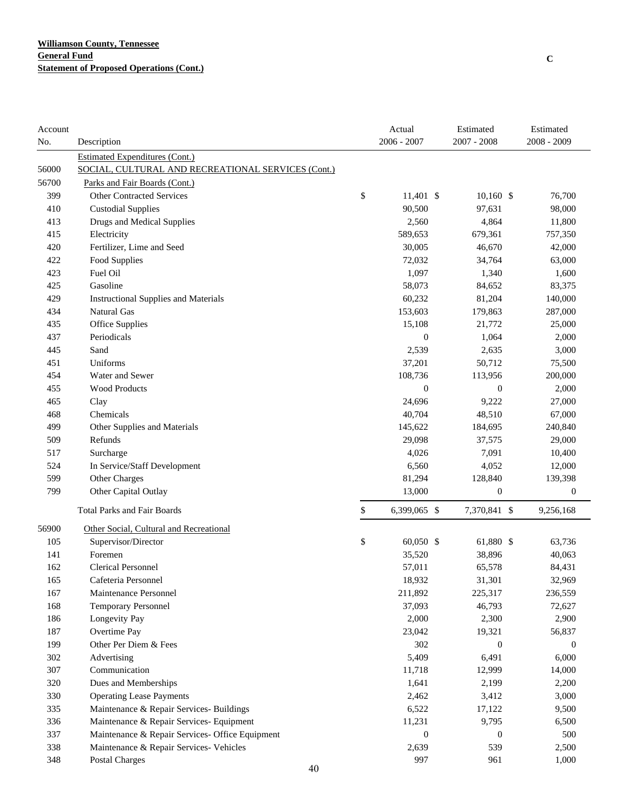| Account |                                                    | Actual             | Estimated        | Estimated        |
|---------|----------------------------------------------------|--------------------|------------------|------------------|
| No.     | Description                                        | 2006 - 2007        | 2007 - 2008      | 2008 - 2009      |
|         | <b>Estimated Expenditures (Cont.)</b>              |                    |                  |                  |
| 56000   | SOCIAL, CULTURAL AND RECREATIONAL SERVICES (Cont.) |                    |                  |                  |
| 56700   | Parks and Fair Boards (Cont.)                      |                    |                  |                  |
| 399     | <b>Other Contracted Services</b>                   | \$<br>$11,401$ \$  | $10,160$ \$      | 76,700           |
| 410     | <b>Custodial Supplies</b>                          | 90,500             | 97,631           | 98,000           |
| 413     | Drugs and Medical Supplies                         | 2,560              | 4,864            | 11,800           |
| 415     | Electricity                                        | 589,653            | 679,361          | 757,350          |
| 420     | Fertilizer, Lime and Seed                          | 30,005             | 46,670           | 42,000           |
| 422     | Food Supplies                                      | 72,032             | 34,764           | 63,000           |
| 423     | Fuel Oil                                           | 1,097              | 1,340            | 1,600            |
| 425     | Gasoline                                           | 58,073             | 84,652           | 83,375           |
| 429     | <b>Instructional Supplies and Materials</b>        | 60,232             | 81,204           | 140,000          |
| 434     | Natural Gas                                        | 153,603            | 179,863          | 287,000          |
| 435     | Office Supplies                                    | 15,108             | 21,772           | 25,000           |
| 437     | Periodicals                                        | $\mathbf{0}$       | 1,064            | 2,000            |
| 445     | Sand                                               | 2,539              | 2,635            | 3,000            |
| 451     | Uniforms                                           | 37,201             | 50,712           | 75,500           |
| 454     | Water and Sewer                                    | 108,736            | 113,956          | 200,000          |
| 455     | <b>Wood Products</b>                               | $\boldsymbol{0}$   | $\boldsymbol{0}$ | 2,000            |
| 465     | Clay                                               | 24,696             | 9,222            | 27,000           |
| 468     | Chemicals                                          | 40,704             | 48,510           | 67,000           |
| 499     | Other Supplies and Materials                       | 145,622            | 184,695          | 240,840          |
| 509     | Refunds                                            | 29,098             | 37,575           | 29,000           |
| 517     | Surcharge                                          | 4,026              | 7,091            | 10,400           |
| 524     | In Service/Staff Development                       | 6,560              | 4,052            | 12,000           |
| 599     | Other Charges                                      | 81,294             | 128,840          | 139,398          |
| 799     | Other Capital Outlay                               | 13,000             | $\boldsymbol{0}$ | $\boldsymbol{0}$ |
|         | <b>Total Parks and Fair Boards</b>                 | \$<br>6,399,065 \$ | 7,370,841 \$     | 9,256,168        |
| 56900   | Other Social, Cultural and Recreational            |                    |                  |                  |
| 105     | Supervisor/Director                                | \$<br>60,050 \$    | 61,880 \$        | 63,736           |
| 141     | Foremen                                            | 35,520             | 38,896           | 40,063           |
| 162     | <b>Clerical Personnel</b>                          | 57,011             | 65,578           | 84,431           |
| 165     | Cafeteria Personnel                                | 18,932             | 31,301           | 32,969           |
| 167     | Maintenance Personnel                              | 211,892            | 225,317          | 236,559          |
| 168     | <b>Temporary Personnel</b>                         | 37,093             | 46,793           | 72,627           |
| 186     | Longevity Pay                                      | 2,000              | 2,300            | 2,900            |
| 187     | Overtime Pay                                       | 23,042             | 19,321           | 56,837           |
| 199     | Other Per Diem & Fees                              | 302                | $\mathbf{0}$     | $\boldsymbol{0}$ |
| 302     | Advertising                                        | 5,409              | 6,491            | 6,000            |
| 307     | Communication                                      | 11,718             | 12,999           | 14,000           |
| 320     | Dues and Memberships                               | 1,641              | 2,199            | 2,200            |
| 330     | <b>Operating Lease Payments</b>                    | 2,462              | 3,412            | 3,000            |
| 335     | Maintenance & Repair Services- Buildings           | 6,522              | 17,122           | 9,500            |
| 336     | Maintenance & Repair Services- Equipment           | 11,231             | 9,795            | 6,500            |
| 337     | Maintenance & Repair Services- Office Equipment    | $\theta$           | $\boldsymbol{0}$ | 500              |
| 338     | Maintenance & Repair Services- Vehicles            | 2,639              | 539              | 2,500            |
| 348     | <b>Postal Charges</b>                              | 997                | 961              | 1,000            |
|         | 4Λ                                                 |                    |                  |                  |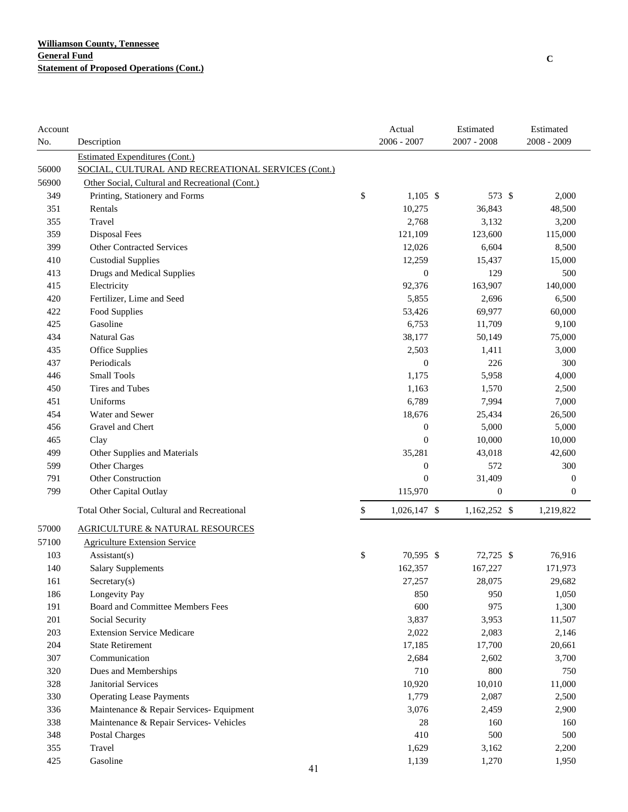| Account |                                                    | Actual             | Estimated        | Estimated        |
|---------|----------------------------------------------------|--------------------|------------------|------------------|
| No.     | Description                                        | 2006 - 2007        | $2007 - 2008$    | 2008 - 2009      |
|         | <b>Estimated Expenditures (Cont.)</b>              |                    |                  |                  |
| 56000   | SOCIAL, CULTURAL AND RECREATIONAL SERVICES (Cont.) |                    |                  |                  |
| 56900   | Other Social, Cultural and Recreational (Cont.)    |                    |                  |                  |
| 349     | Printing, Stationery and Forms                     | \$<br>$1,105$ \$   | 573 \$           | 2,000            |
| 351     | Rentals                                            | 10,275             | 36,843           | 48,500           |
| 355     | Travel                                             | 2,768              | 3,132            | 3,200            |
| 359     | Disposal Fees                                      | 121,109            | 123,600          | 115,000          |
| 399     | <b>Other Contracted Services</b>                   | 12,026             | 6,604            | 8,500            |
| 410     | <b>Custodial Supplies</b>                          | 12,259             | 15,437           | 15,000           |
| 413     | Drugs and Medical Supplies                         | $\boldsymbol{0}$   | 129              | 500              |
| 415     | Electricity                                        | 92,376             | 163,907          | 140,000          |
| 420     | Fertilizer, Lime and Seed                          | 5,855              | 2,696            | 6,500            |
| 422     | Food Supplies                                      | 53,426             | 69,977           | 60,000           |
| 425     | Gasoline                                           | 6,753              | 11,709           | 9,100            |
| 434     | Natural Gas                                        | 38,177             | 50,149           | 75,000           |
| 435     | Office Supplies                                    | 2,503              | 1,411            | 3,000            |
| 437     | Periodicals                                        | $\mathbf{0}$       | 226              | 300              |
| 446     | <b>Small Tools</b>                                 | 1,175              | 5,958            | 4,000            |
| 450     | Tires and Tubes                                    | 1,163              | 1,570            | 2,500            |
| 451     | Uniforms                                           | 6,789              | 7,994            | 7,000            |
| 454     | Water and Sewer                                    | 18,676             | 25,434           | 26,500           |
| 456     | Gravel and Chert                                   | $\mathbf{0}$       | 5,000            | 5,000            |
| 465     | Clay                                               | $\mathbf{0}$       | 10,000           | 10,000           |
| 499     | Other Supplies and Materials                       | 35,281             | 43,018           | 42,600           |
| 599     | Other Charges                                      | $\boldsymbol{0}$   | 572              | 300              |
| 791     | Other Construction                                 | $\theta$           | 31,409           | $\boldsymbol{0}$ |
| 799     | Other Capital Outlay                               | 115,970            | $\boldsymbol{0}$ | $\boldsymbol{0}$ |
|         | Total Other Social, Cultural and Recreational      | \$<br>1,026,147 \$ | 1,162,252 \$     | 1,219,822        |
| 57000   | <b>AGRICULTURE &amp; NATURAL RESOURCES</b>         |                    |                  |                  |
| 57100   | <b>Agriculture Extension Service</b>               |                    |                  |                  |
| 103     | Assistant(s)                                       | \$<br>70,595 \$    | 72,725 \$        | 76,916           |
| 140     | <b>Salary Supplements</b>                          | 162,357            | 167,227          | 171,973          |
| 161     | $S \text{eccetary}(s)$                             | 27,257             | 28,075           | 29,682           |
| 186     | Longevity Pay                                      | 850                | 950              | 1,050            |
| 191     | Board and Committee Members Fees                   | 600                | 975              | 1,300            |
| 201     | Social Security                                    | 3,837              | 3,953            | 11,507           |
| 203     | <b>Extension Service Medicare</b>                  | 2,022              | 2,083            | 2,146            |
| 204     | <b>State Retirement</b>                            | 17,185             | 17,700           | 20,661           |
| 307     | Communication                                      | 2,684              | 2,602            | 3,700            |
| 320     | Dues and Memberships                               | 710                | 800              | 750              |
| 328     | <b>Janitorial Services</b>                         | 10,920             | 10,010           | 11,000           |
| 330     | <b>Operating Lease Payments</b>                    | 1,779              | 2,087            | 2,500            |
| 336     | Maintenance & Repair Services- Equipment           | 3,076              | 2,459            | 2,900            |
| 338     | Maintenance & Repair Services- Vehicles            | 28                 | 160              | 160              |
| 348     | Postal Charges                                     | 410                | 500              | 500              |
| 355     | Travel                                             | 1,629              | 3,162            | 2,200            |
| 425     | Gasoline                                           | 1,139              | 1,270            | 1,950            |
|         | 41                                                 |                    |                  |                  |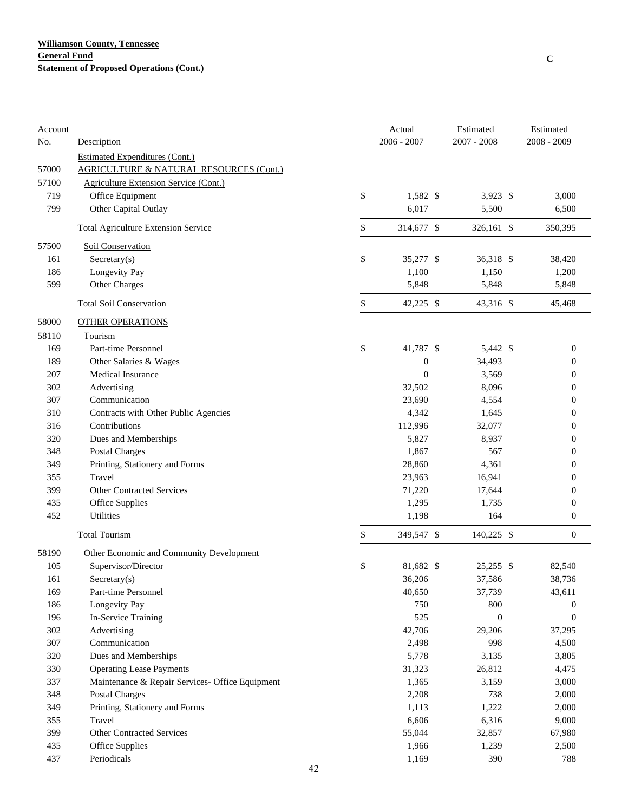| Account |                                                    | Actual           | Estimated        | Estimated        |
|---------|----------------------------------------------------|------------------|------------------|------------------|
| No.     | Description                                        | 2006 - 2007      | $2007 - 2008$    | 2008 - 2009      |
|         | <b>Estimated Expenditures (Cont.)</b>              |                  |                  |                  |
| 57000   | <b>AGRICULTURE &amp; NATURAL RESOURCES (Cont.)</b> |                  |                  |                  |
| 57100   | Agriculture Extension Service (Cont.)              |                  |                  |                  |
| 719     | Office Equipment                                   | \$<br>1,582 \$   | 3,923 \$         | 3,000            |
| 799     | Other Capital Outlay                               | 6,017            | 5,500            | 6,500            |
|         | Total Agriculture Extension Service                | \$<br>314,677 \$ | 326,161 \$       | 350,395          |
| 57500   | Soil Conservation                                  |                  |                  |                  |
| 161     | $S$ ecretary $(s)$                                 | \$<br>35,277 \$  | 36,318 \$        | 38,420           |
| 186     | Longevity Pay                                      | 1,100            | 1,150            | 1,200            |
| 599     | Other Charges                                      | 5,848            | 5,848            | 5,848            |
|         | <b>Total Soil Conservation</b>                     | \$<br>42,225 \$  | 43,316 \$        | 45,468           |
| 58000   | <b>OTHER OPERATIONS</b>                            |                  |                  |                  |
| 58110   | Tourism                                            |                  |                  |                  |
| 169     | Part-time Personnel                                | \$<br>41,787 \$  | 5,442 \$         | $\boldsymbol{0}$ |
| 189     | Other Salaries & Wages                             | $\boldsymbol{0}$ | 34,493           | $\boldsymbol{0}$ |
| 207     | Medical Insurance                                  | $\overline{0}$   | 3,569            | $\boldsymbol{0}$ |
| 302     | Advertising                                        | 32,502           | 8,096            | $\boldsymbol{0}$ |
| 307     | Communication                                      | 23,690           | 4,554            | 0                |
| 310     | Contracts with Other Public Agencies               | 4,342            | 1,645            | 0                |
| 316     | Contributions                                      | 112,996          | 32,077           | 0                |
| 320     | Dues and Memberships                               | 5,827            | 8,937            | 0                |
| 348     | <b>Postal Charges</b>                              | 1,867            | 567              | 0                |
| 349     | Printing, Stationery and Forms                     | 28,860           | 4,361            | 0                |
| 355     | Travel                                             | 23,963           | 16,941           | 0                |
| 399     | <b>Other Contracted Services</b>                   | 71,220           | 17,644           | 0                |
| 435     | Office Supplies                                    | 1,295            | 1,735            | $\boldsymbol{0}$ |
| 452     | Utilities                                          | 1,198            | 164              | $\boldsymbol{0}$ |
|         | <b>Total Tourism</b>                               | \$<br>349,547 \$ | 140,225 \$       | $\boldsymbol{0}$ |
| 58190   | Other Economic and Community Development           |                  |                  |                  |
| 105     | Supervisor/Director                                | \$<br>81,682 \$  | $25,255$ \$      | 82,540           |
| 161     | Sercetary(s)                                       | 36,206           | 37,586           | 38,736           |
| 169     | Part-time Personnel                                | 40,650           | 37,739           | 43,611           |
| 186     | Longevity Pay                                      | 750              | 800              | 0                |
| 196     | In-Service Training                                | 525              | $\boldsymbol{0}$ | $\boldsymbol{0}$ |
| 302     | Advertising                                        | 42,706           | 29,206           | 37,295           |
| 307     | Communication                                      | 2,498            | 998              | 4,500            |
| 320     | Dues and Memberships                               | 5,778            | 3,135            | 3,805            |
| 330     | <b>Operating Lease Payments</b>                    | 31,323           | 26,812           | 4,475            |
| 337     | Maintenance & Repair Services- Office Equipment    | 1,365            | 3,159            | 3,000            |
| 348     | Postal Charges                                     | 2,208            | 738              | 2,000            |
| 349     | Printing, Stationery and Forms                     | 1,113            | 1,222            | 2,000            |
| 355     | Travel                                             | 6,606            | 6,316            | 9,000            |
| 399     | <b>Other Contracted Services</b>                   | 55,044           | 32,857           | 67,980           |
| 435     | Office Supplies                                    | 1,966            | 1,239            | 2,500            |
| 437     | Periodicals                                        | 1,169            | 390              | 788              |
|         | 42                                                 |                  |                  |                  |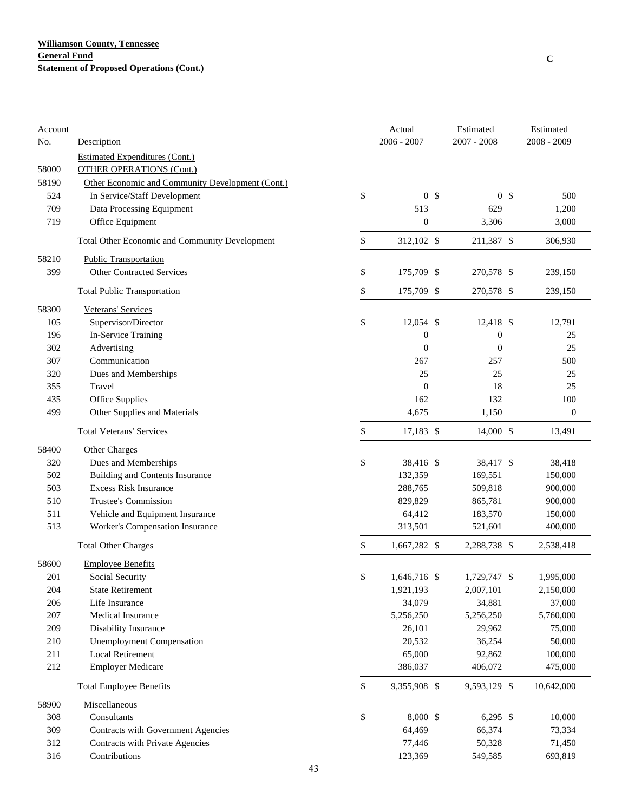| 2006 - 2007<br>$2007 - 2008$<br>2008 - 2009<br>No.<br>Description<br><b>Estimated Expenditures (Cont.)</b><br>58000<br><b>OTHER OPERATIONS (Cont.)</b><br>58190<br>Other Economic and Community Development (Cont.)<br>\$<br>0 <sup>5</sup><br>0 <sup>5</sup><br>524<br>In Service/Staff Development<br>500<br>709<br>Data Processing Equipment<br>513<br>629<br>1,200<br>$\boldsymbol{0}$<br>719<br>Office Equipment<br>3,000<br>3,306<br>\$<br>312,102 \$<br>211,387 \$<br>306,930<br>Total Other Economic and Community Development<br>58210<br><b>Public Transportation</b><br><b>Other Contracted Services</b><br>399<br>\$<br>175,709 \$<br>270,578 \$<br>239,150<br>\$<br>175,709 \$<br>270,578 \$<br><b>Total Public Transportation</b><br>239,150<br>58300<br>Veterans' Services<br>\$<br>105<br>Supervisor/Director<br>$12,054$ \$<br>12,418 \$<br>12,791<br>In-Service Training<br>196<br>0<br>$\boldsymbol{0}$<br>25<br>302<br>Advertising<br>25<br>$\mathbf{0}$<br>$\overline{0}$<br>Communication<br>500<br>307<br>267<br>257<br>25<br>25<br>25<br>320<br>Dues and Memberships<br>18<br>25<br>Travel<br>$\mathbf{0}$<br>355<br>162<br>100<br>435<br>Office Supplies<br>132<br>499<br>Other Supplies and Materials<br>4,675<br>1,150<br>$\boldsymbol{0}$<br>\$<br><b>Total Veterans' Services</b><br>17,183 \$<br>14,000 \$<br>13,491<br>58400<br>Other Charges<br>\$<br>320<br>Dues and Memberships<br>38,416 \$<br>38,417 \$<br>38,418<br>502<br><b>Building and Contents Insurance</b><br>132,359<br>169,551<br>150,000<br><b>Excess Risk Insurance</b><br>503<br>288,765<br>509,818<br>900,000<br>Trustee's Commission<br>510<br>829,829<br>865,781<br>900,000<br>511<br>Vehicle and Equipment Insurance<br>64,412<br>183,570<br>150,000<br>513<br>Worker's Compensation Insurance<br>313,501<br>521,601<br>400,000<br>\$<br>1,667,282 \$<br>2,288,738 \$<br>2,538,418<br><b>Total Other Charges</b><br>58600<br><b>Employee Benefits</b><br>201<br>\$<br>Social Security<br>1,646,716 \$<br>1,729,747 \$<br>1,995,000<br>204<br><b>State Retirement</b><br>1,921,193<br>2,007,101<br>2,150,000<br>206<br>Life Insurance<br>34,079<br>34,881<br>37,000<br>$207\,$<br>Medical Insurance<br>5,256,250<br>5,256,250<br>5,760,000<br>209<br>Disability Insurance<br>26,101<br>29,962<br>75,000<br>210<br><b>Unemployment Compensation</b><br>20,532<br>36,254<br>50,000<br>211<br><b>Local Retirement</b><br>65,000<br>92,862<br>100,000<br>212<br><b>Employer Medicare</b><br>386,037<br>406,072<br>475,000<br><b>Total Employee Benefits</b><br>\$<br>9,355,908 \$<br>9,593,129 \$<br>10,642,000<br>58900<br>Miscellaneous<br>Consultants<br>\$<br>8,000 \$<br>$6,295$ \$<br>308<br>10,000<br>309<br>64,469<br>Contracts with Government Agencies<br>66,374<br>73,334<br>312<br>Contracts with Private Agencies<br>77,446<br>50,328<br>71,450 | Account |               | Actual  | Estimated | Estimated |
|--------------------------------------------------------------------------------------------------------------------------------------------------------------------------------------------------------------------------------------------------------------------------------------------------------------------------------------------------------------------------------------------------------------------------------------------------------------------------------------------------------------------------------------------------------------------------------------------------------------------------------------------------------------------------------------------------------------------------------------------------------------------------------------------------------------------------------------------------------------------------------------------------------------------------------------------------------------------------------------------------------------------------------------------------------------------------------------------------------------------------------------------------------------------------------------------------------------------------------------------------------------------------------------------------------------------------------------------------------------------------------------------------------------------------------------------------------------------------------------------------------------------------------------------------------------------------------------------------------------------------------------------------------------------------------------------------------------------------------------------------------------------------------------------------------------------------------------------------------------------------------------------------------------------------------------------------------------------------------------------------------------------------------------------------------------------------------------------------------------------------------------------------------------------------------------------------------------------------------------------------------------------------------------------------------------------------------------------------------------------------------------------------------------------------------------------------------------------------------------------------------------------------------------------------------------------------------------------------------------------------------------------------------------------------------------------------------------------------------------------------------------------------------------------------------------------------------------------------------------|---------|---------------|---------|-----------|-----------|
|                                                                                                                                                                                                                                                                                                                                                                                                                                                                                                                                                                                                                                                                                                                                                                                                                                                                                                                                                                                                                                                                                                                                                                                                                                                                                                                                                                                                                                                                                                                                                                                                                                                                                                                                                                                                                                                                                                                                                                                                                                                                                                                                                                                                                                                                                                                                                                                                                                                                                                                                                                                                                                                                                                                                                                                                                                                              |         |               |         |           |           |
|                                                                                                                                                                                                                                                                                                                                                                                                                                                                                                                                                                                                                                                                                                                                                                                                                                                                                                                                                                                                                                                                                                                                                                                                                                                                                                                                                                                                                                                                                                                                                                                                                                                                                                                                                                                                                                                                                                                                                                                                                                                                                                                                                                                                                                                                                                                                                                                                                                                                                                                                                                                                                                                                                                                                                                                                                                                              |         |               |         |           |           |
|                                                                                                                                                                                                                                                                                                                                                                                                                                                                                                                                                                                                                                                                                                                                                                                                                                                                                                                                                                                                                                                                                                                                                                                                                                                                                                                                                                                                                                                                                                                                                                                                                                                                                                                                                                                                                                                                                                                                                                                                                                                                                                                                                                                                                                                                                                                                                                                                                                                                                                                                                                                                                                                                                                                                                                                                                                                              |         |               |         |           |           |
|                                                                                                                                                                                                                                                                                                                                                                                                                                                                                                                                                                                                                                                                                                                                                                                                                                                                                                                                                                                                                                                                                                                                                                                                                                                                                                                                                                                                                                                                                                                                                                                                                                                                                                                                                                                                                                                                                                                                                                                                                                                                                                                                                                                                                                                                                                                                                                                                                                                                                                                                                                                                                                                                                                                                                                                                                                                              |         |               |         |           |           |
|                                                                                                                                                                                                                                                                                                                                                                                                                                                                                                                                                                                                                                                                                                                                                                                                                                                                                                                                                                                                                                                                                                                                                                                                                                                                                                                                                                                                                                                                                                                                                                                                                                                                                                                                                                                                                                                                                                                                                                                                                                                                                                                                                                                                                                                                                                                                                                                                                                                                                                                                                                                                                                                                                                                                                                                                                                                              |         |               |         |           |           |
|                                                                                                                                                                                                                                                                                                                                                                                                                                                                                                                                                                                                                                                                                                                                                                                                                                                                                                                                                                                                                                                                                                                                                                                                                                                                                                                                                                                                                                                                                                                                                                                                                                                                                                                                                                                                                                                                                                                                                                                                                                                                                                                                                                                                                                                                                                                                                                                                                                                                                                                                                                                                                                                                                                                                                                                                                                                              |         |               |         |           |           |
|                                                                                                                                                                                                                                                                                                                                                                                                                                                                                                                                                                                                                                                                                                                                                                                                                                                                                                                                                                                                                                                                                                                                                                                                                                                                                                                                                                                                                                                                                                                                                                                                                                                                                                                                                                                                                                                                                                                                                                                                                                                                                                                                                                                                                                                                                                                                                                                                                                                                                                                                                                                                                                                                                                                                                                                                                                                              |         |               |         |           |           |
|                                                                                                                                                                                                                                                                                                                                                                                                                                                                                                                                                                                                                                                                                                                                                                                                                                                                                                                                                                                                                                                                                                                                                                                                                                                                                                                                                                                                                                                                                                                                                                                                                                                                                                                                                                                                                                                                                                                                                                                                                                                                                                                                                                                                                                                                                                                                                                                                                                                                                                                                                                                                                                                                                                                                                                                                                                                              |         |               |         |           |           |
|                                                                                                                                                                                                                                                                                                                                                                                                                                                                                                                                                                                                                                                                                                                                                                                                                                                                                                                                                                                                                                                                                                                                                                                                                                                                                                                                                                                                                                                                                                                                                                                                                                                                                                                                                                                                                                                                                                                                                                                                                                                                                                                                                                                                                                                                                                                                                                                                                                                                                                                                                                                                                                                                                                                                                                                                                                                              |         |               |         |           |           |
|                                                                                                                                                                                                                                                                                                                                                                                                                                                                                                                                                                                                                                                                                                                                                                                                                                                                                                                                                                                                                                                                                                                                                                                                                                                                                                                                                                                                                                                                                                                                                                                                                                                                                                                                                                                                                                                                                                                                                                                                                                                                                                                                                                                                                                                                                                                                                                                                                                                                                                                                                                                                                                                                                                                                                                                                                                                              |         |               |         |           |           |
|                                                                                                                                                                                                                                                                                                                                                                                                                                                                                                                                                                                                                                                                                                                                                                                                                                                                                                                                                                                                                                                                                                                                                                                                                                                                                                                                                                                                                                                                                                                                                                                                                                                                                                                                                                                                                                                                                                                                                                                                                                                                                                                                                                                                                                                                                                                                                                                                                                                                                                                                                                                                                                                                                                                                                                                                                                                              |         |               |         |           |           |
|                                                                                                                                                                                                                                                                                                                                                                                                                                                                                                                                                                                                                                                                                                                                                                                                                                                                                                                                                                                                                                                                                                                                                                                                                                                                                                                                                                                                                                                                                                                                                                                                                                                                                                                                                                                                                                                                                                                                                                                                                                                                                                                                                                                                                                                                                                                                                                                                                                                                                                                                                                                                                                                                                                                                                                                                                                                              |         |               |         |           |           |
|                                                                                                                                                                                                                                                                                                                                                                                                                                                                                                                                                                                                                                                                                                                                                                                                                                                                                                                                                                                                                                                                                                                                                                                                                                                                                                                                                                                                                                                                                                                                                                                                                                                                                                                                                                                                                                                                                                                                                                                                                                                                                                                                                                                                                                                                                                                                                                                                                                                                                                                                                                                                                                                                                                                                                                                                                                                              |         |               |         |           |           |
|                                                                                                                                                                                                                                                                                                                                                                                                                                                                                                                                                                                                                                                                                                                                                                                                                                                                                                                                                                                                                                                                                                                                                                                                                                                                                                                                                                                                                                                                                                                                                                                                                                                                                                                                                                                                                                                                                                                                                                                                                                                                                                                                                                                                                                                                                                                                                                                                                                                                                                                                                                                                                                                                                                                                                                                                                                                              |         |               |         |           |           |
|                                                                                                                                                                                                                                                                                                                                                                                                                                                                                                                                                                                                                                                                                                                                                                                                                                                                                                                                                                                                                                                                                                                                                                                                                                                                                                                                                                                                                                                                                                                                                                                                                                                                                                                                                                                                                                                                                                                                                                                                                                                                                                                                                                                                                                                                                                                                                                                                                                                                                                                                                                                                                                                                                                                                                                                                                                                              |         |               |         |           |           |
|                                                                                                                                                                                                                                                                                                                                                                                                                                                                                                                                                                                                                                                                                                                                                                                                                                                                                                                                                                                                                                                                                                                                                                                                                                                                                                                                                                                                                                                                                                                                                                                                                                                                                                                                                                                                                                                                                                                                                                                                                                                                                                                                                                                                                                                                                                                                                                                                                                                                                                                                                                                                                                                                                                                                                                                                                                                              |         |               |         |           |           |
|                                                                                                                                                                                                                                                                                                                                                                                                                                                                                                                                                                                                                                                                                                                                                                                                                                                                                                                                                                                                                                                                                                                                                                                                                                                                                                                                                                                                                                                                                                                                                                                                                                                                                                                                                                                                                                                                                                                                                                                                                                                                                                                                                                                                                                                                                                                                                                                                                                                                                                                                                                                                                                                                                                                                                                                                                                                              |         |               |         |           |           |
|                                                                                                                                                                                                                                                                                                                                                                                                                                                                                                                                                                                                                                                                                                                                                                                                                                                                                                                                                                                                                                                                                                                                                                                                                                                                                                                                                                                                                                                                                                                                                                                                                                                                                                                                                                                                                                                                                                                                                                                                                                                                                                                                                                                                                                                                                                                                                                                                                                                                                                                                                                                                                                                                                                                                                                                                                                                              |         |               |         |           |           |
|                                                                                                                                                                                                                                                                                                                                                                                                                                                                                                                                                                                                                                                                                                                                                                                                                                                                                                                                                                                                                                                                                                                                                                                                                                                                                                                                                                                                                                                                                                                                                                                                                                                                                                                                                                                                                                                                                                                                                                                                                                                                                                                                                                                                                                                                                                                                                                                                                                                                                                                                                                                                                                                                                                                                                                                                                                                              |         |               |         |           |           |
|                                                                                                                                                                                                                                                                                                                                                                                                                                                                                                                                                                                                                                                                                                                                                                                                                                                                                                                                                                                                                                                                                                                                                                                                                                                                                                                                                                                                                                                                                                                                                                                                                                                                                                                                                                                                                                                                                                                                                                                                                                                                                                                                                                                                                                                                                                                                                                                                                                                                                                                                                                                                                                                                                                                                                                                                                                                              |         |               |         |           |           |
|                                                                                                                                                                                                                                                                                                                                                                                                                                                                                                                                                                                                                                                                                                                                                                                                                                                                                                                                                                                                                                                                                                                                                                                                                                                                                                                                                                                                                                                                                                                                                                                                                                                                                                                                                                                                                                                                                                                                                                                                                                                                                                                                                                                                                                                                                                                                                                                                                                                                                                                                                                                                                                                                                                                                                                                                                                                              |         |               |         |           |           |
|                                                                                                                                                                                                                                                                                                                                                                                                                                                                                                                                                                                                                                                                                                                                                                                                                                                                                                                                                                                                                                                                                                                                                                                                                                                                                                                                                                                                                                                                                                                                                                                                                                                                                                                                                                                                                                                                                                                                                                                                                                                                                                                                                                                                                                                                                                                                                                                                                                                                                                                                                                                                                                                                                                                                                                                                                                                              |         |               |         |           |           |
|                                                                                                                                                                                                                                                                                                                                                                                                                                                                                                                                                                                                                                                                                                                                                                                                                                                                                                                                                                                                                                                                                                                                                                                                                                                                                                                                                                                                                                                                                                                                                                                                                                                                                                                                                                                                                                                                                                                                                                                                                                                                                                                                                                                                                                                                                                                                                                                                                                                                                                                                                                                                                                                                                                                                                                                                                                                              |         |               |         |           |           |
|                                                                                                                                                                                                                                                                                                                                                                                                                                                                                                                                                                                                                                                                                                                                                                                                                                                                                                                                                                                                                                                                                                                                                                                                                                                                                                                                                                                                                                                                                                                                                                                                                                                                                                                                                                                                                                                                                                                                                                                                                                                                                                                                                                                                                                                                                                                                                                                                                                                                                                                                                                                                                                                                                                                                                                                                                                                              |         |               |         |           |           |
|                                                                                                                                                                                                                                                                                                                                                                                                                                                                                                                                                                                                                                                                                                                                                                                                                                                                                                                                                                                                                                                                                                                                                                                                                                                                                                                                                                                                                                                                                                                                                                                                                                                                                                                                                                                                                                                                                                                                                                                                                                                                                                                                                                                                                                                                                                                                                                                                                                                                                                                                                                                                                                                                                                                                                                                                                                                              |         |               |         |           |           |
|                                                                                                                                                                                                                                                                                                                                                                                                                                                                                                                                                                                                                                                                                                                                                                                                                                                                                                                                                                                                                                                                                                                                                                                                                                                                                                                                                                                                                                                                                                                                                                                                                                                                                                                                                                                                                                                                                                                                                                                                                                                                                                                                                                                                                                                                                                                                                                                                                                                                                                                                                                                                                                                                                                                                                                                                                                                              |         |               |         |           |           |
|                                                                                                                                                                                                                                                                                                                                                                                                                                                                                                                                                                                                                                                                                                                                                                                                                                                                                                                                                                                                                                                                                                                                                                                                                                                                                                                                                                                                                                                                                                                                                                                                                                                                                                                                                                                                                                                                                                                                                                                                                                                                                                                                                                                                                                                                                                                                                                                                                                                                                                                                                                                                                                                                                                                                                                                                                                                              |         |               |         |           |           |
|                                                                                                                                                                                                                                                                                                                                                                                                                                                                                                                                                                                                                                                                                                                                                                                                                                                                                                                                                                                                                                                                                                                                                                                                                                                                                                                                                                                                                                                                                                                                                                                                                                                                                                                                                                                                                                                                                                                                                                                                                                                                                                                                                                                                                                                                                                                                                                                                                                                                                                                                                                                                                                                                                                                                                                                                                                                              |         |               |         |           |           |
|                                                                                                                                                                                                                                                                                                                                                                                                                                                                                                                                                                                                                                                                                                                                                                                                                                                                                                                                                                                                                                                                                                                                                                                                                                                                                                                                                                                                                                                                                                                                                                                                                                                                                                                                                                                                                                                                                                                                                                                                                                                                                                                                                                                                                                                                                                                                                                                                                                                                                                                                                                                                                                                                                                                                                                                                                                                              |         |               |         |           |           |
|                                                                                                                                                                                                                                                                                                                                                                                                                                                                                                                                                                                                                                                                                                                                                                                                                                                                                                                                                                                                                                                                                                                                                                                                                                                                                                                                                                                                                                                                                                                                                                                                                                                                                                                                                                                                                                                                                                                                                                                                                                                                                                                                                                                                                                                                                                                                                                                                                                                                                                                                                                                                                                                                                                                                                                                                                                                              |         |               |         |           |           |
|                                                                                                                                                                                                                                                                                                                                                                                                                                                                                                                                                                                                                                                                                                                                                                                                                                                                                                                                                                                                                                                                                                                                                                                                                                                                                                                                                                                                                                                                                                                                                                                                                                                                                                                                                                                                                                                                                                                                                                                                                                                                                                                                                                                                                                                                                                                                                                                                                                                                                                                                                                                                                                                                                                                                                                                                                                                              |         |               |         |           |           |
|                                                                                                                                                                                                                                                                                                                                                                                                                                                                                                                                                                                                                                                                                                                                                                                                                                                                                                                                                                                                                                                                                                                                                                                                                                                                                                                                                                                                                                                                                                                                                                                                                                                                                                                                                                                                                                                                                                                                                                                                                                                                                                                                                                                                                                                                                                                                                                                                                                                                                                                                                                                                                                                                                                                                                                                                                                                              |         |               |         |           |           |
|                                                                                                                                                                                                                                                                                                                                                                                                                                                                                                                                                                                                                                                                                                                                                                                                                                                                                                                                                                                                                                                                                                                                                                                                                                                                                                                                                                                                                                                                                                                                                                                                                                                                                                                                                                                                                                                                                                                                                                                                                                                                                                                                                                                                                                                                                                                                                                                                                                                                                                                                                                                                                                                                                                                                                                                                                                                              |         |               |         |           |           |
|                                                                                                                                                                                                                                                                                                                                                                                                                                                                                                                                                                                                                                                                                                                                                                                                                                                                                                                                                                                                                                                                                                                                                                                                                                                                                                                                                                                                                                                                                                                                                                                                                                                                                                                                                                                                                                                                                                                                                                                                                                                                                                                                                                                                                                                                                                                                                                                                                                                                                                                                                                                                                                                                                                                                                                                                                                                              |         |               |         |           |           |
|                                                                                                                                                                                                                                                                                                                                                                                                                                                                                                                                                                                                                                                                                                                                                                                                                                                                                                                                                                                                                                                                                                                                                                                                                                                                                                                                                                                                                                                                                                                                                                                                                                                                                                                                                                                                                                                                                                                                                                                                                                                                                                                                                                                                                                                                                                                                                                                                                                                                                                                                                                                                                                                                                                                                                                                                                                                              |         |               |         |           |           |
|                                                                                                                                                                                                                                                                                                                                                                                                                                                                                                                                                                                                                                                                                                                                                                                                                                                                                                                                                                                                                                                                                                                                                                                                                                                                                                                                                                                                                                                                                                                                                                                                                                                                                                                                                                                                                                                                                                                                                                                                                                                                                                                                                                                                                                                                                                                                                                                                                                                                                                                                                                                                                                                                                                                                                                                                                                                              |         |               |         |           |           |
|                                                                                                                                                                                                                                                                                                                                                                                                                                                                                                                                                                                                                                                                                                                                                                                                                                                                                                                                                                                                                                                                                                                                                                                                                                                                                                                                                                                                                                                                                                                                                                                                                                                                                                                                                                                                                                                                                                                                                                                                                                                                                                                                                                                                                                                                                                                                                                                                                                                                                                                                                                                                                                                                                                                                                                                                                                                              |         |               |         |           |           |
|                                                                                                                                                                                                                                                                                                                                                                                                                                                                                                                                                                                                                                                                                                                                                                                                                                                                                                                                                                                                                                                                                                                                                                                                                                                                                                                                                                                                                                                                                                                                                                                                                                                                                                                                                                                                                                                                                                                                                                                                                                                                                                                                                                                                                                                                                                                                                                                                                                                                                                                                                                                                                                                                                                                                                                                                                                                              |         |               |         |           |           |
|                                                                                                                                                                                                                                                                                                                                                                                                                                                                                                                                                                                                                                                                                                                                                                                                                                                                                                                                                                                                                                                                                                                                                                                                                                                                                                                                                                                                                                                                                                                                                                                                                                                                                                                                                                                                                                                                                                                                                                                                                                                                                                                                                                                                                                                                                                                                                                                                                                                                                                                                                                                                                                                                                                                                                                                                                                                              |         |               |         |           |           |
|                                                                                                                                                                                                                                                                                                                                                                                                                                                                                                                                                                                                                                                                                                                                                                                                                                                                                                                                                                                                                                                                                                                                                                                                                                                                                                                                                                                                                                                                                                                                                                                                                                                                                                                                                                                                                                                                                                                                                                                                                                                                                                                                                                                                                                                                                                                                                                                                                                                                                                                                                                                                                                                                                                                                                                                                                                                              |         |               |         |           |           |
|                                                                                                                                                                                                                                                                                                                                                                                                                                                                                                                                                                                                                                                                                                                                                                                                                                                                                                                                                                                                                                                                                                                                                                                                                                                                                                                                                                                                                                                                                                                                                                                                                                                                                                                                                                                                                                                                                                                                                                                                                                                                                                                                                                                                                                                                                                                                                                                                                                                                                                                                                                                                                                                                                                                                                                                                                                                              |         |               |         |           |           |
|                                                                                                                                                                                                                                                                                                                                                                                                                                                                                                                                                                                                                                                                                                                                                                                                                                                                                                                                                                                                                                                                                                                                                                                                                                                                                                                                                                                                                                                                                                                                                                                                                                                                                                                                                                                                                                                                                                                                                                                                                                                                                                                                                                                                                                                                                                                                                                                                                                                                                                                                                                                                                                                                                                                                                                                                                                                              |         |               |         |           |           |
|                                                                                                                                                                                                                                                                                                                                                                                                                                                                                                                                                                                                                                                                                                                                                                                                                                                                                                                                                                                                                                                                                                                                                                                                                                                                                                                                                                                                                                                                                                                                                                                                                                                                                                                                                                                                                                                                                                                                                                                                                                                                                                                                                                                                                                                                                                                                                                                                                                                                                                                                                                                                                                                                                                                                                                                                                                                              |         |               |         |           |           |
|                                                                                                                                                                                                                                                                                                                                                                                                                                                                                                                                                                                                                                                                                                                                                                                                                                                                                                                                                                                                                                                                                                                                                                                                                                                                                                                                                                                                                                                                                                                                                                                                                                                                                                                                                                                                                                                                                                                                                                                                                                                                                                                                                                                                                                                                                                                                                                                                                                                                                                                                                                                                                                                                                                                                                                                                                                                              | 316     | Contributions | 123,369 | 549,585   | 693,819   |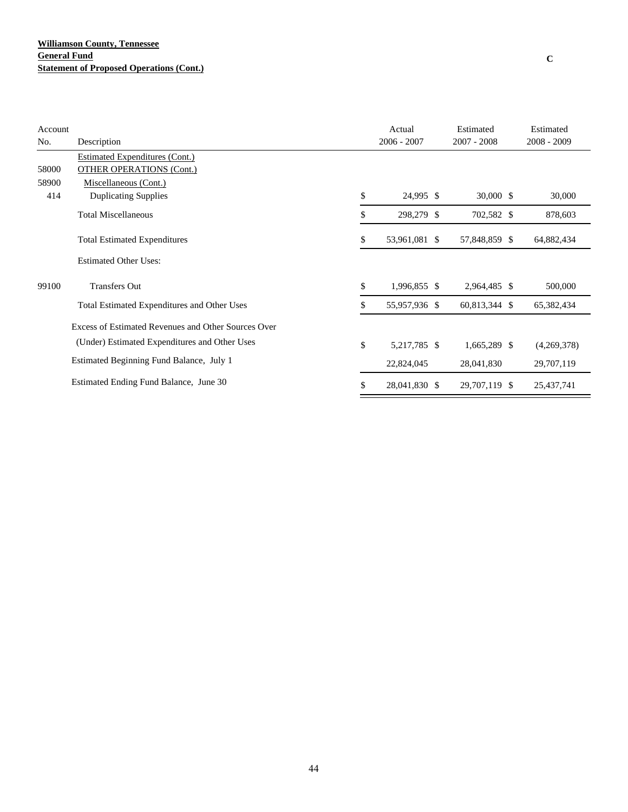| Account |                                                     | Actual              | Estimated     | Estimated     |
|---------|-----------------------------------------------------|---------------------|---------------|---------------|
| No.     | Description                                         | $2006 - 2007$       | $2007 - 2008$ | $2008 - 2009$ |
|         | <b>Estimated Expenditures (Cont.)</b>               |                     |               |               |
| 58000   | <b>OTHER OPERATIONS (Cont.)</b>                     |                     |               |               |
| 58900   | Miscellaneous (Cont.)                               |                     |               |               |
| 414     | <b>Duplicating Supplies</b>                         | \$<br>24,995 \$     | $30,000$ \$   | 30,000        |
|         | <b>Total Miscellaneous</b>                          | \$<br>298,279 \$    | 702,582 \$    | 878,603       |
|         | <b>Total Estimated Expenditures</b>                 | \$<br>53,961,081 \$ | 57,848,859 \$ | 64,882,434    |
|         | <b>Estimated Other Uses:</b>                        |                     |               |               |
| 99100   | <b>Transfers Out</b>                                | \$<br>1,996,855 \$  | 2,964,485 \$  | 500,000       |
|         | Total Estimated Expenditures and Other Uses         | \$<br>55,957,936 \$ | 60,813,344 \$ | 65,382,434    |
|         | Excess of Estimated Revenues and Other Sources Over |                     |               |               |
|         | (Under) Estimated Expenditures and Other Uses       | \$<br>5,217,785 \$  | 1,665,289 \$  | (4,269,378)   |
|         | Estimated Beginning Fund Balance, July 1            | 22,824,045          | 28,041,830    | 29,707,119    |
|         | Estimated Ending Fund Balance, June 30              | \$<br>28,041,830 \$ | 29,707,119 \$ | 25,437,741    |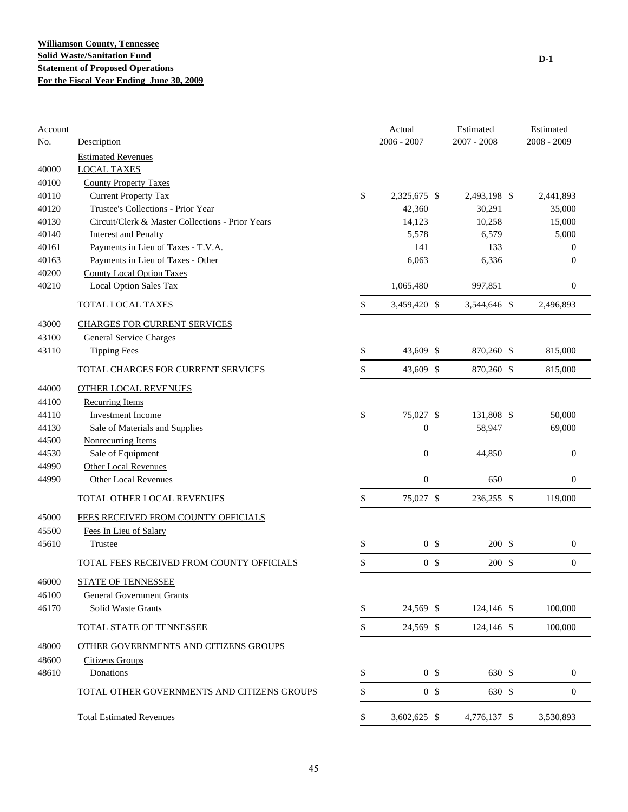| Account<br>No. | Description                                      | Actual<br>$2006 - 2007$ | Estimated<br>$2007 - 2008$ | Estimated<br>2008 - 2009 |
|----------------|--------------------------------------------------|-------------------------|----------------------------|--------------------------|
|                | <b>Estimated Revenues</b>                        |                         |                            |                          |
| 40000          | <b>LOCAL TAXES</b>                               |                         |                            |                          |
| 40100          | <b>County Property Taxes</b>                     |                         |                            |                          |
| 40110          | <b>Current Property Tax</b>                      | \$<br>2,325,675 \$      | 2,493,198 \$               | 2,441,893                |
| 40120          | Trustee's Collections - Prior Year               | 42,360                  | 30,291                     | 35,000                   |
| 40130          | Circuit/Clerk & Master Collections - Prior Years | 14,123                  | 10,258                     | 15,000                   |
| 40140          | <b>Interest and Penalty</b>                      | 5,578                   | 6,579                      | 5,000                    |
| 40161          | Payments in Lieu of Taxes - T.V.A.               | 141                     | 133                        | $\theta$                 |
| 40163          | Payments in Lieu of Taxes - Other                | 6,063                   | 6,336                      | $\theta$                 |
| 40200          | <b>County Local Option Taxes</b>                 |                         |                            |                          |
| 40210          | Local Option Sales Tax                           | 1,065,480               | 997,851                    | $\boldsymbol{0}$         |
|                | TOTAL LOCAL TAXES                                | \$<br>3,459,420 \$      | 3,544,646 \$               | 2,496,893                |
| 43000          | <b>CHARGES FOR CURRENT SERVICES</b>              |                         |                            |                          |
| 43100          | <b>General Service Charges</b>                   |                         |                            |                          |
| 43110          | <b>Tipping Fees</b>                              | \$<br>43,609 \$         | 870,260 \$                 | 815,000                  |
|                | TOTAL CHARGES FOR CURRENT SERVICES               | \$<br>43,609 \$         | 870,260 \$                 | 815,000                  |
| 44000          | <b>OTHER LOCAL REVENUES</b>                      |                         |                            |                          |
| 44100          | <b>Recurring Items</b>                           |                         |                            |                          |
| 44110          | <b>Investment Income</b>                         | \$<br>75,027 \$         | 131,808 \$                 | 50,000                   |
| 44130          | Sale of Materials and Supplies                   | $\boldsymbol{0}$        | 58,947                     | 69,000                   |
| 44500          | Nonrecurring Items                               |                         |                            |                          |
| 44530          | Sale of Equipment                                | $\boldsymbol{0}$        | 44,850                     | $\boldsymbol{0}$         |
| 44990          | Other Local Revenues                             |                         |                            |                          |
| 44990          | <b>Other Local Revenues</b>                      | $\boldsymbol{0}$        | 650                        | $\boldsymbol{0}$         |
|                | TOTAL OTHER LOCAL REVENUES                       | \$<br>75,027 \$         | 236,255 \$                 | 119,000                  |
| 45000          | FEES RECEIVED FROM COUNTY OFFICIALS              |                         |                            |                          |
| 45500          | Fees In Lieu of Salary                           |                         |                            |                          |
| 45610          | Trustee                                          | \$<br>0 <sup>5</sup>    | 200 \$                     | $\boldsymbol{0}$         |
|                | TOTAL FEES RECEIVED FROM COUNTY OFFICIALS        | \$<br>0 <sup>5</sup>    | 200 \$                     | $\boldsymbol{0}$         |
| 46000          | <b>STATE OF TENNESSEE</b>                        |                         |                            |                          |
| 46100          | <b>General Government Grants</b>                 |                         |                            |                          |
| 46170          | Solid Waste Grants                               | \$<br>24,569 \$         | 124,146 \$                 | 100,000                  |
|                | TOTAL STATE OF TENNESSEE                         | \$<br>24,569 \$         | 124,146 \$                 | 100,000                  |
| 48000          | OTHER GOVERNMENTS AND CITIZENS GROUPS            |                         |                            |                          |
| 48600          | <b>Citizens Groups</b>                           |                         |                            |                          |
| 48610          | Donations                                        | \$<br>0 <sup>5</sup>    | 630 \$                     | $\boldsymbol{0}$         |
|                | TOTAL OTHER GOVERNMENTS AND CITIZENS GROUPS      | \$<br>0 <sup>5</sup>    | 630 \$                     | $\boldsymbol{0}$         |
|                | <b>Total Estimated Revenues</b>                  | \$<br>3,602,625 \$      | 4,776,137 \$               | 3,530,893                |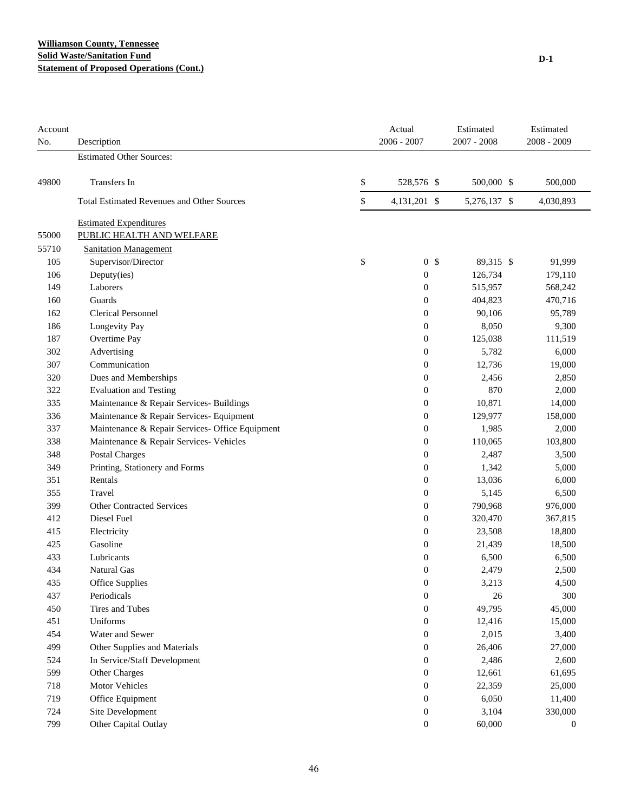#### **Williamson County, Tennessee Solid Waste/Sanitation Fund Statement of Proposed Operations (Cont.)**

| Account<br>No. | Description                                       | Actual<br>$2006 - 2007$ | Estimated<br>$2007 - 2008$ | Estimated<br>2008 - 2009 |
|----------------|---------------------------------------------------|-------------------------|----------------------------|--------------------------|
|                | <b>Estimated Other Sources:</b>                   |                         |                            |                          |
| 49800          | Transfers In                                      | \$<br>528,576 \$        | 500,000 \$                 | 500,000                  |
|                | <b>Total Estimated Revenues and Other Sources</b> | \$<br>4,131,201 \$      | 5,276,137 \$               | 4,030,893                |
|                | <b>Estimated Expenditures</b>                     |                         |                            |                          |
| 55000          | PUBLIC HEALTH AND WELFARE                         |                         |                            |                          |
| 55710          | <b>Sanitation Management</b>                      |                         |                            |                          |
| 105            | Supervisor/Director                               | \$<br>0 <sup>5</sup>    | 89,315 \$                  | 91,999                   |
| 106            | Deputy(ies)                                       | $\boldsymbol{0}$        | 126,734                    | 179,110                  |
| 149            | Laborers                                          | $\boldsymbol{0}$        | 515,957                    | 568,242                  |
| 160            | Guards                                            | $\boldsymbol{0}$        | 404,823                    | 470,716                  |
| 162            | <b>Clerical Personnel</b>                         | $\boldsymbol{0}$        | 90,106                     | 95,789                   |
| 186            | Longevity Pay                                     | $\boldsymbol{0}$        | 8,050                      | 9,300                    |
| 187            | Overtime Pay                                      | $\boldsymbol{0}$        | 125,038                    | 111,519                  |
| 302            | Advertising                                       | $\boldsymbol{0}$        | 5,782                      | 6,000                    |
| 307            | Communication                                     | $\boldsymbol{0}$        | 12,736                     | 19,000                   |
| 320            | Dues and Memberships                              | $\boldsymbol{0}$        | 2,456                      | 2,850                    |
| 322            | <b>Evaluation and Testing</b>                     | $\boldsymbol{0}$        | 870                        | 2,000                    |
| 335            | Maintenance & Repair Services- Buildings          | $\boldsymbol{0}$        | 10,871                     | 14,000                   |
| 336            | Maintenance & Repair Services- Equipment          | $\boldsymbol{0}$        | 129,977                    | 158,000                  |
| 337            | Maintenance & Repair Services- Office Equipment   | $\boldsymbol{0}$        | 1,985                      | 2,000                    |
| 338            | Maintenance & Repair Services- Vehicles           | $\boldsymbol{0}$        | 110,065                    | 103,800                  |
| 348            | Postal Charges                                    | $\boldsymbol{0}$        | 2,487                      | 3,500                    |
| 349            | Printing, Stationery and Forms                    | $\boldsymbol{0}$        | 1,342                      | 5,000                    |
| 351            | Rentals                                           | $\boldsymbol{0}$        | 13,036                     | 6,000                    |
| 355            | Travel                                            | $\boldsymbol{0}$        | 5,145                      | 6,500                    |
| 399            | <b>Other Contracted Services</b>                  | $\boldsymbol{0}$        | 790,968                    | 976,000                  |
| 412            | Diesel Fuel                                       | $\boldsymbol{0}$        | 320,470                    | 367,815                  |
| 415            | Electricity                                       | $\boldsymbol{0}$        | 23,508                     | 18,800                   |
| 425            | Gasoline                                          | $\boldsymbol{0}$        | 21,439                     | 18,500                   |
| 433            | Lubricants                                        | $\boldsymbol{0}$        | 6,500                      | 6,500                    |
| 434            | <b>Natural Gas</b>                                | $\boldsymbol{0}$        | 2,479                      | 2,500                    |
| 435            | Office Supplies                                   | $\boldsymbol{0}$        | 3,213                      | 4,500                    |
| 437            | Periodicals                                       | $\boldsymbol{0}$        | 26                         | 300                      |
| 450            | Tires and Tubes                                   | $\boldsymbol{0}$        | 49,795                     | 45,000                   |
| 451            | Uniforms                                          | $\boldsymbol{0}$        | 12,416                     | 15,000                   |
| 454            | Water and Sewer                                   | $\boldsymbol{0}$        | 2,015                      | 3,400                    |
| 499            | Other Supplies and Materials                      | $\boldsymbol{0}$        | 26,406                     | 27,000                   |
| 524            | In Service/Staff Development                      | $\boldsymbol{0}$        | 2,486                      | 2,600                    |
| 599            | Other Charges                                     | $\boldsymbol{0}$        | 12,661                     | 61,695                   |
| 718            | Motor Vehicles                                    | $\mathbf{0}$            | 22,359                     | 25,000                   |
| 719            | Office Equipment                                  | $\boldsymbol{0}$        | 6,050                      | 11,400                   |
| 724            | Site Development                                  | $\boldsymbol{0}$        | 3,104                      | 330,000                  |
| 799            | Other Capital Outlay                              | $\boldsymbol{0}$        | 60,000                     | $\mathbf{0}$             |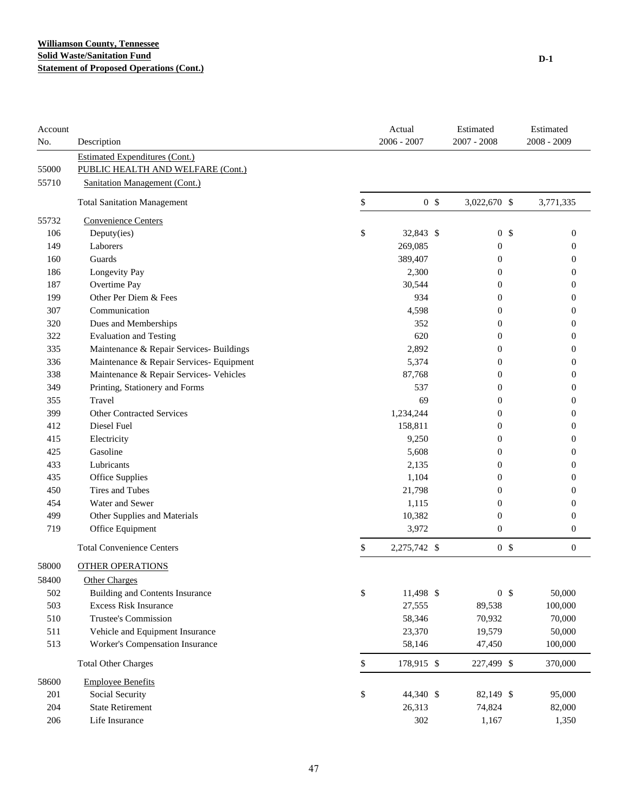| Account |                                          |              | Actual         | Estimated        | Estimated        |
|---------|------------------------------------------|--------------|----------------|------------------|------------------|
| No.     | Description                              |              | $2006 - 2007$  | 2007 - 2008      | 2008 - 2009      |
|         | <b>Estimated Expenditures (Cont.)</b>    |              |                |                  |                  |
| 55000   | PUBLIC HEALTH AND WELFARE (Cont.)        |              |                |                  |                  |
| 55710   | Sanitation Management (Cont.)            |              |                |                  |                  |
|         | <b>Total Sanitation Management</b>       | \$           | 0 <sup>5</sup> | 3,022,670 \$     | 3,771,335        |
| 55732   | Convenience Centers                      |              |                |                  |                  |
| 106     | Deputy(ies)                              | \$           | 32,843 \$      | 0 <sup>5</sup>   | $\mathbf{0}$     |
| 149     | Laborers                                 |              | 269,085        | $\boldsymbol{0}$ | $\mathbf{0}$     |
| 160     | Guards                                   |              | 389,407        | $\boldsymbol{0}$ | $\mathbf{0}$     |
| 186     | Longevity Pay                            |              | 2,300          | $\boldsymbol{0}$ | $\mathbf{0}$     |
| 187     | Overtime Pay                             |              | 30,544         | 0                | 0                |
| 199     | Other Per Diem & Fees                    |              | 934            | 0                | 0                |
| 307     | Communication                            |              | 4,598          | 0                | 0                |
| 320     | Dues and Memberships                     |              | 352            | 0                | 0                |
| 322     | <b>Evaluation and Testing</b>            |              | 620            | 0                | $\mathbf{0}$     |
| 335     | Maintenance & Repair Services- Buildings |              | 2,892          | 0                | 0                |
| 336     | Maintenance & Repair Services- Equipment |              | 5,374          | $\boldsymbol{0}$ | $\boldsymbol{0}$ |
| 338     | Maintenance & Repair Services- Vehicles  |              | 87,768         | $\boldsymbol{0}$ | $\mathbf{0}$     |
| 349     | Printing, Stationery and Forms           |              | 537            | 0                | $\boldsymbol{0}$ |
| 355     | Travel                                   |              | 69             | 0                | $\mathbf{0}$     |
| 399     | <b>Other Contracted Services</b>         |              | 1,234,244      | 0                | $\mathbf{0}$     |
| 412     | Diesel Fuel                              |              | 158,811        | 0                | $\mathbf{0}$     |
| 415     | Electricity                              |              | 9,250          | 0                | 0                |
| 425     | Gasoline                                 |              | 5,608          | $\mathbf{0}$     | 0                |
| 433     | Lubricants                               |              | 2,135          | 0                | 0                |
| 435     | Office Supplies                          |              | 1,104          | 0                | $\mathbf{0}$     |
| 450     | <b>Tires and Tubes</b>                   |              | 21,798         | 0                | $\mathbf{0}$     |
| 454     | Water and Sewer                          |              | 1,115          | $\boldsymbol{0}$ | $\boldsymbol{0}$ |
| 499     | Other Supplies and Materials             |              | 10,382         | $\boldsymbol{0}$ | $\boldsymbol{0}$ |
| 719     | Office Equipment                         |              | 3,972          | $\boldsymbol{0}$ | $\boldsymbol{0}$ |
|         | <b>Total Convenience Centers</b>         | \$           | 2,275,742 \$   | 0 <sup>5</sup>   | $\boldsymbol{0}$ |
| 58000   | <b>OTHER OPERATIONS</b>                  |              |                |                  |                  |
| 58400   | <b>Other Charges</b>                     |              |                |                  |                  |
| 502     | Building and Contents Insurance          | \$           | 11,498 \$      | 0 <sup>5</sup>   | 50,000           |
| 503     | <b>Excess Risk Insurance</b>             |              | 27,555         | 89,538           | 100,000          |
| 510     | Trustee's Commission                     |              | 58,346         | 70,932           | 70,000           |
| 511     | Vehicle and Equipment Insurance          |              | 23,370         | 19,579           | 50,000           |
| 513     | Worker's Compensation Insurance          |              | 58,146         | 47,450           | 100,000          |
|         | <b>Total Other Charges</b>               | $\mathbb{S}$ | 178,915 \$     | 227,499 \$       | 370,000          |
| 58600   | <b>Employee Benefits</b>                 |              |                |                  |                  |
| 201     | Social Security                          | \$           | 44,340 \$      | 82,149 \$        | 95,000           |
| 204     | <b>State Retirement</b>                  |              | 26,313         | 74,824           | 82,000           |
| 206     | Life Insurance                           |              | 302            | 1,167            | 1,350            |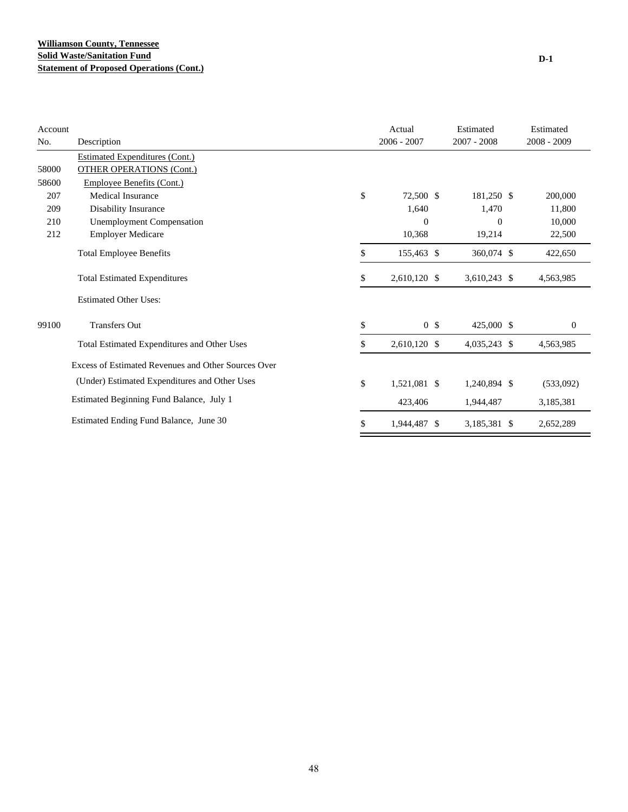| Account |                                                     | Actual               | Estimated      | Estimated        |
|---------|-----------------------------------------------------|----------------------|----------------|------------------|
| No.     | Description                                         | $2006 - 2007$        | $2007 - 2008$  | $2008 - 2009$    |
|         | <b>Estimated Expenditures (Cont.)</b>               |                      |                |                  |
| 58000   | <b>OTHER OPERATIONS (Cont.)</b>                     |                      |                |                  |
| 58600   | Employee Benefits (Cont.)                           |                      |                |                  |
| 207     | Medical Insurance                                   | \$<br>72,500 \$      | 181,250 \$     | 200,000          |
| 209     | Disability Insurance                                | 1,640                | 1,470          | 11,800           |
| 210     | <b>Unemployment Compensation</b>                    | $\overline{0}$       | $\overline{0}$ | 10,000           |
| 212     | <b>Employer Medicare</b>                            | 10,368               | 19,214         | 22,500           |
|         | <b>Total Employee Benefits</b>                      | \$<br>155,463 \$     | 360,074 \$     | 422,650          |
|         | <b>Total Estimated Expenditures</b>                 | \$<br>2,610,120 \$   | 3,610,243 \$   | 4,563,985        |
|         | <b>Estimated Other Uses:</b>                        |                      |                |                  |
| 99100   | <b>Transfers Out</b>                                | \$<br>0 <sup>5</sup> | 425,000 \$     | $\boldsymbol{0}$ |
|         | Total Estimated Expenditures and Other Uses         | \$<br>2,610,120 \$   | 4,035,243 \$   | 4,563,985        |
|         | Excess of Estimated Revenues and Other Sources Over |                      |                |                  |
|         | (Under) Estimated Expenditures and Other Uses       | \$<br>1,521,081 \$   | 1,240,894 \$   | (533,092)        |
|         | Estimated Beginning Fund Balance, July 1            | 423,406              | 1,944,487      | 3,185,381        |
|         | Estimated Ending Fund Balance, June 30              | \$<br>1,944,487 \$   | 3,185,381 \$   | 2,652,289        |

**D-1**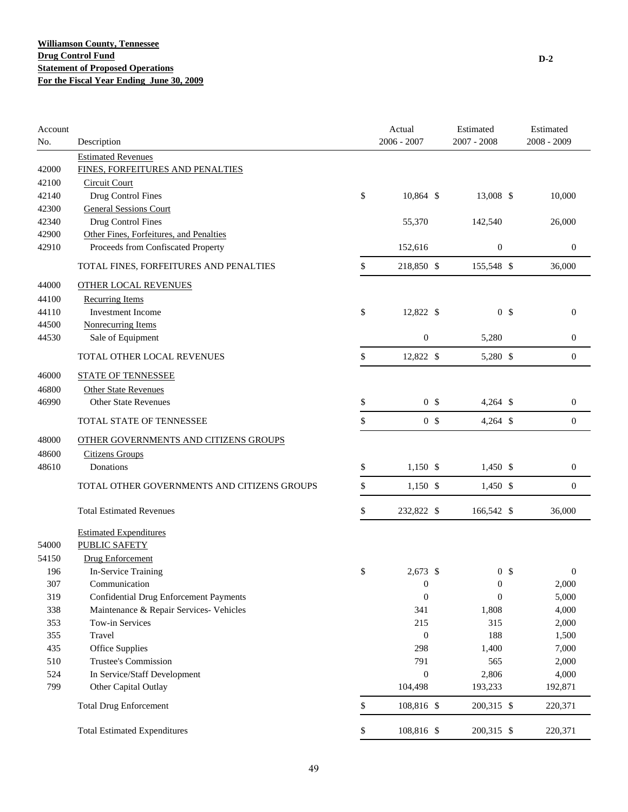| Account |                                                               | Actual               | Estimated        | Estimated<br>$2008 - 2009$ |
|---------|---------------------------------------------------------------|----------------------|------------------|----------------------------|
| No.     | Description                                                   | $2006 - 2007$        | $2007 - 2008$    |                            |
| 42000   | <b>Estimated Revenues</b><br>FINES, FORFEITURES AND PENALTIES |                      |                  |                            |
| 42100   | <b>Circuit Court</b>                                          |                      |                  |                            |
| 42140   | Drug Control Fines                                            | \$<br>10,864 \$      | 13,008 \$        | 10,000                     |
| 42300   | <b>General Sessions Court</b>                                 |                      |                  |                            |
| 42340   | Drug Control Fines                                            | 55,370               | 142,540          | 26,000                     |
| 42900   | Other Fines, Forfeitures, and Penalties                       |                      |                  |                            |
| 42910   | Proceeds from Confiscated Property                            | 152,616              | $\boldsymbol{0}$ | 0                          |
|         | TOTAL FINES, FORFEITURES AND PENALTIES                        | \$<br>218,850 \$     | 155,548 \$       | 36,000                     |
| 44000   | <b>OTHER LOCAL REVENUES</b>                                   |                      |                  |                            |
| 44100   | <b>Recurring Items</b>                                        |                      |                  |                            |
| 44110   | Investment Income                                             | \$<br>12,822 \$      | 0 <sup>5</sup>   | $\boldsymbol{0}$           |
| 44500   | Nonrecurring Items                                            |                      |                  |                            |
| 44530   | Sale of Equipment                                             | $\mathbf{0}$         | 5,280            | $\boldsymbol{0}$           |
|         | TOTAL OTHER LOCAL REVENUES                                    | \$<br>12,822 \$      | 5,280 \$         | $\boldsymbol{0}$           |
| 46000   | <b>STATE OF TENNESSEE</b>                                     |                      |                  |                            |
| 46800   | <b>Other State Revenues</b>                                   |                      |                  |                            |
| 46990   | <b>Other State Revenues</b>                                   | \$<br>0 <sup>5</sup> | $4,264$ \$       | $\boldsymbol{0}$           |
|         | TOTAL STATE OF TENNESSEE                                      | \$<br>0 <sup>5</sup> | $4,264$ \$       | $\boldsymbol{0}$           |
| 48000   | OTHER GOVERNMENTS AND CITIZENS GROUPS                         |                      |                  |                            |
| 48600   | <b>Citizens Groups</b>                                        |                      |                  |                            |
| 48610   | Donations                                                     | \$<br>$1,150$ \$     | $1,450$ \$       | $\boldsymbol{0}$           |
|         |                                                               |                      |                  |                            |
|         | TOTAL OTHER GOVERNMENTS AND CITIZENS GROUPS                   | \$<br>$1,150$ \$     | $1,450$ \$       | $\boldsymbol{0}$           |
|         | <b>Total Estimated Revenues</b>                               | \$<br>232,822 \$     | 166,542 \$       | 36,000                     |
|         | <b>Estimated Expenditures</b>                                 |                      |                  |                            |
| 54000   | <b>PUBLIC SAFETY</b>                                          |                      |                  |                            |
| 54150   | <b>Drug Enforcement</b>                                       |                      |                  |                            |
| 196     | In-Service Training                                           | \$<br>$2,673$ \$     | 0 <sup>5</sup>   | $\boldsymbol{0}$           |
| 307     | Communication                                                 | $\mathbf{0}$         | $\mathbf{0}$     | 2,000                      |
| 319     | <b>Confidential Drug Enforcement Payments</b>                 | $\boldsymbol{0}$     | $\boldsymbol{0}$ | 5,000                      |
| 338     | Maintenance & Repair Services- Vehicles                       | 341                  | 1,808            | 4,000                      |
| 353     | Tow-in Services                                               | 215                  | 315              | 2,000                      |
| 355     | Travel                                                        | $\boldsymbol{0}$     | 188              | 1,500                      |
| 435     | Office Supplies                                               | 298                  | 1,400            | 7,000                      |
| 510     | Trustee's Commission                                          | 791                  | 565              | 2,000                      |
| 524     | In Service/Staff Development                                  | $\mathbf{0}$         | 2,806            | 4,000                      |
| 799     | Other Capital Outlay                                          | 104,498              | 193,233          | 192,871                    |
|         | <b>Total Drug Enforcement</b>                                 | \$<br>108,816 \$     | 200,315 \$       | 220,371                    |
|         | <b>Total Estimated Expenditures</b>                           | \$<br>108,816 \$     | 200,315 \$       | 220,371                    |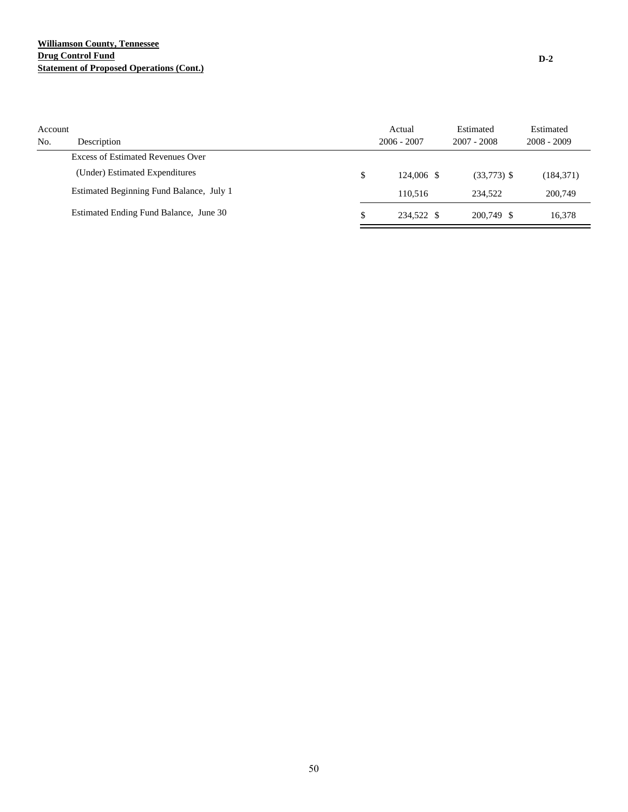#### **Williamson County, Tennessee Drug Control Fund Statement of Proposed Operations (Cont.)**

| Account<br>No. | Description                              | Actual<br>$2006 - 2007$ | Estimated<br>$2007 - 2008$ | Estimated<br>$2008 - 2009$ |
|----------------|------------------------------------------|-------------------------|----------------------------|----------------------------|
|                | Excess of Estimated Revenues Over        |                         |                            |                            |
|                | (Under) Estimated Expenditures           | \$<br>$124.006$ \$      | $(33,773)$ \$              | (184, 371)                 |
|                | Estimated Beginning Fund Balance, July 1 | 110.516                 | 234.522                    | 200,749                    |
|                | Estimated Ending Fund Balance, June 30   | \$<br>234.522 \$        | 200,749 \$                 | 16.378                     |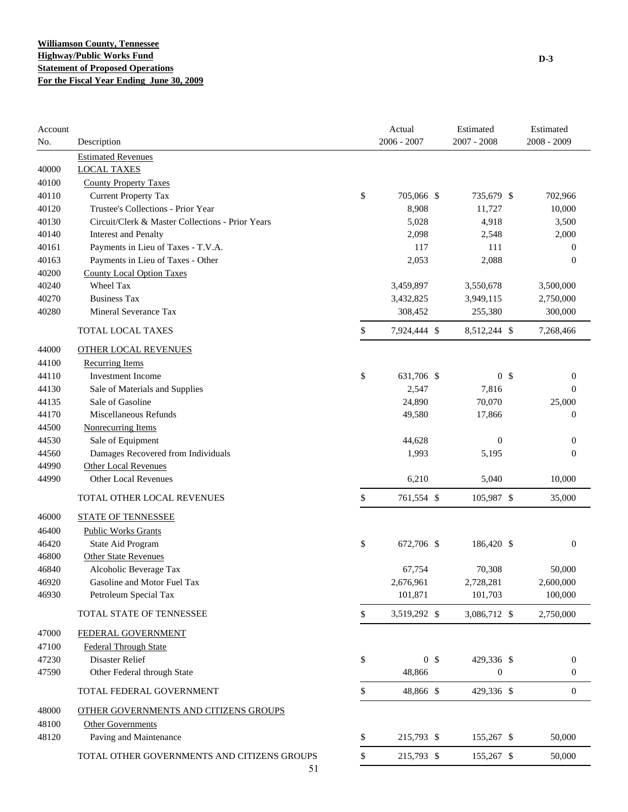| Account |                                                  | Actual               | Estimated      | Estimated        |
|---------|--------------------------------------------------|----------------------|----------------|------------------|
| No.     | Description                                      | 2006 - 2007          | 2007 - 2008    | $2008 - 2009$    |
| 40000   | <b>Estimated Revenues</b><br><b>LOCAL TAXES</b>  |                      |                |                  |
| 40100   | <b>County Property Taxes</b>                     |                      |                |                  |
| 40110   | <b>Current Property Tax</b>                      | \$<br>705,066 \$     | 735,679 \$     | 702,966          |
| 40120   | Trustee's Collections - Prior Year               | 8,908                | 11,727         | 10,000           |
| 40130   | Circuit/Clerk & Master Collections - Prior Years | 5,028                | 4,918          | 3,500            |
| 40140   | <b>Interest and Penalty</b>                      | 2,098                | 2,548          | 2,000            |
| 40161   | Payments in Lieu of Taxes - T.V.A.               | 117                  | 111            | $\mathbf{0}$     |
| 40163   | Payments in Lieu of Taxes - Other                | 2,053                | 2,088          | $\mathbf{0}$     |
| 40200   | <b>County Local Option Taxes</b>                 |                      |                |                  |
| 40240   | Wheel Tax                                        | 3,459,897            | 3,550,678      | 3,500,000        |
| 40270   | <b>Business Tax</b>                              | 3,432,825            | 3,949,115      | 2,750,000        |
| 40280   | Mineral Severance Tax                            | 308,452              | 255,380        | 300,000          |
|         |                                                  |                      |                |                  |
|         | TOTAL LOCAL TAXES                                | \$<br>7,924,444 \$   | 8,512,244 \$   | 7,268,466        |
| 44000   | <b>OTHER LOCAL REVENUES</b>                      |                      |                |                  |
| 44100   | <b>Recurring Items</b>                           |                      |                |                  |
| 44110   | <b>Investment Income</b>                         | \$<br>631,706 \$     | 0 <sup>5</sup> | $\boldsymbol{0}$ |
| 44130   | Sale of Materials and Supplies                   | 2,547                | 7,816          | 0                |
| 44135   | Sale of Gasoline                                 | 24,890               | 70,070         | 25,000           |
| 44170   | Miscellaneous Refunds                            | 49,580               | 17,866         | 0                |
| 44500   | <b>Nonrecurring Items</b>                        |                      |                |                  |
| 44530   | Sale of Equipment                                | 44,628               | $\overline{0}$ | 0                |
| 44560   | Damages Recovered from Individuals               | 1,993                | 5,195          | $\boldsymbol{0}$ |
| 44990   | <b>Other Local Revenues</b>                      |                      |                |                  |
| 44990   | Other Local Revenues                             | 6,210                | 5,040          | 10,000           |
|         | TOTAL OTHER LOCAL REVENUES                       | \$<br>761,554 \$     | 105,987 \$     | 35,000           |
| 46000   | <b>STATE OF TENNESSEE</b>                        |                      |                |                  |
| 46400   | <b>Public Works Grants</b>                       |                      |                |                  |
| 46420   | State Aid Program                                | \$<br>672,706 \$     | 186,420 \$     | $\boldsymbol{0}$ |
| 46800   | <b>Other State Revenues</b>                      |                      |                |                  |
| 46840   | Alcoholic Beverage Tax                           | 67,754               | 70,308         | 50,000           |
| 46920   | Gasoline and Motor Fuel Tax                      | 2,676,961            | 2,728,281      | 2,600,000        |
| 46930   | Petroleum Special Tax                            | 101,871              | 101,703        | 100,000          |
|         | TOTAL STATE OF TENNESSEE                         | \$<br>3,519,292 \$   | 3,086,712 \$   | 2,750,000        |
| 47000   | FEDERAL GOVERNMENT                               |                      |                |                  |
| 47100   | <b>Federal Through State</b>                     |                      |                |                  |
| 47230   | Disaster Relief                                  | \$<br>0 <sup>5</sup> | 429,336 \$     | $\boldsymbol{0}$ |
| 47590   | Other Federal through State                      | 48,866               | $\mathbf{0}$   | $\boldsymbol{0}$ |
|         | TOTAL FEDERAL GOVERNMENT                         | \$<br>48,866 \$      | 429,336 \$     | $\boldsymbol{0}$ |
| 48000   | OTHER GOVERNMENTS AND CITIZENS GROUPS            |                      |                |                  |
| 48100   | <b>Other Governments</b>                         |                      |                |                  |
| 48120   | Paving and Maintenance                           | \$<br>215,793 \$     | 155,267 \$     | 50,000           |
|         | TOTAL OTHER GOVERNMENTS AND CITIZENS GROUPS      | \$<br>215,793 \$     | 155,267 \$     | 50,000           |
|         | 51                                               |                      |                |                  |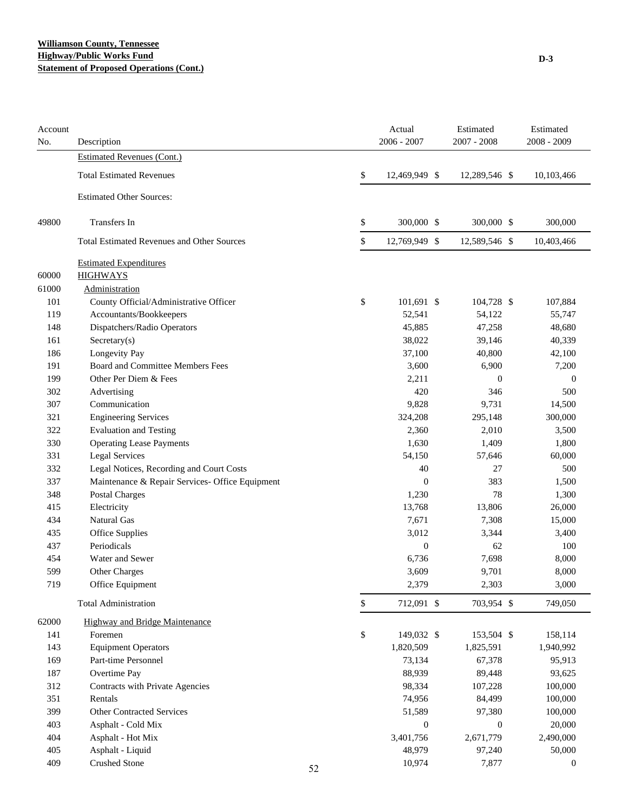### **Williamson County, Tennessee Highway/Public Works Fund Statement of Proposed Operations (Cont.)**

| Account<br>No. | Description                                       |    | Actual<br>2006 - 2007 | Estimated<br>$2007 - 2008$ | Estimated<br>2008 - 2009 |
|----------------|---------------------------------------------------|----|-----------------------|----------------------------|--------------------------|
|                | Estimated Revenues (Cont.)                        |    |                       |                            |                          |
|                | <b>Total Estimated Revenues</b>                   |    | \$<br>12,469,949 \$   | 12,289,546 \$              | 10,103,466               |
|                | <b>Estimated Other Sources:</b>                   |    |                       |                            |                          |
| 49800          | Transfers In                                      |    | \$<br>300,000 \$      | 300,000 \$                 | 300,000                  |
|                | <b>Total Estimated Revenues and Other Sources</b> |    | \$<br>12,769,949 \$   | 12,589,546 \$              | 10,403,466               |
|                | <b>Estimated Expenditures</b>                     |    |                       |                            |                          |
| 60000          | <b>HIGHWAYS</b>                                   |    |                       |                            |                          |
| 61000          | Administration                                    |    |                       |                            |                          |
| 101            | County Official/Administrative Officer            |    | \$<br>101,691 \$      | 104,728 \$                 | 107,884                  |
| 119            | Accountants/Bookkeepers                           |    | 52,541                | 54,122                     | 55,747                   |
| 148            | Dispatchers/Radio Operators                       |    | 45,885                | 47,258                     | 48,680                   |
| 161            | Sercetary(s)                                      |    | 38,022                | 39,146                     | 40,339                   |
| 186            | Longevity Pay                                     |    | 37,100                | 40,800                     | 42,100                   |
| 191            | Board and Committee Members Fees                  |    | 3,600                 | 6,900                      | 7,200                    |
| 199            | Other Per Diem & Fees                             |    | 2,211                 | $\boldsymbol{0}$           | $\boldsymbol{0}$         |
| 302            | Advertising                                       |    | 420                   | 346                        | 500                      |
| 307            | Communication                                     |    | 9,828                 | 9,731                      | 14,500                   |
| 321            | <b>Engineering Services</b>                       |    | 324,208               | 295,148                    | 300,000                  |
| 322            | <b>Evaluation and Testing</b>                     |    | 2,360                 | 2,010                      | 3,500                    |
| 330            | <b>Operating Lease Payments</b>                   |    | 1,630                 | 1,409                      | 1,800                    |
| 331            | <b>Legal Services</b>                             |    | 54,150                | 57,646                     | 60,000                   |
| 332            | Legal Notices, Recording and Court Costs          |    | 40                    | 27                         | 500                      |
| 337            | Maintenance & Repair Services- Office Equipment   |    | $\overline{0}$        | 383                        | 1,500                    |
| 348            | <b>Postal Charges</b>                             |    | 1,230                 | 78                         | 1,300                    |
| 415            | Electricity                                       |    | 13,768                | 13,806                     | 26,000                   |
| 434            | Natural Gas                                       |    | 7,671                 | 7,308                      | 15,000                   |
| 435            | Office Supplies                                   |    | 3,012                 | 3,344                      | 3,400                    |
| 437            | Periodicals                                       |    | $\mathbf{0}$          | 62                         | 100                      |
| 454            | Water and Sewer                                   |    | 6,736                 | 7,698                      | 8,000                    |
| 599            | Other Charges                                     |    | 3,609                 | 9,701                      | 8,000                    |
| 719            | Office Equipment                                  |    | 2,379                 | 2,303                      | 3,000                    |
|                | <b>Total Administration</b>                       |    | \$<br>712,091 \$      | 703,954 \$                 | 749,050                  |
| 62000          | Highway and Bridge Maintenance                    |    |                       |                            |                          |
| 141            | Foremen                                           |    | \$<br>149,032 \$      | 153,504 \$                 | 158,114                  |
| 143            | <b>Equipment Operators</b>                        |    | 1,820,509             | 1,825,591                  | 1,940,992                |
| 169            | Part-time Personnel                               |    | 73,134                | 67,378                     | 95,913                   |
| 187            | Overtime Pay                                      |    | 88,939                | 89,448                     | 93,625                   |
| 312            | Contracts with Private Agencies                   |    | 98,334                | 107,228                    | 100,000                  |
| 351            | Rentals                                           |    | 74,956                | 84,499                     | 100,000                  |
| 399            | Other Contracted Services                         |    | 51,589                | 97,380                     | 100,000                  |
| 403            | Asphalt - Cold Mix                                |    | $\boldsymbol{0}$      | $\boldsymbol{0}$           | 20,000                   |
| 404            | Asphalt - Hot Mix                                 |    | 3,401,756             | 2,671,779                  | 2,490,000                |
| 405            | Asphalt - Liquid                                  |    | 48,979                | 97,240                     | 50,000                   |
| 409            | <b>Crushed Stone</b>                              | 52 | 10,974                | 7,877                      | $\boldsymbol{0}$         |
|                |                                                   |    |                       |                            |                          |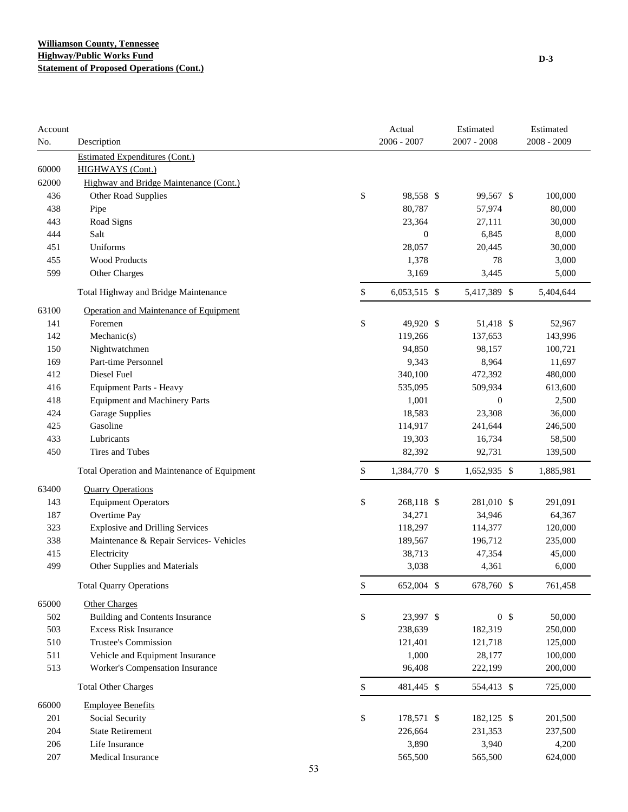| Account |                                              |              | Actual           | Estimated      | Estimated     |
|---------|----------------------------------------------|--------------|------------------|----------------|---------------|
| No.     | Description                                  |              | $2006 - 2007$    | 2007 - 2008    | $2008 - 2009$ |
|         | <b>Estimated Expenditures (Cont.)</b>        |              |                  |                |               |
| 60000   | <b>HIGHWAYS</b> (Cont.)                      |              |                  |                |               |
| 62000   | Highway and Bridge Maintenance (Cont.)       |              |                  |                |               |
| 436     | Other Road Supplies                          | \$           | 98,558 \$        | 99,567 \$      | 100,000       |
| 438     | Pipe                                         |              | 80,787           | 57,974         | 80,000        |
| 443     | Road Signs                                   |              | 23,364           | 27,111         | 30,000        |
| 444     | Salt                                         |              | $\boldsymbol{0}$ | 6,845          | 8,000         |
| 451     | Uniforms                                     |              | 28,057           | 20,445         | 30,000        |
| 455     | <b>Wood Products</b>                         |              | 1,378            | 78             | 3,000         |
| 599     | Other Charges                                |              | 3,169            | 3,445          | 5,000         |
|         | Total Highway and Bridge Maintenance         | \$           | 6,053,515 \$     | 5,417,389 \$   | 5,404,644     |
| 63100   | Operation and Maintenance of Equipment       |              |                  |                |               |
| 141     | Foremen                                      | \$           | 49,920 \$        | 51,418 \$      | 52,967        |
| 142     | Mechanic(s)                                  |              | 119,266          | 137,653        | 143,996       |
| 150     | Nightwatchmen                                |              | 94,850           | 98,157         | 100,721       |
| 169     | Part-time Personnel                          |              | 9,343            | 8,964          | 11,697        |
| 412     | Diesel Fuel                                  |              | 340,100          | 472,392        | 480,000       |
| 416     | <b>Equipment Parts - Heavy</b>               |              | 535,095          | 509,934        | 613,600       |
| 418     | <b>Equipment and Machinery Parts</b>         |              | 1,001            | $\mathbf{0}$   | 2,500         |
| 424     | <b>Garage Supplies</b>                       |              | 18,583           | 23,308         | 36,000        |
| 425     | Gasoline                                     |              | 114,917          | 241,644        | 246,500       |
| 433     | Lubricants                                   |              | 19,303           | 16,734         | 58,500        |
| 450     | Tires and Tubes                              |              | 82,392           | 92,731         | 139,500       |
|         | Total Operation and Maintenance of Equipment | \$           | 1,384,770 \$     | 1,652,935 \$   | 1,885,981     |
| 63400   | <b>Quarry Operations</b>                     |              |                  |                |               |
| 143     | <b>Equipment Operators</b>                   | \$           | 268,118 \$       | 281,010 \$     | 291,091       |
| 187     | Overtime Pay                                 |              | 34,271           | 34,946         | 64,367        |
| 323     | <b>Explosive and Drilling Services</b>       |              | 118,297          | 114,377        | 120,000       |
| 338     | Maintenance & Repair Services- Vehicles      |              | 189,567          | 196,712        | 235,000       |
| 415     | Electricity                                  |              | 38,713           | 47,354         | 45,000        |
| 499     | Other Supplies and Materials                 |              | 3,038            | 4,361          | 6,000         |
|         | <b>Total Quarry Operations</b>               | \$           | 652,004 \$       | 678,760 \$     | 761,458       |
| 65000   | <b>Other Charges</b>                         |              |                  |                |               |
| 502     | <b>Building and Contents Insurance</b>       | \$           | 23,997 \$        | 0 <sup>5</sup> | 50,000        |
| 503     | <b>Excess Risk Insurance</b>                 |              | 238,639          | 182,319        | 250,000       |
| 510     | Trustee's Commission                         |              | 121,401          | 121,718        | 125,000       |
| 511     | Vehicle and Equipment Insurance              |              | 1,000            | 28,177         | 100,000       |
| 513     | Worker's Compensation Insurance              |              | 96,408           | 222,199        | 200,000       |
|         | <b>Total Other Charges</b>                   | $\mathbb{S}$ | 481,445 \$       | 554,413 \$     | 725,000       |
| 66000   | <b>Employee Benefits</b>                     |              |                  |                |               |
| 201     | Social Security                              | \$           | 178,571 \$       | 182,125 \$     | 201,500       |
| 204     | <b>State Retirement</b>                      |              | 226,664          | 231,353        | 237,500       |
| 206     | Life Insurance                               |              | 3,890            | 3,940          | 4,200         |
|         | Medical Insurance                            |              |                  |                |               |
| 207     |                                              |              | 565,500          | 565,500        | 624,000       |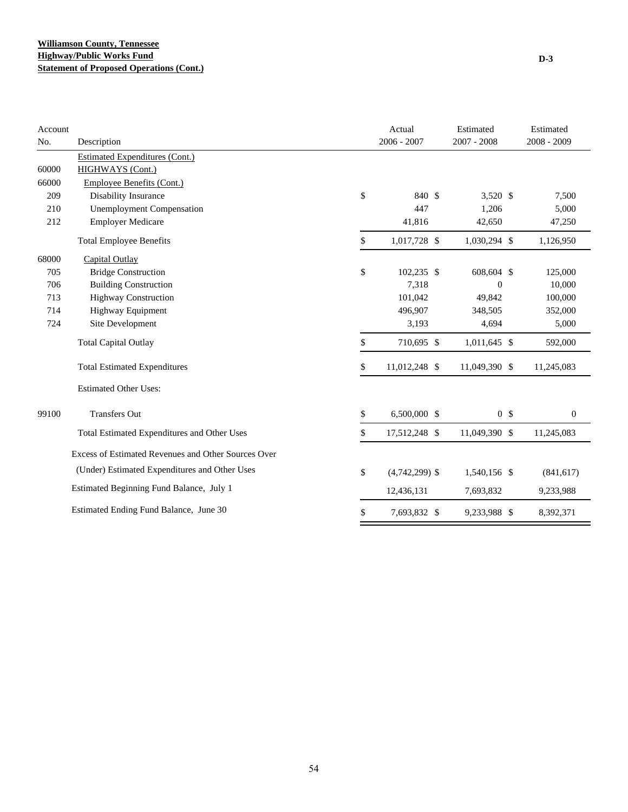| Account |                                                     | Actual                 | Estimated        | Estimated        |
|---------|-----------------------------------------------------|------------------------|------------------|------------------|
| No.     | Description                                         | $2006 - 2007$          | $2007 - 2008$    | 2008 - 2009      |
|         | <b>Estimated Expenditures (Cont.)</b>               |                        |                  |                  |
| 60000   | HIGHWAYS (Cont.)                                    |                        |                  |                  |
| 66000   | Employee Benefits (Cont.)                           |                        |                  |                  |
| 209     | Disability Insurance                                | \$<br>840 \$           | 3,520 \$         | 7,500            |
| 210     | <b>Unemployment Compensation</b>                    | 447                    | 1,206            | 5,000            |
| 212     | <b>Employer Medicare</b>                            | 41,816                 | 42,650           | 47,250           |
|         | <b>Total Employee Benefits</b>                      | \$<br>1,017,728 \$     | 1,030,294 \$     | 1,126,950        |
| 68000   | Capital Outlay                                      |                        |                  |                  |
| 705     | <b>Bridge Construction</b>                          | \$<br>102,235 \$       | 608,604 \$       | 125,000          |
| 706     | <b>Building Construction</b>                        | 7,318                  | $\boldsymbol{0}$ | 10,000           |
| 713     | <b>Highway Construction</b>                         | 101,042                | 49,842           | 100,000          |
| 714     | Highway Equipment                                   | 496,907                | 348,505          | 352,000          |
| 724     | Site Development                                    | 3,193                  | 4,694            | 5,000            |
|         | <b>Total Capital Outlay</b>                         | \$<br>710,695 \$       | $1,011,645$ \$   | 592,000          |
|         | <b>Total Estimated Expenditures</b>                 | \$<br>11,012,248 \$    | 11,049,390 \$    | 11,245,083       |
|         | <b>Estimated Other Uses:</b>                        |                        |                  |                  |
| 99100   | <b>Transfers Out</b>                                | \$<br>6,500,000 \$     | 0 <sup>5</sup>   | $\boldsymbol{0}$ |
|         | Total Estimated Expenditures and Other Uses         | \$<br>17,512,248 \$    | 11,049,390 \$    | 11,245,083       |
|         | Excess of Estimated Revenues and Other Sources Over |                        |                  |                  |
|         | (Under) Estimated Expenditures and Other Uses       | \$<br>$(4,742,299)$ \$ | 1,540,156 \$     | (841, 617)       |
|         | Estimated Beginning Fund Balance, July 1            | 12,436,131             | 7,693,832        | 9,233,988        |
|         | Estimated Ending Fund Balance, June 30              | \$<br>7,693,832 \$     | 9,233,988 \$     | 8,392,371        |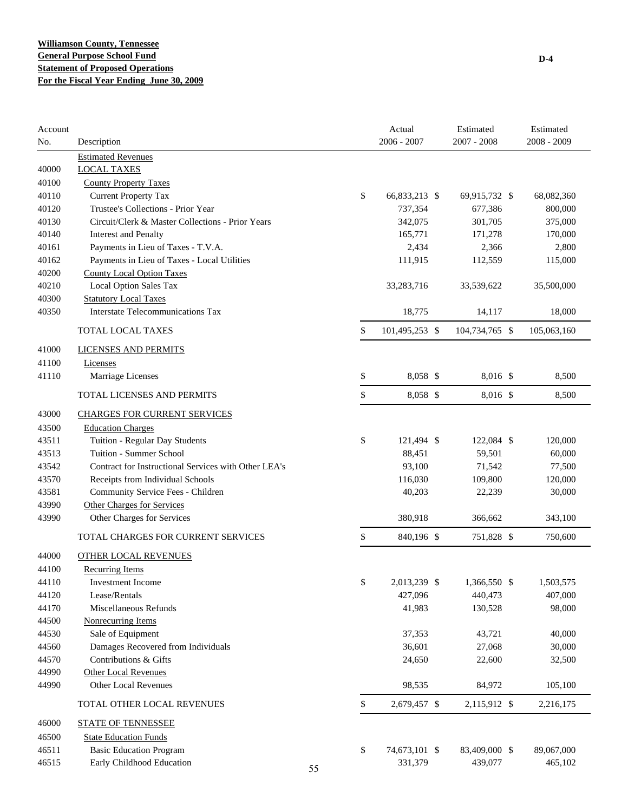| Account<br>No. | Description                                          |    | Actual<br>$2006 - 2007$ | Estimated<br>$2007 - 2008$ | Estimated<br>2008 - 2009 |
|----------------|------------------------------------------------------|----|-------------------------|----------------------------|--------------------------|
|                | <b>Estimated Revenues</b>                            |    |                         |                            |                          |
| 40000          | <b>LOCAL TAXES</b>                                   |    |                         |                            |                          |
| 40100          | <b>County Property Taxes</b>                         |    |                         |                            |                          |
| 40110          | <b>Current Property Tax</b>                          | \$ | 66,833,213 \$           | 69,915,732 \$              | 68,082,360               |
| 40120          | Trustee's Collections - Prior Year                   |    | 737,354                 | 677,386                    | 800,000                  |
| 40130          | Circuit/Clerk & Master Collections - Prior Years     |    | 342,075                 | 301,705                    | 375,000                  |
| 40140          | <b>Interest and Penalty</b>                          |    | 165,771                 | 171,278                    | 170,000                  |
| 40161          | Payments in Lieu of Taxes - T.V.A.                   |    | 2,434                   | 2,366                      | 2,800                    |
| 40162          | Payments in Lieu of Taxes - Local Utilities          |    | 111,915                 | 112,559                    | 115,000                  |
| 40200          | <b>County Local Option Taxes</b>                     |    |                         |                            |                          |
| 40210          | Local Option Sales Tax                               |    | 33,283,716              | 33,539,622                 | 35,500,000               |
| 40300          | <b>Statutory Local Taxes</b>                         |    |                         |                            |                          |
| 40350          | <b>Interstate Telecommunications Tax</b>             |    | 18,775                  | 14,117                     | 18,000                   |
|                | TOTAL LOCAL TAXES                                    | \$ | 101,495,253 \$          | 104,734,765 \$             | 105,063,160              |
| 41000          | <b>LICENSES AND PERMITS</b>                          |    |                         |                            |                          |
| 41100          | Licenses                                             |    |                         |                            |                          |
| 41110          | Marriage Licenses                                    | \$ | 8,058 \$                | 8,016 \$                   | 8,500                    |
|                | TOTAL LICENSES AND PERMITS                           | \$ | 8,058 \$                | 8,016 \$                   | 8,500                    |
| 43000          | <b>CHARGES FOR CURRENT SERVICES</b>                  |    |                         |                            |                          |
| 43500          | <b>Education Charges</b>                             |    |                         |                            |                          |
| 43511          | Tuition - Regular Day Students                       | \$ | 121,494 \$              | 122,084 \$                 | 120,000                  |
| 43513          | Tuition - Summer School                              |    | 88,451                  | 59,501                     | 60,000                   |
| 43542          | Contract for Instructional Services with Other LEA's |    | 93,100                  | 71,542                     | 77,500                   |
| 43570          | Receipts from Individual Schools                     |    | 116,030                 | 109,800                    | 120,000                  |
| 43581          | Community Service Fees - Children                    |    | 40,203                  | 22,239                     | 30,000                   |
| 43990          | <b>Other Charges for Services</b>                    |    |                         |                            |                          |
| 43990          | Other Charges for Services                           |    | 380,918                 | 366,662                    | 343,100                  |
|                | TOTAL CHARGES FOR CURRENT SERVICES                   | \$ | 840,196 \$              | 751,828 \$                 | 750,600                  |
| 44000          | <b>OTHER LOCAL REVENUES</b>                          |    |                         |                            |                          |
| 44100          | <b>Recurring Items</b>                               |    |                         |                            |                          |
| 44110          | Investment Income                                    | \$ | 2,013,239 \$            | 1,366,550 \$               | 1,503,575                |
| 44120          | Lease/Rentals                                        |    | 427,096                 | 440,473                    | 407,000                  |
| 44170          | Miscellaneous Refunds                                |    | 41,983                  | 130,528                    | 98,000                   |
| 44500          | <b>Nonrecurring Items</b>                            |    |                         |                            |                          |
| 44530          | Sale of Equipment                                    |    | 37,353                  | 43,721                     | 40,000                   |
| 44560          | Damages Recovered from Individuals                   |    | 36,601                  | 27,068                     | 30,000                   |
| 44570          | Contributions & Gifts                                |    | 24,650                  | 22,600                     | 32,500                   |
| 44990          | <b>Other Local Revenues</b>                          |    |                         |                            |                          |
| 44990          | <b>Other Local Revenues</b>                          |    | 98,535                  | 84,972                     | 105,100                  |
|                | TOTAL OTHER LOCAL REVENUES                           | \$ | 2,679,457 \$            | 2,115,912 \$               | 2,216,175                |
| 46000          | <b>STATE OF TENNESSEE</b>                            |    |                         |                            |                          |
| 46500          | <b>State Education Funds</b>                         |    |                         |                            |                          |
| 46511          | <b>Basic Education Program</b>                       | \$ | 74,673,101 \$           | 83,409,000 \$              | 89,067,000               |
| 46515          | Early Childhood Education                            | 55 | 331,379                 | 439,077                    | 465,102                  |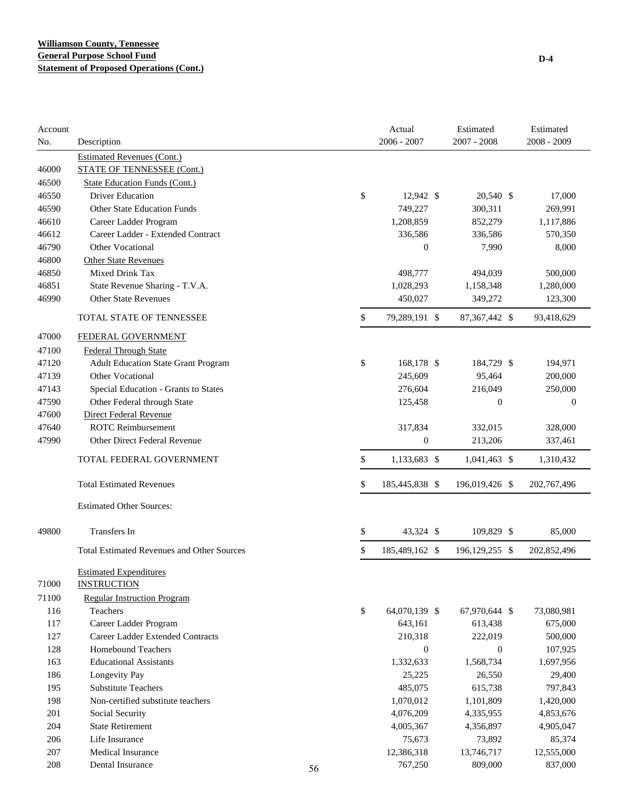| Account<br>No. | Description                                         |    | Actual<br>2006 - 2007 | Estimated<br>2007 - 2008 | Estimated<br>2008 - 2009 |
|----------------|-----------------------------------------------------|----|-----------------------|--------------------------|--------------------------|
|                | <b>Estimated Revenues (Cont.)</b>                   |    |                       |                          |                          |
| 46000          | <b>STATE OF TENNESSEE (Cont.)</b>                   |    |                       |                          |                          |
| 46500          | <b>State Education Funds (Cont.)</b>                |    |                       |                          |                          |
| 46550          | <b>Driver Education</b>                             |    | \$<br>12,942 \$       | 20,540 \$                | 17,000                   |
| 46590          | <b>Other State Education Funds</b>                  |    | 749,227               | 300,311                  | 269,991                  |
| 46610          | Career Ladder Program                               |    | 1,208,859             | 852,279                  | 1,117,886                |
| 46612          | Career Ladder - Extended Contract                   |    | 336,586               | 336,586                  | 570,350                  |
| 46790          | <b>Other Vocational</b>                             |    | $\boldsymbol{0}$      | 7,990                    | 8,000                    |
| 46800          | <b>Other State Revenues</b>                         |    |                       |                          |                          |
| 46850          | Mixed Drink Tax                                     |    | 498,777               | 494,039                  | 500,000                  |
| 46851          | State Revenue Sharing - T.V.A.                      |    | 1,028,293             | 1,158,348                | 1,280,000                |
| 46990          | <b>Other State Revenues</b>                         |    | 450,027               | 349,272                  | 123,300                  |
|                | TOTAL STATE OF TENNESSEE                            |    | \$<br>79,289,191 \$   | 87,367,442 \$            | 93,418,629               |
| 47000          | FEDERAL GOVERNMENT                                  |    |                       |                          |                          |
| 47100          | <b>Federal Through State</b>                        |    |                       |                          |                          |
| 47120          | <b>Adult Education State Grant Program</b>          |    | \$<br>168,178 \$      | 184,729 \$               | 194,971                  |
| 47139          | Other Vocational                                    |    | 245,609               | 95,464                   | 200,000                  |
| 47143          | Special Education - Grants to States                |    | 276,604               | 216,049                  | 250,000                  |
| 47590          | Other Federal through State                         |    | 125,458               | $\boldsymbol{0}$         | $\mathbf{0}$             |
| 47600          | Direct Federal Revenue                              |    |                       |                          |                          |
| 47640          | <b>ROTC Reimbursement</b>                           |    | 317,834               | 332,015                  | 328,000                  |
| 47990          | Other Direct Federal Revenue                        |    | $\boldsymbol{0}$      | 213,206                  | 337,461                  |
|                | TOTAL FEDERAL GOVERNMENT                            |    | \$<br>1,133,683 \$    | $1,041,463$ \$           | 1,310,432                |
|                | <b>Total Estimated Revenues</b>                     |    | \$<br>185,445,838 \$  | 196,019,426 \$           | 202,767,496              |
|                | <b>Estimated Other Sources:</b>                     |    |                       |                          |                          |
| 49800          | <b>Transfers In</b>                                 |    | \$<br>43,324 \$       | 109,829 \$               | 85,000                   |
|                | <b>Total Estimated Revenues and Other Sources</b>   |    | \$<br>185,489,162 \$  | 196, 129, 255 \$         | 202,852,496              |
| 71000          | <b>Estimated Expenditures</b><br><b>INSTRUCTION</b> |    |                       |                          |                          |
| 71100          | <b>Regular Instruction Program</b>                  |    |                       |                          |                          |
| 116            | Teachers                                            |    | \$<br>64,070,139 \$   | 67,970,644 \$            | 73,080,981               |
| 117            | Career Ladder Program                               |    | 643,161               | 613,438                  | 675,000                  |
| 127            | Career Ladder Extended Contracts                    |    | 210,318               | 222,019                  | 500,000                  |
| 128            | Homebound Teachers                                  |    | $\boldsymbol{0}$      | $\mathbf{0}$             | 107,925                  |
| 163            | <b>Educational Assistants</b>                       |    | 1,332,633             | 1,568,734                | 1,697,956                |
| 186            | Longevity Pay                                       |    | 25,225                | 26,550                   | 29,400                   |
| 195            | <b>Substitute Teachers</b>                          |    | 485,075               | 615,738                  | 797,843                  |
| 198            | Non-certified substitute teachers                   |    | 1,070,012             | 1,101,809                | 1,420,000                |
| 201            | Social Security                                     |    | 4,076,209             | 4,335,955                | 4,853,676                |
| 204            | <b>State Retirement</b>                             |    | 4,005,367             | 4,356,897                | 4,905,047                |
| 206            | Life Insurance                                      |    | 75,673                | 73,892                   | 85,374                   |
| 207            | Medical Insurance                                   |    | 12,386,318            | 13,746,717               | 12,555,000               |
| 208            | Dental Insurance                                    | 56 | 767,250               | 809,000                  | 837,000                  |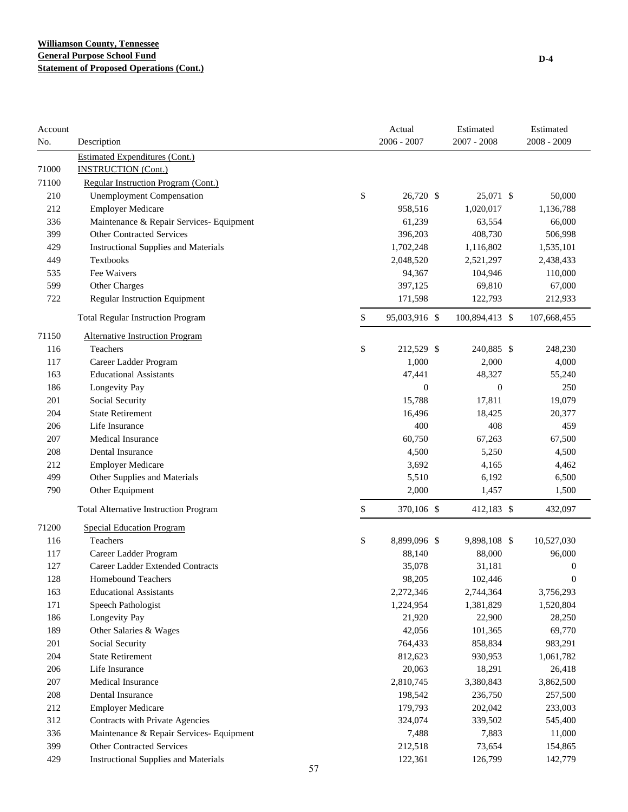| Account<br>No. | Description                                  |    | Actual<br>2006 - 2007 | Estimated<br>2007 - 2008 | Estimated<br>2008 - 2009 |
|----------------|----------------------------------------------|----|-----------------------|--------------------------|--------------------------|
|                | <b>Estimated Expenditures (Cont.)</b>        |    |                       |                          |                          |
| 71000          | <b>INSTRUCTION (Cont.)</b>                   |    |                       |                          |                          |
| 71100          | Regular Instruction Program (Cont.)          |    |                       |                          |                          |
| 210            | <b>Unemployment Compensation</b>             | \$ | 26,720 \$             | 25,071 \$                | 50,000                   |
| 212            | <b>Employer Medicare</b>                     |    | 958,516               | 1,020,017                | 1,136,788                |
| 336            | Maintenance & Repair Services- Equipment     |    | 61,239                | 63,554                   | 66,000                   |
| 399            | <b>Other Contracted Services</b>             |    | 396,203               | 408,730                  | 506,998                  |
| 429            | <b>Instructional Supplies and Materials</b>  |    | 1,702,248             | 1,116,802                | 1,535,101                |
| 449            | Textbooks                                    |    | 2,048,520             | 2,521,297                | 2,438,433                |
| 535            | Fee Waivers                                  |    | 94,367                | 104,946                  | 110,000                  |
| 599            | Other Charges                                |    | 397,125               | 69,810                   | 67,000                   |
| 722            | Regular Instruction Equipment                |    | 171,598               | 122,793                  | 212,933                  |
|                | <b>Total Regular Instruction Program</b>     | \$ | 95,003,916 \$         | 100,894,413 \$           | 107,668,455              |
| 71150          | <b>Alternative Instruction Program</b>       |    |                       |                          |                          |
| 116            | Teachers                                     | \$ | 212,529 \$            | 240,885 \$               | 248,230                  |
| 117            | Career Ladder Program                        |    | 1,000                 | 2,000                    | 4,000                    |
| 163            | <b>Educational Assistants</b>                |    | 47,441                | 48,327                   | 55,240                   |
| 186            | Longevity Pay                                |    | $\overline{0}$        | $\mathbf{0}$             | 250                      |
| 201            | Social Security                              |    | 15,788                | 17,811                   | 19,079                   |
| 204            | <b>State Retirement</b>                      |    | 16,496                | 18,425                   | 20,377                   |
| 206            | Life Insurance                               |    | 400                   | 408                      | 459                      |
| 207            | Medical Insurance                            |    | 60,750                | 67,263                   | 67,500                   |
| 208            | Dental Insurance                             |    | 4,500                 | 5,250                    | 4,500                    |
| 212            | <b>Employer Medicare</b>                     |    | 3,692                 | 4,165                    | 4,462                    |
| 499            | Other Supplies and Materials                 |    | 5,510                 | 6,192                    | 6,500                    |
| 790            | Other Equipment                              |    | 2,000                 | 1,457                    | 1,500                    |
|                | <b>Total Alternative Instruction Program</b> | \$ | 370,106 \$            | 412,183 \$               | 432,097                  |
| 71200          | <b>Special Education Program</b>             |    |                       |                          |                          |
| 116            | Teachers                                     | \$ | 8,899,096 \$          | 9,898,108 \$             | 10,527,030               |
| 117            | Career Ladder Program                        |    | 88,140                | 88,000                   | 96,000                   |
| 127            | Career Ladder Extended Contracts             |    | 35,078                | 31,181                   | 0                        |
| 128            | <b>Homebound Teachers</b>                    |    | 98,205                | 102,446                  | 0                        |
| 163            | <b>Educational Assistants</b>                |    | 2,272,346             | 2,744,364                | 3,756,293                |
| 171            | Speech Pathologist                           |    | 1,224,954             | 1,381,829                | 1,520,804                |
| 186            | Longevity Pay                                |    | 21,920                | 22,900                   | 28,250                   |
| 189            | Other Salaries & Wages                       |    | 42,056                | 101,365                  | 69,770                   |
| 201            | Social Security                              |    | 764,433               | 858,834                  | 983,291                  |
| 204            | <b>State Retirement</b>                      |    | 812,623               | 930,953                  | 1,061,782                |
| 206            | Life Insurance                               |    | 20,063                | 18,291                   | 26,418                   |
| 207            | Medical Insurance                            |    | 2,810,745             | 3,380,843                | 3,862,500                |
| 208            | Dental Insurance                             |    | 198,542               | 236,750                  | 257,500                  |
| 212            | <b>Employer Medicare</b>                     |    | 179,793               | 202,042                  | 233,003                  |
| 312            | Contracts with Private Agencies              |    | 324,074               | 339,502                  | 545,400                  |
| 336            | Maintenance & Repair Services- Equipment     |    | 7,488                 | 7,883                    | 11,000                   |
| 399            | Other Contracted Services                    |    | 212,518               | 73,654                   | 154,865                  |
| 429            | <b>Instructional Supplies and Materials</b>  |    | 122,361               | 126,799                  | 142,779                  |
|                |                                              | 57 |                       |                          |                          |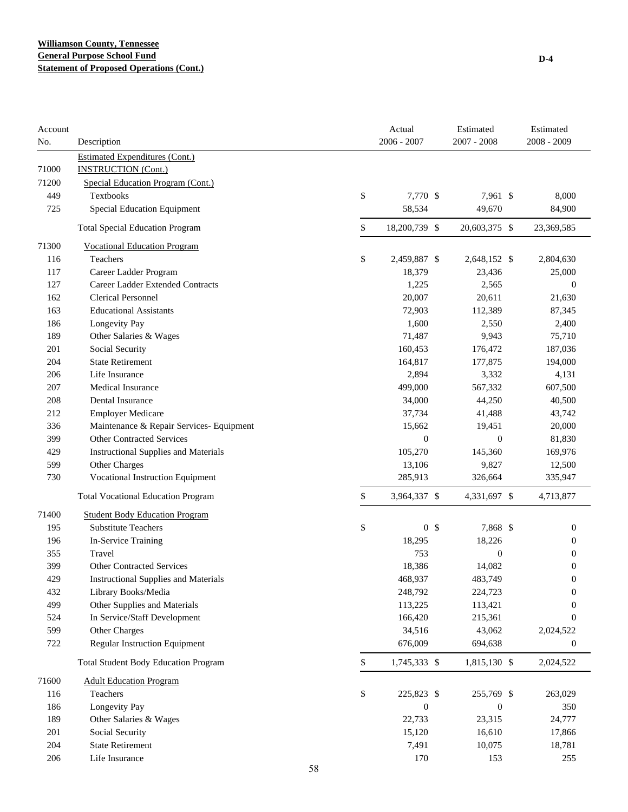| Account<br>No. | Description                                 |    | Actual<br>$2006 - 2007$ |                | Estimated<br>$2007 - 2008$ | Estimated<br>2008 - 2009 |
|----------------|---------------------------------------------|----|-------------------------|----------------|----------------------------|--------------------------|
|                | <b>Estimated Expenditures (Cont.)</b>       |    |                         |                |                            |                          |
| 71000          | <b>INSTRUCTION (Cont.)</b>                  |    |                         |                |                            |                          |
| 71200          | Special Education Program (Cont.)           |    |                         |                |                            |                          |
| 449            | <b>Textbooks</b>                            |    | \$<br>7,770 \$          |                | 7,961 \$                   | 8,000                    |
| 725            | Special Education Equipment                 |    | 58,534                  |                | 49,670                     | 84,900                   |
|                | <b>Total Special Education Program</b>      |    | \$<br>18,200,739 \$     |                | 20,603,375 \$              | 23,369,585               |
| 71300          | <b>Vocational Education Program</b>         |    |                         |                |                            |                          |
| 116            | Teachers                                    |    | \$<br>2,459,887 \$      |                | 2,648,152 \$               | 2,804,630                |
| 117            | Career Ladder Program                       |    | 18,379                  |                | 23,436                     | 25,000                   |
| 127            | Career Ladder Extended Contracts            |    | 1,225                   |                | 2,565                      | $\mathbf{0}$             |
| 162            | <b>Clerical Personnel</b>                   |    | 20,007                  |                | 20,611                     | 21,630                   |
| 163            | <b>Educational Assistants</b>               |    | 72,903                  |                | 112,389                    | 87,345                   |
| 186            | Longevity Pay                               |    | 1,600                   |                | 2,550                      | 2,400                    |
| 189            | Other Salaries & Wages                      |    | 71,487                  |                | 9,943                      | 75,710                   |
| 201            | Social Security                             |    | 160,453                 |                | 176,472                    | 187,036                  |
| 204            | <b>State Retirement</b>                     |    | 164,817                 |                | 177,875                    | 194,000                  |
| 206            | Life Insurance                              |    | 2,894                   |                | 3,332                      | 4,131                    |
| 207            | Medical Insurance                           |    | 499,000                 |                | 567,332                    | 607,500                  |
| 208            | Dental Insurance                            |    | 34,000                  |                | 44,250                     | 40,500                   |
| 212            | <b>Employer Medicare</b>                    |    | 37,734                  |                | 41,488                     | 43,742                   |
| 336            | Maintenance & Repair Services- Equipment    |    | 15,662                  |                | 19,451                     | 20,000                   |
| 399            | <b>Other Contracted Services</b>            |    | $\boldsymbol{0}$        |                | $\mathbf{0}$               | 81,830                   |
| 429            | <b>Instructional Supplies and Materials</b> |    | 105,270                 |                | 145,360                    | 169,976                  |
| 599            | Other Charges                               |    | 13,106                  |                | 9,827                      | 12,500                   |
| 730            | Vocational Instruction Equipment            |    | 285,913                 |                | 326,664                    | 335,947                  |
|                | <b>Total Vocational Education Program</b>   |    | \$<br>3,964,337 \$      |                | 4,331,697 \$               | 4,713,877                |
| 71400          | <b>Student Body Education Program</b>       |    |                         |                |                            |                          |
| 195            | <b>Substitute Teachers</b>                  |    | \$                      | 0 <sup>5</sup> | 7,868 \$                   | $\boldsymbol{0}$         |
| 196            | In-Service Training                         |    | 18,295                  |                | 18,226                     | $\overline{0}$           |
| 355            | Travel                                      |    | 753                     |                | $\boldsymbol{0}$           | $\boldsymbol{0}$         |
| 399            | <b>Other Contracted Services</b>            |    | 18,386                  |                | 14,082                     | $\boldsymbol{0}$         |
| 429            | <b>Instructional Supplies and Materials</b> |    | 468,937                 |                | 483,749                    | $\boldsymbol{0}$         |
| 432            | Library Books/Media                         |    | 248,792                 |                | 224,723                    | $\boldsymbol{0}$         |
| 499            | Other Supplies and Materials                |    | 113,225                 |                | 113,421                    | $\overline{0}$           |
| 524            | In Service/Staff Development                |    | 166,420                 |                | 215,361                    | $\mathbf{0}$             |
| 599            | Other Charges                               |    | 34,516                  |                | 43,062                     | 2,024,522                |
| 722            | Regular Instruction Equipment               |    | 676,009                 |                | 694,638                    | $\boldsymbol{0}$         |
|                | <b>Total Student Body Education Program</b> |    | \$<br>1,745,333 \$      |                | 1,815,130 \$               | 2,024,522                |
| 71600          | <b>Adult Education Program</b>              |    |                         |                |                            |                          |
| 116            | Teachers                                    |    | \$<br>225,823 \$        |                | 255,769 \$                 | 263,029                  |
| 186            | Longevity Pay                               |    | $\boldsymbol{0}$        |                | $\boldsymbol{0}$           | 350                      |
| 189            | Other Salaries & Wages                      |    | 22,733                  |                | 23,315                     | 24,777                   |
| 201            | Social Security                             |    | 15,120                  |                | 16,610                     | 17,866                   |
| 204            | <b>State Retirement</b>                     |    | 7,491                   |                | 10,075                     | 18,781                   |
| 206            | Life Insurance                              |    | 170                     |                | 153                        | 255                      |
|                |                                             | 58 |                         |                |                            |                          |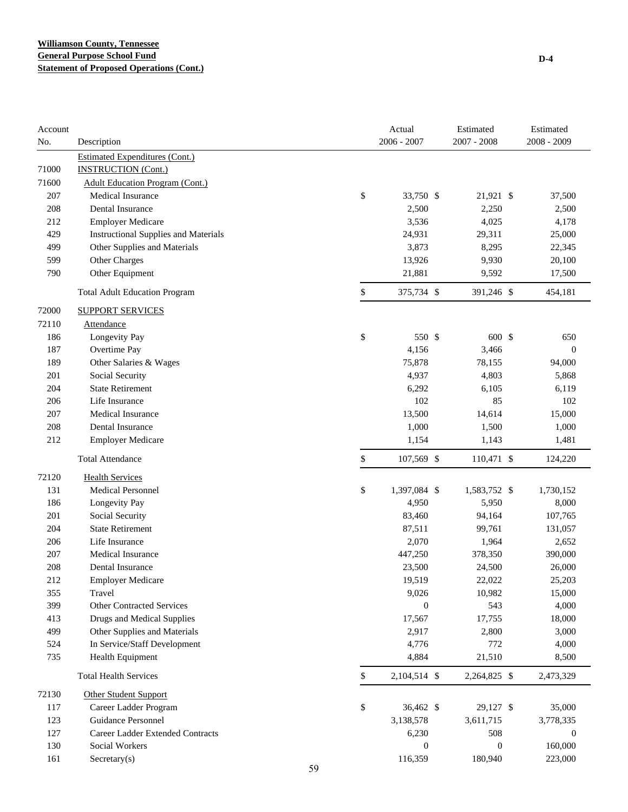| Account<br>No. | Description                                 |    | Actual<br>$2006 - 2007$ | Estimated<br>$2007 - 2008$ | Estimated<br>$2008 - 2009$ |
|----------------|---------------------------------------------|----|-------------------------|----------------------------|----------------------------|
|                | <b>Estimated Expenditures (Cont.)</b>       |    |                         |                            |                            |
| 71000          | <b>INSTRUCTION (Cont.)</b>                  |    |                         |                            |                            |
| 71600          | <b>Adult Education Program (Cont.)</b>      |    |                         |                            |                            |
| 207            | Medical Insurance                           | \$ | 33,750 \$               | 21,921 \$                  | 37,500                     |
| 208            | Dental Insurance                            |    | 2,500                   | 2,250                      | 2,500                      |
| 212            | <b>Employer Medicare</b>                    |    | 3,536                   | 4,025                      | 4,178                      |
| 429            | <b>Instructional Supplies and Materials</b> |    | 24,931                  | 29,311                     | 25,000                     |
| 499            | Other Supplies and Materials                |    | 3,873                   | 8,295                      | 22,345                     |
| 599            | Other Charges                               |    | 13,926                  | 9,930                      | 20,100                     |
| 790            | Other Equipment                             |    | 21,881                  | 9,592                      | 17,500                     |
|                | <b>Total Adult Education Program</b>        | \$ | 375,734 \$              | 391,246 \$                 | 454,181                    |
| 72000          | <b>SUPPORT SERVICES</b>                     |    |                         |                            |                            |
| 72110          | <b>Attendance</b>                           |    |                         |                            |                            |
| 186            | Longevity Pay                               | \$ | 550 \$                  | 600 \$                     | 650                        |
| 187            | Overtime Pay                                |    | 4,156                   | 3,466                      | $\mathbf{0}$               |
| 189            | Other Salaries & Wages                      |    | 75,878                  | 78,155                     | 94,000                     |
| 201            | Social Security                             |    | 4,937                   | 4,803                      | 5,868                      |
| 204            | <b>State Retirement</b>                     |    | 6,292                   | 6,105                      | 6,119                      |
| 206            | Life Insurance                              |    | 102                     | 85                         | 102                        |
| 207            | <b>Medical Insurance</b>                    |    | 13,500                  | 14,614                     | 15,000                     |
| 208            | Dental Insurance                            |    | 1,000                   | 1,500                      | 1,000                      |
| 212            | <b>Employer Medicare</b>                    |    | 1,154                   | 1,143                      | 1,481                      |
|                | <b>Total Attendance</b>                     | \$ | 107,569 \$              | 110,471 \$                 | 124,220                    |
| 72120          | <b>Health Services</b>                      |    |                         |                            |                            |
| 131            | <b>Medical Personnel</b>                    | \$ | 1,397,084 \$            | 1,583,752 \$               | 1,730,152                  |
| 186            | Longevity Pay                               |    | 4,950                   | 5,950                      | 8,000                      |
| 201            | Social Security                             |    | 83,460                  | 94,164                     | 107,765                    |
| 204            | <b>State Retirement</b>                     |    | 87,511                  | 99,761                     | 131,057                    |
| 206            | Life Insurance                              |    | 2,070                   | 1,964                      | 2,652                      |
| 207            | Medical Insurance                           |    | 447,250                 | 378,350                    | 390,000                    |
| 208            | Dental Insurance                            |    | 23,500                  | 24,500                     | 26,000                     |
| 212            | <b>Employer Medicare</b>                    |    | 19,519                  | 22,022                     | 25,203                     |
| 355            | Travel                                      |    | 9,026                   | 10,982                     | 15,000                     |
| 399            | <b>Other Contracted Services</b>            |    | $\boldsymbol{0}$        | 543                        | 4,000                      |
| 413            | Drugs and Medical Supplies                  |    | 17,567                  | 17,755                     | 18,000                     |
| 499            | Other Supplies and Materials                |    | 2,917                   | 2,800                      | 3,000                      |
| 524            | In Service/Staff Development                |    | 4,776                   | 772                        | 4,000                      |
| 735            | Health Equipment                            |    | 4,884                   | 21,510                     | 8,500                      |
|                | <b>Total Health Services</b>                | \$ | 2,104,514 \$            | 2,264,825 \$               | 2,473,329                  |
| 72130          | <b>Other Student Support</b>                |    |                         |                            |                            |
| 117            | Career Ladder Program                       | \$ | 36,462 \$               | 29,127 \$                  | 35,000                     |
| 123            | Guidance Personnel                          |    | 3,138,578               | 3,611,715                  | 3,778,335                  |
| 127            | Career Ladder Extended Contracts            |    | 6,230                   | 508                        | $\mathbf{0}$               |
| 130            | Social Workers                              |    | $\boldsymbol{0}$        | $\boldsymbol{0}$           | 160,000                    |
| 161            | Sercetary(s)                                | 59 | 116,359                 | 180,940                    | 223,000                    |
|                |                                             |    |                         |                            |                            |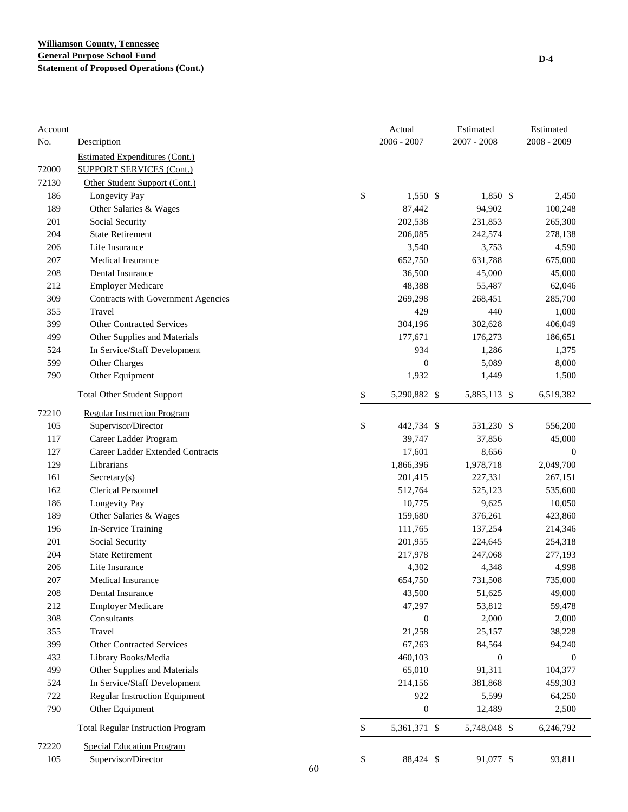| Account<br>No. | Description                              |    | Actual<br>$2006 - 2007$ | Estimated<br>$2007 - 2008$ | Estimated<br>2008 - 2009 |
|----------------|------------------------------------------|----|-------------------------|----------------------------|--------------------------|
|                | <b>Estimated Expenditures (Cont.)</b>    |    |                         |                            |                          |
| 72000          | <b>SUPPORT SERVICES (Cont.)</b>          |    |                         |                            |                          |
| 72130          | Other Student Support (Cont.)            |    |                         |                            |                          |
| 186            | Longevity Pay                            |    | \$<br>1,550 \$          | 1,850 \$                   | 2,450                    |
| 189            | Other Salaries & Wages                   |    | 87,442                  | 94,902                     | 100,248                  |
| 201            | Social Security                          |    | 202,538                 | 231,853                    | 265,300                  |
| 204            | <b>State Retirement</b>                  |    | 206,085                 | 242,574                    | 278,138                  |
| 206            | Life Insurance                           |    | 3,540                   | 3,753                      | 4,590                    |
| 207            | <b>Medical Insurance</b>                 |    | 652,750                 | 631,788                    | 675,000                  |
| 208            | Dental Insurance                         |    | 36,500                  | 45,000                     | 45,000                   |
| 212            | <b>Employer Medicare</b>                 |    | 48,388                  | 55,487                     | 62,046                   |
| 309            | Contracts with Government Agencies       |    | 269,298                 | 268,451                    | 285,700                  |
| 355            | Travel                                   |    | 429                     | 440                        | 1,000                    |
| 399            | <b>Other Contracted Services</b>         |    | 304,196                 | 302,628                    | 406,049                  |
| 499            | Other Supplies and Materials             |    | 177,671                 | 176,273                    | 186,651                  |
| 524            | In Service/Staff Development             |    | 934                     | 1,286                      | 1,375                    |
| 599            | Other Charges                            |    | $\overline{0}$          | 5,089                      | 8,000                    |
| 790            | Other Equipment                          |    | 1,932                   | 1,449                      | 1,500                    |
|                | <b>Total Other Student Support</b>       |    | \$<br>5,290,882 \$      | 5,885,113 \$               | 6,519,382                |
| 72210          | <b>Regular Instruction Program</b>       |    |                         |                            |                          |
| 105            | Supervisor/Director                      |    | \$<br>442,734 \$        | 531,230 \$                 | 556,200                  |
| 117            | Career Ladder Program                    |    | 39,747                  | 37,856                     | 45,000                   |
| 127            | Career Ladder Extended Contracts         |    | 17,601                  | 8,656                      | $\boldsymbol{0}$         |
| 129            | Librarians                               |    | 1,866,396               | 1,978,718                  | 2,049,700                |
| 161            | $S \n    secretary(s)$                   |    | 201,415                 | 227,331                    | 267,151                  |
| 162            | <b>Clerical Personnel</b>                |    | 512,764                 | 525,123                    | 535,600                  |
| 186            | Longevity Pay                            |    | 10,775                  | 9,625                      | 10,050                   |
| 189            | Other Salaries & Wages                   |    | 159,680                 | 376,261                    | 423,860                  |
| 196            | In-Service Training                      |    | 111,765                 | 137,254                    | 214,346                  |
| 201            | Social Security                          |    | 201,955                 | 224,645                    | 254,318                  |
| 204            | <b>State Retirement</b>                  |    | 217,978                 | 247,068                    | 277,193                  |
| 206            | Life Insurance                           |    | 4,302                   | 4,348                      | 4,998                    |
| 207            | Medical Insurance                        |    | 654,750                 | 731,508                    | 735,000                  |
| 208            | Dental Insurance                         |    | 43,500                  | 51,625                     | 49,000                   |
| 212            | <b>Employer Medicare</b>                 |    | 47,297                  | 53,812                     | 59,478                   |
| 308            | Consultants                              |    | $\boldsymbol{0}$        | 2,000                      | 2,000                    |
| 355            | Travel                                   |    | 21,258                  | 25,157                     | 38,228                   |
| 399            | <b>Other Contracted Services</b>         |    | 67,263                  | 84,564                     | 94,240                   |
| 432            | Library Books/Media                      |    | 460,103                 | $\boldsymbol{0}$           | $\boldsymbol{0}$         |
| 499            | Other Supplies and Materials             |    | 65,010                  | 91,311                     | 104,377                  |
| 524            | In Service/Staff Development             |    | 214,156                 | 381,868                    | 459,303                  |
| 722            | <b>Regular Instruction Equipment</b>     |    | 922                     | 5,599                      | 64,250                   |
| 790            | Other Equipment                          |    | $\boldsymbol{0}$        | 12,489                     | 2,500                    |
|                | <b>Total Regular Instruction Program</b> |    | \$<br>5,361,371 \$      | 5,748,048 \$               | 6,246,792                |
| 72220          | <b>Special Education Program</b>         |    |                         |                            |                          |
| 105            | Supervisor/Director                      | 60 | \$<br>88,424 \$         | 91,077 \$                  | 93,811                   |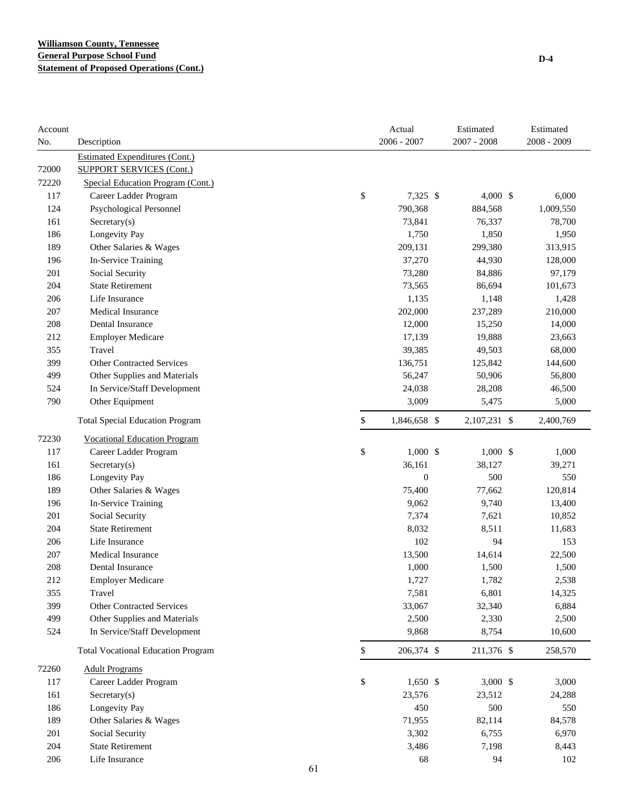| Account |                                           |             | Actual           | Estimated     | Estimated   |
|---------|-------------------------------------------|-------------|------------------|---------------|-------------|
| No.     | Description                               |             | 2006 - 2007      | $2007 - 2008$ | 2008 - 2009 |
|         | <b>Estimated Expenditures (Cont.)</b>     |             |                  |               |             |
| 72000   | <b>SUPPORT SERVICES (Cont.)</b>           |             |                  |               |             |
| 72220   | Special Education Program (Cont.)         |             |                  |               |             |
| 117     | Career Ladder Program                     | \$          | 7,325 \$         | 4,000 \$      | 6,000       |
| 124     | Psychological Personnel                   |             | 790,368          | 884,568       | 1,009,550   |
| 161     | Secretary(s)                              |             | 73,841           | 76,337        | 78,700      |
| 186     | Longevity Pay                             |             | 1,750            | 1,850         | 1,950       |
| 189     | Other Salaries & Wages                    |             | 209,131          | 299,380       | 313,915     |
| 196     | In-Service Training                       |             | 37,270           | 44,930        | 128,000     |
| 201     | Social Security                           |             | 73,280           | 84,886        | 97,179      |
| 204     | <b>State Retirement</b>                   |             | 73,565           | 86,694        | 101,673     |
| 206     | Life Insurance                            |             | 1,135            | 1,148         | 1,428       |
| 207     | <b>Medical Insurance</b>                  |             | 202,000          | 237,289       | 210,000     |
| 208     | <b>Dental Insurance</b>                   |             | 12,000           | 15,250        | 14,000      |
| 212     | <b>Employer Medicare</b>                  |             | 17,139           | 19,888        | 23,663      |
| 355     | Travel                                    |             | 39,385           | 49,503        | 68,000      |
| 399     | <b>Other Contracted Services</b>          |             | 136,751          | 125,842       | 144,600     |
| 499     | Other Supplies and Materials              |             | 56,247           | 50,906        | 56,800      |
| 524     | In Service/Staff Development              |             | 24,038           | 28,208        | 46,500      |
| 790     | Other Equipment                           |             | 3,009            | 5,475         | 5,000       |
|         | <b>Total Special Education Program</b>    | \$          | 1,846,658 \$     | 2,107,231 \$  | 2,400,769   |
| 72230   | <b>Vocational Education Program</b>       |             |                  |               |             |
| 117     | Career Ladder Program                     | \$          | $1,000$ \$       | $1,000$ \$    | 1,000       |
| 161     | Sercetary(s)                              |             | 36,161           | 38,127        | 39,271      |
| 186     | Longevity Pay                             |             | $\boldsymbol{0}$ | 500           | 550         |
| 189     | Other Salaries & Wages                    |             | 75,400           | 77,662        | 120,814     |
| 196     | In-Service Training                       |             | 9,062            | 9,740         | 13,400      |
| 201     | Social Security                           |             | 7,374            | 7,621         | 10,852      |
| 204     | <b>State Retirement</b>                   |             | 8,032            | 8,511         | 11,683      |
| 206     | Life Insurance                            |             | 102              | 94            | 153         |
| 207     | <b>Medical Insurance</b>                  |             | 13,500           | 14,614        | 22,500      |
| 208     | Dental Insurance                          |             | 1,000            | 1,500         | 1,500       |
| 212     | <b>Employer Medicare</b>                  |             | 1,727            | 1,782         | 2,538       |
| 355     | Travel                                    |             | 7,581            | 6,801         | 14,325      |
| 399     | Other Contracted Services                 |             | 33,067           | 32,340        | 6,884       |
| 499     | Other Supplies and Materials              |             | 2,500            | 2,330         | 2,500       |
| 524     | In Service/Staff Development              |             | 9,868            | 8,754         | 10,600      |
|         | <b>Total Vocational Education Program</b> | $\mathbb S$ | 206,374 \$       | 211,376 \$    | 258,570     |
| 72260   | <b>Adult Programs</b>                     |             |                  |               |             |
| 117     | Career Ladder Program                     | \$          | $1,650$ \$       | $3,000$ \$    | 3,000       |
| 161     | Secretary(s)                              |             | 23,576           | 23,512        | 24,288      |
| 186     | Longevity Pay                             |             | 450              | 500           | 550         |
| 189     | Other Salaries & Wages                    |             | 71,955           | 82,114        | 84,578      |
| 201     | Social Security                           |             | 3,302            | 6,755         | 6,970       |
| 204     | <b>State Retirement</b>                   |             | 3,486            | 7,198         | 8,443       |
| 206     | Life Insurance                            |             | 68               | 94            | 102         |
|         |                                           | 61          |                  |               |             |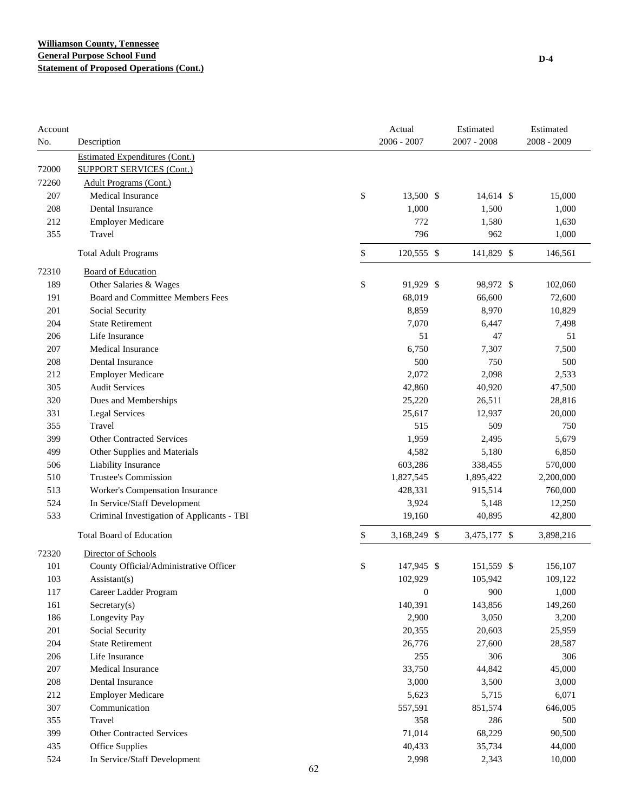| Account |                                            |    | Actual             | Estimated     | Estimated   |
|---------|--------------------------------------------|----|--------------------|---------------|-------------|
| No.     | Description                                |    | 2006 - 2007        | $2007 - 2008$ | 2008 - 2009 |
|         | <b>Estimated Expenditures (Cont.)</b>      |    |                    |               |             |
| 72000   | <b>SUPPORT SERVICES (Cont.)</b>            |    |                    |               |             |
| 72260   | <b>Adult Programs (Cont.)</b>              |    |                    |               |             |
| 207     | <b>Medical Insurance</b>                   |    | \$<br>13,500 \$    | $14,614$ \$   | 15,000      |
| 208     | Dental Insurance                           |    | 1,000              | 1,500         | 1,000       |
| 212     | <b>Employer Medicare</b>                   |    | 772                | 1,580         | 1,630       |
| 355     | Travel                                     |    | 796                | 962           | 1,000       |
|         | <b>Total Adult Programs</b>                |    | \$<br>120,555 \$   | 141,829 \$    | 146,561     |
| 72310   | <b>Board of Education</b>                  |    |                    |               |             |
| 189     | Other Salaries & Wages                     |    | \$<br>91,929 \$    | 98,972 \$     | 102,060     |
| 191     | Board and Committee Members Fees           |    | 68,019             | 66,600        | 72,600      |
| 201     | Social Security                            |    | 8,859              | 8,970         | 10,829      |
| 204     | <b>State Retirement</b>                    |    | 7,070              | 6,447         | 7,498       |
| 206     | Life Insurance                             |    | 51                 | 47            | 51          |
| 207     | <b>Medical Insurance</b>                   |    | 6,750              | 7,307         | 7,500       |
| 208     | <b>Dental Insurance</b>                    |    | 500                | 750           | 500         |
| 212     | <b>Employer Medicare</b>                   |    | 2,072              | 2,098         | 2,533       |
| 305     | <b>Audit Services</b>                      |    | 42,860             | 40,920        | 47,500      |
| 320     | Dues and Memberships                       |    | 25,220             | 26,511        | 28,816      |
| 331     | <b>Legal Services</b>                      |    | 25,617             | 12,937        | 20,000      |
| 355     | Travel                                     |    | 515                | 509           | 750         |
| 399     | <b>Other Contracted Services</b>           |    | 1,959              | 2,495         | 5,679       |
| 499     | Other Supplies and Materials               |    | 4,582              | 5,180         | 6,850       |
| 506     | Liability Insurance                        |    | 603,286            | 338,455       | 570,000     |
| 510     | Trustee's Commission                       |    | 1,827,545          | 1,895,422     | 2,200,000   |
| 513     | Worker's Compensation Insurance            |    | 428,331            | 915,514       | 760,000     |
| 524     | In Service/Staff Development               |    | 3,924              | 5,148         | 12,250      |
| 533     | Criminal Investigation of Applicants - TBI |    | 19,160             | 40,895        | 42,800      |
|         | <b>Total Board of Education</b>            |    | \$<br>3,168,249 \$ | 3,475,177 \$  | 3,898,216   |
| 72320   | Director of Schools                        |    |                    |               |             |
| 101     | County Official/Administrative Officer     |    | \$<br>147,945 \$   | 151,559 \$    | 156,107     |
| 103     | $\text{Assistant}(s)$                      |    | 102,929            | 105,942       | 109,122     |
| 117     | Career Ladder Program                      |    | $\boldsymbol{0}$   | 900           | 1,000       |
| 161     | $S$ ecretary $(s)$                         |    | 140,391            | 143,856       | 149,260     |
| 186     | Longevity Pay                              |    | 2,900              | 3,050         | 3,200       |
| 201     | Social Security                            |    | 20,355             | 20,603        | 25,959      |
| 204     | <b>State Retirement</b>                    |    | 26,776             | 27,600        | 28,587      |
| 206     | Life Insurance                             |    | 255                | 306           | 306         |
| 207     | <b>Medical Insurance</b>                   |    | 33,750             | 44,842        | 45,000      |
| 208     | Dental Insurance                           |    | 3,000              | 3,500         | 3,000       |
| 212     | <b>Employer Medicare</b>                   |    | 5,623              | 5,715         | 6,071       |
| 307     | Communication                              |    | 557,591            | 851,574       | 646,005     |
| 355     | Travel                                     |    | 358                | 286           | 500         |
| 399     | <b>Other Contracted Services</b>           |    | 71,014             | 68,229        | 90,500      |
| 435     | Office Supplies                            |    | 40,433             | 35,734        | 44,000      |
| 524     | In Service/Staff Development               |    | 2,998              | 2,343         | 10,000      |
|         |                                            | 62 |                    |               |             |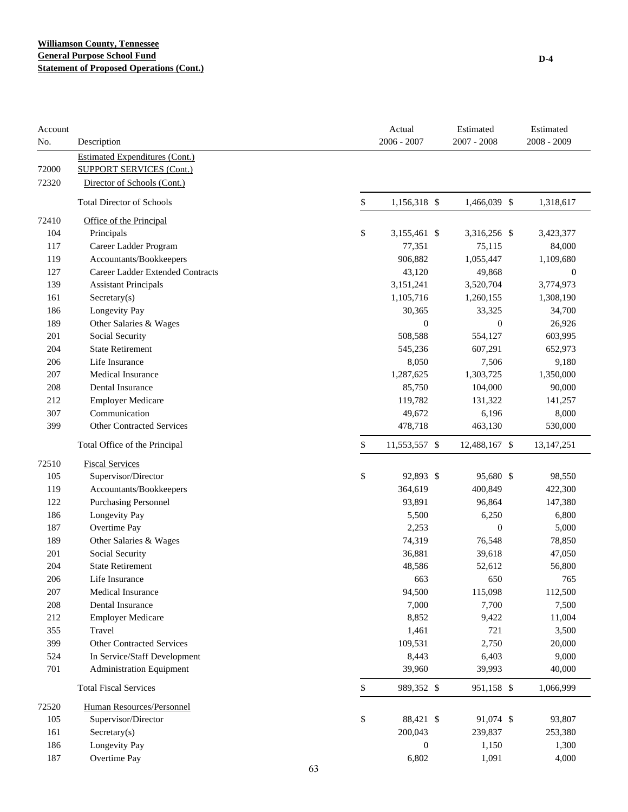# **Williamson County, Tennessee General Purpose School Fund Statement of Proposed Operations (Cont.)**

| Account<br>No. | Description                           |              | Actual<br>$2006 - 2007$ | Estimated<br>$2007 - 2008$ | Estimated<br>2008 - 2009 |
|----------------|---------------------------------------|--------------|-------------------------|----------------------------|--------------------------|
|                | <b>Estimated Expenditures (Cont.)</b> |              |                         |                            |                          |
| 72000          | <b>SUPPORT SERVICES (Cont.)</b>       |              |                         |                            |                          |
| 72320          | Director of Schools (Cont.)           |              |                         |                            |                          |
|                | <b>Total Director of Schools</b>      | \$           | 1,156,318 \$            | 1,466,039 \$               | 1,318,617                |
| 72410          | Office of the Principal               |              |                         |                            |                          |
| 104            | Principals                            | \$           | 3,155,461 \$            | 3,316,256 \$               | 3,423,377                |
| 117            | Career Ladder Program                 |              | 77,351                  | 75,115                     | 84,000                   |
| 119            | Accountants/Bookkeepers               |              | 906,882                 | 1,055,447                  | 1,109,680                |
| 127            | Career Ladder Extended Contracts      |              | 43,120                  | 49,868                     | $\boldsymbol{0}$         |
| 139            | <b>Assistant Principals</b>           |              | 3,151,241               | 3,520,704                  | 3,774,973                |
| 161            | Secretary(s)                          |              | 1,105,716               | 1,260,155                  | 1,308,190                |
| 186            | Longevity Pay                         |              | 30,365                  | 33,325                     | 34,700                   |
| 189            | Other Salaries & Wages                |              | $\theta$                | $\boldsymbol{0}$           | 26,926                   |
| 201            | Social Security                       |              | 508,588                 | 554,127                    | 603,995                  |
| 204            | <b>State Retirement</b>               |              | 545,236                 | 607,291                    | 652,973                  |
| 206            | Life Insurance                        |              | 8,050                   | 7,506                      | 9,180                    |
| 207            | <b>Medical Insurance</b>              |              | 1,287,625               | 1,303,725                  | 1,350,000                |
| 208            | Dental Insurance                      |              | 85,750                  | 104,000                    | 90,000                   |
| 212            | <b>Employer Medicare</b>              |              | 119,782                 | 131,322                    | 141,257                  |
| 307            | Communication                         |              | 49,672                  | 6,196                      | 8,000                    |
| 399            | <b>Other Contracted Services</b>      |              | 478,718                 | 463,130                    | 530,000                  |
|                | Total Office of the Principal         | \$           | 11,553,557 \$           | 12,488,167 \$              | 13, 147, 251             |
| 72510          | <b>Fiscal Services</b>                |              |                         |                            |                          |
| 105            | Supervisor/Director                   | \$           | 92,893 \$               | 95,680 \$                  | 98,550                   |
| 119            | Accountants/Bookkeepers               |              | 364,619                 | 400,849                    | 422,300                  |
| 122            | <b>Purchasing Personnel</b>           |              | 93,891                  | 96,864                     | 147,380                  |
| 186            | Longevity Pay                         |              | 5,500                   | 6,250                      | 6,800                    |
| 187            | Overtime Pay                          |              | 2,253                   | $\boldsymbol{0}$           | 5,000                    |
| 189            | Other Salaries & Wages                |              | 74,319                  | 76,548                     | 78,850                   |
| 201            | Social Security                       |              | 36,881                  | 39,618                     | 47,050                   |
| 204            | <b>State Retirement</b>               |              | 48,586                  | 52,612                     | 56,800                   |
| 206            | Life Insurance                        |              | 663                     | 650                        | 765                      |
| 207            | Medical Insurance                     |              | 94,500                  | 115,098                    | 112,500                  |
| 208            | Dental Insurance                      |              | 7,000                   | 7,700                      | 7,500                    |
| 212            | <b>Employer Medicare</b>              |              | 8,852                   | 9,422                      | 11,004                   |
| 355            | Travel                                |              | 1,461                   | 721                        | 3,500                    |
| 399            | <b>Other Contracted Services</b>      |              | 109,531                 | 2,750                      | 20,000                   |
| 524            | In Service/Staff Development          |              | 8,443                   | 6,403                      | 9,000                    |
| 701            | <b>Administration Equipment</b>       |              | 39,960                  | 39,993                     | 40,000                   |
|                | <b>Total Fiscal Services</b>          | $\mathbb{S}$ | 989,352 \$              | 951,158 \$                 | 1,066,999                |
| 72520          | Human Resources/Personnel             |              |                         |                            |                          |
| 105            | Supervisor/Director                   | \$           | 88,421 \$               | 91,074 \$                  | 93,807                   |
| 161            | Sercetary(s)                          |              | 200,043                 | 239,837                    | 253,380                  |
| 186            | Longevity Pay                         |              | $\boldsymbol{0}$        | 1,150                      | 1,300                    |
| 187            | Overtime Pay                          |              | 6,802                   | 1,091                      | 4,000                    |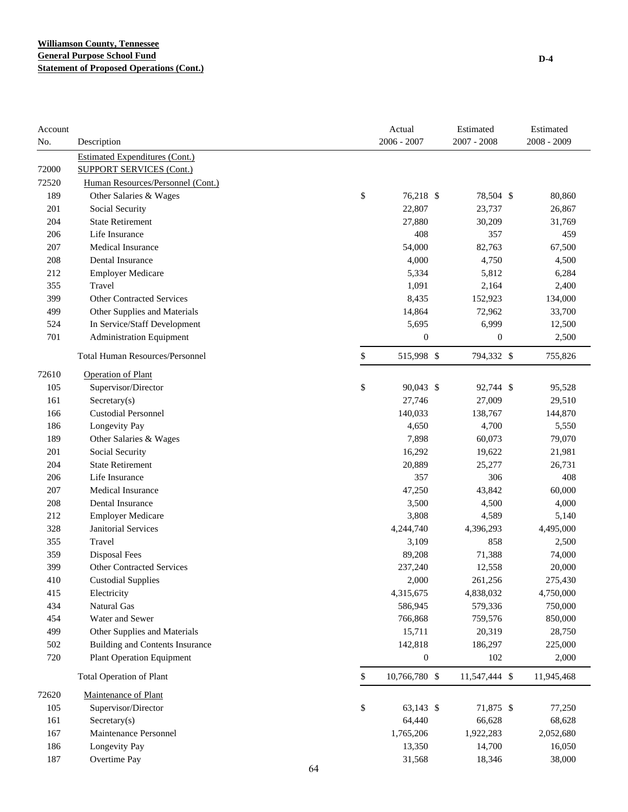| Account<br>No. | Description                            |    | Actual<br>$2006 - 2007$ | Estimated<br>$2007 - 2008$ | Estimated<br>2008 - 2009 |
|----------------|----------------------------------------|----|-------------------------|----------------------------|--------------------------|
|                | <b>Estimated Expenditures (Cont.)</b>  |    |                         |                            |                          |
| 72000          | <b>SUPPORT SERVICES (Cont.)</b>        |    |                         |                            |                          |
| 72520          | Human Resources/Personnel (Cont.)      |    |                         |                            |                          |
| 189            | Other Salaries & Wages                 |    | \$<br>76,218 \$         | 78,504 \$                  | 80,860                   |
| 201            | Social Security                        |    | 22,807                  | 23,737                     | 26,867                   |
| 204            | <b>State Retirement</b>                |    | 27,880                  | 30,209                     | 31,769                   |
| 206            | Life Insurance                         |    | 408                     | 357                        | 459                      |
| 207            | Medical Insurance                      |    | 54,000                  | 82,763                     | 67,500                   |
| 208            | <b>Dental Insurance</b>                |    | 4,000                   | 4,750                      | 4,500                    |
| 212            | <b>Employer Medicare</b>               |    | 5,334                   | 5,812                      | 6,284                    |
| 355            | Travel                                 |    | 1,091                   | 2,164                      | 2,400                    |
| 399            | <b>Other Contracted Services</b>       |    | 8,435                   | 152,923                    | 134,000                  |
| 499            | Other Supplies and Materials           |    | 14,864                  | 72,962                     | 33,700                   |
| 524            | In Service/Staff Development           |    | 5,695                   | 6,999                      | 12,500                   |
| 701            | <b>Administration Equipment</b>        |    | $\boldsymbol{0}$        | $\boldsymbol{0}$           | 2,500                    |
|                | <b>Total Human Resources/Personnel</b> |    | \$<br>515,998 \$        | 794,332 \$                 | 755,826                  |
| 72610          | <b>Operation of Plant</b>              |    |                         |                            |                          |
| 105            | Supervisor/Director                    |    | \$<br>90,043 \$         | 92,744 \$                  | 95,528                   |
| 161            | Sercetary(s)                           |    | 27,746                  | 27,009                     | 29,510                   |
| 166            | <b>Custodial Personnel</b>             |    | 140,033                 | 138,767                    | 144,870                  |
| 186            | Longevity Pay                          |    | 4,650                   | 4,700                      | 5,550                    |
| 189            | Other Salaries & Wages                 |    | 7,898                   | 60,073                     | 79,070                   |
| 201            | Social Security                        |    | 16,292                  | 19,622                     | 21,981                   |
| 204            | <b>State Retirement</b>                |    | 20,889                  | 25,277                     | 26,731                   |
| 206            | Life Insurance                         |    | 357                     | 306                        | 408                      |
| 207            | <b>Medical Insurance</b>               |    | 47,250                  | 43,842                     | 60,000                   |
| 208            | Dental Insurance                       |    | 3,500                   | 4,500                      | 4,000                    |
| 212            | <b>Employer Medicare</b>               |    | 3,808                   | 4,589                      | 5,140                    |
| 328            | <b>Janitorial Services</b>             |    | 4,244,740               | 4,396,293                  | 4,495,000                |
| 355            | Travel                                 |    | 3,109                   | 858                        | 2,500                    |
| 359            | Disposal Fees                          |    | 89,208                  | 71,388                     | 74,000                   |
| 399            | Other Contracted Services              |    | 237,240                 | 12,558                     | 20,000                   |
| 410            | <b>Custodial Supplies</b>              |    | 2,000                   | 261,256                    | 275,430                  |
| 415            | Electricity                            |    | 4,315,675               | 4,838,032                  | 4,750,000                |
| 434            | Natural Gas                            |    | 586,945                 | 579,336                    | 750,000                  |
| 454            | Water and Sewer                        |    | 766,868                 | 759,576                    | 850,000                  |
| 499            | Other Supplies and Materials           |    | 15,711                  | 20,319                     | 28,750                   |
| 502            | <b>Building and Contents Insurance</b> |    | 142,818                 | 186,297                    | 225,000                  |
| 720            | <b>Plant Operation Equipment</b>       |    | $\boldsymbol{0}$        | 102                        | 2,000                    |
|                | <b>Total Operation of Plant</b>        |    | \$<br>10,766,780 \$     | 11,547,444 \$              | 11,945,468               |
| 72620          | Maintenance of Plant                   |    |                         |                            |                          |
| 105            | Supervisor/Director                    |    | \$<br>63,143 \$         | 71,875 \$                  | 77,250                   |
| 161            | Sercetary(s)                           |    | 64,440                  | 66,628                     | 68,628                   |
| 167            | Maintenance Personnel                  |    | 1,765,206               | 1,922,283                  | 2,052,680                |
| 186            | Longevity Pay                          |    | 13,350                  | 14,700                     | 16,050                   |
| 187            | Overtime Pay                           |    | 31,568                  | 18,346                     | 38,000                   |
|                |                                        | 61 |                         |                            |                          |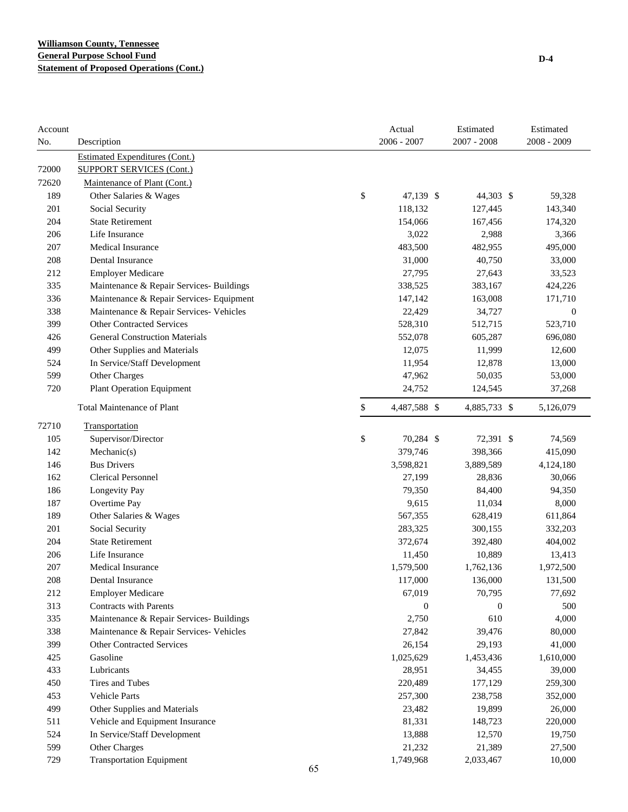| Account<br>No. | Description                              | Actual<br>$2006 - 2007$ | Estimated<br>2007 - 2008 | Estimated<br>2008 - 2009 |
|----------------|------------------------------------------|-------------------------|--------------------------|--------------------------|
|                | <b>Estimated Expenditures (Cont.)</b>    |                         |                          |                          |
| 72000          | <b>SUPPORT SERVICES (Cont.)</b>          |                         |                          |                          |
| 72620          | Maintenance of Plant (Cont.)             |                         |                          |                          |
| 189            | Other Salaries & Wages                   | \$<br>47,139 \$         | 44,303 \$                | 59,328                   |
| 201            | Social Security                          | 118,132                 | 127,445                  | 143,340                  |
| 204            | <b>State Retirement</b>                  | 154,066                 | 167,456                  | 174,320                  |
| 206            | Life Insurance                           | 3,022                   | 2,988                    | 3,366                    |
| 207            | <b>Medical Insurance</b>                 | 483,500                 | 482,955                  | 495,000                  |
| 208            | Dental Insurance                         | 31,000                  | 40,750                   | 33,000                   |
| 212            | <b>Employer Medicare</b>                 | 27,795                  | 27,643                   | 33,523                   |
| 335            | Maintenance & Repair Services- Buildings | 338,525                 | 383,167                  | 424,226                  |
| 336            | Maintenance & Repair Services- Equipment | 147,142                 | 163,008                  | 171,710                  |
| 338            | Maintenance & Repair Services- Vehicles  | 22,429                  | 34,727                   | $\boldsymbol{0}$         |
| 399            | <b>Other Contracted Services</b>         | 528,310                 | 512,715                  | 523,710                  |
| 426            | <b>General Construction Materials</b>    | 552,078                 | 605,287                  | 696,080                  |
| 499            | Other Supplies and Materials             | 12,075                  | 11,999                   | 12,600                   |
| 524            | In Service/Staff Development             | 11,954                  | 12,878                   | 13,000                   |
| 599            | Other Charges                            | 47,962                  | 50,035                   | 53,000                   |
| 720            | <b>Plant Operation Equipment</b>         | 24,752                  | 124,545                  | 37,268                   |
|                | Total Maintenance of Plant               | \$<br>4,487,588 \$      | 4,885,733 \$             | 5,126,079                |
| 72710          | Transportation                           |                         |                          |                          |
| 105            | Supervisor/Director                      | \$<br>70,284 \$         | 72,391 \$                | 74,569                   |
| 142            | Mechanic(s)                              | 379,746                 | 398,366                  | 415,090                  |
| 146            | <b>Bus Drivers</b>                       | 3,598,821               | 3,889,589                | 4,124,180                |
| 162            | <b>Clerical Personnel</b>                | 27,199                  | 28,836                   | 30,066                   |
| 186            | Longevity Pay                            | 79,350                  | 84,400                   | 94,350                   |
| 187            | Overtime Pay                             | 9,615                   | 11,034                   | 8,000                    |
| 189            | Other Salaries & Wages                   | 567,355                 | 628,419                  | 611,864                  |
| 201            | Social Security                          | 283,325                 | 300,155                  | 332,203                  |
| 204            | <b>State Retirement</b>                  | 372,674                 | 392,480                  | 404,002                  |
| 206            | Life Insurance                           | 11,450                  | 10,889                   | 13,413                   |
| 207            | Medical Insurance                        | 1,579,500               | 1,762,136                | 1,972,500                |
| 208            | Dental Insurance                         | 117,000                 | 136,000                  | 131,500                  |
| 212            | <b>Employer Medicare</b>                 | 67,019                  | 70,795                   | 77,692                   |
| 313            | <b>Contracts with Parents</b>            | $\mathbf{0}$            | $\boldsymbol{0}$         | 500                      |
| 335            | Maintenance & Repair Services- Buildings | 2,750                   | 610                      | 4,000                    |
| 338            | Maintenance & Repair Services- Vehicles  | 27,842                  | 39,476                   | 80,000                   |
| 399            | <b>Other Contracted Services</b>         | 26,154                  | 29,193                   | 41,000                   |
| 425            | Gasoline                                 | 1,025,629               | 1,453,436                | 1,610,000                |
| 433            | Lubricants                               | 28,951                  | 34,455                   | 39,000                   |
| 450            | Tires and Tubes                          | 220,489                 | 177,129                  | 259,300                  |
| 453            | Vehicle Parts                            | 257,300                 | 238,758                  | 352,000                  |
| 499            | Other Supplies and Materials             | 23,482                  | 19,899                   | 26,000                   |
| 511            | Vehicle and Equipment Insurance          | 81,331                  | 148,723                  | 220,000                  |
| 524            | In Service/Staff Development             | 13,888                  | 12,570                   | 19,750                   |
| 599            | Other Charges                            | 21,232                  | 21,389                   | 27,500                   |
| 729            | <b>Transportation Equipment</b>          | 1,749,968               | 2,033,467                | 10,000                   |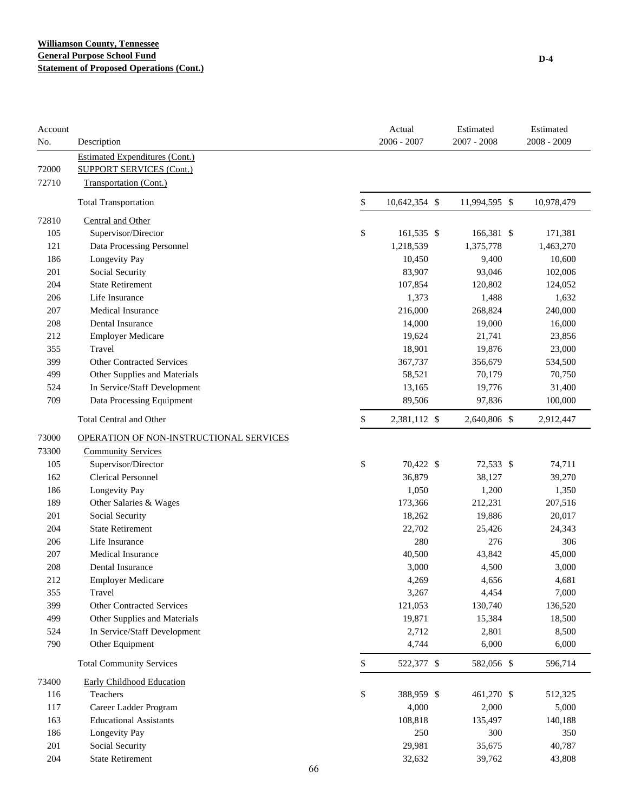| Account<br>No. | Description                             |             | Actual<br>2006 - 2007 | Estimated<br>2007 - 2008 | Estimated<br>2008 - 2009 |
|----------------|-----------------------------------------|-------------|-----------------------|--------------------------|--------------------------|
|                | <b>Estimated Expenditures (Cont.)</b>   |             |                       |                          |                          |
| 72000          | <b>SUPPORT SERVICES (Cont.)</b>         |             |                       |                          |                          |
| 72710          | Transportation (Cont.)                  |             |                       |                          |                          |
|                | <b>Total Transportation</b>             | \$          | 10,642,354 \$         | 11,994,595 \$            | 10,978,479               |
| 72810          | <b>Central and Other</b>                |             |                       |                          |                          |
| 105            | Supervisor/Director                     | \$          | 161,535 \$            | 166,381 \$               | 171,381                  |
| 121            | Data Processing Personnel               |             | 1,218,539             | 1,375,778                | 1,463,270                |
| 186            | Longevity Pay                           |             | 10,450                | 9,400                    | 10,600                   |
| 201            | Social Security                         |             | 83,907                | 93,046                   | 102,006                  |
| 204            | <b>State Retirement</b>                 |             | 107,854               | 120,802                  | 124,052                  |
| 206            | Life Insurance                          |             | 1,373                 | 1,488                    | 1,632                    |
| 207            | <b>Medical Insurance</b>                |             | 216,000               | 268,824                  | 240,000                  |
| 208            | Dental Insurance                        |             | 14,000                | 19,000                   | 16,000                   |
| 212            | <b>Employer Medicare</b>                |             | 19,624                | 21,741                   | 23,856                   |
| 355            | Travel                                  |             | 18,901                | 19,876                   | 23,000                   |
| 399            | <b>Other Contracted Services</b>        |             | 367,737               | 356,679                  | 534,500                  |
| 499            | Other Supplies and Materials            |             | 58,521                | 70,179                   | 70,750                   |
| 524            | In Service/Staff Development            |             | 13,165                | 19,776                   | 31,400                   |
| 709            | Data Processing Equipment               |             | 89,506                | 97,836                   | 100,000                  |
|                | <b>Total Central and Other</b>          | \$          | 2,381,112 \$          | 2,640,806 \$             | 2,912,447                |
| 73000          | OPERATION OF NON-INSTRUCTIONAL SERVICES |             |                       |                          |                          |
| 73300          | <b>Community Services</b>               |             |                       |                          |                          |
| 105            | Supervisor/Director                     | \$          | 70,422 \$             | 72,533 \$                | 74,711                   |
| 162            | <b>Clerical Personnel</b>               |             | 36,879                | 38,127                   | 39,270                   |
| 186            | Longevity Pay                           |             | 1,050                 | 1,200                    | 1,350                    |
| 189            | Other Salaries & Wages                  |             | 173,366               | 212,231                  | 207,516                  |
| 201            | Social Security                         |             | 18,262                | 19,886                   | 20,017                   |
| 204            | <b>State Retirement</b>                 |             | 22,702                | 25,426                   | 24,343                   |
| 206            | Life Insurance                          |             | 280                   | 276                      | 306                      |
| 207            | <b>Medical Insurance</b>                |             | 40,500                | 43,842                   | 45,000                   |
| 208            | Dental Insurance                        |             | 3,000                 | 4,500                    | 3,000                    |
| 212            | <b>Employer Medicare</b>                |             | 4,269                 | 4,656                    | 4,681                    |
| 355            | Travel                                  |             | 3,267                 | 4,454                    | 7,000                    |
| 399            | <b>Other Contracted Services</b>        |             | 121,053               | 130,740                  | 136,520                  |
| 499            | Other Supplies and Materials            |             | 19,871                | 15,384                   | 18,500                   |
| 524            | In Service/Staff Development            |             | 2,712                 | 2,801                    | 8,500                    |
| 790            | Other Equipment                         |             | 4,744                 | 6,000                    | 6,000                    |
|                | <b>Total Community Services</b>         | $\mathbb S$ | 522,377 \$            | 582,056 \$               | 596,714                  |
| 73400          | <b>Early Childhood Education</b>        |             |                       |                          |                          |
| 116            | Teachers                                | \$          | 388,959 \$            | 461,270 \$               | 512,325                  |
| 117            | Career Ladder Program                   |             | 4,000                 | 2,000                    | 5,000                    |
| 163            | <b>Educational Assistants</b>           |             | 108,818               | 135,497                  | 140,188                  |
| 186            | Longevity Pay                           |             | 250                   | 300                      | 350                      |
| 201            | Social Security                         |             | 29,981                | 35,675                   | 40,787                   |
| 204            | <b>State Retirement</b>                 |             | 32,632                | 39,762                   | 43,808                   |
|                |                                         | 66          |                       |                          |                          |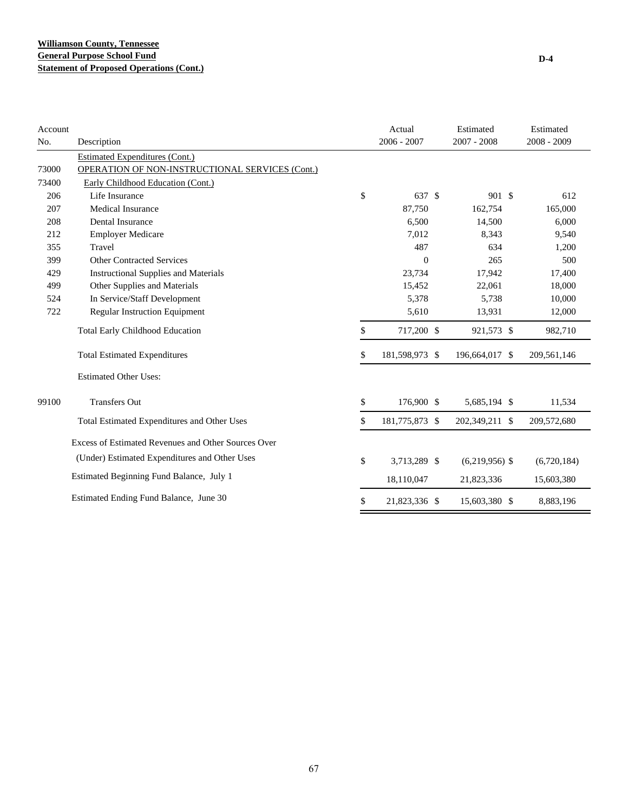| Account |                                                     | Actual               | Estimated        | Estimated   |
|---------|-----------------------------------------------------|----------------------|------------------|-------------|
| No.     | Description                                         | $2006 - 2007$        | $2007 - 2008$    | 2008 - 2009 |
|         | Estimated Expenditures (Cont.)                      |                      |                  |             |
| 73000   | OPERATION OF NON-INSTRUCTIONAL SERVICES (Cont.)     |                      |                  |             |
| 73400   | Early Childhood Education (Cont.)                   |                      |                  |             |
| 206     | Life Insurance                                      | \$<br>637 \$         | 901 \$           | 612         |
| 207     | <b>Medical Insurance</b>                            | 87,750               | 162,754          | 165,000     |
| 208     | Dental Insurance                                    | 6,500                | 14,500           | 6,000       |
| 212     | <b>Employer Medicare</b>                            | 7,012                | 8,343            | 9,540       |
| 355     | Travel                                              | 487                  | 634              | 1,200       |
| 399     | <b>Other Contracted Services</b>                    | $\theta$             | 265              | 500         |
| 429     | <b>Instructional Supplies and Materials</b>         | 23,734               | 17,942           | 17,400      |
| 499     | Other Supplies and Materials                        | 15,452               | 22,061           | 18,000      |
| 524     | In Service/Staff Development                        | 5,378                | 5,738            | 10,000      |
| 722     | <b>Regular Instruction Equipment</b>                | 5,610                | 13,931           | 12,000      |
|         | <b>Total Early Childhood Education</b>              | \$<br>717,200 \$     | 921,573 \$       | 982,710     |
|         | <b>Total Estimated Expenditures</b>                 | \$<br>181,598,973 \$ | 196,664,017 \$   | 209,561,146 |
|         | <b>Estimated Other Uses:</b>                        |                      |                  |             |
| 99100   | <b>Transfers Out</b>                                | \$<br>176,900 \$     | 5,685,194 \$     | 11,534      |
|         | Total Estimated Expenditures and Other Uses         | \$<br>181,775,873 \$ | 202,349,211 \$   | 209,572,680 |
|         | Excess of Estimated Revenues and Other Sources Over |                      |                  |             |
|         | (Under) Estimated Expenditures and Other Uses       | \$<br>3,713,289 \$   | $(6,219,956)$ \$ | (6,720,184) |
|         | Estimated Beginning Fund Balance, July 1            | 18,110,047           | 21,823,336       | 15,603,380  |
|         | Estimated Ending Fund Balance, June 30              | \$<br>21,823,336 \$  | 15,603,380 \$    | 8,883,196   |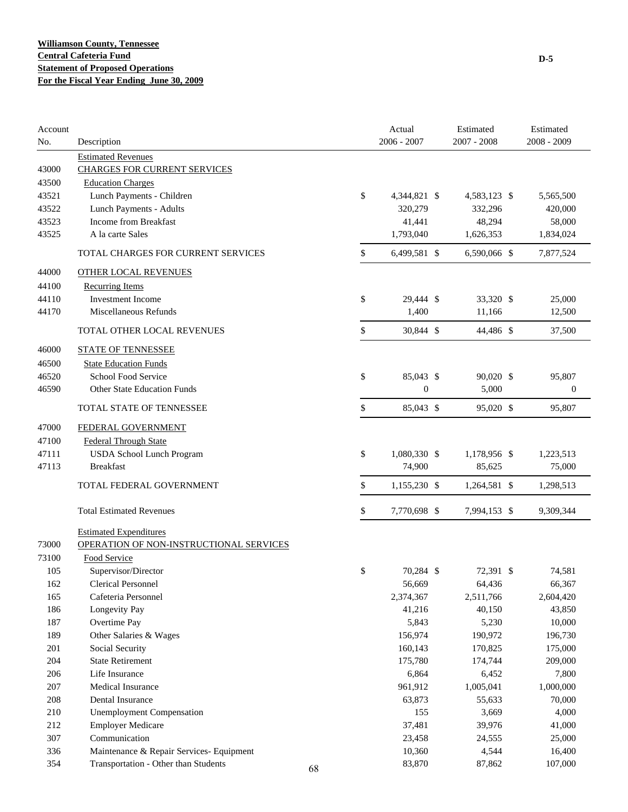| Account    |                                          |    | Actual             | Estimated       | Estimated        |
|------------|------------------------------------------|----|--------------------|-----------------|------------------|
| No.        | Description                              |    | $2006 - 2007$      | $2007 - 2008$   | 2008 - 2009      |
|            | <b>Estimated Revenues</b>                |    |                    |                 |                  |
| 43000      | <b>CHARGES FOR CURRENT SERVICES</b>      |    |                    |                 |                  |
| 43500      | <b>Education Charges</b>                 |    |                    |                 |                  |
| 43521      | Lunch Payments - Children                |    | \$<br>4,344,821 \$ | 4,583,123 \$    | 5,565,500        |
| 43522      | Lunch Payments - Adults                  |    | 320,279            | 332,296         | 420,000          |
| 43523      | Income from Breakfast                    |    | 41,441             | 48,294          | 58,000           |
| 43525      | A la carte Sales                         |    | 1,793,040          | 1,626,353       | 1,834,024        |
|            | TOTAL CHARGES FOR CURRENT SERVICES       |    | \$<br>6,499,581 \$ | 6,590,066 \$    | 7,877,524        |
| 44000      | <b>OTHER LOCAL REVENUES</b>              |    |                    |                 |                  |
| 44100      | <b>Recurring Items</b>                   |    |                    |                 |                  |
| 44110      | <b>Investment Income</b>                 |    | \$<br>29,444 \$    | 33,320 \$       | 25,000           |
| 44170      | Miscellaneous Refunds                    |    | 1,400              | 11,166          | 12,500           |
|            | TOTAL OTHER LOCAL REVENUES               |    | \$<br>30,844 \$    | 44,486 \$       | 37,500           |
| 46000      | <b>STATE OF TENNESSEE</b>                |    |                    |                 |                  |
| 46500      | <b>State Education Funds</b>             |    |                    |                 |                  |
| 46520      | School Food Service                      |    | \$<br>85,043 \$    | 90,020 \$       | 95,807           |
| 46590      | <b>Other State Education Funds</b>       |    | $\boldsymbol{0}$   | 5,000           | $\boldsymbol{0}$ |
|            | TOTAL STATE OF TENNESSEE                 |    | \$<br>85,043 \$    | 95,020 \$       | 95,807           |
| 47000      | FEDERAL GOVERNMENT                       |    |                    |                 |                  |
| 47100      | <b>Federal Through State</b>             |    |                    |                 |                  |
| 47111      | <b>USDA School Lunch Program</b>         |    | \$<br>1,080,330 \$ | 1,178,956 \$    | 1,223,513        |
| 47113      | <b>Breakfast</b>                         |    | 74,900             | 85,625          | 75,000           |
|            |                                          |    |                    |                 |                  |
|            | TOTAL FEDERAL GOVERNMENT                 |    | \$<br>1,155,230 \$ | 1,264,581 \$    | 1,298,513        |
|            | <b>Total Estimated Revenues</b>          |    | \$<br>7,770,698 \$ | 7,994,153 \$    | 9,309,344        |
|            | <b>Estimated Expenditures</b>            |    |                    |                 |                  |
| 73000      | OPERATION OF NON-INSTRUCTIONAL SERVICES  |    |                    |                 |                  |
| 73100      | Food Service                             |    |                    |                 |                  |
| 105        | Supervisor/Director                      |    | \$<br>70,284 \$    | 72,391 \$       | 74,581           |
| 162        | <b>Clerical Personnel</b>                |    | 56,669             | 64,436          | 66,367           |
| 165        | Cafeteria Personnel                      |    | 2,374,367          | 2,511,766       | 2,604,420        |
| 186        | Longevity Pay                            |    | 41,216             | 40,150          | 43,850           |
| 187        | Overtime Pay                             |    | 5,843              | 5,230           | 10,000           |
| 189        | Other Salaries & Wages                   |    | 156,974            | 190,972         | 196,730          |
| 201        | Social Security                          |    | 160,143            | 170,825         | 175,000          |
| 204        | <b>State Retirement</b>                  |    | 175,780            | 174,744         | 209,000          |
| 206        | Life Insurance                           |    | 6,864              | 6,452           | 7,800            |
| 207        | Medical Insurance                        |    | 961,912            | 1,005,041       | 1,000,000        |
|            | Dental Insurance                         |    |                    |                 |                  |
| 208<br>210 | <b>Unemployment Compensation</b>         |    | 63,873<br>155      | 55,633<br>3,669 | 70,000<br>4,000  |
|            | <b>Employer Medicare</b>                 |    |                    |                 |                  |
| 212<br>307 | Communication                            |    | 37,481             | 39,976          | 41,000           |
|            |                                          |    | 23,458             | 24,555          | 25,000           |
| 336        | Maintenance & Repair Services- Equipment |    | 10,360             | 4,544           | 16,400           |
| 354        | Transportation - Other than Students     | 68 | 83,870             | 87,862          | 107,000          |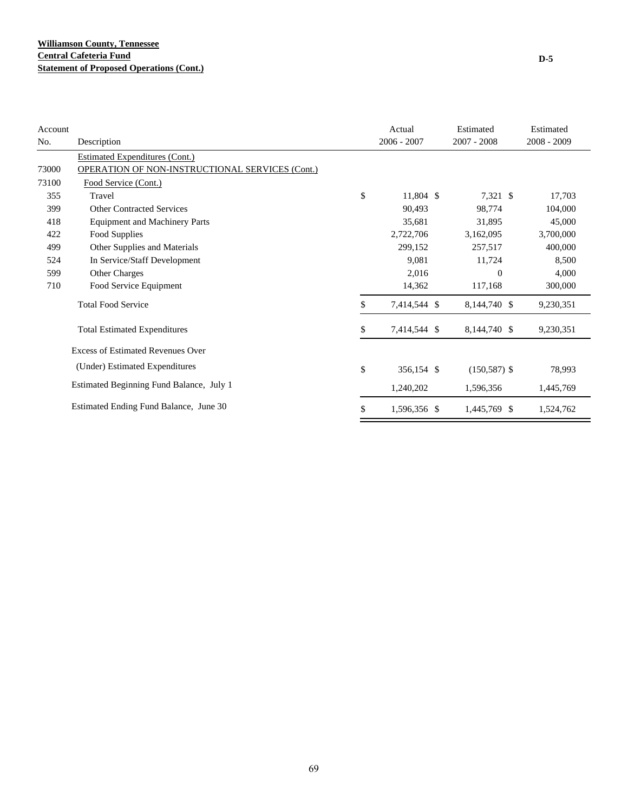| <b>Account</b> |                                                 | Actual             | Estimated       | Estimated     |
|----------------|-------------------------------------------------|--------------------|-----------------|---------------|
| No.            | Description                                     | $2006 - 2007$      | $2007 - 2008$   | $2008 - 2009$ |
|                | Estimated Expenditures (Cont.)                  |                    |                 |               |
| 73000          | OPERATION OF NON-INSTRUCTIONAL SERVICES (Cont.) |                    |                 |               |
| 73100          | Food Service (Cont.)                            |                    |                 |               |
| 355            | Travel                                          | \$<br>11,804 \$    | 7,321 \$        | 17,703        |
| 399            | <b>Other Contracted Services</b>                | 90,493             | 98,774          | 104,000       |
| 418            | <b>Equipment and Machinery Parts</b>            | 35,681             | 31,895          | 45,000        |
| 422            | Food Supplies                                   | 2,722,706          | 3,162,095       | 3,700,000     |
| 499            | Other Supplies and Materials                    | 299,152            | 257,517         | 400,000       |
| 524            | In Service/Staff Development                    | 9,081              | 11,724          | 8,500         |
| 599            | Other Charges                                   | 2,016              | $\overline{0}$  | 4,000         |
| 710            | Food Service Equipment                          | 14,362             | 117,168         | 300,000       |
|                | <b>Total Food Service</b>                       | \$<br>7,414,544 \$ | 8,144,740 \$    | 9,230,351     |
|                | <b>Total Estimated Expenditures</b>             | \$<br>7,414,544 \$ | 8,144,740 \$    | 9,230,351     |
|                | <b>Excess of Estimated Revenues Over</b>        |                    |                 |               |
|                | (Under) Estimated Expenditures                  | \$<br>356,154 \$   | $(150, 587)$ \$ | 78,993        |
|                | Estimated Beginning Fund Balance, July 1        | 1,240,202          | 1,596,356       | 1,445,769     |
|                | Estimated Ending Fund Balance, June 30          | \$<br>1,596,356 \$ | 1,445,769 \$    | 1,524,762     |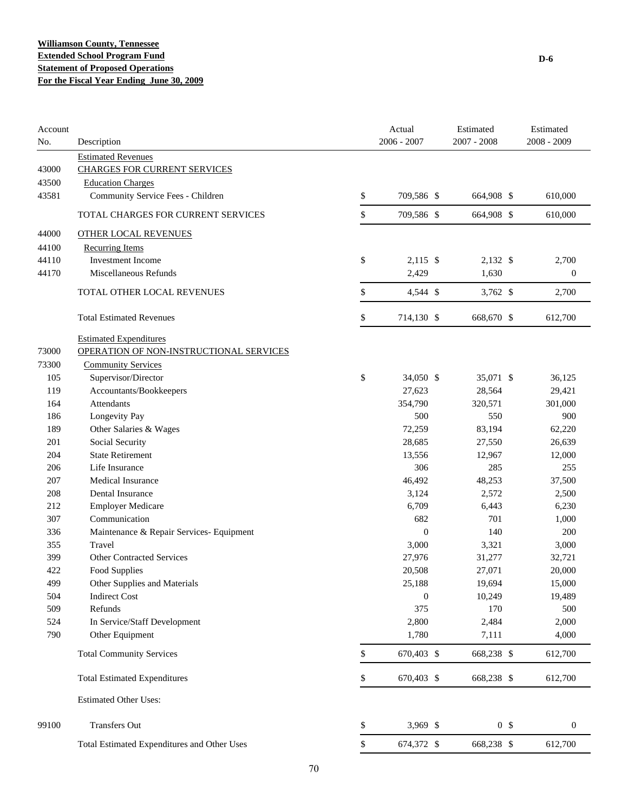| Account<br>No. | Description                                 | Actual<br>$2006 - 2007$ | Estimated<br>2007 - 2008 |                | Estimated<br>$2008 - 2009$ |
|----------------|---------------------------------------------|-------------------------|--------------------------|----------------|----------------------------|
|                | <b>Estimated Revenues</b>                   |                         |                          |                |                            |
| 43000          | <b>CHARGES FOR CURRENT SERVICES</b>         |                         |                          |                |                            |
| 43500          | <b>Education Charges</b>                    |                         |                          |                |                            |
| 43581          | Community Service Fees - Children           | \$<br>709,586 \$        | 664,908 \$               |                | 610,000                    |
|                | TOTAL CHARGES FOR CURRENT SERVICES          | \$<br>709,586 \$        | 664,908 \$               |                | 610,000                    |
| 44000          | <b>OTHER LOCAL REVENUES</b>                 |                         |                          |                |                            |
| 44100          | <b>Recurring Items</b>                      |                         |                          |                |                            |
| 44110          | <b>Investment Income</b>                    | \$<br>$2,115$ \$        | 2,132 \$                 |                | 2,700                      |
| 44170          | Miscellaneous Refunds                       | 2,429                   | 1.630                    |                | $\boldsymbol{0}$           |
|                | TOTAL OTHER LOCAL REVENUES                  | \$<br>4,544 \$          | $3,762$ \$               |                | 2,700                      |
|                | <b>Total Estimated Revenues</b>             | \$<br>714,130 \$        | 668,670 \$               |                | 612,700                    |
|                |                                             |                         |                          |                |                            |
|                | <b>Estimated Expenditures</b>               |                         |                          |                |                            |
| 73000          | OPERATION OF NON-INSTRUCTIONAL SERVICES     |                         |                          |                |                            |
| 73300          | <b>Community Services</b>                   |                         |                          |                |                            |
| 105            | Supervisor/Director                         | \$<br>34,050 \$         | 35,071 \$                |                | 36,125                     |
| 119            | Accountants/Bookkeepers                     | 27,623                  | 28,564                   |                | 29,421                     |
| 164            | Attendants                                  | 354,790                 | 320,571                  |                | 301,000                    |
| 186            | Longevity Pay                               | 500                     | 550                      |                | 900                        |
| 189            | Other Salaries & Wages                      | 72,259                  | 83,194                   |                | 62,220                     |
| 201            | Social Security                             | 28,685                  | 27,550                   |                | 26,639                     |
| 204            | <b>State Retirement</b>                     | 13,556                  | 12,967                   |                | 12,000                     |
| 206            | Life Insurance                              | 306                     | 285                      |                | 255                        |
| 207            | <b>Medical Insurance</b>                    | 46,492                  | 48,253                   |                | 37,500                     |
| 208            | Dental Insurance                            | 3,124                   | 2,572                    |                | 2,500                      |
| 212            | <b>Employer Medicare</b>                    | 6,709                   | 6,443                    |                | 6,230                      |
| 307            | Communication                               | 682                     | 701                      |                | 1,000                      |
| 336            | Maintenance & Repair Services- Equipment    | $\overline{0}$          | 140                      |                | 200                        |
| 355            | Travel                                      | 3,000                   | 3,321                    |                | 3,000                      |
| 399            | <b>Other Contracted Services</b>            | 27,976                  | 31,277                   |                | 32,721                     |
| 422            | Food Supplies                               | 20,508                  | 27,071                   |                | 20,000                     |
| 499            | Other Supplies and Materials                | 25,188                  | 19,694                   |                | 15,000                     |
| 504            | <b>Indirect Cost</b>                        | $\boldsymbol{0}$        | 10,249                   |                | 19,489                     |
| 509            | Refunds                                     | 375                     | 170                      |                | 500                        |
| 524            | In Service/Staff Development                | 2,800                   | 2,484                    |                | 2,000                      |
| 790            | Other Equipment                             | 1,780                   | 7,111                    |                | 4,000                      |
|                | <b>Total Community Services</b>             | \$<br>670,403 \$        | 668,238 \$               |                | 612,700                    |
|                | <b>Total Estimated Expenditures</b>         | \$<br>670,403 \$        | 668,238 \$               |                | 612,700                    |
|                | <b>Estimated Other Uses:</b>                |                         |                          |                |                            |
| 99100          | Transfers Out                               | \$<br>3,969 \$          |                          | 0 <sup>5</sup> | $\boldsymbol{0}$           |
|                | Total Estimated Expenditures and Other Uses | \$<br>674,372 \$        | 668,238 \$               |                | 612,700                    |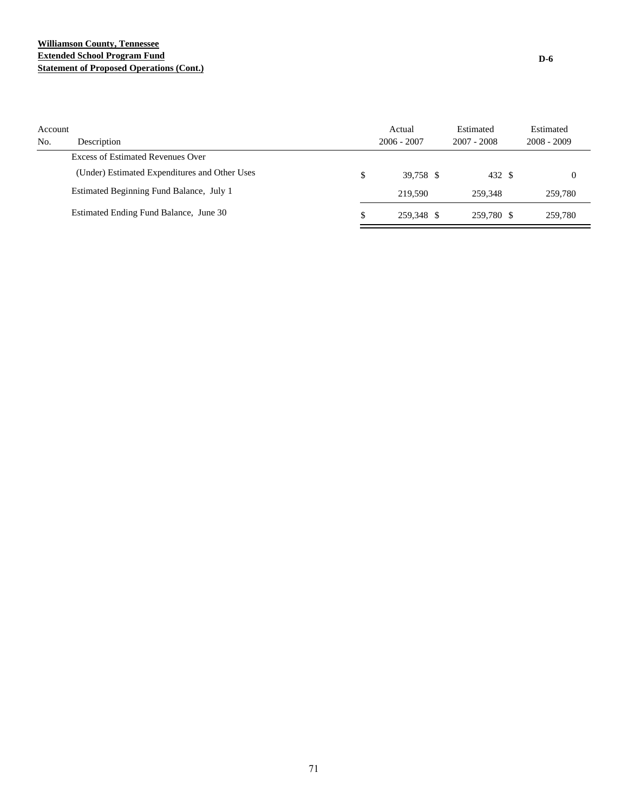## **Williamson County, Tennessee Extended School Program Fund Statement of Proposed Operations (Cont.)**

| Account<br>No. | Description                                   | Actual<br>$2006 - 2007$ | Estimated<br>$2007 - 2008$ | Estimated<br>$2008 - 2009$ |
|----------------|-----------------------------------------------|-------------------------|----------------------------|----------------------------|
|                | Excess of Estimated Revenues Over             |                         |                            |                            |
|                | (Under) Estimated Expenditures and Other Uses | \$<br>39.758 \$         | 432 \$                     |                            |
|                | Estimated Beginning Fund Balance, July 1      | 219.590                 | 259.348                    | 259,780                    |
|                | Estimated Ending Fund Balance, June 30        | \$<br>259.348 \$        | 259.780 \$                 | 259,780                    |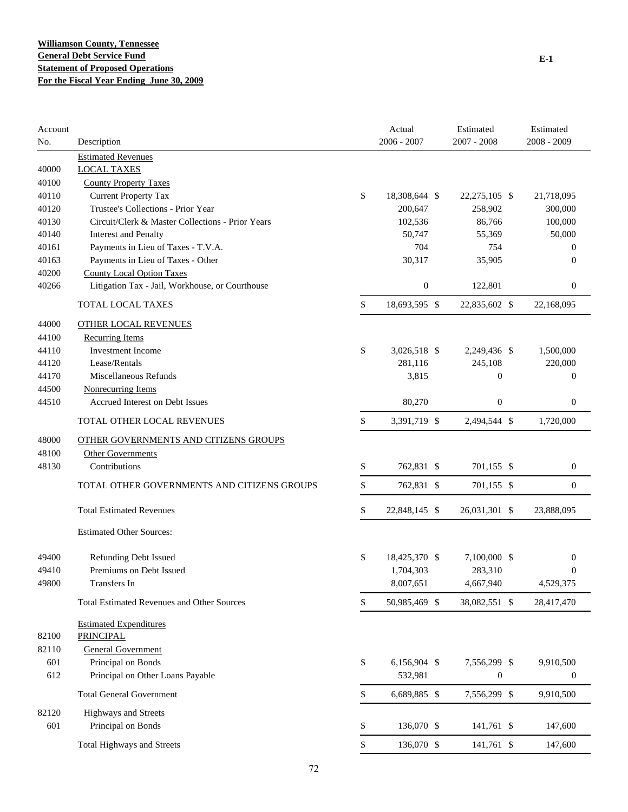| Account<br>No. | Description                                       |              | Actual<br>$2006 - 2007$ | Estimated<br>2007 - 2008 | Estimated<br>2008 - 2009 |
|----------------|---------------------------------------------------|--------------|-------------------------|--------------------------|--------------------------|
|                | <b>Estimated Revenues</b>                         |              |                         |                          |                          |
| 40000          | <b>LOCAL TAXES</b>                                |              |                         |                          |                          |
| 40100          | <b>County Property Taxes</b>                      |              |                         |                          |                          |
| 40110          | <b>Current Property Tax</b>                       | \$           | 18,308,644 \$           | 22, 275, 105 \$          | 21,718,095               |
| 40120          | Trustee's Collections - Prior Year                |              | 200,647                 | 258,902                  | 300,000                  |
| 40130          | Circuit/Clerk & Master Collections - Prior Years  |              | 102,536                 | 86,766                   | 100,000                  |
| 40140          | <b>Interest and Penalty</b>                       |              | 50,747                  | 55,369                   | 50,000                   |
| 40161          | Payments in Lieu of Taxes - T.V.A.                |              | 704                     | 754                      | $\theta$                 |
| 40163          | Payments in Lieu of Taxes - Other                 |              | 30,317                  | 35,905                   | $\theta$                 |
| 40200          | <b>County Local Option Taxes</b>                  |              |                         |                          |                          |
| 40266          | Litigation Tax - Jail, Workhouse, or Courthouse   |              | $\boldsymbol{0}$        | 122,801                  | $\mathbf{0}$             |
|                | TOTAL LOCAL TAXES                                 | \$           | 18,693,595 \$           | 22,835,602 \$            | 22,168,095               |
| 44000          | <b>OTHER LOCAL REVENUES</b>                       |              |                         |                          |                          |
| 44100          | <b>Recurring Items</b>                            |              |                         |                          |                          |
| 44110          | Investment Income                                 | \$           | 3,026,518 \$            | 2,249,436 \$             | 1,500,000                |
| 44120          | Lease/Rentals                                     |              | 281,116                 | 245,108                  | 220,000                  |
| 44170          | Miscellaneous Refunds                             |              | 3,815                   | $\boldsymbol{0}$         | $\mathbf{0}$             |
| 44500          | Nonrecurring Items                                |              |                         |                          |                          |
| 44510          | Accrued Interest on Debt Issues                   |              | 80,270                  | $\boldsymbol{0}$         | $\mathbf{0}$             |
|                | TOTAL OTHER LOCAL REVENUES                        | \$           | 3,391,719 \$            | 2,494,544 \$             | 1,720,000                |
| 48000          | OTHER GOVERNMENTS AND CITIZENS GROUPS             |              |                         |                          |                          |
| 48100          | <b>Other Governments</b>                          |              |                         |                          |                          |
| 48130          | Contributions                                     | \$           | 762,831 \$              | 701,155 \$               | $\boldsymbol{0}$         |
|                |                                                   |              |                         |                          |                          |
|                | TOTAL OTHER GOVERNMENTS AND CITIZENS GROUPS       | \$           | 762,831 \$              | 701,155 \$               | $\mathbf{0}$             |
|                | <b>Total Estimated Revenues</b>                   | \$           | 22,848,145 \$           | 26,031,301 \$            | 23,888,095               |
|                | <b>Estimated Other Sources:</b>                   |              |                         |                          |                          |
| 49400          | <b>Refunding Debt Issued</b>                      | \$           | 18,425,370 \$           | 7,100,000 \$             | $\mathbf{0}$             |
| 49410          | Premiums on Debt Issued                           |              | 1,704,303               | 283,310                  | 0                        |
| 49800          | Transfers In                                      |              | 8,007,651               | 4,667,940                | 4,529,375                |
|                | <b>Total Estimated Revenues and Other Sources</b> | \$           | 50,985,469 \$           | 38,082,551 \$            | 28,417,470               |
|                | <b>Estimated Expenditures</b>                     |              |                         |                          |                          |
| 82100          | <b>PRINCIPAL</b>                                  |              |                         |                          |                          |
| 82110          | <b>General Government</b>                         |              |                         |                          |                          |
| 601            | Principal on Bonds                                | \$           | 6,156,904 \$            | 7,556,299 \$             | 9,910,500                |
| 612            | Principal on Other Loans Payable                  |              | 532,981                 | $\boldsymbol{0}$         | $\boldsymbol{0}$         |
|                | <b>Total General Government</b>                   | \$           | 6,689,885 \$            | 7,556,299 \$             | 9,910,500                |
| 82120          | <b>Highways and Streets</b>                       |              |                         |                          |                          |
| 601            | Principal on Bonds                                | \$           | 136,070 \$              | 141,761 \$               | 147,600                  |
|                | <b>Total Highways and Streets</b>                 | $\mathbb{S}$ | 136,070 \$              | 141,761 \$               | 147,600                  |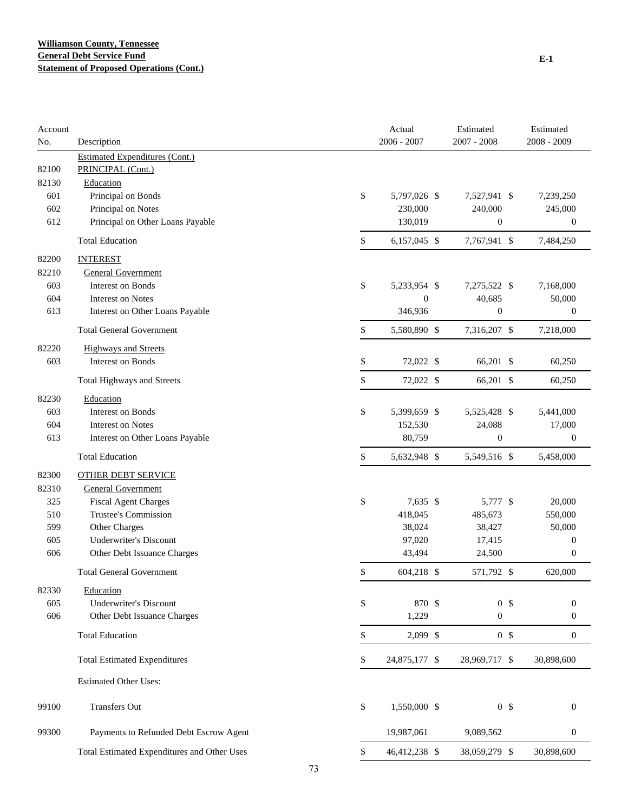| Account<br>No. | Description                                 |    | Actual<br>2006 - 2007 | Estimated<br>2007 - 2008 | Estimated<br>2008 - 2009 |  |
|----------------|---------------------------------------------|----|-----------------------|--------------------------|--------------------------|--|
|                | <b>Estimated Expenditures (Cont.)</b>       |    |                       |                          |                          |  |
| 82100          | PRINCIPAL (Cont.)                           |    |                       |                          |                          |  |
| 82130          | Education                                   |    |                       |                          |                          |  |
| 601            | Principal on Bonds                          |    | \$<br>5,797,026 \$    | 7,527,941 \$             | 7,239,250                |  |
| 602            | Principal on Notes                          |    | 230,000               | 240,000                  | 245,000                  |  |
| 612            | Principal on Other Loans Payable            |    | 130,019               | $\boldsymbol{0}$         | $\boldsymbol{0}$         |  |
|                | <b>Total Education</b>                      |    | \$<br>6,157,045 \$    | 7,767,941 \$             | 7,484,250                |  |
| 82200          | <b>INTEREST</b>                             |    |                       |                          |                          |  |
| 82210          | <b>General Government</b>                   |    |                       |                          |                          |  |
| 603            | Interest on Bonds                           |    | \$<br>5,233,954 \$    | 7,275,522 \$             | 7,168,000                |  |
| 604            | Interest on Notes                           |    | $\boldsymbol{0}$      | 40,685                   | 50,000                   |  |
| 613            | Interest on Other Loans Payable             |    | 346,936               | $\boldsymbol{0}$         | 0                        |  |
|                | <b>Total General Government</b>             |    | \$<br>5,580,890 \$    | 7,316,207 \$             | 7,218,000                |  |
| 82220          | <b>Highways and Streets</b>                 |    |                       |                          |                          |  |
| 603            | Interest on Bonds                           |    | \$<br>72,022 \$       | 66,201 \$                | 60,250                   |  |
|                | Total Highways and Streets                  |    | \$<br>72,022 \$       | 66,201 \$                | 60,250                   |  |
| 82230          | Education                                   |    |                       |                          |                          |  |
| 603            | Interest on Bonds                           |    | \$<br>5,399,659 \$    | 5,525,428 \$             | 5,441,000                |  |
| 604            | <b>Interest on Notes</b>                    |    | 152,530               | 24,088                   | 17,000                   |  |
| 613            | Interest on Other Loans Payable             |    | 80,759                | $\boldsymbol{0}$         | $\boldsymbol{0}$         |  |
|                | <b>Total Education</b>                      |    | \$<br>5,632,948 \$    | 5,549,516 \$             | 5,458,000                |  |
| 82300          | <b>OTHER DEBT SERVICE</b>                   |    |                       |                          |                          |  |
| 82310          | <b>General Government</b>                   |    |                       |                          |                          |  |
| 325            | <b>Fiscal Agent Charges</b>                 |    | \$<br>7,635 \$        | 5,777 \$                 | 20,000                   |  |
| 510            | Trustee's Commission                        |    | 418,045               | 485,673                  | 550,000                  |  |
| 599            | Other Charges                               |    | 38,024                | 38,427                   | 50,000                   |  |
| 605            | <b>Underwriter's Discount</b>               |    | 97,020                | 17,415                   | $\boldsymbol{0}$         |  |
| 606            | Other Debt Issuance Charges                 |    | 43,494                | 24,500                   | $\boldsymbol{0}$         |  |
|                | <b>Total General Government</b>             |    | \$<br>604,218 \$      | 571,792 \$               | 620,000                  |  |
| 82330          | Education                                   |    |                       |                          |                          |  |
| 605            | <b>Underwriter's Discount</b>               |    | \$<br>870 \$          | 0 <sup>5</sup>           | $\boldsymbol{0}$         |  |
| 606            | Other Debt Issuance Charges                 |    | 1,229                 | $\boldsymbol{0}$         | $\boldsymbol{0}$         |  |
|                | <b>Total Education</b>                      |    | \$<br>2,099 \$        | 0 <sup>5</sup>           | $\boldsymbol{0}$         |  |
|                | <b>Total Estimated Expenditures</b>         |    | \$<br>24,875,177 \$   | 28,969,717 \$            | 30,898,600               |  |
|                | <b>Estimated Other Uses:</b>                |    |                       |                          |                          |  |
| 99100          | Transfers Out                               |    | \$<br>1,550,000 \$    | 0 <sup>5</sup>           | $\boldsymbol{0}$         |  |
| 99300          | Payments to Refunded Debt Escrow Agent      |    | 19,987,061            | 9,089,562                | $\boldsymbol{0}$         |  |
|                | Total Estimated Expenditures and Other Uses |    | \$<br>46,412,238 \$   | 38,059,279 \$            | 30,898,600               |  |
|                |                                             |    |                       |                          |                          |  |
|                |                                             | 73 |                       |                          |                          |  |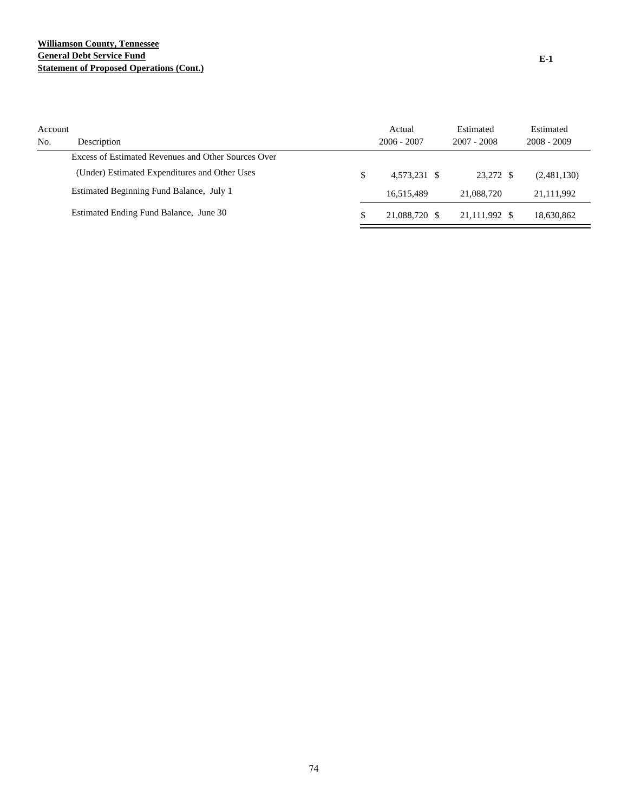## **Williamson County, Tennessee General Debt Service Fund Statement of Proposed Operations (Cont.)**

| Account<br>No. | Description                                         | Actual<br>$2006 - 2007$ | Estimated<br>$2007 - 2008$ | Estimated<br>$2008 - 2009$ |
|----------------|-----------------------------------------------------|-------------------------|----------------------------|----------------------------|
|                | Excess of Estimated Revenues and Other Sources Over |                         |                            |                            |
|                | (Under) Estimated Expenditures and Other Uses       | \$<br>4.573.231 \$      | 23.272 \$                  | (2,481,130)                |
|                | Estimated Beginning Fund Balance, July 1            | 16.515.489              | 21,088,720                 | 21,111,992                 |
|                | Estimated Ending Fund Balance, June 30              | 21,088,720 \$           | 21,111,992 \$              | 18,630,862                 |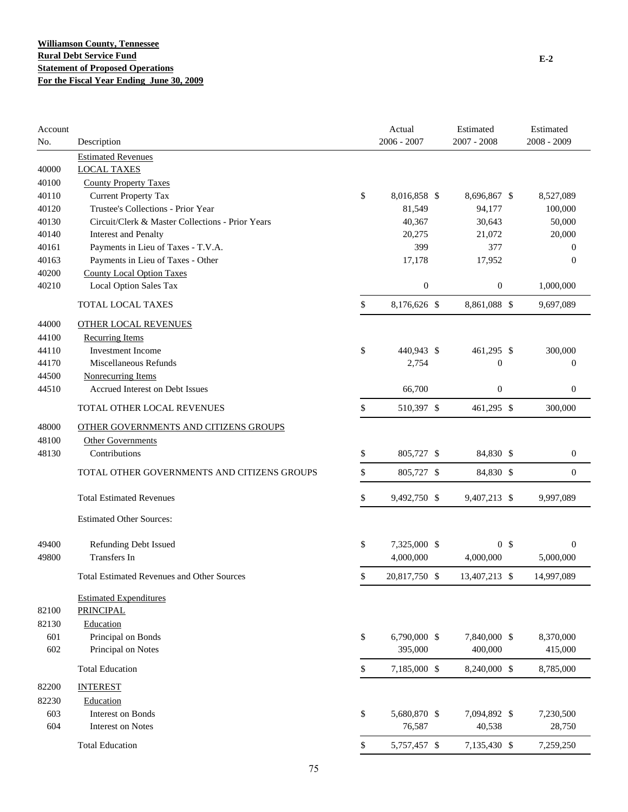| Account<br>No. | Description                                       | Actual<br>$2006 - 2007$ | Estimated<br>$2007 - 2008$ | Estimated<br>2008 - 2009 |
|----------------|---------------------------------------------------|-------------------------|----------------------------|--------------------------|
|                | <b>Estimated Revenues</b>                         |                         |                            |                          |
| 40000          | <b>LOCAL TAXES</b>                                |                         |                            |                          |
| 40100          | <b>County Property Taxes</b>                      |                         |                            |                          |
| 40110          | <b>Current Property Tax</b>                       | \$<br>8,016,858 \$      | 8,696,867 \$               | 8,527,089                |
| 40120          | Trustee's Collections - Prior Year                | 81,549                  | 94,177                     | 100,000                  |
| 40130          | Circuit/Clerk & Master Collections - Prior Years  | 40,367                  | 30,643                     | 50,000                   |
| 40140          | <b>Interest and Penalty</b>                       | 20,275                  | 21,072                     | 20,000                   |
| 40161          | Payments in Lieu of Taxes - T.V.A.                | 399                     | 377                        | $\mathbf{0}$             |
| 40163          | Payments in Lieu of Taxes - Other                 | 17,178                  | 17,952                     | $\mathbf{0}$             |
| 40200          | <b>County Local Option Taxes</b>                  |                         |                            |                          |
| 40210          | Local Option Sales Tax                            | $\mathbf{0}$            | $\boldsymbol{0}$           | 1,000,000                |
|                | TOTAL LOCAL TAXES                                 | \$<br>8,176,626 \$      | 8,861,088 \$               | 9,697,089                |
| 44000          | <b>OTHER LOCAL REVENUES</b>                       |                         |                            |                          |
| 44100          | <b>Recurring Items</b>                            |                         |                            |                          |
| 44110          | <b>Investment Income</b>                          | \$<br>440,943 \$        | 461,295 \$                 | 300,000                  |
| 44170          | Miscellaneous Refunds                             | 2,754                   | $\boldsymbol{0}$           | $\boldsymbol{0}$         |
| 44500          | Nonrecurring Items                                |                         |                            |                          |
| 44510          | <b>Accrued Interest on Debt Issues</b>            | 66,700                  | $\boldsymbol{0}$           | $\boldsymbol{0}$         |
|                | TOTAL OTHER LOCAL REVENUES                        | \$<br>510,397 \$        | 461,295 \$                 | 300,000                  |
| 48000          | OTHER GOVERNMENTS AND CITIZENS GROUPS             |                         |                            |                          |
| 48100          | Other Governments                                 |                         |                            |                          |
| 48130          | Contributions                                     | \$<br>805,727 \$        | 84,830 \$                  | $\boldsymbol{0}$         |
|                |                                                   |                         |                            |                          |
|                | TOTAL OTHER GOVERNMENTS AND CITIZENS GROUPS       | \$<br>805,727 \$        | 84,830 \$                  | $\boldsymbol{0}$         |
|                | <b>Total Estimated Revenues</b>                   | \$<br>9,492,750 \$      | 9,407,213 \$               | 9,997,089                |
|                | <b>Estimated Other Sources:</b>                   |                         |                            |                          |
| 49400          | <b>Refunding Debt Issued</b>                      | \$<br>7,325,000 \$      | 0 <sup>5</sup>             | $\boldsymbol{0}$         |
| 49800          | <b>Transfers</b> In                               | 4,000,000               | 4,000,000                  | 5,000,000                |
|                |                                                   |                         |                            |                          |
|                | <b>Total Estimated Revenues and Other Sources</b> | \$<br>20,817,750 \$     | 13.407.213 \$              | 14,997,089               |
|                | <b>Estimated Expenditures</b>                     |                         |                            |                          |
| 82100          | <b>PRINCIPAL</b>                                  |                         |                            |                          |
| 82130          | Education                                         |                         |                            |                          |
| 601            | Principal on Bonds                                | \$<br>6,790,000 \$      | 7,840,000 \$               | 8,370,000                |
| 602            | Principal on Notes                                | 395,000                 | 400,000                    | 415,000                  |
|                | <b>Total Education</b>                            | \$<br>7,185,000 \$      | 8,240,000 \$               | 8,785,000                |
| 82200          | <b>INTEREST</b>                                   |                         |                            |                          |
| 82230          | Education                                         |                         |                            |                          |
| 603            | <b>Interest on Bonds</b>                          | \$<br>5,680,870 \$      | 7,094,892 \$               | 7,230,500                |
| 604            | <b>Interest on Notes</b>                          | 76,587                  | 40,538                     | 28,750                   |
|                | <b>Total Education</b>                            | \$<br>5,757,457 \$      | 7,135,430 \$               | 7,259,250                |